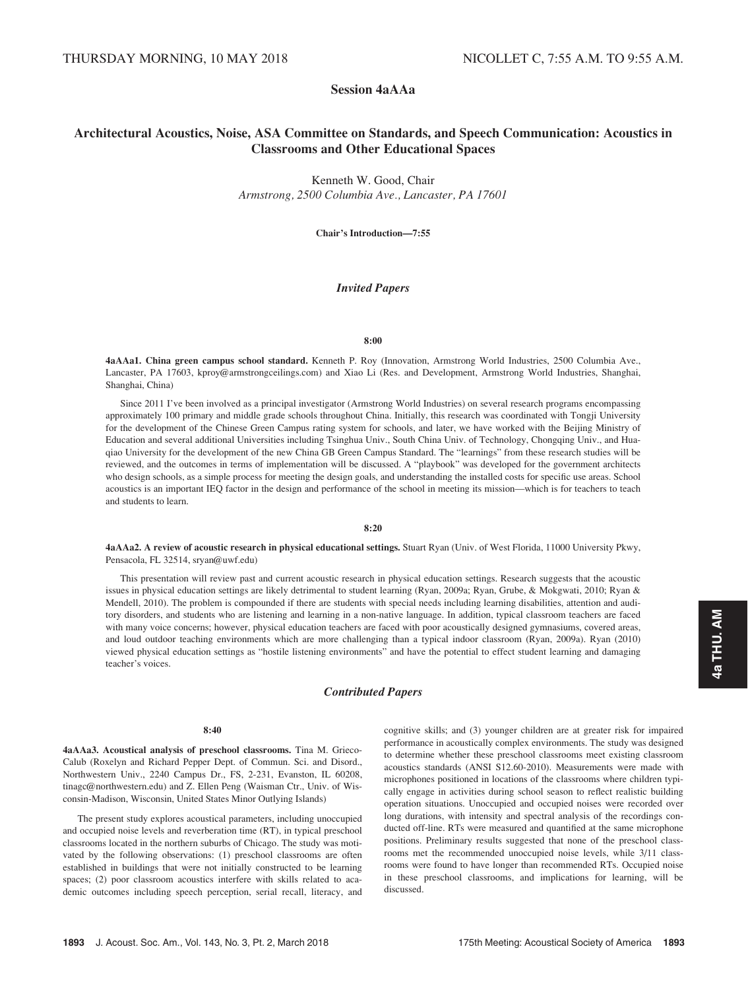# Session 4aAAa

# Architectural Acoustics, Noise, ASA Committee on Standards, and Speech Communication: Acoustics in Classrooms and Other Educational Spaces

Kenneth W. Good, Chair Armstrong, 2500 Columbia Ave., Lancaster, PA 17601

Chair's Introduction—7:55

# Invited Papers

#### 8:00

4aAAa1. China green campus school standard. Kenneth P. Roy (Innovation, Armstrong World Industries, 2500 Columbia Ave., Lancaster, PA 17603, kproy@armstrongceilings.com) and Xiao Li (Res. and Development, Armstrong World Industries, Shanghai, Shanghai, China)

Since 2011 I've been involved as a principal investigator (Armstrong World Industries) on several research programs encompassing approximately 100 primary and middle grade schools throughout China. Initially, this research was coordinated with Tongji University for the development of the Chinese Green Campus rating system for schools, and later, we have worked with the Beijing Ministry of Education and several additional Universities including Tsinghua Univ., South China Univ. of Technology, Chongqing Univ., and Huaqiao University for the development of the new China GB Green Campus Standard. The "learnings" from these research studies will be reviewed, and the outcomes in terms of implementation will be discussed. A "playbook" was developed for the government architects who design schools, as a simple process for meeting the design goals, and understanding the installed costs for specific use areas. School acoustics is an important IEQ factor in the design and performance of the school in meeting its mission—which is for teachers to teach and students to learn.

# 8:20

4aAAa2. A review of acoustic research in physical educational settings. Stuart Ryan (Univ. of West Florida, 11000 University Pkwy, Pensacola, FL 32514, sryan@uwf.edu)

This presentation will review past and current acoustic research in physical education settings. Research suggests that the acoustic issues in physical education settings are likely detrimental to student learning (Ryan, 2009a; Ryan, Grube, & Mokgwati, 2010; Ryan & Mendell, 2010). The problem is compounded if there are students with special needs including learning disabilities, attention and auditory disorders, and students who are listening and learning in a non-native language. In addition, typical classroom teachers are faced with many voice concerns; however, physical education teachers are faced with poor acoustically designed gymnasiums, covered areas, and loud outdoor teaching environments which are more challenging than a typical indoor classroom (Ryan, 2009a). Ryan (2010) viewed physical education settings as "hostile listening environments" and have the potential to effect student learning and damaging teacher's voices.

# Contributed Papers

## 8:40

4aAAa3. Acoustical analysis of preschool classrooms. Tina M. Grieco-Calub (Roxelyn and Richard Pepper Dept. of Commun. Sci. and Disord., Northwestern Univ., 2240 Campus Dr., FS, 2-231, Evanston, IL 60208, tinagc@northwestern.edu) and Z. Ellen Peng (Waisman Ctr., Univ. of Wisconsin-Madison, Wisconsin, United States Minor Outlying Islands)

The present study explores acoustical parameters, including unoccupied and occupied noise levels and reverberation time (RT), in typical preschool classrooms located in the northern suburbs of Chicago. The study was motivated by the following observations: (1) preschool classrooms are often established in buildings that were not initially constructed to be learning spaces; (2) poor classroom acoustics interfere with skills related to academic outcomes including speech perception, serial recall, literacy, and cognitive skills; and (3) younger children are at greater risk for impaired performance in acoustically complex environments. The study was designed to determine whether these preschool classrooms meet existing classroom acoustics standards (ANSI S12.60-2010). Measurements were made with microphones positioned in locations of the classrooms where children typically engage in activities during school season to reflect realistic building operation situations. Unoccupied and occupied noises were recorded over long durations, with intensity and spectral analysis of the recordings conducted off-line. RTs were measured and quantified at the same microphone positions. Preliminary results suggested that none of the preschool classrooms met the recommended unoccupied noise levels, while 3/11 classrooms were found to have longer than recommended RTs. Occupied noise in these preschool classrooms, and implications for learning, will be discussed.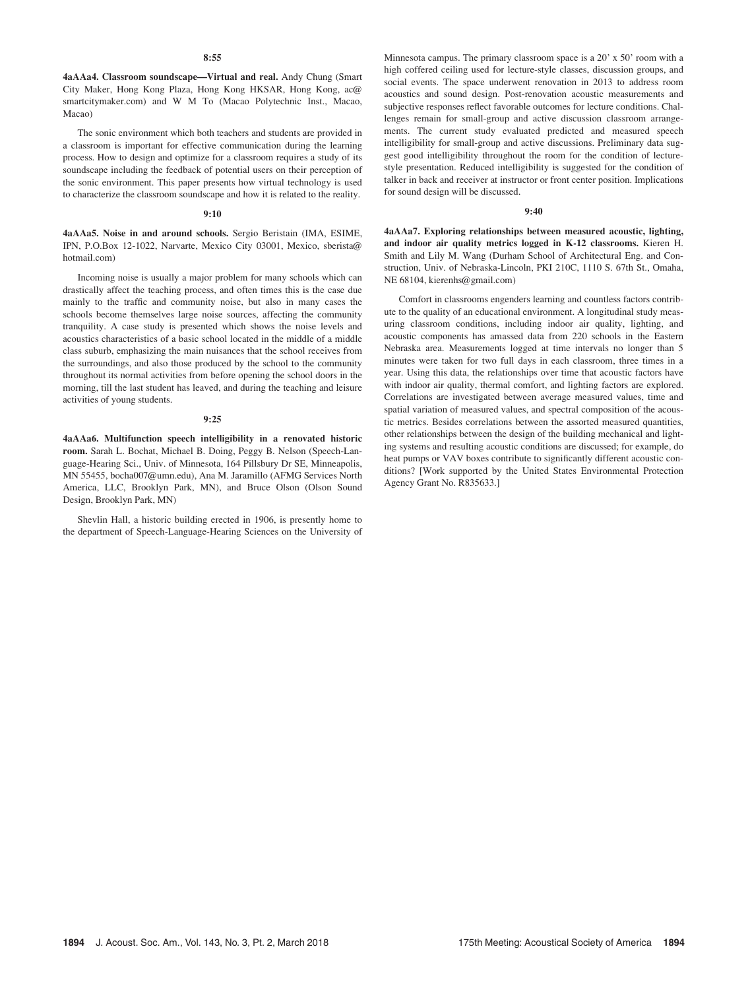4aAAa4. Classroom soundscape—Virtual and real. Andy Chung (Smart City Maker, Hong Kong Plaza, Hong Kong HKSAR, Hong Kong, ac@ smartcitymaker.com) and W M To (Macao Polytechnic Inst., Macao, Macao)

The sonic environment which both teachers and students are provided in a classroom is important for effective communication during the learning process. How to design and optimize for a classroom requires a study of its soundscape including the feedback of potential users on their perception of the sonic environment. This paper presents how virtual technology is used to characterize the classroom soundscape and how it is related to the reality.

# 9:10

4aAAa5. Noise in and around schools. Sergio Beristain (IMA, ESIME, IPN, P.O.Box 12-1022, Narvarte, Mexico City 03001, Mexico, sberista@ hotmail.com)

Incoming noise is usually a major problem for many schools which can drastically affect the teaching process, and often times this is the case due mainly to the traffic and community noise, but also in many cases the schools become themselves large noise sources, affecting the community tranquility. A case study is presented which shows the noise levels and acoustics characteristics of a basic school located in the middle of a middle class suburb, emphasizing the main nuisances that the school receives from the surroundings, and also those produced by the school to the community throughout its normal activities from before opening the school doors in the morning, till the last student has leaved, and during the teaching and leisure activities of young students.

#### 9:25

4aAAa6. Multifunction speech intelligibility in a renovated historic room. Sarah L. Bochat, Michael B. Doing, Peggy B. Nelson (Speech-Language-Hearing Sci., Univ. of Minnesota, 164 Pillsbury Dr SE, Minneapolis, MN 55455, bocha007@umn.edu), Ana M. Jaramillo (AFMG Services North America, LLC, Brooklyn Park, MN), and Bruce Olson (Olson Sound Design, Brooklyn Park, MN)

Shevlin Hall, a historic building erected in 1906, is presently home to the department of Speech-Language-Hearing Sciences on the University of Minnesota campus. The primary classroom space is a 20' x 50' room with a high coffered ceiling used for lecture-style classes, discussion groups, and social events. The space underwent renovation in 2013 to address room acoustics and sound design. Post-renovation acoustic measurements and subjective responses reflect favorable outcomes for lecture conditions. Challenges remain for small-group and active discussion classroom arrangements. The current study evaluated predicted and measured speech intelligibility for small-group and active discussions. Preliminary data suggest good intelligibility throughout the room for the condition of lecturestyle presentation. Reduced intelligibility is suggested for the condition of talker in back and receiver at instructor or front center position. Implications for sound design will be discussed.

# 9:40

4aAAa7. Exploring relationships between measured acoustic, lighting, and indoor air quality metrics logged in K-12 classrooms. Kieren H. Smith and Lily M. Wang (Durham School of Architectural Eng. and Construction, Univ. of Nebraska-Lincoln, PKI 210C, 1110 S. 67th St., Omaha, NE 68104, kierenhs@gmail.com)

Comfort in classrooms engenders learning and countless factors contribute to the quality of an educational environment. A longitudinal study measuring classroom conditions, including indoor air quality, lighting, and acoustic components has amassed data from 220 schools in the Eastern Nebraska area. Measurements logged at time intervals no longer than 5 minutes were taken for two full days in each classroom, three times in a year. Using this data, the relationships over time that acoustic factors have with indoor air quality, thermal comfort, and lighting factors are explored. Correlations are investigated between average measured values, time and spatial variation of measured values, and spectral composition of the acoustic metrics. Besides correlations between the assorted measured quantities, other relationships between the design of the building mechanical and lighting systems and resulting acoustic conditions are discussed; for example, do heat pumps or VAV boxes contribute to significantly different acoustic conditions? [Work supported by the United States Environmental Protection Agency Grant No. R835633.]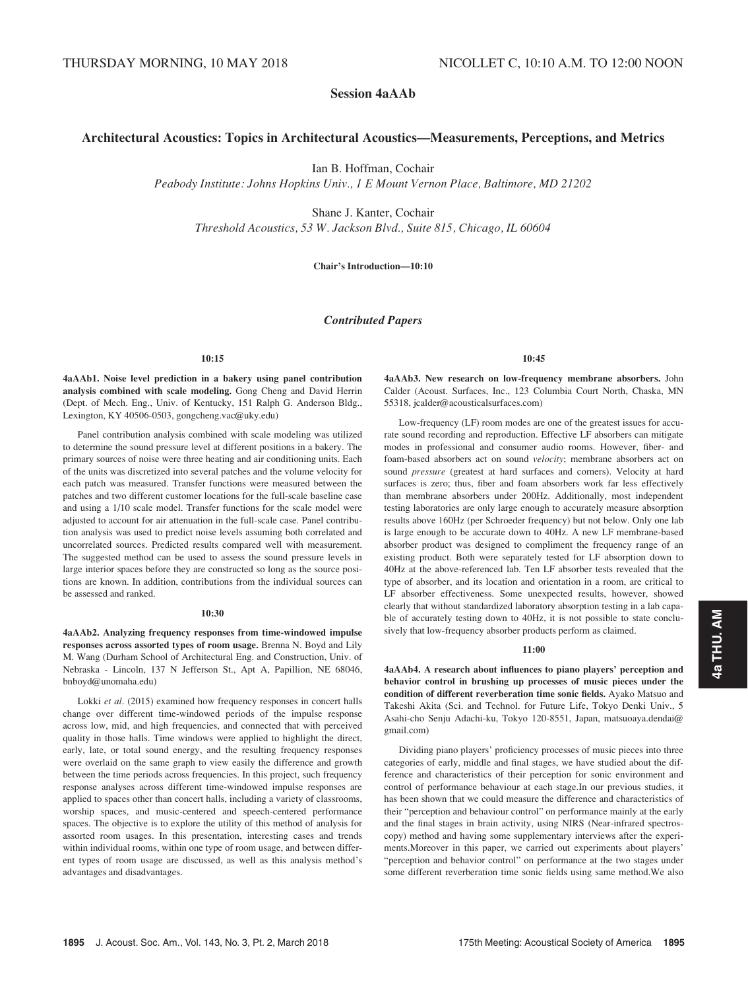Session 4aAAb

# Architectural Acoustics: Topics in Architectural Acoustics—Measurements, Perceptions, and Metrics

Ian B. Hoffman, Cochair

Peabody Institute: Johns Hopkins Univ., 1 E Mount Vernon Place, Baltimore, MD 21202

Shane J. Kanter, Cochair

Threshold Acoustics, 53 W. Jackson Blvd., Suite 815, Chicago, IL 60604

# Chair's Introduction—10:10

# Contributed Papers

## $10:15$

4aAAb1. Noise level prediction in a bakery using panel contribution analysis combined with scale modeling. Gong Cheng and David Herrin (Dept. of Mech. Eng., Univ. of Kentucky, 151 Ralph G. Anderson Bldg., Lexington, KY 40506-0503, gongcheng.vac@uky.edu)

Panel contribution analysis combined with scale modeling was utilized to determine the sound pressure level at different positions in a bakery. The primary sources of noise were three heating and air conditioning units. Each of the units was discretized into several patches and the volume velocity for each patch was measured. Transfer functions were measured between the patches and two different customer locations for the full-scale baseline case and using a 1/10 scale model. Transfer functions for the scale model were adjusted to account for air attenuation in the full-scale case. Panel contribution analysis was used to predict noise levels assuming both correlated and uncorrelated sources. Predicted results compared well with measurement. The suggested method can be used to assess the sound pressure levels in large interior spaces before they are constructed so long as the source positions are known. In addition, contributions from the individual sources can be assessed and ranked.

#### 10:30

4aAAb2. Analyzing frequency responses from time-windowed impulse responses across assorted types of room usage. Brenna N. Boyd and Lily M. Wang (Durham School of Architectural Eng. and Construction, Univ. of Nebraska - Lincoln, 137 N Jefferson St., Apt A, Papillion, NE 68046, bnboyd@unomaha.edu)

Lokki et al. (2015) examined how frequency responses in concert halls change over different time-windowed periods of the impulse response across low, mid, and high frequencies, and connected that with perceived quality in those halls. Time windows were applied to highlight the direct, early, late, or total sound energy, and the resulting frequency responses were overlaid on the same graph to view easily the difference and growth between the time periods across frequencies. In this project, such frequency response analyses across different time-windowed impulse responses are applied to spaces other than concert halls, including a variety of classrooms, worship spaces, and music-centered and speech-centered performance spaces. The objective is to explore the utility of this method of analysis for assorted room usages. In this presentation, interesting cases and trends within individual rooms, within one type of room usage, and between different types of room usage are discussed, as well as this analysis method's advantages and disadvantages.

10:45

4aAAb3. New research on low-frequency membrane absorbers. John Calder (Acoust. Surfaces, Inc., 123 Columbia Court North, Chaska, MN 55318, jcalder@acousticalsurfaces.com)

Low-frequency (LF) room modes are one of the greatest issues for accurate sound recording and reproduction. Effective LF absorbers can mitigate modes in professional and consumer audio rooms. However, fiber- and foam-based absorbers act on sound velocity; membrane absorbers act on sound pressure (greatest at hard surfaces and corners). Velocity at hard surfaces is zero; thus, fiber and foam absorbers work far less effectively than membrane absorbers under 200Hz. Additionally, most independent testing laboratories are only large enough to accurately measure absorption results above 160Hz (per Schroeder frequency) but not below. Only one lab is large enough to be accurate down to 40Hz. A new LF membrane-based absorber product was designed to compliment the frequency range of an existing product. Both were separately tested for LF absorption down to 40Hz at the above-referenced lab. Ten LF absorber tests revealed that the type of absorber, and its location and orientation in a room, are critical to LF absorber effectiveness. Some unexpected results, however, showed clearly that without standardized laboratory absorption testing in a lab capable of accurately testing down to 40Hz, it is not possible to state conclusively that low-frequency absorber products perform as claimed.

## 11:00

4aAAb4. A research about influences to piano players' perception and behavior control in brushing up processes of music pieces under the condition of different reverberation time sonic fields. Ayako Matsuo and Takeshi Akita (Sci. and Technol. for Future Life, Tokyo Denki Univ., 5 Asahi-cho Senju Adachi-ku, Tokyo 120-8551, Japan, matsuoaya.dendai@ gmail.com)

Dividing piano players' proficiency processes of music pieces into three categories of early, middle and final stages, we have studied about the difference and characteristics of their perception for sonic environment and control of performance behaviour at each stage.In our previous studies, it has been shown that we could measure the difference and characteristics of their "perception and behaviour control" on performance mainly at the early and the final stages in brain activity, using NIRS (Near-infrared spectroscopy) method and having some supplementary interviews after the experiments.Moreover in this paper, we carried out experiments about players' "perception and behavior control" on performance at the two stages under some different reverberation time sonic fields using same method.We also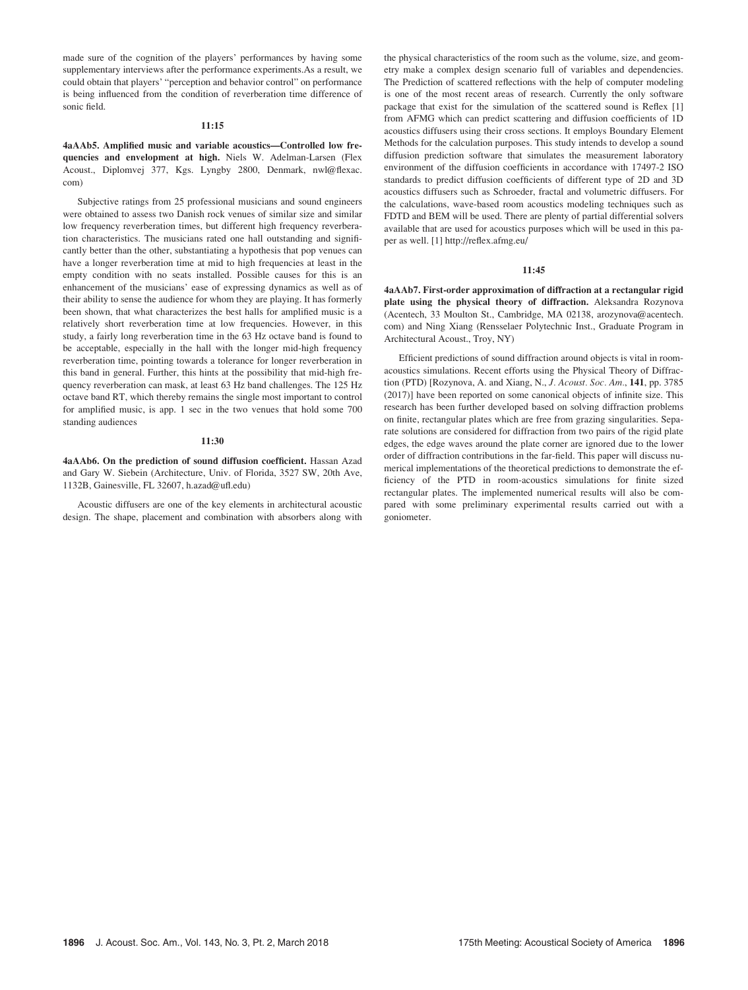made sure of the cognition of the players' performances by having some supplementary interviews after the performance experiments.As a result, we could obtain that players' "perception and behavior control" on performance is being influenced from the condition of reverberation time difference of sonic field.

## 11:15

4aAAb5. Amplified music and variable acoustics—Controlled low frequencies and envelopment at high. Niels W. Adelman-Larsen (Flex Acoust., Diplomvej 377, Kgs. Lyngby 2800, Denmark, nwl@flexac. com)

Subjective ratings from 25 professional musicians and sound engineers were obtained to assess two Danish rock venues of similar size and similar low frequency reverberation times, but different high frequency reverberation characteristics. The musicians rated one hall outstanding and significantly better than the other, substantiating a hypothesis that pop venues can have a longer reverberation time at mid to high frequencies at least in the empty condition with no seats installed. Possible causes for this is an enhancement of the musicians' ease of expressing dynamics as well as of their ability to sense the audience for whom they are playing. It has formerly been shown, that what characterizes the best halls for amplified music is a relatively short reverberation time at low frequencies. However, in this study, a fairly long reverberation time in the 63 Hz octave band is found to be acceptable, especially in the hall with the longer mid-high frequency reverberation time, pointing towards a tolerance for longer reverberation in this band in general. Further, this hints at the possibility that mid-high frequency reverberation can mask, at least 63 Hz band challenges. The 125 Hz octave band RT, which thereby remains the single most important to control for amplified music, is app. 1 sec in the two venues that hold some 700 standing audiences

#### 11:30

4aAAb6. On the prediction of sound diffusion coefficient. Hassan Azad and Gary W. Siebein (Architecture, Univ. of Florida, 3527 SW, 20th Ave, 1132B, Gainesville, FL 32607, h.azad@ufl.edu)

Acoustic diffusers are one of the key elements in architectural acoustic design. The shape, placement and combination with absorbers along with the physical characteristics of the room such as the volume, size, and geometry make a complex design scenario full of variables and dependencies. The Prediction of scattered reflections with the help of computer modeling is one of the most recent areas of research. Currently the only software package that exist for the simulation of the scattered sound is Reflex [1] from AFMG which can predict scattering and diffusion coefficients of 1D acoustics diffusers using their cross sections. It employs Boundary Element Methods for the calculation purposes. This study intends to develop a sound diffusion prediction software that simulates the measurement laboratory environment of the diffusion coefficients in accordance with 17497-2 ISO standards to predict diffusion coefficients of different type of 2D and 3D acoustics diffusers such as Schroeder, fractal and volumetric diffusers. For the calculations, wave-based room acoustics modeling techniques such as FDTD and BEM will be used. There are plenty of partial differential solvers available that are used for acoustics purposes which will be used in this paper as well. [1] http://reflex.afmg.eu/

## 11:45

4aAAb7. First-order approximation of diffraction at a rectangular rigid plate using the physical theory of diffraction. Aleksandra Rozynova (Acentech, 33 Moulton St., Cambridge, MA 02138, arozynova@acentech. com) and Ning Xiang (Rensselaer Polytechnic Inst., Graduate Program in Architectural Acoust., Troy, NY)

Efficient predictions of sound diffraction around objects is vital in roomacoustics simulations. Recent efforts using the Physical Theory of Diffraction (PTD) [Rozynova, A. and Xiang, N., J. Acoust. Soc. Am., 141, pp. 3785 (2017)] have been reported on some canonical objects of infinite size. This research has been further developed based on solving diffraction problems on finite, rectangular plates which are free from grazing singularities. Separate solutions are considered for diffraction from two pairs of the rigid plate edges, the edge waves around the plate corner are ignored due to the lower order of diffraction contributions in the far-field. This paper will discuss numerical implementations of the theoretical predictions to demonstrate the efficiency of the PTD in room-acoustics simulations for finite sized rectangular plates. The implemented numerical results will also be compared with some preliminary experimental results carried out with a goniometer.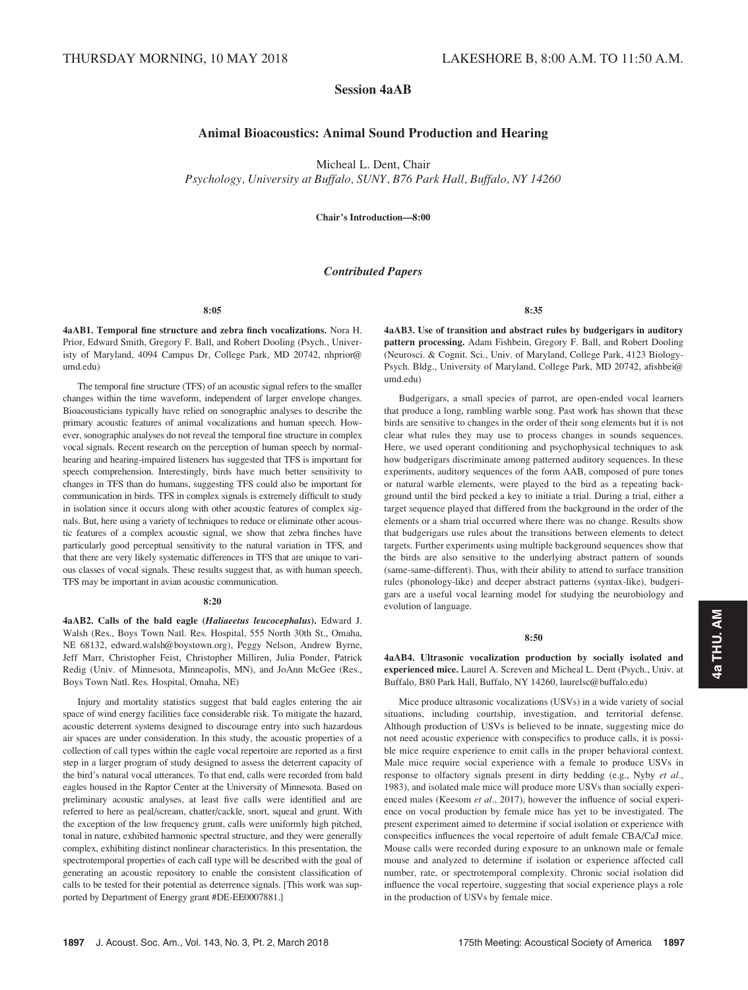# Session 4aAB

# Animal Bioacoustics: Animal Sound Production and Hearing

Micheal L. Dent, Chair

Psychology, University at Buffalo, SUNY, B76 Park Hall, Buffalo, NY 14260

Chair's Introduction—8:00

# Contributed Papers

## 8:05

4aAB1. Temporal fine structure and zebra finch vocalizations. Nora H. Prior, Edward Smith, Gregory F. Ball, and Robert Dooling (Psych., Univeristy of Maryland, 4094 Campus Dr, College Park, MD 20742, nhprior@ umd.edu)

The temporal fine structure (TFS) of an acoustic signal refers to the smaller changes within the time waveform, independent of larger envelope changes. Bioacousticians typically have relied on sonographic analyses to describe the primary acoustic features of animal vocalizations and human speech. However, sonographic analyses do not reveal the temporal fine structure in complex vocal signals. Recent research on the perception of human speech by normalhearing and hearing-impaired listeners has suggested that TFS is important for speech comprehension. Interestingly, birds have much better sensitivity to changes in TFS than do humans, suggesting TFS could also be important for communication in birds. TFS in complex signals is extremely difficult to study in isolation since it occurs along with other acoustic features of complex signals. But, here using a variety of techniques to reduce or eliminate other acoustic features of a complex acoustic signal, we show that zebra finches have particularly good perceptual sensitivity to the natural variation in TFS, and that there are very likely systematic differences in TFS that are unique to various classes of vocal signals. These results suggest that, as with human speech, TFS may be important in avian acoustic communication.

## 8:20

4aAB2. Calls of the bald eagle (Haliaeetus leucocephalus). Edward J. Walsh (Res., Boys Town Natl. Res. Hospital, 555 North 30th St., Omaha, NE 68132, edward.walsh@boystown.org), Peggy Nelson, Andrew Byrne, Jeff Marr, Christopher Feist, Christopher Milliren, Julia Ponder, Patrick Redig (Univ. of Minnesota, Minneapolis, MN), and JoAnn McGee (Res., Boys Town Natl. Res. Hospital, Omaha, NE)

Injury and mortality statistics suggest that bald eagles entering the air space of wind energy facilities face considerable risk. To mitigate the hazard, acoustic deterrent systems designed to discourage entry into such hazardous air spaces are under consideration. In this study, the acoustic properties of a collection of call types within the eagle vocal repertoire are reported as a first step in a larger program of study designed to assess the deterrent capacity of the bird's natural vocal utterances. To that end, calls were recorded from bald eagles housed in the Raptor Center at the University of Minnesota. Based on preliminary acoustic analyses, at least five calls were identified and are referred to here as peal/scream, chatter/cackle, snort, squeal and grunt. With the exception of the low frequency grunt, calls were uniformly high pitched, tonal in nature, exhibited harmonic spectral structure, and they were generally complex, exhibiting distinct nonlinear characteristics. In this presentation, the spectrotemporal properties of each call type will be described with the goal of generating an acoustic repository to enable the consistent classification of calls to be tested for their potential as deterrence signals. [This work was supported by Department of Energy grant #DE-EE0007881.]

8:35

4aAB3. Use of transition and abstract rules by budgerigars in auditory pattern processing. Adam Fishbein, Gregory F. Ball, and Robert Dooling (Neurosci. & Cognit. Sci., Univ. of Maryland, College Park, 4123 Biology-Psych. Bldg., University of Maryland, College Park, MD 20742, afishbei@ umd.edu)

Budgerigars, a small species of parrot, are open-ended vocal learners that produce a long, rambling warble song. Past work has shown that these birds are sensitive to changes in the order of their song elements but it is not clear what rules they may use to process changes in sounds sequences. Here, we used operant conditioning and psychophysical techniques to ask how budgerigars discriminate among patterned auditory sequences. In these experiments, auditory sequences of the form AAB, composed of pure tones or natural warble elements, were played to the bird as a repeating background until the bird pecked a key to initiate a trial. During a trial, either a target sequence played that differed from the background in the order of the elements or a sham trial occurred where there was no change. Results show that budgerigars use rules about the transitions between elements to detect targets. Further experiments using multiple background sequences show that the birds are also sensitive to the underlying abstract pattern of sounds (same-same-different). Thus, with their ability to attend to surface transition rules (phonology-like) and deeper abstract patterns (syntax-like), budgerigars are a useful vocal learning model for studying the neurobiology and evolution of language.

8:50

4aAB4. Ultrasonic vocalization production by socially isolated and experienced mice. Laurel A. Screven and Micheal L. Dent (Psych., Univ. at Buffalo, B80 Park Hall, Buffalo, NY 14260, laurelsc@buffalo.edu)

Mice produce ultrasonic vocalizations (USVs) in a wide variety of social situations, including courtship, investigation, and territorial defense. Although production of USVs is believed to be innate, suggesting mice do not need acoustic experience with conspecifics to produce calls, it is possible mice require experience to emit calls in the proper behavioral context. Male mice require social experience with a female to produce USVs in response to olfactory signals present in dirty bedding (e.g., Nyby et al., 1983), and isolated male mice will produce more USVs than socially experienced males (Keesom et al., 2017), however the influence of social experience on vocal production by female mice has yet to be investigated. The present experiment aimed to determine if social isolation or experience with conspecifics influences the vocal repertoire of adult female CBA/CaJ mice. Mouse calls were recorded during exposure to an unknown male or female mouse and analyzed to determine if isolation or experience affected call number, rate, or spectrotemporal complexity. Chronic social isolation did influence the vocal repertoire, suggesting that social experience plays a role in the production of USVs by female mice.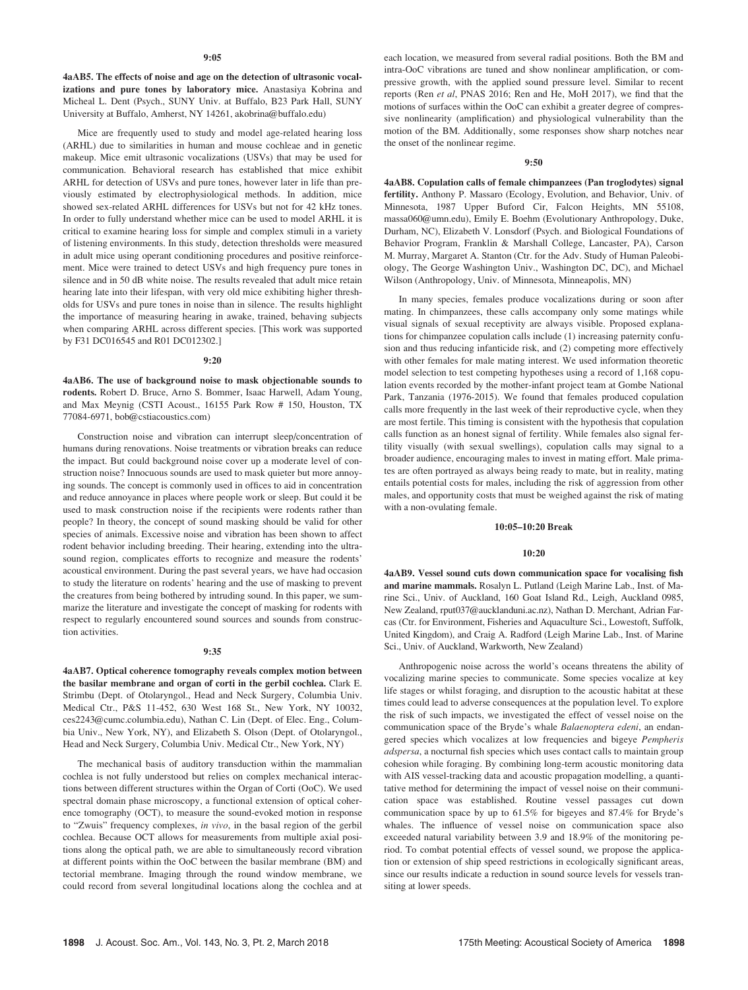4aAB5. The effects of noise and age on the detection of ultrasonic vocalizations and pure tones by laboratory mice. Anastasiya Kobrina and Micheal L. Dent (Psych., SUNY Univ. at Buffalo, B23 Park Hall, SUNY University at Buffalo, Amherst, NY 14261, akobrina@buffalo.edu)

Mice are frequently used to study and model age-related hearing loss (ARHL) due to similarities in human and mouse cochleae and in genetic makeup. Mice emit ultrasonic vocalizations (USVs) that may be used for communication. Behavioral research has established that mice exhibit ARHL for detection of USVs and pure tones, however later in life than previously estimated by electrophysiological methods. In addition, mice showed sex-related ARHL differences for USVs but not for 42 kHz tones. In order to fully understand whether mice can be used to model ARHL it is critical to examine hearing loss for simple and complex stimuli in a variety of listening environments. In this study, detection thresholds were measured in adult mice using operant conditioning procedures and positive reinforcement. Mice were trained to detect USVs and high frequency pure tones in silence and in 50 dB white noise. The results revealed that adult mice retain hearing late into their lifespan, with very old mice exhibiting higher thresholds for USVs and pure tones in noise than in silence. The results highlight the importance of measuring hearing in awake, trained, behaving subjects when comparing ARHL across different species. [This work was supported by F31 DC016545 and R01 DC012302.]

## 9:20

4aAB6. The use of background noise to mask objectionable sounds to rodents. Robert D. Bruce, Arno S. Bommer, Isaac Harwell, Adam Young, and Max Meynig (CSTI Acoust., 16155 Park Row # 150, Houston, TX 77084-6971, bob@cstiacoustics.com)

Construction noise and vibration can interrupt sleep/concentration of humans during renovations. Noise treatments or vibration breaks can reduce the impact. But could background noise cover up a moderate level of construction noise? Innocuous sounds are used to mask quieter but more annoying sounds. The concept is commonly used in offices to aid in concentration and reduce annoyance in places where people work or sleep. But could it be used to mask construction noise if the recipients were rodents rather than people? In theory, the concept of sound masking should be valid for other species of animals. Excessive noise and vibration has been shown to affect rodent behavior including breeding. Their hearing, extending into the ultrasound region, complicates efforts to recognize and measure the rodents' acoustical environment. During the past several years, we have had occasion to study the literature on rodents' hearing and the use of masking to prevent the creatures from being bothered by intruding sound. In this paper, we summarize the literature and investigate the concept of masking for rodents with respect to regularly encountered sound sources and sounds from construction activities.

#### 9:35

4aAB7. Optical coherence tomography reveals complex motion between the basilar membrane and organ of corti in the gerbil cochlea. Clark E. Strimbu (Dept. of Otolaryngol., Head and Neck Surgery, Columbia Univ. Medical Ctr., P&S 11-452, 630 West 168 St., New York, NY 10032, ces2243@cumc.columbia.edu), Nathan C. Lin (Dept. of Elec. Eng., Columbia Univ., New York, NY), and Elizabeth S. Olson (Dept. of Otolaryngol., Head and Neck Surgery, Columbia Univ. Medical Ctr., New York, NY)

The mechanical basis of auditory transduction within the mammalian cochlea is not fully understood but relies on complex mechanical interactions between different structures within the Organ of Corti (OoC). We used spectral domain phase microscopy, a functional extension of optical coherence tomography (OCT), to measure the sound-evoked motion in response to "Zwuis" frequency complexes, in vivo, in the basal region of the gerbil cochlea. Because OCT allows for measurements from multiple axial positions along the optical path, we are able to simultaneously record vibration at different points within the OoC between the basilar membrane (BM) and tectorial membrane. Imaging through the round window membrane, we could record from several longitudinal locations along the cochlea and at each location, we measured from several radial positions. Both the BM and intra-OoC vibrations are tuned and show nonlinear amplification, or compressive growth, with the applied sound pressure level. Similar to recent reports (Ren et al, PNAS 2016; Ren and He, MoH 2017), we find that the motions of surfaces within the OoC can exhibit a greater degree of compressive nonlinearity (amplification) and physiological vulnerability than the motion of the BM. Additionally, some responses show sharp notches near the onset of the nonlinear regime.

## 9:50

4aAB8. Copulation calls of female chimpanzees (Pan troglodytes) signal fertility. Anthony P. Massaro (Ecology, Evolution, and Behavior, Univ. of Minnesota, 1987 Upper Buford Cir, Falcon Heights, MN 55108, massa060@umn.edu), Emily E. Boehm (Evolutionary Anthropology, Duke, Durham, NC), Elizabeth V. Lonsdorf (Psych. and Biological Foundations of Behavior Program, Franklin & Marshall College, Lancaster, PA), Carson M. Murray, Margaret A. Stanton (Ctr. for the Adv. Study of Human Paleobiology, The George Washington Univ., Washington DC, DC), and Michael Wilson (Anthropology, Univ. of Minnesota, Minneapolis, MN)

In many species, females produce vocalizations during or soon after mating. In chimpanzees, these calls accompany only some matings while visual signals of sexual receptivity are always visible. Proposed explanations for chimpanzee copulation calls include (1) increasing paternity confusion and thus reducing infanticide risk, and (2) competing more effectively with other females for male mating interest. We used information theoretic model selection to test competing hypotheses using a record of 1,168 copulation events recorded by the mother-infant project team at Gombe National Park, Tanzania (1976-2015). We found that females produced copulation calls more frequently in the last week of their reproductive cycle, when they are most fertile. This timing is consistent with the hypothesis that copulation calls function as an honest signal of fertility. While females also signal fertility visually (with sexual swellings), copulation calls may signal to a broader audience, encouraging males to invest in mating effort. Male primates are often portrayed as always being ready to mate, but in reality, mating entails potential costs for males, including the risk of aggression from other males, and opportunity costs that must be weighed against the risk of mating with a non-ovulating female.

## 10:05–10:20 Break

## 10:20

4aAB9. Vessel sound cuts down communication space for vocalising fish and marine mammals. Rosalyn L. Putland (Leigh Marine Lab., Inst. of Marine Sci., Univ. of Auckland, 160 Goat Island Rd., Leigh, Auckland 0985, New Zealand, rput037@aucklanduni.ac.nz), Nathan D. Merchant, Adrian Farcas (Ctr. for Environment, Fisheries and Aquaculture Sci., Lowestoft, Suffolk, United Kingdom), and Craig A. Radford (Leigh Marine Lab., Inst. of Marine Sci., Univ. of Auckland, Warkworth, New Zealand)

Anthropogenic noise across the world's oceans threatens the ability of vocalizing marine species to communicate. Some species vocalize at key life stages or whilst foraging, and disruption to the acoustic habitat at these times could lead to adverse consequences at the population level. To explore the risk of such impacts, we investigated the effect of vessel noise on the communication space of the Bryde's whale Balaenoptera edeni, an endangered species which vocalizes at low frequencies and bigeye Pempheris adspersa, a nocturnal fish species which uses contact calls to maintain group cohesion while foraging. By combining long-term acoustic monitoring data with AIS vessel-tracking data and acoustic propagation modelling, a quantitative method for determining the impact of vessel noise on their communication space was established. Routine vessel passages cut down communication space by up to 61.5% for bigeyes and 87.4% for Bryde's whales. The influence of vessel noise on communication space also exceeded natural variability between 3.9 and 18.9% of the monitoring period. To combat potential effects of vessel sound, we propose the application or extension of ship speed restrictions in ecologically significant areas, since our results indicate a reduction in sound source levels for vessels transiting at lower speeds.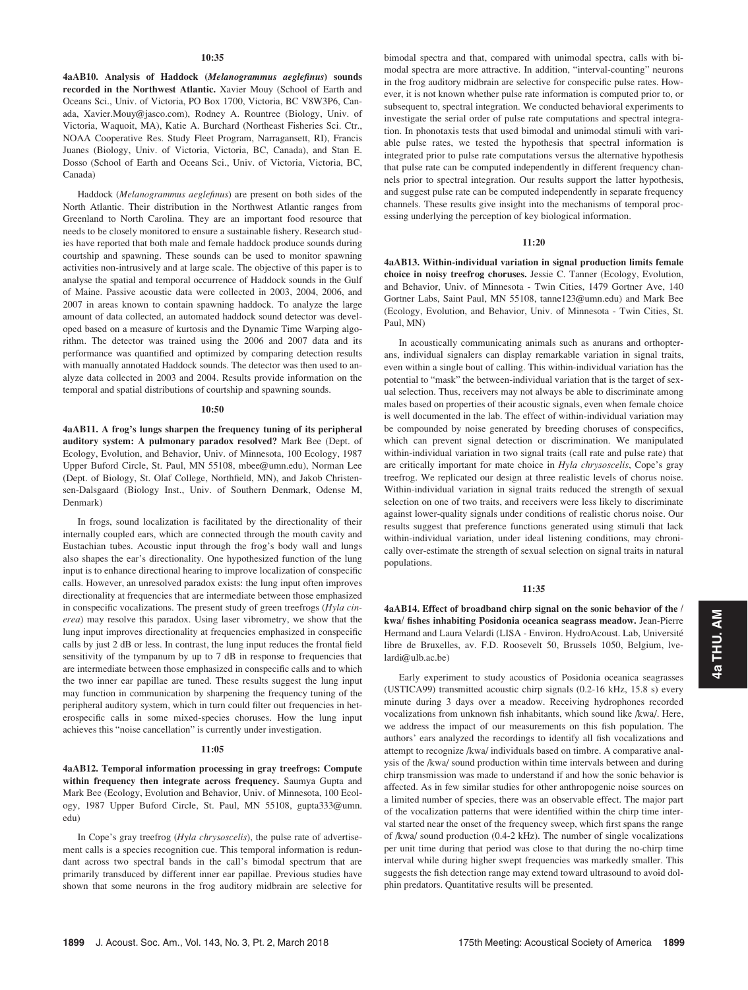4aAB10. Analysis of Haddock (Melanogrammus aeglefinus) sounds recorded in the Northwest Atlantic. Xavier Mouy (School of Earth and Oceans Sci., Univ. of Victoria, PO Box 1700, Victoria, BC V8W3P6, Canada, Xavier.Mouy@jasco.com), Rodney A. Rountree (Biology, Univ. of Victoria, Waquoit, MA), Katie A. Burchard (Northeast Fisheries Sci. Ctr., NOAA Cooperative Res. Study Fleet Program, Narragansett, RI), Francis Juanes (Biology, Univ. of Victoria, Victoria, BC, Canada), and Stan E. Dosso (School of Earth and Oceans Sci., Univ. of Victoria, Victoria, BC, Canada)

Haddock (Melanogrammus aeglefinus) are present on both sides of the North Atlantic. Their distribution in the Northwest Atlantic ranges from Greenland to North Carolina. They are an important food resource that needs to be closely monitored to ensure a sustainable fishery. Research studies have reported that both male and female haddock produce sounds during courtship and spawning. These sounds can be used to monitor spawning activities non-intrusively and at large scale. The objective of this paper is to analyse the spatial and temporal occurrence of Haddock sounds in the Gulf of Maine. Passive acoustic data were collected in 2003, 2004, 2006, and 2007 in areas known to contain spawning haddock. To analyze the large amount of data collected, an automated haddock sound detector was developed based on a measure of kurtosis and the Dynamic Time Warping algorithm. The detector was trained using the 2006 and 2007 data and its performance was quantified and optimized by comparing detection results with manually annotated Haddock sounds. The detector was then used to analyze data collected in 2003 and 2004. Results provide information on the temporal and spatial distributions of courtship and spawning sounds.

#### 10:50

4aAB11. A frog's lungs sharpen the frequency tuning of its peripheral auditory system: A pulmonary paradox resolved? Mark Bee (Dept. of Ecology, Evolution, and Behavior, Univ. of Minnesota, 100 Ecology, 1987 Upper Buford Circle, St. Paul, MN 55108, mbee@umn.edu), Norman Lee (Dept. of Biology, St. Olaf College, Northfield, MN), and Jakob Christensen-Dalsgaard (Biology Inst., Univ. of Southern Denmark, Odense M, Denmark)

In frogs, sound localization is facilitated by the directionality of their internally coupled ears, which are connected through the mouth cavity and Eustachian tubes. Acoustic input through the frog's body wall and lungs also shapes the ear's directionality. One hypothesized function of the lung input is to enhance directional hearing to improve localization of conspecific calls. However, an unresolved paradox exists: the lung input often improves directionality at frequencies that are intermediate between those emphasized in conspecific vocalizations. The present study of green treefrogs (Hyla cinerea) may resolve this paradox. Using laser vibrometry, we show that the lung input improves directionality at frequencies emphasized in conspecific calls by just 2 dB or less. In contrast, the lung input reduces the frontal field sensitivity of the tympanum by up to 7 dB in response to frequencies that are intermediate between those emphasized in conspecific calls and to which the two inner ear papillae are tuned. These results suggest the lung input may function in communication by sharpening the frequency tuning of the peripheral auditory system, which in turn could filter out frequencies in heterospecific calls in some mixed-species choruses. How the lung input achieves this "noise cancellation" is currently under investigation.

## 11:05

4aAB12. Temporal information processing in gray treefrogs: Compute within frequency then integrate across frequency. Saumya Gupta and Mark Bee (Ecology, Evolution and Behavior, Univ. of Minnesota, 100 Ecology, 1987 Upper Buford Circle, St. Paul, MN 55108, gupta333@umn. edu)

In Cope's gray treefrog (Hyla chrysoscelis), the pulse rate of advertisement calls is a species recognition cue. This temporal information is redundant across two spectral bands in the call's bimodal spectrum that are primarily transduced by different inner ear papillae. Previous studies have shown that some neurons in the frog auditory midbrain are selective for bimodal spectra and that, compared with unimodal spectra, calls with bimodal spectra are more attractive. In addition, "interval-counting" neurons in the frog auditory midbrain are selective for conspecific pulse rates. However, it is not known whether pulse rate information is computed prior to, or subsequent to, spectral integration. We conducted behavioral experiments to investigate the serial order of pulse rate computations and spectral integration. In phonotaxis tests that used bimodal and unimodal stimuli with variable pulse rates, we tested the hypothesis that spectral information is integrated prior to pulse rate computations versus the alternative hypothesis that pulse rate can be computed independently in different frequency channels prior to spectral integration. Our results support the latter hypothesis, and suggest pulse rate can be computed independently in separate frequency channels. These results give insight into the mechanisms of temporal processing underlying the perception of key biological information.

#### 11:20

4aAB13. Within-individual variation in signal production limits female choice in noisy treefrog choruses. Jessie C. Tanner (Ecology, Evolution, and Behavior, Univ. of Minnesota - Twin Cities, 1479 Gortner Ave, 140 Gortner Labs, Saint Paul, MN 55108, tanne123@umn.edu) and Mark Bee (Ecology, Evolution, and Behavior, Univ. of Minnesota - Twin Cities, St. Paul, MN)

In acoustically communicating animals such as anurans and orthopterans, individual signalers can display remarkable variation in signal traits, even within a single bout of calling. This within-individual variation has the potential to "mask" the between-individual variation that is the target of sexual selection. Thus, receivers may not always be able to discriminate among males based on properties of their acoustic signals, even when female choice is well documented in the lab. The effect of within-individual variation may be compounded by noise generated by breeding choruses of conspecifics, which can prevent signal detection or discrimination. We manipulated within-individual variation in two signal traits (call rate and pulse rate) that are critically important for mate choice in Hyla chrysoscelis, Cope's gray treefrog. We replicated our design at three realistic levels of chorus noise. Within-individual variation in signal traits reduced the strength of sexual selection on one of two traits, and receivers were less likely to discriminate against lower-quality signals under conditions of realistic chorus noise. Our results suggest that preference functions generated using stimuli that lack within-individual variation, under ideal listening conditions, may chronically over-estimate the strength of sexual selection on signal traits in natural populations.

## 11:35

4aAB14. Effect of broadband chirp signal on the sonic behavior of the / kwa/ fishes inhabiting Posidonia oceanica seagrass meadow. Jean-Pierre Hermand and Laura Velardi (LISA - Environ. HydroAcoust. Lab, Université libre de Bruxelles, av. F.D. Roosevelt 50, Brussels 1050, Belgium, lve $lardi@ulb.ac.be$ )

Early experiment to study acoustics of Posidonia oceanica seagrasses (USTICA99) transmitted acoustic chirp signals (0.2-16 kHz, 15.8 s) every minute during 3 days over a meadow. Receiving hydrophones recorded vocalizations from unknown fish inhabitants, which sound like /kwa/. Here, we address the impact of our measurements on this fish population. The authors' ears analyzed the recordings to identify all fish vocalizations and attempt to recognize /kwa/ individuals based on timbre. A comparative analysis of the /kwa/ sound production within time intervals between and during chirp transmission was made to understand if and how the sonic behavior is affected. As in few similar studies for other anthropogenic noise sources on a limited number of species, there was an observable effect. The major part of the vocalization patterns that were identified within the chirp time interval started near the onset of the frequency sweep, which first spans the range of /kwa/ sound production (0.4-2 kHz). The number of single vocalizations per unit time during that period was close to that during the no-chirp time interval while during higher swept frequencies was markedly smaller. This suggests the fish detection range may extend toward ultrasound to avoid dolphin predators. Quantitative results will be presented.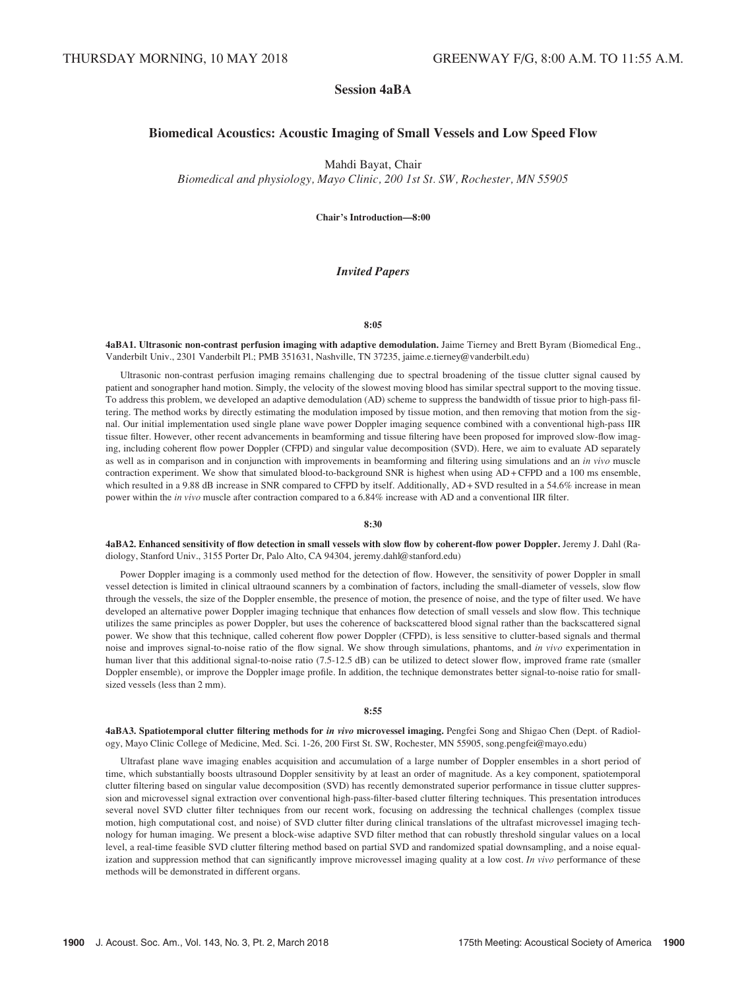# Session 4aBA

# Biomedical Acoustics: Acoustic Imaging of Small Vessels and Low Speed Flow

Mahdi Bayat, Chair

Biomedical and physiology, Mayo Clinic, 200 1st St. SW, Rochester, MN 55905

Chair's Introduction—8:00

# Invited Papers

## 8:05

4aBA1. Ultrasonic non-contrast perfusion imaging with adaptive demodulation. Jaime Tierney and Brett Byram (Biomedical Eng., Vanderbilt Univ., 2301 Vanderbilt Pl.; PMB 351631, Nashville, TN 37235, jaime.e.tierney@vanderbilt.edu)

Ultrasonic non-contrast perfusion imaging remains challenging due to spectral broadening of the tissue clutter signal caused by patient and sonographer hand motion. Simply, the velocity of the slowest moving blood has similar spectral support to the moving tissue. To address this problem, we developed an adaptive demodulation (AD) scheme to suppress the bandwidth of tissue prior to high-pass filtering. The method works by directly estimating the modulation imposed by tissue motion, and then removing that motion from the signal. Our initial implementation used single plane wave power Doppler imaging sequence combined with a conventional high-pass IIR tissue filter. However, other recent advancements in beamforming and tissue filtering have been proposed for improved slow-flow imaging, including coherent flow power Doppler (CFPD) and singular value decomposition (SVD). Here, we aim to evaluate AD separately as well as in comparison and in conjunction with improvements in beamforming and filtering using simulations and an in vivo muscle contraction experiment. We show that simulated blood-to-background SNR is highest when using AD + CFPD and a 100 ms ensemble, which resulted in a 9.88 dB increase in SNR compared to CFPD by itself. Additionally, AD + SVD resulted in a 54.6% increase in mean power within the in vivo muscle after contraction compared to a 6.84% increase with AD and a conventional IIR filter.

# 8:30

4aBA2. Enhanced sensitivity of flow detection in small vessels with slow flow by coherent-flow power Doppler. Jeremy J. Dahl (Radiology, Stanford Univ., 3155 Porter Dr, Palo Alto, CA 94304, jeremy.dahl@stanford.edu)

Power Doppler imaging is a commonly used method for the detection of flow. However, the sensitivity of power Doppler in small vessel detection is limited in clinical ultraound scanners by a combination of factors, including the small-diameter of vessels, slow flow through the vessels, the size of the Doppler ensemble, the presence of motion, the presence of noise, and the type of filter used. We have developed an alternative power Doppler imaging technique that enhances flow detection of small vessels and slow flow. This technique utilizes the same principles as power Doppler, but uses the coherence of backscattered blood signal rather than the backscattered signal power. We show that this technique, called coherent flow power Doppler (CFPD), is less sensitive to clutter-based signals and thermal noise and improves signal-to-noise ratio of the flow signal. We show through simulations, phantoms, and in vivo experimentation in human liver that this additional signal-to-noise ratio (7.5-12.5 dB) can be utilized to detect slower flow, improved frame rate (smaller Doppler ensemble), or improve the Doppler image profile. In addition, the technique demonstrates better signal-to-noise ratio for smallsized vessels (less than 2 mm).

#### 8:55

4aBA3. Spatiotemporal clutter filtering methods for in vivo microvessel imaging. Pengfei Song and Shigao Chen (Dept. of Radiology, Mayo Clinic College of Medicine, Med. Sci. 1-26, 200 First St. SW, Rochester, MN 55905, song.pengfei@mayo.edu)

Ultrafast plane wave imaging enables acquisition and accumulation of a large number of Doppler ensembles in a short period of time, which substantially boosts ultrasound Doppler sensitivity by at least an order of magnitude. As a key component, spatiotemporal clutter filtering based on singular value decomposition (SVD) has recently demonstrated superior performance in tissue clutter suppression and microvessel signal extraction over conventional high-pass-filter-based clutter filtering techniques. This presentation introduces several novel SVD clutter filter techniques from our recent work, focusing on addressing the technical challenges (complex tissue motion, high computational cost, and noise) of SVD clutter filter during clinical translations of the ultrafast microvessel imaging technology for human imaging. We present a block-wise adaptive SVD filter method that can robustly threshold singular values on a local level, a real-time feasible SVD clutter filtering method based on partial SVD and randomized spatial downsampling, and a noise equalization and suppression method that can significantly improve microvessel imaging quality at a low cost. In vivo performance of these methods will be demonstrated in different organs.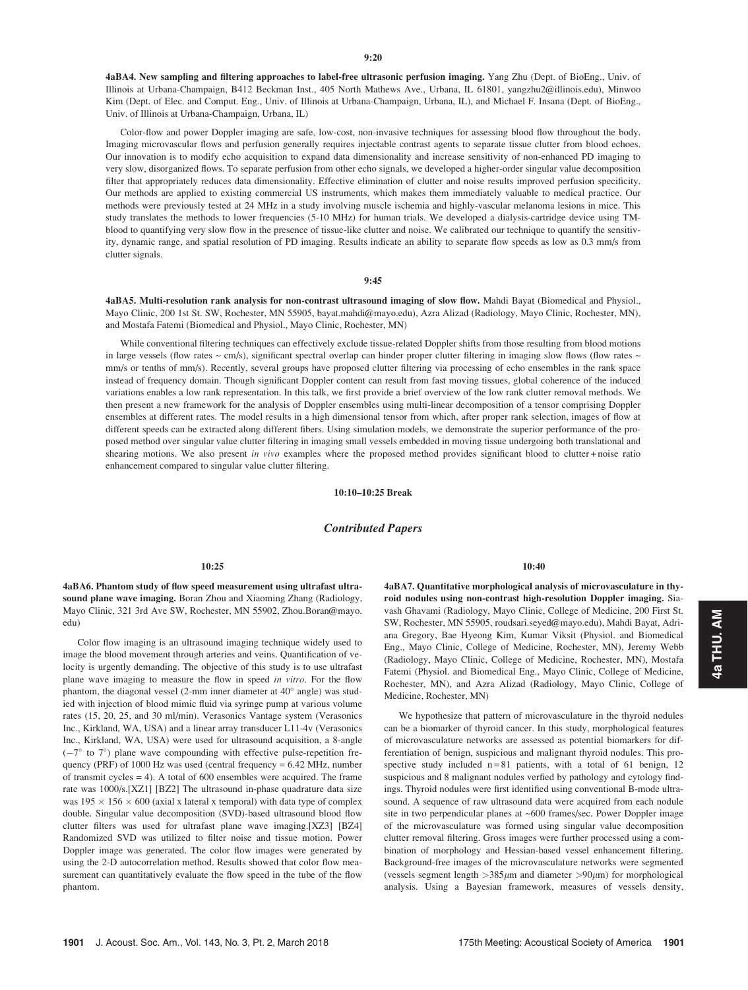4aBA4. New sampling and filtering approaches to label-free ultrasonic perfusion imaging. Yang Zhu (Dept. of BioEng., Univ. of Illinois at Urbana-Champaign, B412 Beckman Inst., 405 North Mathews Ave., Urbana, IL 61801, yangzhu2@illinois.edu), Minwoo Kim (Dept. of Elec. and Comput. Eng., Univ. of Illinois at Urbana-Champaign, Urbana, IL), and Michael F. Insana (Dept. of BioEng., Univ. of Illinois at Urbana-Champaign, Urbana, IL)

Color-flow and power Doppler imaging are safe, low-cost, non-invasive techniques for assessing blood flow throughout the body. Imaging microvascular flows and perfusion generally requires injectable contrast agents to separate tissue clutter from blood echoes. Our innovation is to modify echo acquisition to expand data dimensionality and increase sensitivity of non-enhanced PD imaging to very slow, disorganized flows. To separate perfusion from other echo signals, we developed a higher-order singular value decomposition filter that appropriately reduces data dimensionality. Effective elimination of clutter and noise results improved perfusion specificity. Our methods are applied to existing commercial US instruments, which makes them immediately valuable to medical practice. Our methods were previously tested at 24 MHz in a study involving muscle ischemia and highly-vascular melanoma lesions in mice. This study translates the methods to lower frequencies (5-10 MHz) for human trials. We developed a dialysis-cartridge device using TMblood to quantifying very slow flow in the presence of tissue-like clutter and noise. We calibrated our technique to quantify the sensitivity, dynamic range, and spatial resolution of PD imaging. Results indicate an ability to separate flow speeds as low as 0.3 mm/s from clutter signals.

# 9:45

4aBA5. Multi-resolution rank analysis for non-contrast ultrasound imaging of slow flow. Mahdi Bayat (Biomedical and Physiol., Mayo Clinic, 200 1st St. SW, Rochester, MN 55905, bayat.mahdi@mayo.edu), Azra Alizad (Radiology, Mayo Clinic, Rochester, MN), and Mostafa Fatemi (Biomedical and Physiol., Mayo Clinic, Rochester, MN)

While conventional filtering techniques can effectively exclude tissue-related Doppler shifts from those resulting from blood motions in large vessels (flow rates  $\sim$  cm/s), significant spectral overlap can hinder proper clutter filtering in imaging slow flows (flow rates  $\sim$ mm/s or tenths of mm/s). Recently, several groups have proposed clutter filtering via processing of echo ensembles in the rank space instead of frequency domain. Though significant Doppler content can result from fast moving tissues, global coherence of the induced variations enables a low rank representation. In this talk, we first provide a brief overview of the low rank clutter removal methods. We then present a new framework for the analysis of Doppler ensembles using multi-linear decomposition of a tensor comprising Doppler ensembles at different rates. The model results in a high dimensional tensor from which, after proper rank selection, images of flow at different speeds can be extracted along different fibers. Using simulation models, we demonstrate the superior performance of the proposed method over singular value clutter filtering in imaging small vessels embedded in moving tissue undergoing both translational and shearing motions. We also present in vivo examples where the proposed method provides significant blood to clutter + noise ratio enhancement compared to singular value clutter filtering.

# 10:10–10:25 Break

# Contributed Papers

## 10:25

4aBA6. Phantom study of flow speed measurement using ultrafast ultrasound plane wave imaging. Boran Zhou and Xiaoming Zhang (Radiology, Mayo Clinic, 321 3rd Ave SW, Rochester, MN 55902, Zhou.Boran@mayo. edu)

Color flow imaging is an ultrasound imaging technique widely used to image the blood movement through arteries and veins. Quantification of velocity is urgently demanding. The objective of this study is to use ultrafast plane wave imaging to measure the flow in speed in vitro. For the flow phantom, the diagonal vessel (2-mm inner diameter at 40° angle) was studied with injection of blood mimic fluid via syringe pump at various volume rates (15, 20, 25, and 30 ml/min). Verasonics Vantage system (Verasonics Inc., Kirkland, WA, USA) and a linear array transducer L11-4v (Verasonics Inc., Kirkland, WA, USA) were used for ultrasound acquisition, a 8-angle  $(-7^{\circ}$  to  $7^{\circ})$  plane wave compounding with effective pulse-repetition frequency (PRF) of 1000 Hz was used (central frequency = 6.42 MHz, number of transmit cycles = 4). A total of 600 ensembles were acquired. The frame rate was 1000/s.[XZ1] [BZ2] The ultrasound in-phase quadrature data size was  $195 \times 156 \times 600$  (axial x lateral x temporal) with data type of complex double. Singular value decomposition (SVD)-based ultrasound blood flow clutter filters was used for ultrafast plane wave imaging.[XZ3] [BZ4] Randomized SVD was utilized to filter noise and tissue motion. Power Doppler image was generated. The color flow images were generated by using the 2-D autocorrelation method. Results showed that color flow measurement can quantitatively evaluate the flow speed in the tube of the flow phantom.

#### 10:40

4aBA7. Quantitative morphological analysis of microvasculature in thyroid nodules using non-contrast high-resolution Doppler imaging. Siavash Ghavami (Radiology, Mayo Clinic, College of Medicine, 200 First St. SW, Rochester, MN 55905, roudsari.seyed@mayo.edu), Mahdi Bayat, Adriana Gregory, Bae Hyeong Kim, Kumar Viksit (Physiol. and Biomedical Eng., Mayo Clinic, College of Medicine, Rochester, MN), Jeremy Webb (Radiology, Mayo Clinic, College of Medicine, Rochester, MN), Mostafa Fatemi (Physiol. and Biomedical Eng., Mayo Clinic, College of Medicine, Rochester, MN), and Azra Alizad (Radiology, Mayo Clinic, College of Medicine, Rochester, MN)

We hypothesize that pattern of microvasculature in the thyroid nodules can be a biomarker of thyroid cancer. In this study, morphological features of microvasculature networks are assessed as potential biomarkers for differentiation of benign, suspicious and malignant thyroid nodules. This prospective study included  $n = 81$  patients, with a total of 61 benign, 12 suspicious and 8 malignant nodules verfied by pathology and cytology findings. Thyroid nodules were first identified using conventional B-mode ultrasound. A sequence of raw ultrasound data were acquired from each nodule site in two perpendicular planes at ~600 frames/sec. Power Doppler image of the microvasculature was formed using singular value decomposition clutter removal filtering. Gross images were further processed using a combination of morphology and Hessian-based vessel enhancement filtering. Background-free images of the microvasculature networks were segmented (vessels segment length  $>385\mu$ m and diameter  $>90\mu$ m) for morphological analysis. Using a Bayesian framework, measures of vessels density,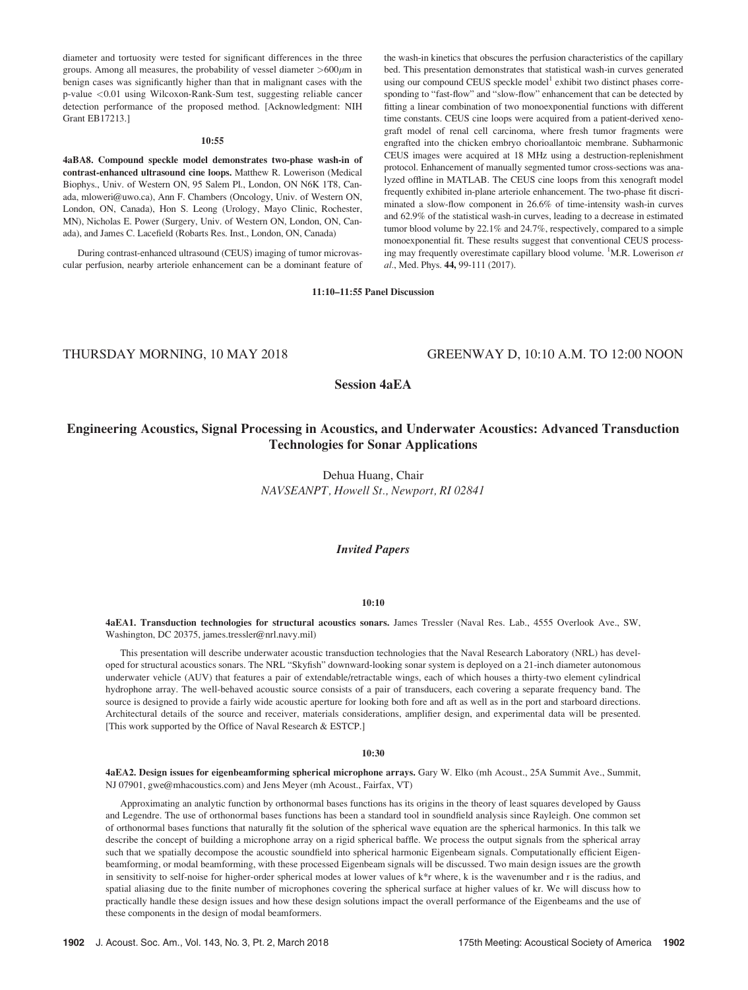diameter and tortuosity were tested for significant differences in the three groups. Among all measures, the probability of vessel diameter  $>600 \mu m$  in benign cases was significantly higher than that in malignant cases with the p-value <0.01 using Wilcoxon-Rank-Sum test, suggesting reliable cancer detection performance of the proposed method. [Acknowledgment: NIH Grant EB17213.]

#### 10:55

4aBA8. Compound speckle model demonstrates two-phase wash-in of contrast-enhanced ultrasound cine loops. Matthew R. Lowerison (Medical Biophys., Univ. of Western ON, 95 Salem Pl., London, ON N6K 1T8, Canada, mloweri@uwo.ca), Ann F. Chambers (Oncology, Univ. of Western ON, London, ON, Canada), Hon S. Leong (Urology, Mayo Clinic, Rochester, MN), Nicholas E. Power (Surgery, Univ. of Western ON, London, ON, Canada), and James C. Lacefield (Robarts Res. Inst., London, ON, Canada)

During contrast-enhanced ultrasound (CEUS) imaging of tumor microvascular perfusion, nearby arteriole enhancement can be a dominant feature of

the wash-in kinetics that obscures the perfusion characteristics of the capillary bed. This presentation demonstrates that statistical wash-in curves generated using our compound CEUS speckle model<sup>1</sup> exhibit two distinct phases corresponding to "fast-flow" and "slow-flow" enhancement that can be detected by fitting a linear combination of two monoexponential functions with different time constants. CEUS cine loops were acquired from a patient-derived xenograft model of renal cell carcinoma, where fresh tumor fragments were engrafted into the chicken embryo chorioallantoic membrane. Subharmonic CEUS images were acquired at 18 MHz using a destruction-replenishment protocol. Enhancement of manually segmented tumor cross-sections was analyzed offline in MATLAB. The CEUS cine loops from this xenograft model frequently exhibited in-plane arteriole enhancement. The two-phase fit discriminated a slow-flow component in 26.6% of time-intensity wash-in curves and 62.9% of the statistical wash-in curves, leading to a decrease in estimated tumor blood volume by 22.1% and 24.7%, respectively, compared to a simple monoexponential fit. These results suggest that conventional CEUS processing may frequently overestimate capillary blood volume. <sup>1</sup>M.R. Lowerison et al., Med. Phys. 44, 99-111 (2017).

# 11:10–11:55 Panel Discussion

# THURSDAY MORNING, 10 MAY 2018 GREENWAY D, 10:10 A.M. TO 12:00 NOON

Session 4aEA

# Engineering Acoustics, Signal Processing in Acoustics, and Underwater Acoustics: Advanced Transduction Technologies for Sonar Applications

Dehua Huang, Chair NAVSEANPT, Howell St., Newport, RI 02841

# Invited Papers

#### 10:10

4aEA1. Transduction technologies for structural acoustics sonars. James Tressler (Naval Res. Lab., 4555 Overlook Ave., SW, Washington, DC 20375, james.tressler@nrl.navy.mil)

This presentation will describe underwater acoustic transduction technologies that the Naval Research Laboratory (NRL) has developed for structural acoustics sonars. The NRL "Skyfish" downward-looking sonar system is deployed on a 21-inch diameter autonomous underwater vehicle (AUV) that features a pair of extendable/retractable wings, each of which houses a thirty-two element cylindrical hydrophone array. The well-behaved acoustic source consists of a pair of transducers, each covering a separate frequency band. The source is designed to provide a fairly wide acoustic aperture for looking both fore and aft as well as in the port and starboard directions. Architectural details of the source and receiver, materials considerations, amplifier design, and experimental data will be presented. [This work supported by the Office of Naval Research & ESTCP.]

#### 10:30

4aEA2. Design issues for eigenbeamforming spherical microphone arrays. Gary W. Elko (mh Acoust., 25A Summit Ave., Summit, NJ 07901, gwe@mhacoustics.com) and Jens Meyer (mh Acoust., Fairfax, VT)

Approximating an analytic function by orthonormal bases functions has its origins in the theory of least squares developed by Gauss and Legendre. The use of orthonormal bases functions has been a standard tool in soundfield analysis since Rayleigh. One common set of orthonormal bases functions that naturally fit the solution of the spherical wave equation are the spherical harmonics. In this talk we describe the concept of building a microphone array on a rigid spherical baffle. We process the output signals from the spherical array such that we spatially decompose the acoustic soundfield into spherical harmonic Eigenbeam signals. Computationally efficient Eigenbeamforming, or modal beamforming, with these processed Eigenbeam signals will be discussed. Two main design issues are the growth in sensitivity to self-noise for higher-order spherical modes at lower values of k\*r where, k is the wavenumber and r is the radius, and spatial aliasing due to the finite number of microphones covering the spherical surface at higher values of kr. We will discuss how to practically handle these design issues and how these design solutions impact the overall performance of the Eigenbeams and the use of these components in the design of modal beamformers.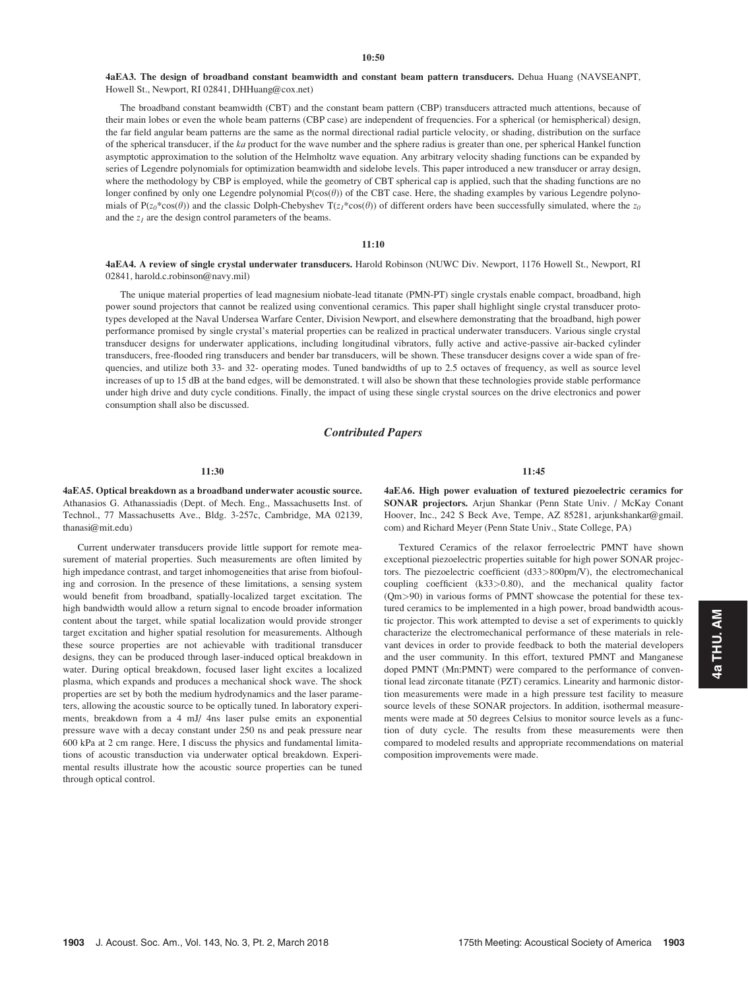## $10:50$

4aEA3. The design of broadband constant beamwidth and constant beam pattern transducers. Dehua Huang (NAVSEANPT, Howell St., Newport, RI 02841, DHHuang@cox.net)

The broadband constant beamwidth (CBT) and the constant beam pattern (CBP) transducers attracted much attentions, because of their main lobes or even the whole beam patterns (CBP case) are independent of frequencies. For a spherical (or hemispherical) design, the far field angular beam patterns are the same as the normal directional radial particle velocity, or shading, distribution on the surface of the spherical transducer, if the  $ka$  product for the wave number and the sphere radius is greater than one, per spherical Hankel function asymptotic approximation to the solution of the Helmholtz wave equation. Any arbitrary velocity shading functions can be expanded by series of Legendre polynomials for optimization beamwidth and sidelobe levels. This paper introduced a new transducer or array design, where the methodology by CBP is employed, while the geometry of CBT spherical cap is applied, such that the shading functions are no longer confined by only one Legendre polynomial  $P(\cos(\theta))$  of the CBT case. Here, the shading examples by various Legendre polynomials of P( $z_0$ \*cos( $\theta$ )) and the classic Dolph-Chebyshev T( $z_1$ \*cos( $\theta$ )) of different orders have been successfully simulated, where the  $z_0$ and the  $z_1$  are the design control parameters of the beams.

# 11:10

4aEA4. A review of single crystal underwater transducers. Harold Robinson (NUWC Div. Newport, 1176 Howell St., Newport, RI 02841, harold.c.robinson@navy.mil)

The unique material properties of lead magnesium niobate-lead titanate (PMN-PT) single crystals enable compact, broadband, high power sound projectors that cannot be realized using conventional ceramics. This paper shall highlight single crystal transducer prototypes developed at the Naval Undersea Warfare Center, Division Newport, and elsewhere demonstrating that the broadband, high power performance promised by single crystal's material properties can be realized in practical underwater transducers. Various single crystal transducer designs for underwater applications, including longitudinal vibrators, fully active and active-passive air-backed cylinder transducers, free-flooded ring transducers and bender bar transducers, will be shown. These transducer designs cover a wide span of frequencies, and utilize both 33- and 32- operating modes. Tuned bandwidths of up to 2.5 octaves of frequency, as well as source level increases of up to 15 dB at the band edges, will be demonstrated. t will also be shown that these technologies provide stable performance under high drive and duty cycle conditions. Finally, the impact of using these single crystal sources on the drive electronics and power consumption shall also be discussed.

# Contributed Papers

# 11:30

4aEA5. Optical breakdown as a broadband underwater acoustic source. Athanasios G. Athanassiadis (Dept. of Mech. Eng., Massachusetts Inst. of Technol., 77 Massachusetts Ave., Bldg. 3-257c, Cambridge, MA 02139, thanasi@mit.edu)

Current underwater transducers provide little support for remote measurement of material properties. Such measurements are often limited by high impedance contrast, and target inhomogeneities that arise from biofouling and corrosion. In the presence of these limitations, a sensing system would benefit from broadband, spatially-localized target excitation. The high bandwidth would allow a return signal to encode broader information content about the target, while spatial localization would provide stronger target excitation and higher spatial resolution for measurements. Although these source properties are not achievable with traditional transducer designs, they can be produced through laser-induced optical breakdown in water. During optical breakdown, focused laser light excites a localized plasma, which expands and produces a mechanical shock wave. The shock properties are set by both the medium hydrodynamics and the laser parameters, allowing the acoustic source to be optically tuned. In laboratory experiments, breakdown from a 4 mJ/ 4ns laser pulse emits an exponential pressure wave with a decay constant under 250 ns and peak pressure near 600 kPa at 2 cm range. Here, I discuss the physics and fundamental limitations of acoustic transduction via underwater optical breakdown. Experimental results illustrate how the acoustic source properties can be tuned through optical control.

11:45

4aEA6. High power evaluation of textured piezoelectric ceramics for SONAR projectors. Arjun Shankar (Penn State Univ. / McKay Conant Hoover, Inc., 242 S Beck Ave, Tempe, AZ 85281, arjunkshankar@gmail. com) and Richard Meyer (Penn State Univ., State College, PA)

Textured Ceramics of the relaxor ferroelectric PMNT have shown exceptional piezoelectric properties suitable for high power SONAR projectors. The piezoelectric coefficient (d33>800pm/V), the electromechanical coupling coefficient (k33>0.80), and the mechanical quality factor (Qm>90) in various forms of PMNT showcase the potential for these textured ceramics to be implemented in a high power, broad bandwidth acoustic projector. This work attempted to devise a set of experiments to quickly characterize the electromechanical performance of these materials in relevant devices in order to provide feedback to both the material developers and the user community. In this effort, textured PMNT and Manganese doped PMNT (Mn:PMNT) were compared to the performance of conventional lead zirconate titanate (PZT) ceramics. Linearity and harmonic distortion measurements were made in a high pressure test facility to measure source levels of these SONAR projectors. In addition, isothermal measurements were made at 50 degrees Celsius to monitor source levels as a function of duty cycle. The results from these measurements were then compared to modeled results and appropriate recommendations on material composition improvements were made.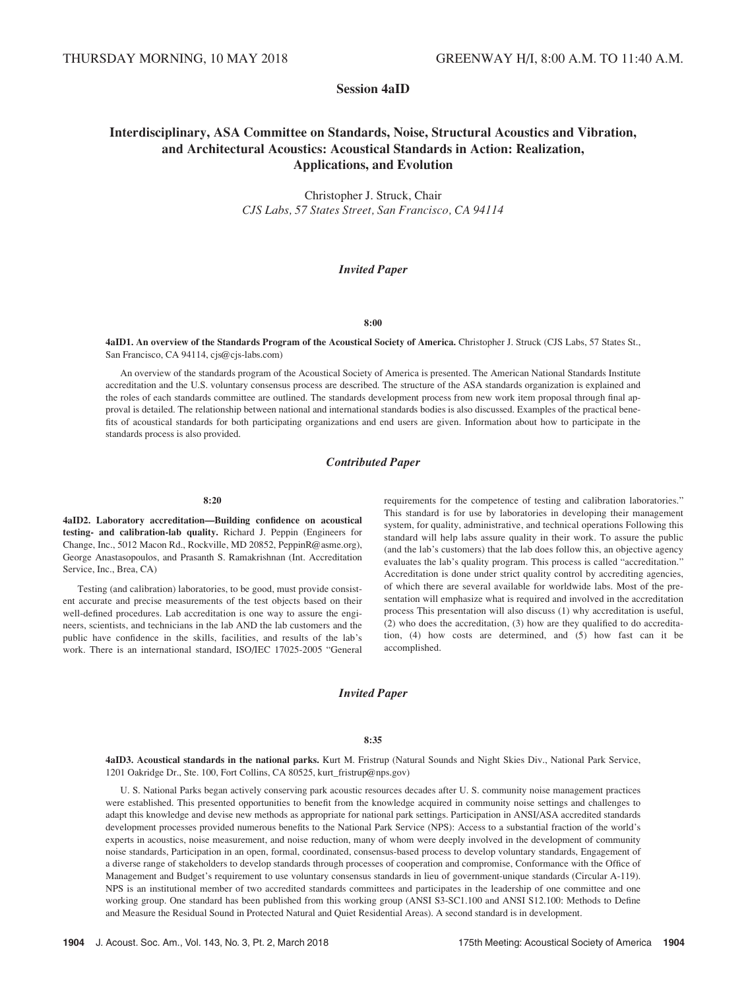# Session 4aID

# Interdisciplinary, ASA Committee on Standards, Noise, Structural Acoustics and Vibration, and Architectural Acoustics: Acoustical Standards in Action: Realization, Applications, and Evolution

Christopher J. Struck, Chair CJS Labs, 57 States Street, San Francisco, CA 94114

# Invited Paper

## 8:00

4aID1. An overview of the Standards Program of the Acoustical Society of America. Christopher J. Struck (CJS Labs, 57 States St., San Francisco, CA 94114, cjs@cjs-labs.com)

An overview of the standards program of the Acoustical Society of America is presented. The American National Standards Institute accreditation and the U.S. voluntary consensus process are described. The structure of the ASA standards organization is explained and the roles of each standards committee are outlined. The standards development process from new work item proposal through final approval is detailed. The relationship between national and international standards bodies is also discussed. Examples of the practical benefits of acoustical standards for both participating organizations and end users are given. Information about how to participate in the standards process is also provided.

# Contributed Paper

#### 8:20

4aID2. Laboratory accreditation—Building confidence on acoustical testing- and calibration-lab quality. Richard J. Peppin (Engineers for Change, Inc., 5012 Macon Rd., Rockville, MD 20852, PeppinR@asme.org), George Anastasopoulos, and Prasanth S. Ramakrishnan (Int. Accreditation Service, Inc., Brea, CA)

Testing (and calibration) laboratories, to be good, must provide consistent accurate and precise measurements of the test objects based on their well-defined procedures. Lab accreditation is one way to assure the engineers, scientists, and technicians in the lab AND the lab customers and the public have confidence in the skills, facilities, and results of the lab's work. There is an international standard, ISO/IEC 17025-2005 "General

requirements for the competence of testing and calibration laboratories." This standard is for use by laboratories in developing their management system, for quality, administrative, and technical operations Following this standard will help labs assure quality in their work. To assure the public (and the lab's customers) that the lab does follow this, an objective agency evaluates the lab's quality program. This process is called "accreditation." Accreditation is done under strict quality control by accrediting agencies, of which there are several available for worldwide labs. Most of the presentation will emphasize what is required and involved in the accreditation process This presentation will also discuss (1) why accreditation is useful, (2) who does the accreditation, (3) how are they qualified to do accreditation, (4) how costs are determined, and (5) how fast can it be accomplished.

# Invited Paper

## 8:35

4aID3. Acoustical standards in the national parks. Kurt M. Fristrup (Natural Sounds and Night Skies Div., National Park Service, 1201 Oakridge Dr., Ste. 100, Fort Collins, CA 80525, kurt\_fristrup@nps.gov)

U. S. National Parks began actively conserving park acoustic resources decades after U. S. community noise management practices were established. This presented opportunities to benefit from the knowledge acquired in community noise settings and challenges to adapt this knowledge and devise new methods as appropriate for national park settings. Participation in ANSI/ASA accredited standards development processes provided numerous benefits to the National Park Service (NPS): Access to a substantial fraction of the world's experts in acoustics, noise measurement, and noise reduction, many of whom were deeply involved in the development of community noise standards, Participation in an open, formal, coordinated, consensus-based process to develop voluntary standards, Engagement of a diverse range of stakeholders to develop standards through processes of cooperation and compromise, Conformance with the Office of Management and Budget's requirement to use voluntary consensus standards in lieu of government-unique standards (Circular A-119). NPS is an institutional member of two accredited standards committees and participates in the leadership of one committee and one working group. One standard has been published from this working group (ANSI S3-SC1.100 and ANSI S12.100: Methods to Define and Measure the Residual Sound in Protected Natural and Quiet Residential Areas). A second standard is in development.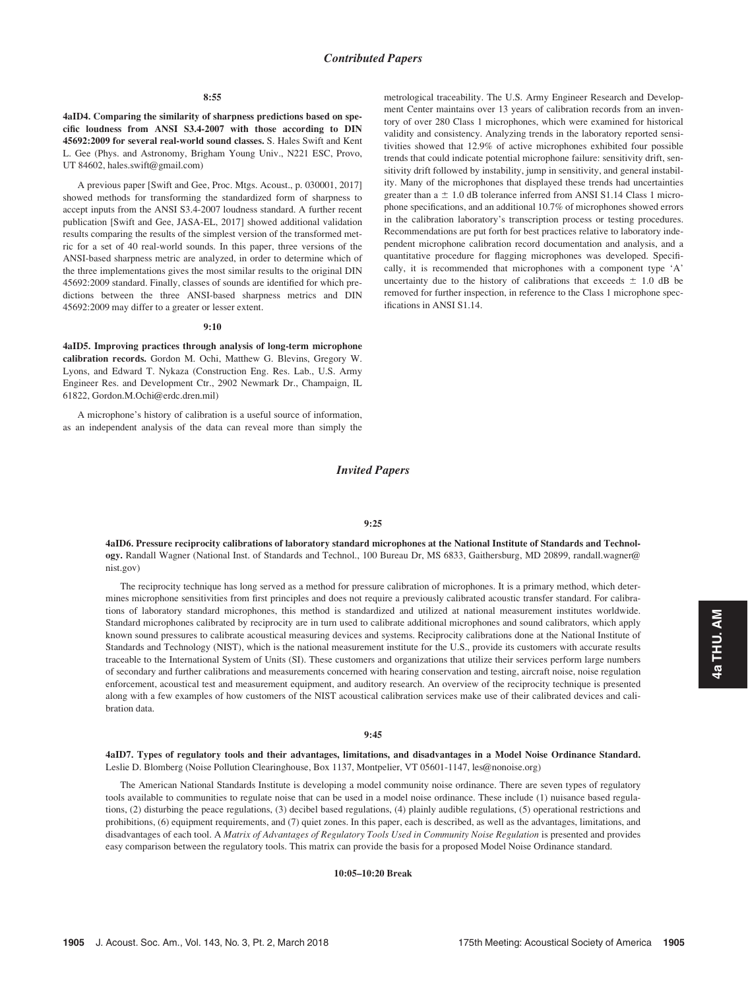#### 8:55

4aID4. Comparing the similarity of sharpness predictions based on specific loudness from ANSI S3.4-2007 with those according to DIN 45692:2009 for several real-world sound classes. S. Hales Swift and Kent L. Gee (Phys. and Astronomy, Brigham Young Univ., N221 ESC, Provo, UT 84602, hales.swift@gmail.com)

A previous paper [Swift and Gee, Proc. Mtgs. Acoust., p. 030001, 2017] showed methods for transforming the standardized form of sharpness to accept inputs from the ANSI S3.4-2007 loudness standard. A further recent publication [Swift and Gee, JASA-EL, 2017] showed additional validation results comparing the results of the simplest version of the transformed metric for a set of 40 real-world sounds. In this paper, three versions of the ANSI-based sharpness metric are analyzed, in order to determine which of the three implementations gives the most similar results to the original DIN 45692:2009 standard. Finally, classes of sounds are identified for which predictions between the three ANSI-based sharpness metrics and DIN 45692:2009 may differ to a greater or lesser extent.

## 9:10

4aID5. Improving practices through analysis of long-term microphone calibration records. Gordon M. Ochi, Matthew G. Blevins, Gregory W. Lyons, and Edward T. Nykaza (Construction Eng. Res. Lab., U.S. Army Engineer Res. and Development Ctr., 2902 Newmark Dr., Champaign, IL 61822, Gordon.M.Ochi@erdc.dren.mil)

A microphone's history of calibration is a useful source of information, as an independent analysis of the data can reveal more than simply the metrological traceability. The U.S. Army Engineer Research and Development Center maintains over 13 years of calibration records from an inventory of over 280 Class 1 microphones, which were examined for historical validity and consistency. Analyzing trends in the laboratory reported sensitivities showed that 12.9% of active microphones exhibited four possible trends that could indicate potential microphone failure: sensitivity drift, sensitivity drift followed by instability, jump in sensitivity, and general instability. Many of the microphones that displayed these trends had uncertainties greater than  $a \pm 1.0$  dB tolerance inferred from ANSI S1.14 Class 1 microphone specifications, and an additional 10.7% of microphones showed errors in the calibration laboratory's transcription process or testing procedures. Recommendations are put forth for best practices relative to laboratory independent microphone calibration record documentation and analysis, and a quantitative procedure for flagging microphones was developed. Specifically, it is recommended that microphones with a component type 'A' uncertainty due to the history of calibrations that exceeds  $\pm$  1.0 dB be removed for further inspection, in reference to the Class 1 microphone specifications in ANSI S1.14.

# Invited Papers

#### 9:25

4aID6. Pressure reciprocity calibrations of laboratory standard microphones at the National Institute of Standards and Technology. Randall Wagner (National Inst. of Standards and Technol., 100 Bureau Dr, MS 6833, Gaithersburg, MD 20899, randall.wagner@ nist.gov)

The reciprocity technique has long served as a method for pressure calibration of microphones. It is a primary method, which determines microphone sensitivities from first principles and does not require a previously calibrated acoustic transfer standard. For calibrations of laboratory standard microphones, this method is standardized and utilized at national measurement institutes worldwide. Standard microphones calibrated by reciprocity are in turn used to calibrate additional microphones and sound calibrators, which apply known sound pressures to calibrate acoustical measuring devices and systems. Reciprocity calibrations done at the National Institute of Standards and Technology (NIST), which is the national measurement institute for the U.S., provide its customers with accurate results traceable to the International System of Units (SI). These customers and organizations that utilize their services perform large numbers of secondary and further calibrations and measurements concerned with hearing conservation and testing, aircraft noise, noise regulation enforcement, acoustical test and measurement equipment, and auditory research. An overview of the reciprocity technique is presented along with a few examples of how customers of the NIST acoustical calibration services make use of their calibrated devices and calibration data.

#### 9:45

4aID7. Types of regulatory tools and their advantages, limitations, and disadvantages in a Model Noise Ordinance Standard. Leslie D. Blomberg (Noise Pollution Clearinghouse, Box 1137, Montpelier, VT 05601-1147, les@nonoise.org)

The American National Standards Institute is developing a model community noise ordinance. There are seven types of regulatory tools available to communities to regulate noise that can be used in a model noise ordinance. These include (1) nuisance based regulations, (2) disturbing the peace regulations, (3) decibel based regulations, (4) plainly audible regulations, (5) operational restrictions and prohibitions, (6) equipment requirements, and (7) quiet zones. In this paper, each is described, as well as the advantages, limitations, and disadvantages of each tool. A Matrix of Advantages of Regulatory Tools Used in Community Noise Regulation is presented and provides easy comparison between the regulatory tools. This matrix can provide the basis for a proposed Model Noise Ordinance standard.

10:05–10:20 Break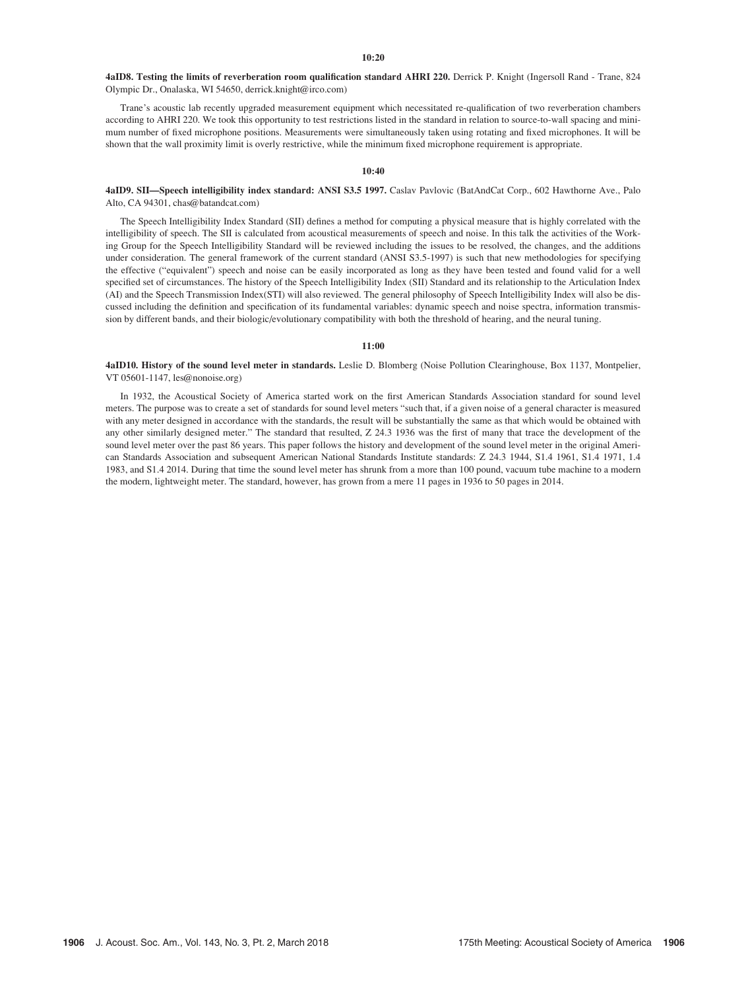# 10:20

4aID8. Testing the limits of reverberation room qualification standard AHRI 220. Derrick P. Knight (Ingersoll Rand - Trane, 824 Olympic Dr., Onalaska, WI 54650, derrick.knight@irco.com)

Trane's acoustic lab recently upgraded measurement equipment which necessitated re-qualification of two reverberation chambers according to AHRI 220. We took this opportunity to test restrictions listed in the standard in relation to source-to-wall spacing and minimum number of fixed microphone positions. Measurements were simultaneously taken using rotating and fixed microphones. It will be shown that the wall proximity limit is overly restrictive, while the minimum fixed microphone requirement is appropriate.

## $10:40$

# 4aID9. SII—Speech intelligibility index standard: ANSI S3.5 1997. Caslav Pavlovic (BatAndCat Corp., 602 Hawthorne Ave., Palo Alto, CA 94301, chas@batandcat.com)

The Speech Intelligibility Index Standard (SII) defines a method for computing a physical measure that is highly correlated with the intelligibility of speech. The SII is calculated from acoustical measurements of speech and noise. In this talk the activities of the Working Group for the Speech Intelligibility Standard will be reviewed including the issues to be resolved, the changes, and the additions under consideration. The general framework of the current standard (ANSI S3.5-1997) is such that new methodologies for specifying the effective ("equivalent") speech and noise can be easily incorporated as long as they have been tested and found valid for a well specified set of circumstances. The history of the Speech Intelligibility Index (SII) Standard and its relationship to the Articulation Index (AI) and the Speech Transmission Index(STI) will also reviewed. The general philosophy of Speech Intelligibility Index will also be discussed including the definition and specification of its fundamental variables: dynamic speech and noise spectra, information transmission by different bands, and their biologic/evolutionary compatibility with both the threshold of hearing, and the neural tuning.

## 11:00

4aID10. History of the sound level meter in standards. Leslie D. Blomberg (Noise Pollution Clearinghouse, Box 1137, Montpelier, VT 05601-1147, les@nonoise.org)

In 1932, the Acoustical Society of America started work on the first American Standards Association standard for sound level meters. The purpose was to create a set of standards for sound level meters "such that, if a given noise of a general character is measured with any meter designed in accordance with the standards, the result will be substantially the same as that which would be obtained with any other similarly designed meter." The standard that resulted, Z 24.3 1936 was the first of many that trace the development of the sound level meter over the past 86 years. This paper follows the history and development of the sound level meter in the original American Standards Association and subsequent American National Standards Institute standards: Z 24.3 1944, S1.4 1961, S1.4 1971, 1.4 1983, and S1.4 2014. During that time the sound level meter has shrunk from a more than 100 pound, vacuum tube machine to a modern the modern, lightweight meter. The standard, however, has grown from a mere 11 pages in 1936 to 50 pages in 2014.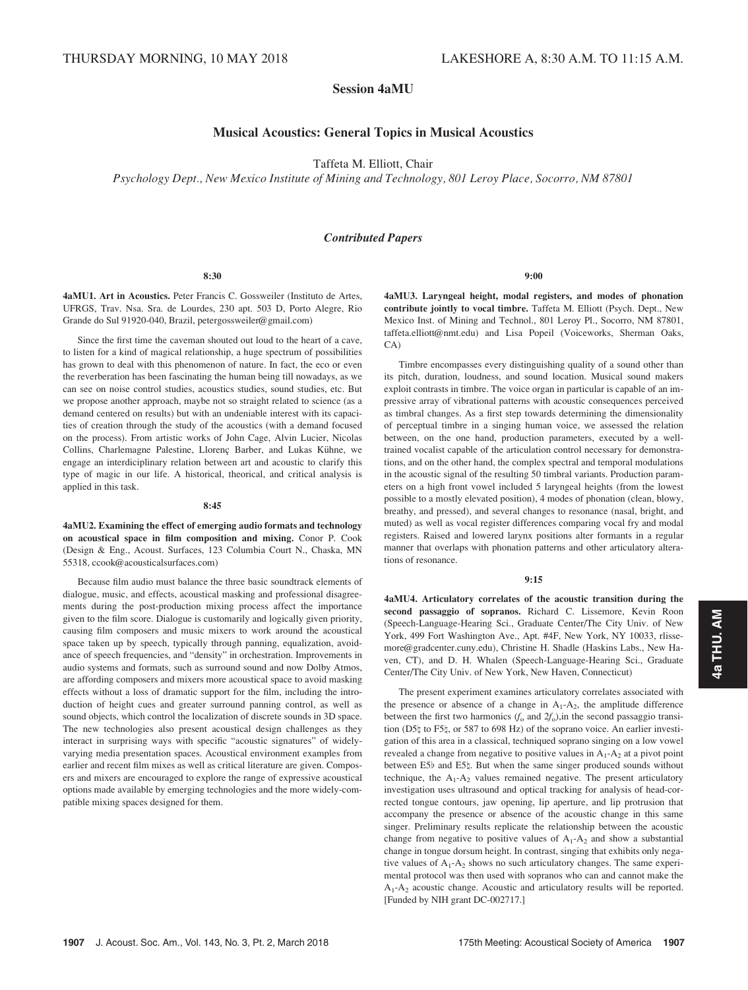# Session 4aMU

# Musical Acoustics: General Topics in Musical Acoustics

Taffeta M. Elliott, Chair

Psychology Dept., New Mexico Institute of Mining and Technology, 801 Leroy Place, Socorro, NM 87801

# Contributed Papers

4aMU1. Art in Acoustics. Peter Francis C. Gossweiler (Instituto de Artes, UFRGS, Trav. Nsa. Sra. de Lourdes, 230 apt. 503 D, Porto Alegre, Rio Grande do Sul 91920-040, Brazil, petergossweiler@gmail.com)

Since the first time the caveman shouted out loud to the heart of a cave, to listen for a kind of magical relationship, a huge spectrum of possibilities has grown to deal with this phenomenon of nature. In fact, the eco or even the reverberation has been fascinating the human being till nowadays, as we can see on noise control studies, acoustics studies, sound studies, etc. But we propose another approach, maybe not so straight related to science (as a demand centered on results) but with an undeniable interest with its capacities of creation through the study of the acoustics (with a demand focused on the process). From artistic works of John Cage, Alvin Lucier, Nicolas Collins, Charlemagne Palestine, Llorenç Barber, and Lukas Kühne, we engage an interdiciplinary relation between art and acoustic to clarify this type of magic in our life. A historical, theorical, and critical analysis is applied in this task.

#### 8:45

4aMU2. Examining the effect of emerging audio formats and technology on acoustical space in film composition and mixing. Conor P. Cook (Design & Eng., Acoust. Surfaces, 123 Columbia Court N., Chaska, MN 55318, ccook@acousticalsurfaces.com)

Because film audio must balance the three basic soundtrack elements of dialogue, music, and effects, acoustical masking and professional disagreements during the post-production mixing process affect the importance given to the film score. Dialogue is customarily and logically given priority, causing film composers and music mixers to work around the acoustical space taken up by speech, typically through panning, equalization, avoidance of speech frequencies, and "density" in orchestration. Improvements in audio systems and formats, such as surround sound and now Dolby Atmos, are affording composers and mixers more acoustical space to avoid masking effects without a loss of dramatic support for the film, including the introduction of height cues and greater surround panning control, as well as sound objects, which control the localization of discrete sounds in 3D space. The new technologies also present acoustical design challenges as they interact in surprising ways with specific "acoustic signatures" of widelyvarying media presentation spaces. Acoustical environment examples from earlier and recent film mixes as well as critical literature are given. Composers and mixers are encouraged to explore the range of expressive acoustical options made available by emerging technologies and the more widely-compatible mixing spaces designed for them.

9:00

4aMU3. Laryngeal height, modal registers, and modes of phonation contribute jointly to vocal timbre. Taffeta M. Elliott (Psych. Dept., New Mexico Inst. of Mining and Technol., 801 Leroy Pl., Socorro, NM 87801, taffeta.elliott@nmt.edu) and Lisa Popeil (Voiceworks, Sherman Oaks, CA)

Timbre encompasses every distinguishing quality of a sound other than its pitch, duration, loudness, and sound location. Musical sound makers exploit contrasts in timbre. The voice organ in particular is capable of an impressive array of vibrational patterns with acoustic consequences perceived as timbral changes. As a first step towards determining the dimensionality of perceptual timbre in a singing human voice, we assessed the relation between, on the one hand, production parameters, executed by a welltrained vocalist capable of the articulation control necessary for demonstrations, and on the other hand, the complex spectral and temporal modulations in the acoustic signal of the resulting 50 timbral variants. Production parameters on a high front vowel included 5 laryngeal heights (from the lowest possible to a mostly elevated position), 4 modes of phonation (clean, blowy, breathy, and pressed), and several changes to resonance (nasal, bright, and muted) as well as vocal register differences comparing vocal fry and modal registers. Raised and lowered larynx positions alter formants in a regular manner that overlaps with phonation patterns and other articulatory alterations of resonance.

#### 9:15

4aMU4. Articulatory correlates of the acoustic transition during the second passaggio of sopranos. Richard C. Lissemore, Kevin Roon (Speech-Language-Hearing Sci., Graduate Center/The City Univ. of New York, 499 Fort Washington Ave., Apt. #4F, New York, NY 10033, rlissemore@gradcenter.cuny.edu), Christine H. Shadle (Haskins Labs., New Haven, CT), and D. H. Whalen (Speech-Language-Hearing Sci., Graduate Center/The City Univ. of New York, New Haven, Connecticut)

The present experiment examines articulatory correlates associated with the presence or absence of a change in  $A_1 - A_2$ , the amplitude difference between the first two harmonics  $(f_0 \text{ and } 2f_0)$ , in the second passaggio transition (D5\t to F5\t or 587 to 698 Hz) of the soprano voice. An earlier investigation of this area in a classical, techniqued soprano singing on a low vowel revealed a change from negative to positive values in  $A_1 - A_2$  at a pivot point between E5b and E5h. But when the same singer produced sounds without technique, the  $A_1 - A_2$  values remained negative. The present articulatory investigation uses ultrasound and optical tracking for analysis of head-corrected tongue contours, jaw opening, lip aperture, and lip protrusion that accompany the presence or absence of the acoustic change in this same singer. Preliminary results replicate the relationship between the acoustic change from negative to positive values of  $A_1 - A_2$  and show a substantial change in tongue dorsum height. In contrast, singing that exhibits only negative values of  $A_1 - A_2$  shows no such articulatory changes. The same experimental protocol was then used with sopranos who can and cannot make the A1-A2 acoustic change. Acoustic and articulatory results will be reported. [Funded by NIH grant DC-002717.]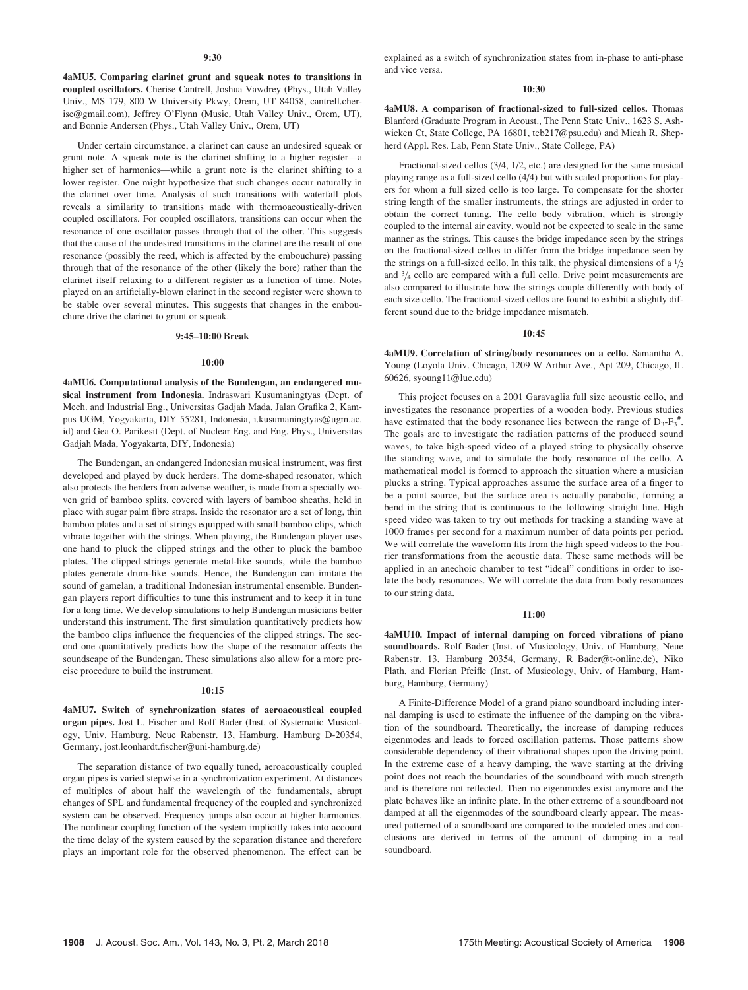#### 9:30

4aMU5. Comparing clarinet grunt and squeak notes to transitions in coupled oscillators. Cherise Cantrell, Joshua Vawdrey (Phys., Utah Valley Univ., MS 179, 800 W University Pkwy, Orem, UT 84058, cantrell.cherise@gmail.com), Jeffrey O'Flynn (Music, Utah Valley Univ., Orem, UT), and Bonnie Andersen (Phys., Utah Valley Univ., Orem, UT)

Under certain circumstance, a clarinet can cause an undesired squeak or grunt note. A squeak note is the clarinet shifting to a higher register—a higher set of harmonics—while a grunt note is the clarinet shifting to a lower register. One might hypothesize that such changes occur naturally in the clarinet over time. Analysis of such transitions with waterfall plots reveals a similarity to transitions made with thermoacoustically-driven coupled oscillators. For coupled oscillators, transitions can occur when the resonance of one oscillator passes through that of the other. This suggests that the cause of the undesired transitions in the clarinet are the result of one resonance (possibly the reed, which is affected by the embouchure) passing through that of the resonance of the other (likely the bore) rather than the clarinet itself relaxing to a different register as a function of time. Notes played on an artificially-blown clarinet in the second register were shown to be stable over several minutes. This suggests that changes in the embouchure drive the clarinet to grunt or squeak.

### 9:45–10:00 Break

#### 10:00

4aMU6. Computational analysis of the Bundengan, an endangered musical instrument from Indonesia. Indraswari Kusumaningtyas (Dept. of Mech. and Industrial Eng., Universitas Gadjah Mada, Jalan Grafika 2, Kampus UGM, Yogyakarta, DIY 55281, Indonesia, i.kusumaningtyas@ugm.ac. id) and Gea O. Parikesit (Dept. of Nuclear Eng. and Eng. Phys., Universitas Gadjah Mada, Yogyakarta, DIY, Indonesia)

The Bundengan, an endangered Indonesian musical instrument, was first developed and played by duck herders. The dome-shaped resonator, which also protects the herders from adverse weather, is made from a specially woven grid of bamboo splits, covered with layers of bamboo sheaths, held in place with sugar palm fibre straps. Inside the resonator are a set of long, thin bamboo plates and a set of strings equipped with small bamboo clips, which vibrate together with the strings. When playing, the Bundengan player uses one hand to pluck the clipped strings and the other to pluck the bamboo plates. The clipped strings generate metal-like sounds, while the bamboo plates generate drum-like sounds. Hence, the Bundengan can imitate the sound of gamelan, a traditional Indonesian instrumental ensemble. Bundengan players report difficulties to tune this instrument and to keep it in tune for a long time. We develop simulations to help Bundengan musicians better understand this instrument. The first simulation quantitatively predicts how the bamboo clips influence the frequencies of the clipped strings. The second one quantitatively predicts how the shape of the resonator affects the soundscape of the Bundengan. These simulations also allow for a more precise procedure to build the instrument.

#### 10:15

4aMU7. Switch of synchronization states of aeroacoustical coupled organ pipes. Jost L. Fischer and Rolf Bader (Inst. of Systematic Musicology, Univ. Hamburg, Neue Rabenstr. 13, Hamburg, Hamburg D-20354, Germany, jost.leonhardt.fischer@uni-hamburg.de)

The separation distance of two equally tuned, aeroacoustically coupled organ pipes is varied stepwise in a synchronization experiment. At distances of multiples of about half the wavelength of the fundamentals, abrupt changes of SPL and fundamental frequency of the coupled and synchronized system can be observed. Frequency jumps also occur at higher harmonics. The nonlinear coupling function of the system implicitly takes into account the time delay of the system caused by the separation distance and therefore plays an important role for the observed phenomenon. The effect can be explained as a switch of synchronization states from in-phase to anti-phase and vice versa.

## 10:30

4aMU8. A comparison of fractional-sized to full-sized cellos. Thomas Blanford (Graduate Program in Acoust., The Penn State Univ., 1623 S. Ashwicken Ct, State College, PA 16801, teb217@psu.edu) and Micah R. Shepherd (Appl. Res. Lab, Penn State Univ., State College, PA)

Fractional-sized cellos (3/4, 1/2, etc.) are designed for the same musical playing range as a full-sized cello (4/4) but with scaled proportions for players for whom a full sized cello is too large. To compensate for the shorter string length of the smaller instruments, the strings are adjusted in order to obtain the correct tuning. The cello body vibration, which is strongly coupled to the internal air cavity, would not be expected to scale in the same manner as the strings. This causes the bridge impedance seen by the strings on the fractional-sized cellos to differ from the bridge impedance seen by the strings on a full-sized cello. In this talk, the physical dimensions of a  $\frac{1}{2}$ and  $\frac{3}{4}$  cello are compared with a full cello. Drive point measurements are also compared to illustrate how the strings couple differently with body of each size cello. The fractional-sized cellos are found to exhibit a slightly different sound due to the bridge impedance mismatch.

#### 10:45

4aMU9. Correlation of string/body resonances on a cello. Samantha A. Young (Loyola Univ. Chicago, 1209 W Arthur Ave., Apt 209, Chicago, IL 60626, syoung11@luc.edu)

This project focuses on a 2001 Garavaglia full size acoustic cello, and investigates the resonance properties of a wooden body. Previous studies have estimated that the body resonance lies between the range of  $D_3-F_3^*$ . The goals are to investigate the radiation patterns of the produced sound waves, to take high-speed video of a played string to physically observe the standing wave, and to simulate the body resonance of the cello. A mathematical model is formed to approach the situation where a musician plucks a string. Typical approaches assume the surface area of a finger to be a point source, but the surface area is actually parabolic, forming a bend in the string that is continuous to the following straight line. High speed video was taken to try out methods for tracking a standing wave at 1000 frames per second for a maximum number of data points per period. We will correlate the waveform fits from the high speed videos to the Fourier transformations from the acoustic data. These same methods will be applied in an anechoic chamber to test "ideal" conditions in order to isolate the body resonances. We will correlate the data from body resonances to our string data.

## 11:00

4aMU10. Impact of internal damping on forced vibrations of piano soundboards. Rolf Bader (Inst. of Musicology, Univ. of Hamburg, Neue Rabenstr. 13, Hamburg 20354, Germany, R\_Bader@t-online.de), Niko Plath, and Florian Pfeifle (Inst. of Musicology, Univ. of Hamburg, Hamburg, Hamburg, Germany)

A Finite-Difference Model of a grand piano soundboard including internal damping is used to estimate the influence of the damping on the vibration of the soundboard. Theoretically, the increase of damping reduces eigenmodes and leads to forced oscillation patterns. Those patterns show considerable dependency of their vibrational shapes upon the driving point. In the extreme case of a heavy damping, the wave starting at the driving point does not reach the boundaries of the soundboard with much strength and is therefore not reflected. Then no eigenmodes exist anymore and the plate behaves like an infinite plate. In the other extreme of a soundboard not damped at all the eigenmodes of the soundboard clearly appear. The measured patterned of a soundboard are compared to the modeled ones and conclusions are derived in terms of the amount of damping in a real soundboard.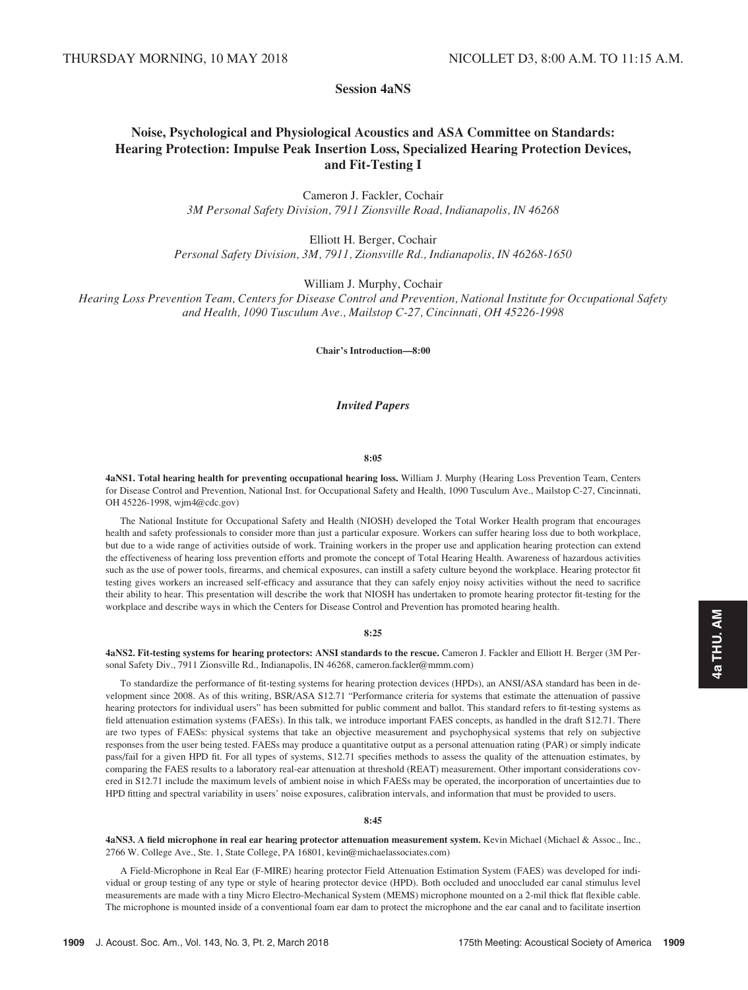# Session 4aNS

# Noise, Psychological and Physiological Acoustics and ASA Committee on Standards: Hearing Protection: Impulse Peak Insertion Loss, Specialized Hearing Protection Devices, and Fit-Testing I

Cameron J. Fackler, Cochair 3M Personal Safety Division, 7911 Zionsville Road, Indianapolis, IN 46268

Elliott H. Berger, Cochair Personal Safety Division, 3M, 7911, Zionsville Rd., Indianapolis, IN 46268-1650

William J. Murphy, Cochair

Hearing Loss Prevention Team, Centers for Disease Control and Prevention, National Institute for Occupational Safety and Health, 1090 Tusculum Ave., Mailstop C-27, Cincinnati, OH 45226-1998

Chair's Introduction—8:00

# Invited Papers

#### 8:05

4aNS1. Total hearing health for preventing occupational hearing loss. William J. Murphy (Hearing Loss Prevention Team, Centers for Disease Control and Prevention, National Inst. for Occupational Safety and Health, 1090 Tusculum Ave., Mailstop C-27, Cincinnati, OH 45226-1998, wjm4@cdc.gov)

The National Institute for Occupational Safety and Health (NIOSH) developed the Total Worker Health program that encourages health and safety professionals to consider more than just a particular exposure. Workers can suffer hearing loss due to both workplace, but due to a wide range of activities outside of work. Training workers in the proper use and application hearing protection can extend the effectiveness of hearing loss prevention efforts and promote the concept of Total Hearing Health. Awareness of hazardous activities such as the use of power tools, firearms, and chemical exposures, can instill a safety culture beyond the workplace. Hearing protector fit testing gives workers an increased self-efficacy and assurance that they can safely enjoy noisy activities without the need to sacrifice their ability to hear. This presentation will describe the work that NIOSH has undertaken to promote hearing protector fit-testing for the workplace and describe ways in which the Centers for Disease Control and Prevention has promoted hearing health.

#### 8:25

4aNS2. Fit-testing systems for hearing protectors: ANSI standards to the rescue. Cameron J. Fackler and Elliott H. Berger (3M Personal Safety Div., 7911 Zionsville Rd., Indianapolis, IN 46268, cameron.fackler@mmm.com)

To standardize the performance of fit-testing systems for hearing protection devices (HPDs), an ANSI/ASA standard has been in development since 2008. As of this writing, BSR/ASA S12.71 "Performance criteria for systems that estimate the attenuation of passive hearing protectors for individual users" has been submitted for public comment and ballot. This standard refers to fit-testing systems as field attenuation estimation systems (FAESs). In this talk, we introduce important FAES concepts, as handled in the draft S12.71. There are two types of FAESs: physical systems that take an objective measurement and psychophysical systems that rely on subjective responses from the user being tested. FAESs may produce a quantitative output as a personal attenuation rating (PAR) or simply indicate pass/fail for a given HPD fit. For all types of systems, S12.71 specifies methods to assess the quality of the attenuation estimates, by comparing the FAES results to a laboratory real-ear attenuation at threshold (REAT) measurement. Other important considerations covered in S12.71 include the maximum levels of ambient noise in which FAESs may be operated, the incorporation of uncertainties due to HPD fitting and spectral variability in users' noise exposures, calibration intervals, and information that must be provided to users.

#### 8:45

4aNS3. A field microphone in real ear hearing protector attenuation measurement system. Kevin Michael (Michael & Assoc., Inc., 2766 W. College Ave., Ste. 1, State College, PA 16801, kevin@michaelassociates.com)

A Field-Microphone in Real Ear (F-MIRE) hearing protector Field Attenuation Estimation System (FAES) was developed for individual or group testing of any type or style of hearing protector device (HPD). Both occluded and unoccluded ear canal stimulus level measurements are made with a tiny Micro Electro-Mechanical System (MEMS) microphone mounted on a 2-mil thick flat flexible cable. The microphone is mounted inside of a conventional foam ear dam to protect the microphone and the ear canal and to facilitate insertion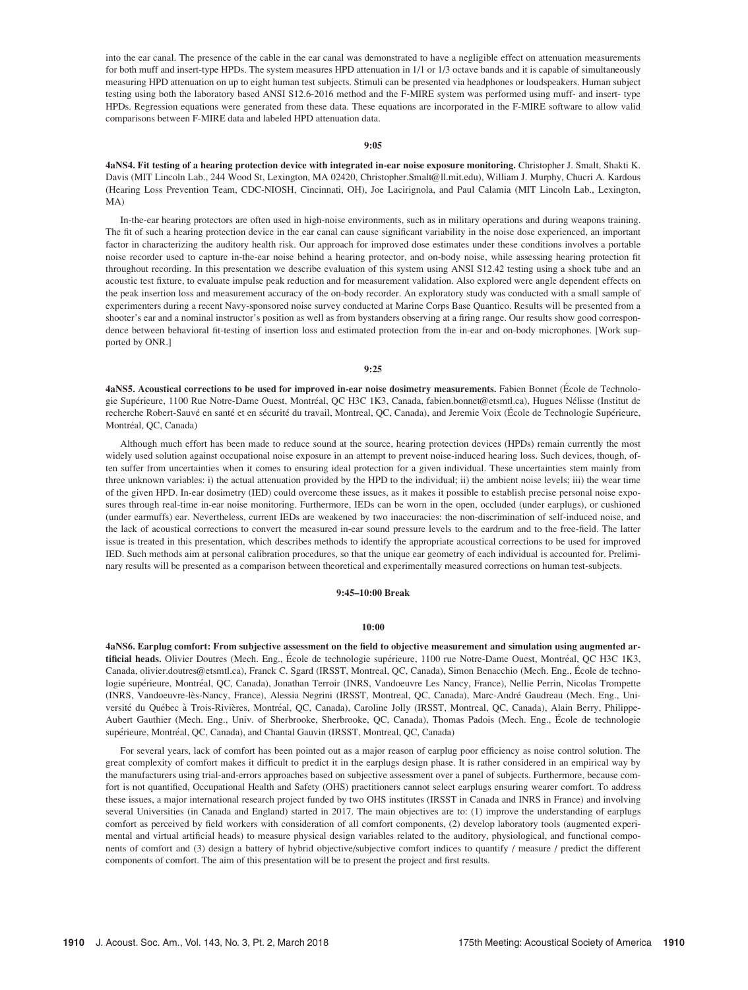into the ear canal. The presence of the cable in the ear canal was demonstrated to have a negligible effect on attenuation measurements for both muff and insert-type HPDs. The system measures HPD attenuation in 1/1 or 1/3 octave bands and it is capable of simultaneously measuring HPD attenuation on up to eight human test subjects. Stimuli can be presented via headphones or loudspeakers. Human subject testing using both the laboratory based ANSI S12.6-2016 method and the F-MIRE system was performed using muff- and insert- type HPDs. Regression equations were generated from these data. These equations are incorporated in the F-MIRE software to allow valid comparisons between F-MIRE data and labeled HPD attenuation data.

## 9:05

4aNS4. Fit testing of a hearing protection device with integrated in-ear noise exposure monitoring. Christopher J. Smalt, Shakti K. Davis (MIT Lincoln Lab., 244 Wood St, Lexington, MA 02420, Christopher.Smalt@ll.mit.edu), William J. Murphy, Chucri A. Kardous (Hearing Loss Prevention Team, CDC-NIOSH, Cincinnati, OH), Joe Lacirignola, and Paul Calamia (MIT Lincoln Lab., Lexington, MA)

In-the-ear hearing protectors are often used in high-noise environments, such as in military operations and during weapons training. The fit of such a hearing protection device in the ear canal can cause significant variability in the noise dose experienced, an important factor in characterizing the auditory health risk. Our approach for improved dose estimates under these conditions involves a portable noise recorder used to capture in-the-ear noise behind a hearing protector, and on-body noise, while assessing hearing protection fit throughout recording. In this presentation we describe evaluation of this system using ANSI S12.42 testing using a shock tube and an acoustic test fixture, to evaluate impulse peak reduction and for measurement validation. Also explored were angle dependent effects on the peak insertion loss and measurement accuracy of the on-body recorder. An exploratory study was conducted with a small sample of experimenters during a recent Navy-sponsored noise survey conducted at Marine Corps Base Quantico. Results will be presented from a shooter's ear and a nominal instructor's position as well as from bystanders observing at a firing range. Our results show good correspondence between behavioral fit-testing of insertion loss and estimated protection from the in-ear and on-body microphones. [Work supported by ONR.]

#### 9:25

4aNS5. Acoustical corrections to be used for improved in-ear noise dosimetry measurements. Fabien Bonnet (École de Technologie Supérieure, 1100 Rue Notre-Dame Ouest, Montréal, QC H3C 1K3, Canada, fabien.bonnet@etsmtl.ca), Hugues Nélisse (Institut de recherche Robert-Sauvé en santé et en sécurité du travail, Montreal, QC, Canada), and Jeremie Voix (École de Technologie Supérieure, Montréal, QC, Canada)

Although much effort has been made to reduce sound at the source, hearing protection devices (HPDs) remain currently the most widely used solution against occupational noise exposure in an attempt to prevent noise-induced hearing loss. Such devices, though, often suffer from uncertainties when it comes to ensuring ideal protection for a given individual. These uncertainties stem mainly from three unknown variables: i) the actual attenuation provided by the HPD to the individual; ii) the ambient noise levels; iii) the wear time of the given HPD. In-ear dosimetry (IED) could overcome these issues, as it makes it possible to establish precise personal noise exposures through real-time in-ear noise monitoring. Furthermore, IEDs can be worn in the open, occluded (under earplugs), or cushioned (under earmuffs) ear. Nevertheless, current IEDs are weakened by two inaccuracies: the non-discrimination of self-induced noise, and the lack of acoustical corrections to convert the measured in-ear sound pressure levels to the eardrum and to the free-field. The latter issue is treated in this presentation, which describes methods to identify the appropriate acoustical corrections to be used for improved IED. Such methods aim at personal calibration procedures, so that the unique ear geometry of each individual is accounted for. Preliminary results will be presented as a comparison between theoretical and experimentally measured corrections on human test-subjects.

## 9:45–10:00 Break

#### 10:00

4aNS6. Earplug comfort: From subjective assessment on the field to objective measurement and simulation using augmented artificial heads. Olivier Doutres (Mech. Eng., École de technologie supérieure, 1100 rue Notre-Dame Ouest, Montréal, QC H3C 1K3, Canada, olivier.doutres@etsmtl.ca), Franck C. Sgard (IRSST, Montreal, QC, Canada), Simon Benacchio (Mech. Eng., Ecole de techno- logie supérieure, Montréal, QC, Canada), Jonathan Terroir (INRS, Vandoeuvre Les Nancy, France), Nellie Perrin, Nicolas Trompette (INRS, Vandoeuvre-lès-Nancy, France), Alessia Negrini (IRSST, Montreal, QC, Canada), Marc-André Gaudreau (Mech. Eng., Université du Québec à Trois-Rivières, Montréal, QC, Canada), Caroline Jolly (IRSST, Montreal, QC, Canada), Alain Berry, Philippe-Aubert Gauthier (Mech. Eng., Univ. of Sherbrooke, Sherbrooke, QC, Canada), Thomas Padois (Mech. Eng., Ecole de technologie supérieure, Montréal, QC, Canada), and Chantal Gauvin (IRSST, Montreal, QC, Canada)

For several years, lack of comfort has been pointed out as a major reason of earplug poor efficiency as noise control solution. The great complexity of comfort makes it difficult to predict it in the earplugs design phase. It is rather considered in an empirical way by the manufacturers using trial-and-errors approaches based on subjective assessment over a panel of subjects. Furthermore, because comfort is not quantified, Occupational Health and Safety (OHS) practitioners cannot select earplugs ensuring wearer comfort. To address these issues, a major international research project funded by two OHS institutes (IRSST in Canada and INRS in France) and involving several Universities (in Canada and England) started in 2017. The main objectives are to: (1) improve the understanding of earplugs comfort as perceived by field workers with consideration of all comfort components, (2) develop laboratory tools (augmented experimental and virtual artificial heads) to measure physical design variables related to the auditory, physiological, and functional components of comfort and (3) design a battery of hybrid objective/subjective comfort indices to quantify / measure / predict the different components of comfort. The aim of this presentation will be to present the project and first results.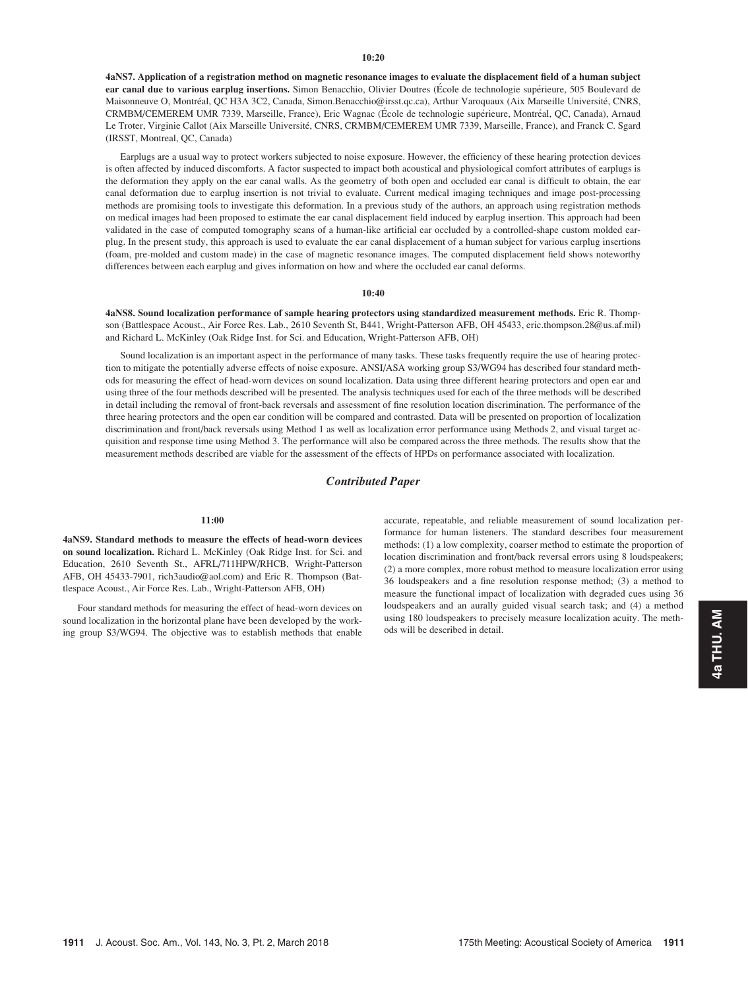#### $10:20$

4aNS7. Application of a registration method on magnetic resonance images to evaluate the displacement field of a human subject ear canal due to various earplug insertions. Simon Benacchio, Olivier Doutres (École de technologie supérieure, 505 Boulevard de Maisonneuve O, Montréal, QC H3A 3C2, Canada, Simon.Benacchio@irsst.qc.ca), Arthur Varoquaux (Aix Marseille Université, CNRS, CRMBM/CEMEREM UMR 7339, Marseille, France), Eric Wagnac (École de technologie supérieure, Montréal, QC, Canada), Arnaud Le Troter, Virginie Callot (Aix Marseille Université, CNRS, CRMBM/CEMEREM UMR 7339, Marseille, France), and Franck C. Sgard (IRSST, Montreal, QC, Canada)

Earplugs are a usual way to protect workers subjected to noise exposure. However, the efficiency of these hearing protection devices is often affected by induced discomforts. A factor suspected to impact both acoustical and physiological comfort attributes of earplugs is the deformation they apply on the ear canal walls. As the geometry of both open and occluded ear canal is difficult to obtain, the ear canal deformation due to earplug insertion is not trivial to evaluate. Current medical imaging techniques and image post-processing methods are promising tools to investigate this deformation. In a previous study of the authors, an approach using registration methods on medical images had been proposed to estimate the ear canal displacement field induced by earplug insertion. This approach had been validated in the case of computed tomography scans of a human-like artificial ear occluded by a controlled-shape custom molded earplug. In the present study, this approach is used to evaluate the ear canal displacement of a human subject for various earplug insertions (foam, pre-molded and custom made) in the case of magnetic resonance images. The computed displacement field shows noteworthy differences between each earplug and gives information on how and where the occluded ear canal deforms.

## 10:40

4aNS8. Sound localization performance of sample hearing protectors using standardized measurement methods. Eric R. Thompson (Battlespace Acoust., Air Force Res. Lab., 2610 Seventh St, B441, Wright-Patterson AFB, OH 45433, eric.thompson.28@us.af.mil) and Richard L. McKinley (Oak Ridge Inst. for Sci. and Education, Wright-Patterson AFB, OH)

Sound localization is an important aspect in the performance of many tasks. These tasks frequently require the use of hearing protection to mitigate the potentially adverse effects of noise exposure. ANSI/ASA working group S3/WG94 has described four standard methods for measuring the effect of head-worn devices on sound localization. Data using three different hearing protectors and open ear and using three of the four methods described will be presented. The analysis techniques used for each of the three methods will be described in detail including the removal of front-back reversals and assessment of fine resolution location discrimination. The performance of the three hearing protectors and the open ear condition will be compared and contrasted. Data will be presented on proportion of localization discrimination and front/back reversals using Method 1 as well as localization error performance using Methods 2, and visual target acquisition and response time using Method 3. The performance will also be compared across the three methods. The results show that the measurement methods described are viable for the assessment of the effects of HPDs on performance associated with localization.

# Contributed Paper

## $11:00$

4aNS9. Standard methods to measure the effects of head-worn devices on sound localization. Richard L. McKinley (Oak Ridge Inst. for Sci. and Education, 2610 Seventh St., AFRL/711HPW/RHCB, Wright-Patterson AFB, OH 45433-7901, rich3audio@aol.com) and Eric R. Thompson (Battlespace Acoust., Air Force Res. Lab., Wright-Patterson AFB, OH)

Four standard methods for measuring the effect of head-worn devices on sound localization in the horizontal plane have been developed by the working group S3/WG94. The objective was to establish methods that enable accurate, repeatable, and reliable measurement of sound localization performance for human listeners. The standard describes four measurement methods: (1) a low complexity, coarser method to estimate the proportion of location discrimination and front/back reversal errors using 8 loudspeakers; (2) a more complex, more robust method to measure localization error using 36 loudspeakers and a fine resolution response method; (3) a method to measure the functional impact of localization with degraded cues using 36 loudspeakers and an aurally guided visual search task; and (4) a method using 180 loudspeakers to precisely measure localization acuity. The methods will be described in detail.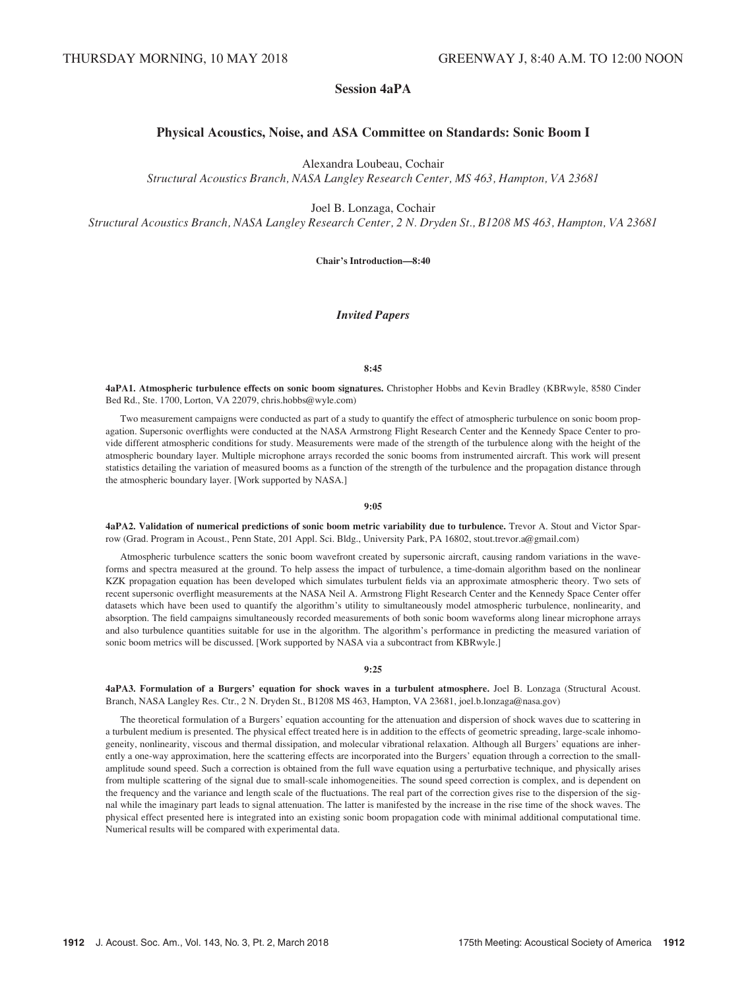# Session 4aPA

# Physical Acoustics, Noise, and ASA Committee on Standards: Sonic Boom I

Alexandra Loubeau, Cochair

Structural Acoustics Branch, NASA Langley Research Center, MS 463, Hampton, VA 23681

Joel B. Lonzaga, Cochair

Structural Acoustics Branch, NASA Langley Research Center, 2 N. Dryden St., B1208 MS 463, Hampton, VA 23681

Chair's Introduction—8:40

# Invited Papers

## 8:45

4aPA1. Atmospheric turbulence effects on sonic boom signatures. Christopher Hobbs and Kevin Bradley (KBRwyle, 8580 Cinder Bed Rd., Ste. 1700, Lorton, VA 22079, chris.hobbs@wyle.com)

Two measurement campaigns were conducted as part of a study to quantify the effect of atmospheric turbulence on sonic boom propagation. Supersonic overflights were conducted at the NASA Armstrong Flight Research Center and the Kennedy Space Center to provide different atmospheric conditions for study. Measurements were made of the strength of the turbulence along with the height of the atmospheric boundary layer. Multiple microphone arrays recorded the sonic booms from instrumented aircraft. This work will present statistics detailing the variation of measured booms as a function of the strength of the turbulence and the propagation distance through the atmospheric boundary layer. [Work supported by NASA.]

#### 9:05

4aPA2. Validation of numerical predictions of sonic boom metric variability due to turbulence. Trevor A. Stout and Victor Sparrow (Grad. Program in Acoust., Penn State, 201 Appl. Sci. Bldg., University Park, PA 16802, stout.trevor.a@gmail.com)

Atmospheric turbulence scatters the sonic boom wavefront created by supersonic aircraft, causing random variations in the waveforms and spectra measured at the ground. To help assess the impact of turbulence, a time-domain algorithm based on the nonlinear KZK propagation equation has been developed which simulates turbulent fields via an approximate atmospheric theory. Two sets of recent supersonic overflight measurements at the NASA Neil A. Armstrong Flight Research Center and the Kennedy Space Center offer datasets which have been used to quantify the algorithm's utility to simultaneously model atmospheric turbulence, nonlinearity, and absorption. The field campaigns simultaneously recorded measurements of both sonic boom waveforms along linear microphone arrays and also turbulence quantities suitable for use in the algorithm. The algorithm's performance in predicting the measured variation of sonic boom metrics will be discussed. [Work supported by NASA via a subcontract from KBRwyle.]

## 9:25

4aPA3. Formulation of a Burgers' equation for shock waves in a turbulent atmosphere. Joel B. Lonzaga (Structural Acoust. Branch, NASA Langley Res. Ctr., 2 N. Dryden St., B1208 MS 463, Hampton, VA 23681, joel.b.lonzaga@nasa.gov)

The theoretical formulation of a Burgers' equation accounting for the attenuation and dispersion of shock waves due to scattering in a turbulent medium is presented. The physical effect treated here is in addition to the effects of geometric spreading, large-scale inhomogeneity, nonlinearity, viscous and thermal dissipation, and molecular vibrational relaxation. Although all Burgers' equations are inherently a one-way approximation, here the scattering effects are incorporated into the Burgers' equation through a correction to the smallamplitude sound speed. Such a correction is obtained from the full wave equation using a perturbative technique, and physically arises from multiple scattering of the signal due to small-scale inhomogeneities. The sound speed correction is complex, and is dependent on the frequency and the variance and length scale of the fluctuations. The real part of the correction gives rise to the dispersion of the signal while the imaginary part leads to signal attenuation. The latter is manifested by the increase in the rise time of the shock waves. The physical effect presented here is integrated into an existing sonic boom propagation code with minimal additional computational time. Numerical results will be compared with experimental data.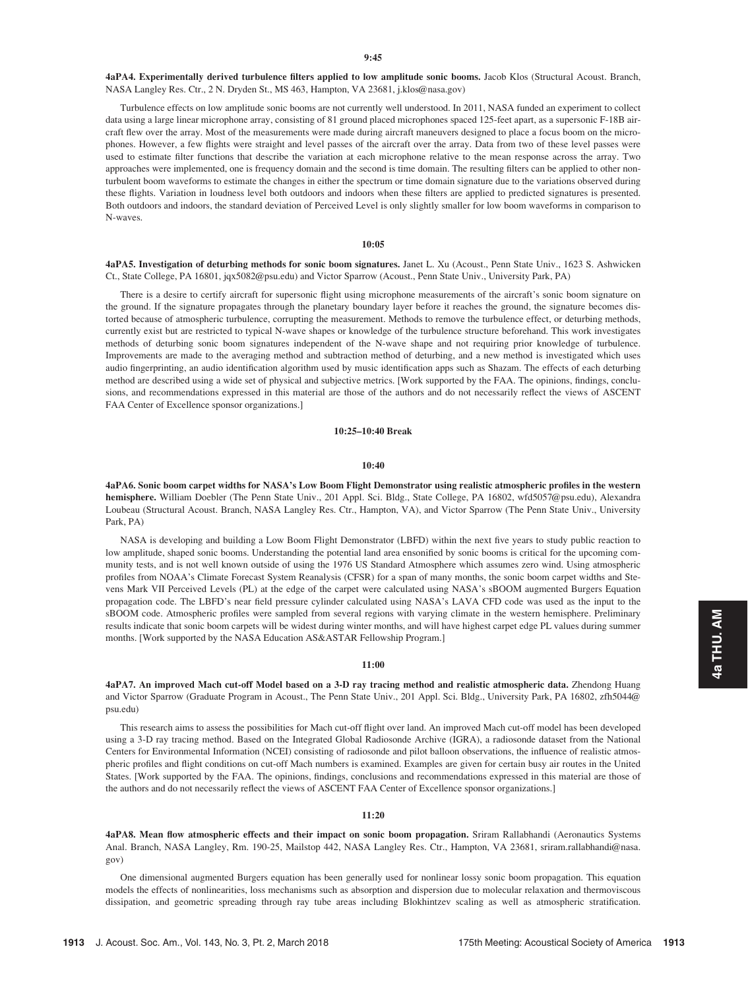4aPA4. Experimentally derived turbulence filters applied to low amplitude sonic booms. Jacob Klos (Structural Acoust. Branch, NASA Langley Res. Ctr., 2 N. Dryden St., MS 463, Hampton, VA 23681, j.klos@nasa.gov)

Turbulence effects on low amplitude sonic booms are not currently well understood. In 2011, NASA funded an experiment to collect data using a large linear microphone array, consisting of 81 ground placed microphones spaced 125-feet apart, as a supersonic F-18B aircraft flew over the array. Most of the measurements were made during aircraft maneuvers designed to place a focus boom on the microphones. However, a few flights were straight and level passes of the aircraft over the array. Data from two of these level passes were used to estimate filter functions that describe the variation at each microphone relative to the mean response across the array. Two approaches were implemented, one is frequency domain and the second is time domain. The resulting filters can be applied to other nonturbulent boom waveforms to estimate the changes in either the spectrum or time domain signature due to the variations observed during these flights. Variation in loudness level both outdoors and indoors when these filters are applied to predicted signatures is presented. Both outdoors and indoors, the standard deviation of Perceived Level is only slightly smaller for low boom waveforms in comparison to N-waves.

# 10:05

4aPA5. Investigation of deturbing methods for sonic boom signatures. Janet L. Xu (Acoust., Penn State Univ., 1623 S. Ashwicken Ct., State College, PA 16801, jqx5082@psu.edu) and Victor Sparrow (Acoust., Penn State Univ., University Park, PA)

There is a desire to certify aircraft for supersonic flight using microphone measurements of the aircraft's sonic boom signature on the ground. If the signature propagates through the planetary boundary layer before it reaches the ground, the signature becomes distorted because of atmospheric turbulence, corrupting the measurement. Methods to remove the turbulence effect, or deturbing methods, currently exist but are restricted to typical N-wave shapes or knowledge of the turbulence structure beforehand. This work investigates methods of deturbing sonic boom signatures independent of the N-wave shape and not requiring prior knowledge of turbulence. Improvements are made to the averaging method and subtraction method of deturbing, and a new method is investigated which uses audio fingerprinting, an audio identification algorithm used by music identification apps such as Shazam. The effects of each deturbing method are described using a wide set of physical and subjective metrics. [Work supported by the FAA. The opinions, findings, conclusions, and recommendations expressed in this material are those of the authors and do not necessarily reflect the views of ASCENT FAA Center of Excellence sponsor organizations.]

#### 10:25–10:40 Break

#### 10:40

4aPA6. Sonic boom carpet widths for NASA's Low Boom Flight Demonstrator using realistic atmospheric profiles in the western hemisphere. William Doebler (The Penn State Univ., 201 Appl. Sci. Bldg., State College, PA 16802, wfd5057@psu.edu), Alexandra Loubeau (Structural Acoust. Branch, NASA Langley Res. Ctr., Hampton, VA), and Victor Sparrow (The Penn State Univ., University Park, PA)

NASA is developing and building a Low Boom Flight Demonstrator (LBFD) within the next five years to study public reaction to low amplitude, shaped sonic booms. Understanding the potential land area ensonified by sonic booms is critical for the upcoming community tests, and is not well known outside of using the 1976 US Standard Atmosphere which assumes zero wind. Using atmospheric profiles from NOAA's Climate Forecast System Reanalysis (CFSR) for a span of many months, the sonic boom carpet widths and Stevens Mark VII Perceived Levels (PL) at the edge of the carpet were calculated using NASA's sBOOM augmented Burgers Equation propagation code. The LBFD's near field pressure cylinder calculated using NASA's LAVA CFD code was used as the input to the sBOOM code. Atmospheric profiles were sampled from several regions with varying climate in the western hemisphere. Preliminary results indicate that sonic boom carpets will be widest during winter months, and will have highest carpet edge PL values during summer months. [Work supported by the NASA Education AS&ASTAR Fellowship Program.]

#### 11:00

4aPA7. An improved Mach cut-off Model based on a 3-D ray tracing method and realistic atmospheric data. Zhendong Huang and Victor Sparrow (Graduate Program in Acoust., The Penn State Univ., 201 Appl. Sci. Bldg., University Park, PA 16802, zfh5044@ psu.edu)

This research aims to assess the possibilities for Mach cut-off flight over land. An improved Mach cut-off model has been developed using a 3-D ray tracing method. Based on the Integrated Global Radiosonde Archive (IGRA), a radiosonde dataset from the National Centers for Environmental Information (NCEI) consisting of radiosonde and pilot balloon observations, the influence of realistic atmospheric profiles and flight conditions on cut-off Mach numbers is examined. Examples are given for certain busy air routes in the United States. [Work supported by the FAA. The opinions, findings, conclusions and recommendations expressed in this material are those of the authors and do not necessarily reflect the views of ASCENT FAA Center of Excellence sponsor organizations.]

# 11:20

4aPA8. Mean flow atmospheric effects and their impact on sonic boom propagation. Sriram Rallabhandi (Aeronautics Systems Anal. Branch, NASA Langley, Rm. 190-25, Mailstop 442, NASA Langley Res. Ctr., Hampton, VA 23681, sriram.rallabhandi@nasa. gov)

One dimensional augmented Burgers equation has been generally used for nonlinear lossy sonic boom propagation. This equation models the effects of nonlinearities, loss mechanisms such as absorption and dispersion due to molecular relaxation and thermoviscous dissipation, and geometric spreading through ray tube areas including Blokhintzev scaling as well as atmospheric stratification.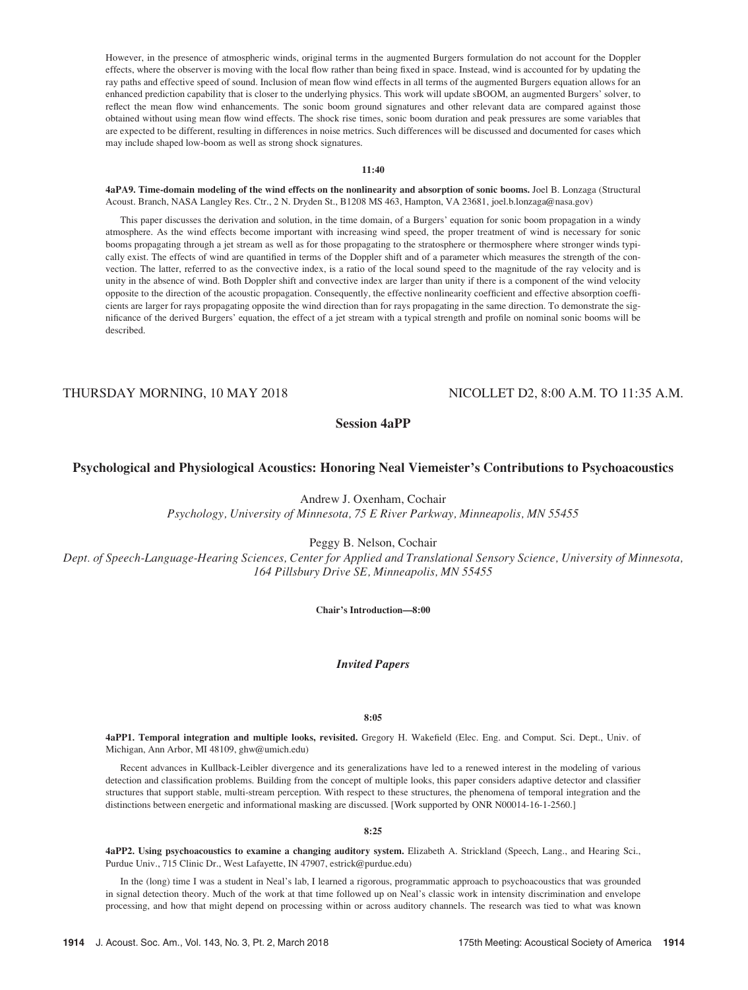However, in the presence of atmospheric winds, original terms in the augmented Burgers formulation do not account for the Doppler effects, where the observer is moving with the local flow rather than being fixed in space. Instead, wind is accounted for by updating the ray paths and effective speed of sound. Inclusion of mean flow wind effects in all terms of the augmented Burgers equation allows for an enhanced prediction capability that is closer to the underlying physics. This work will update sBOOM, an augmented Burgers' solver, to reflect the mean flow wind enhancements. The sonic boom ground signatures and other relevant data are compared against those obtained without using mean flow wind effects. The shock rise times, sonic boom duration and peak pressures are some variables that are expected to be different, resulting in differences in noise metrics. Such differences will be discussed and documented for cases which may include shaped low-boom as well as strong shock signatures.

## 11:40

4aPA9. Time-domain modeling of the wind effects on the nonlinearity and absorption of sonic booms. Joel B. Lonzaga (Structural Acoust. Branch, NASA Langley Res. Ctr., 2 N. Dryden St., B1208 MS 463, Hampton, VA 23681, joel.b.lonzaga@nasa.gov)

This paper discusses the derivation and solution, in the time domain, of a Burgers' equation for sonic boom propagation in a windy atmosphere. As the wind effects become important with increasing wind speed, the proper treatment of wind is necessary for sonic booms propagating through a jet stream as well as for those propagating to the stratosphere or thermosphere where stronger winds typically exist. The effects of wind are quantified in terms of the Doppler shift and of a parameter which measures the strength of the convection. The latter, referred to as the convective index, is a ratio of the local sound speed to the magnitude of the ray velocity and is unity in the absence of wind. Both Doppler shift and convective index are larger than unity if there is a component of the wind velocity opposite to the direction of the acoustic propagation. Consequently, the effective nonlinearity coefficient and effective absorption coefficients are larger for rays propagating opposite the wind direction than for rays propagating in the same direction. To demonstrate the significance of the derived Burgers' equation, the effect of a jet stream with a typical strength and profile on nominal sonic booms will be described.

# THURSDAY MORNING, 10 MAY 2018 NICOLLET D2, 8:00 A.M. TO 11:35 A.M.

Session 4aPP

# Psychological and Physiological Acoustics: Honoring Neal Viemeister's Contributions to Psychoacoustics

Andrew J. Oxenham, Cochair

Psychology, University of Minnesota, 75 E River Parkway, Minneapolis, MN 55455

Peggy B. Nelson, Cochair

Dept. of Speech-Language-Hearing Sciences, Center for Applied and Translational Sensory Science, University of Minnesota, 164 Pillsbury Drive SE, Minneapolis, MN 55455

Chair's Introduction—8:00

Invited Papers

8:05

4aPP1. Temporal integration and multiple looks, revisited. Gregory H. Wakefield (Elec. Eng. and Comput. Sci. Dept., Univ. of Michigan, Ann Arbor, MI 48109, ghw@umich.edu)

Recent advances in Kullback-Leibler divergence and its generalizations have led to a renewed interest in the modeling of various detection and classification problems. Building from the concept of multiple looks, this paper considers adaptive detector and classifier structures that support stable, multi-stream perception. With respect to these structures, the phenomena of temporal integration and the distinctions between energetic and informational masking are discussed. [Work supported by ONR N00014-16-1-2560.]

## 8:25

4aPP2. Using psychoacoustics to examine a changing auditory system. Elizabeth A. Strickland (Speech, Lang., and Hearing Sci., Purdue Univ., 715 Clinic Dr., West Lafayette, IN 47907, estrick@purdue.edu)

In the (long) time I was a student in Neal's lab, I learned a rigorous, programmatic approach to psychoacoustics that was grounded in signal detection theory. Much of the work at that time followed up on Neal's classic work in intensity discrimination and envelope processing, and how that might depend on processing within or across auditory channels. The research was tied to what was known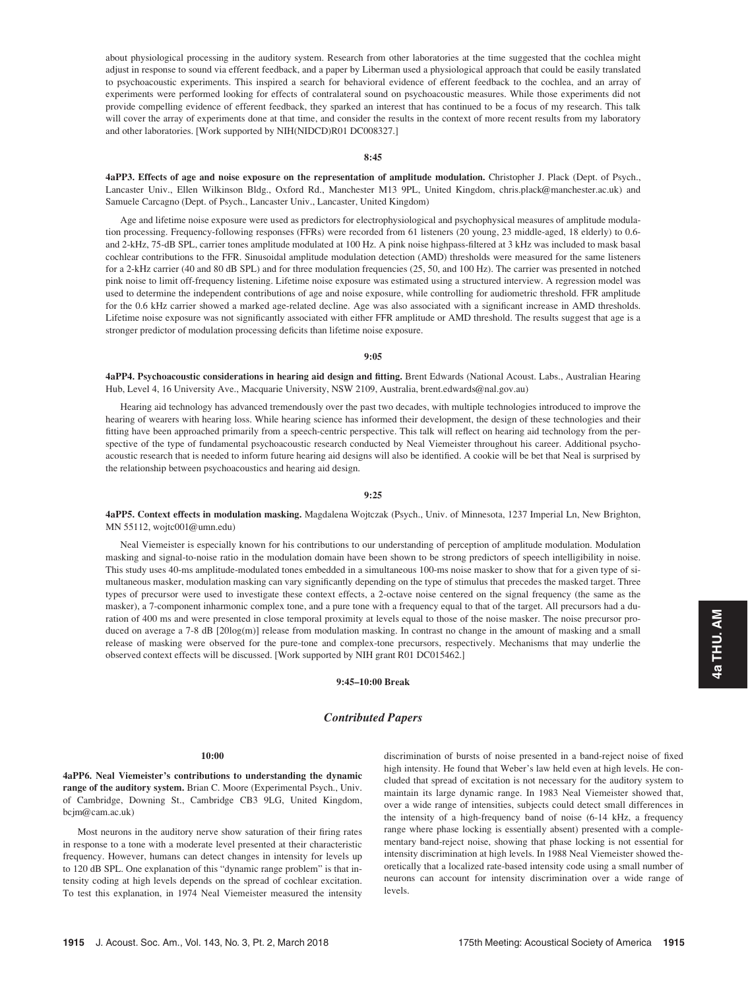about physiological processing in the auditory system. Research from other laboratories at the time suggested that the cochlea might adjust in response to sound via efferent feedback, and a paper by Liberman used a physiological approach that could be easily translated to psychoacoustic experiments. This inspired a search for behavioral evidence of efferent feedback to the cochlea, and an array of experiments were performed looking for effects of contralateral sound on psychoacoustic measures. While those experiments did not provide compelling evidence of efferent feedback, they sparked an interest that has continued to be a focus of my research. This talk will cover the array of experiments done at that time, and consider the results in the context of more recent results from my laboratory and other laboratories. [Work supported by NIH(NIDCD)R01 DC008327.]

#### 8:45

4aPP3. Effects of age and noise exposure on the representation of amplitude modulation. Christopher J. Plack (Dept. of Psych., Lancaster Univ., Ellen Wilkinson Bldg., Oxford Rd., Manchester M13 9PL, United Kingdom, chris.plack@manchester.ac.uk) and Samuele Carcagno (Dept. of Psych., Lancaster Univ., Lancaster, United Kingdom)

Age and lifetime noise exposure were used as predictors for electrophysiological and psychophysical measures of amplitude modulation processing. Frequency-following responses (FFRs) were recorded from 61 listeners (20 young, 23 middle-aged, 18 elderly) to 0.6 and 2-kHz, 75-dB SPL, carrier tones amplitude modulated at 100 Hz. A pink noise highpass-filtered at 3 kHz was included to mask basal cochlear contributions to the FFR. Sinusoidal amplitude modulation detection (AMD) thresholds were measured for the same listeners for a 2-kHz carrier (40 and 80 dB SPL) and for three modulation frequencies (25, 50, and 100 Hz). The carrier was presented in notched pink noise to limit off-frequency listening. Lifetime noise exposure was estimated using a structured interview. A regression model was used to determine the independent contributions of age and noise exposure, while controlling for audiometric threshold. FFR amplitude for the 0.6 kHz carrier showed a marked age-related decline. Age was also associated with a significant increase in AMD thresholds. Lifetime noise exposure was not significantly associated with either FFR amplitude or AMD threshold. The results suggest that age is a stronger predictor of modulation processing deficits than lifetime noise exposure.

## 9:05

4aPP4. Psychoacoustic considerations in hearing aid design and fitting. Brent Edwards (National Acoust. Labs., Australian Hearing Hub, Level 4, 16 University Ave., Macquarie University, NSW 2109, Australia, brent.edwards@nal.gov.au)

Hearing aid technology has advanced tremendously over the past two decades, with multiple technologies introduced to improve the hearing of wearers with hearing loss. While hearing science has informed their development, the design of these technologies and their fitting have been approached primarily from a speech-centric perspective. This talk will reflect on hearing aid technology from the perspective of the type of fundamental psychoacoustic research conducted by Neal Viemeister throughout his career. Additional psychoacoustic research that is needed to inform future hearing aid designs will also be identified. A cookie will be bet that Neal is surprised by the relationship between psychoacoustics and hearing aid design.

#### 9:25

4aPP5. Context effects in modulation masking. Magdalena Wojtczak (Psych., Univ. of Minnesota, 1237 Imperial Ln, New Brighton, MN 55112, wojtc001@umn.edu)

Neal Viemeister is especially known for his contributions to our understanding of perception of amplitude modulation. Modulation masking and signal-to-noise ratio in the modulation domain have been shown to be strong predictors of speech intelligibility in noise. This study uses 40-ms amplitude-modulated tones embedded in a simultaneous 100-ms noise masker to show that for a given type of simultaneous masker, modulation masking can vary significantly depending on the type of stimulus that precedes the masked target. Three types of precursor were used to investigate these context effects, a 2-octave noise centered on the signal frequency (the same as the masker), a 7-component inharmonic complex tone, and a pure tone with a frequency equal to that of the target. All precursors had a duration of 400 ms and were presented in close temporal proximity at levels equal to those of the noise masker. The noise precursor produced on average a 7-8 dB [20log(m)] release from modulation masking. In contrast no change in the amount of masking and a small release of masking were observed for the pure-tone and complex-tone precursors, respectively. Mechanisms that may underlie the observed context effects will be discussed. [Work supported by NIH grant R01 DC015462.]

# 9:45–10:00 Break

# Contributed Papers

# 10:00

4aPP6. Neal Viemeister's contributions to understanding the dynamic range of the auditory system. Brian C. Moore (Experimental Psych., Univ. of Cambridge, Downing St., Cambridge CB3 9LG, United Kingdom, bcjm@cam.ac.uk)

Most neurons in the auditory nerve show saturation of their firing rates in response to a tone with a moderate level presented at their characteristic frequency. However, humans can detect changes in intensity for levels up to 120 dB SPL. One explanation of this "dynamic range problem" is that intensity coding at high levels depends on the spread of cochlear excitation. To test this explanation, in 1974 Neal Viemeister measured the intensity discrimination of bursts of noise presented in a band-reject noise of fixed high intensity. He found that Weber's law held even at high levels. He concluded that spread of excitation is not necessary for the auditory system to maintain its large dynamic range. In 1983 Neal Viemeister showed that, over a wide range of intensities, subjects could detect small differences in the intensity of a high-frequency band of noise (6-14 kHz, a frequency range where phase locking is essentially absent) presented with a complementary band-reject noise, showing that phase locking is not essential for intensity discrimination at high levels. In 1988 Neal Viemeister showed theoretically that a localized rate-based intensity code using a small number of neurons can account for intensity discrimination over a wide range of levels.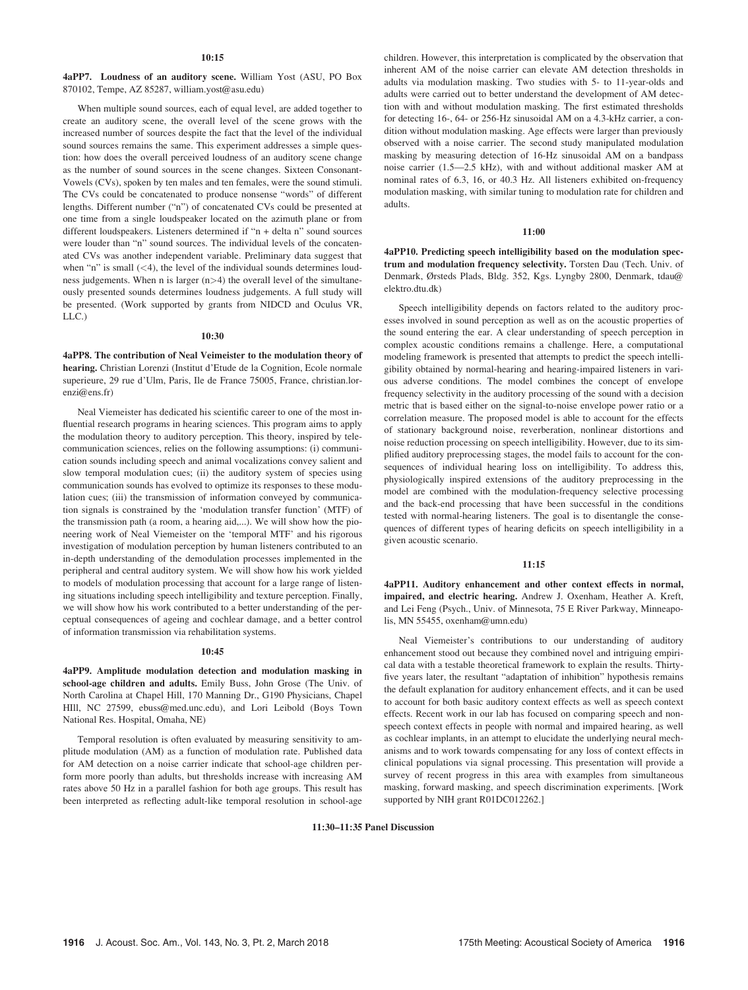## $10:15$

4aPP7. Loudness of an auditory scene. William Yost (ASU, PO Box 870102, Tempe, AZ 85287, william.yost@asu.edu)

When multiple sound sources, each of equal level, are added together to create an auditory scene, the overall level of the scene grows with the increased number of sources despite the fact that the level of the individual sound sources remains the same. This experiment addresses a simple question: how does the overall perceived loudness of an auditory scene change as the number of sound sources in the scene changes. Sixteen Consonant-Vowels (CVs), spoken by ten males and ten females, were the sound stimuli. The CVs could be concatenated to produce nonsense "words" of different lengths. Different number ("n") of concatenated CVs could be presented at one time from a single loudspeaker located on the azimuth plane or from different loudspeakers. Listeners determined if "n + delta n" sound sources were louder than "n" sound sources. The individual levels of the concatenated CVs was another independent variable. Preliminary data suggest that when "n" is small  $(< 4)$ , the level of the individual sounds determines loudness judgements. When n is larger  $(n>4)$  the overall level of the simultaneously presented sounds determines loudness judgements. A full study will be presented. (Work supported by grants from NIDCD and Oculus VR, LLC.)

### 10:30

4aPP8. The contribution of Neal Veimeister to the modulation theory of hearing. Christian Lorenzi (Institut d'Etude de la Cognition, Ecole normale superieure, 29 rue d'Ulm, Paris, Ile de France 75005, France, christian.lorenzi@ens.fr)

Neal Viemeister has dedicated his scientific career to one of the most influential research programs in hearing sciences. This program aims to apply the modulation theory to auditory perception. This theory, inspired by telecommunication sciences, relies on the following assumptions: (i) communication sounds including speech and animal vocalizations convey salient and slow temporal modulation cues; (ii) the auditory system of species using communication sounds has evolved to optimize its responses to these modulation cues; (iii) the transmission of information conveyed by communication signals is constrained by the 'modulation transfer function' (MTF) of the transmission path (a room, a hearing aid,...). We will show how the pioneering work of Neal Viemeister on the 'temporal MTF' and his rigorous investigation of modulation perception by human listeners contributed to an in-depth understanding of the demodulation processes implemented in the peripheral and central auditory system. We will show how his work yielded to models of modulation processing that account for a large range of listening situations including speech intelligibility and texture perception. Finally, we will show how his work contributed to a better understanding of the perceptual consequences of ageing and cochlear damage, and a better control of information transmission via rehabilitation systems.

## 10:45

4aPP9. Amplitude modulation detection and modulation masking in school-age children and adults. Emily Buss, John Grose (The Univ. of North Carolina at Chapel Hill, 170 Manning Dr., G190 Physicians, Chapel HIll, NC 27599, ebuss@med.unc.edu), and Lori Leibold (Boys Town National Res. Hospital, Omaha, NE)

Temporal resolution is often evaluated by measuring sensitivity to amplitude modulation (AM) as a function of modulation rate. Published data for AM detection on a noise carrier indicate that school-age children perform more poorly than adults, but thresholds increase with increasing AM rates above 50 Hz in a parallel fashion for both age groups. This result has been interpreted as reflecting adult-like temporal resolution in school-age children. However, this interpretation is complicated by the observation that inherent AM of the noise carrier can elevate AM detection thresholds in adults via modulation masking. Two studies with 5- to 11-year-olds and adults were carried out to better understand the development of AM detection with and without modulation masking. The first estimated thresholds for detecting 16-, 64- or 256-Hz sinusoidal AM on a 4.3-kHz carrier, a condition without modulation masking. Age effects were larger than previously observed with a noise carrier. The second study manipulated modulation masking by measuring detection of 16-Hz sinusoidal AM on a bandpass noise carrier (1.5—2.5 kHz), with and without additional masker AM at nominal rates of 6.3, 16, or 40.3 Hz. All listeners exhibited on-frequency modulation masking, with similar tuning to modulation rate for children and adults.

## 11:00

4aPP10. Predicting speech intelligibility based on the modulation spectrum and modulation frequency selectivity. Torsten Dau (Tech. Univ. of Denmark, Ørsteds Plads, Bldg. 352, Kgs. Lyngby 2800, Denmark, tdau@ elektro.dtu.dk)

Speech intelligibility depends on factors related to the auditory processes involved in sound perception as well as on the acoustic properties of the sound entering the ear. A clear understanding of speech perception in complex acoustic conditions remains a challenge. Here, a computational modeling framework is presented that attempts to predict the speech intelligibility obtained by normal-hearing and hearing-impaired listeners in various adverse conditions. The model combines the concept of envelope frequency selectivity in the auditory processing of the sound with a decision metric that is based either on the signal-to-noise envelope power ratio or a correlation measure. The proposed model is able to account for the effects of stationary background noise, reverberation, nonlinear distortions and noise reduction processing on speech intelligibility. However, due to its simplified auditory preprocessing stages, the model fails to account for the consequences of individual hearing loss on intelligibility. To address this, physiologically inspired extensions of the auditory preprocessing in the model are combined with the modulation-frequency selective processing and the back-end processing that have been successful in the conditions tested with normal-hearing listeners. The goal is to disentangle the consequences of different types of hearing deficits on speech intelligibility in a given acoustic scenario.

# 11:15

4aPP11. Auditory enhancement and other context effects in normal, impaired, and electric hearing. Andrew J. Oxenham, Heather A. Kreft, and Lei Feng (Psych., Univ. of Minnesota, 75 E River Parkway, Minneapolis, MN 55455, oxenham@umn.edu)

Neal Viemeister's contributions to our understanding of auditory enhancement stood out because they combined novel and intriguing empirical data with a testable theoretical framework to explain the results. Thirtyfive years later, the resultant "adaptation of inhibition" hypothesis remains the default explanation for auditory enhancement effects, and it can be used to account for both basic auditory context effects as well as speech context effects. Recent work in our lab has focused on comparing speech and nonspeech context effects in people with normal and impaired hearing, as well as cochlear implants, in an attempt to elucidate the underlying neural mechanisms and to work towards compensating for any loss of context effects in clinical populations via signal processing. This presentation will provide a survey of recent progress in this area with examples from simultaneous masking, forward masking, and speech discrimination experiments. [Work supported by NIH grant R01DC012262.]

#### 11:30–11:35 Panel Discussion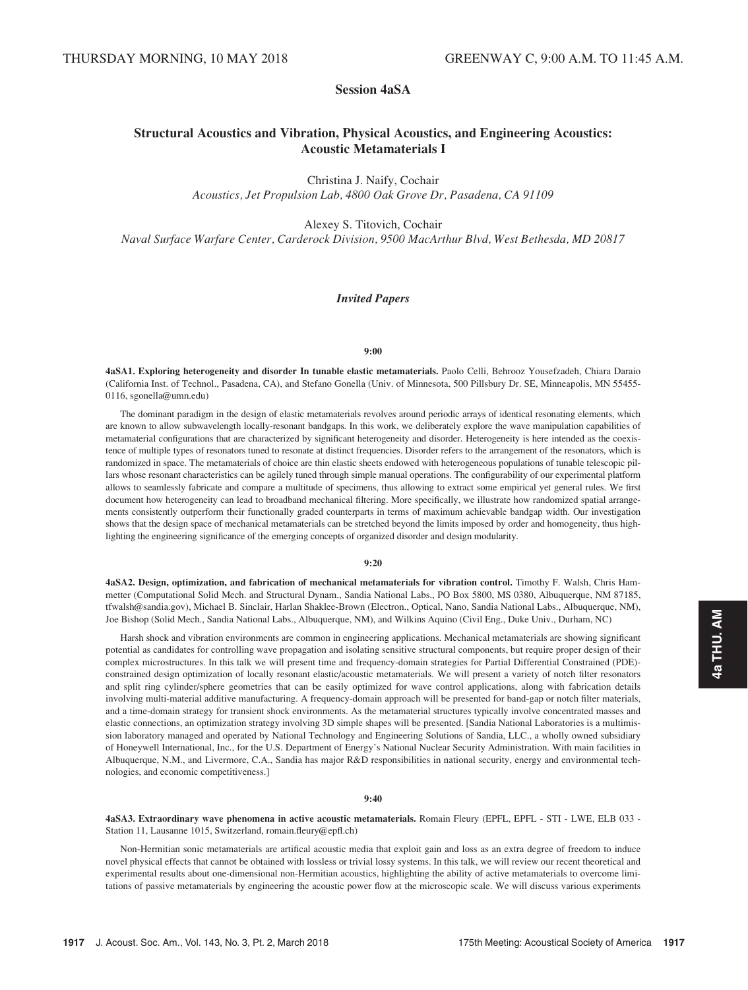# Session 4aSA

# Structural Acoustics and Vibration, Physical Acoustics, and Engineering Acoustics: Acoustic Metamaterials I

Christina J. Naify, Cochair Acoustics, Jet Propulsion Lab, 4800 Oak Grove Dr, Pasadena, CA 91109

Alexey S. Titovich, Cochair

Naval Surface Warfare Center, Carderock Division, 9500 MacArthur Blvd, West Bethesda, MD 20817

# Invited Papers

## 9:00

4aSA1. Exploring heterogeneity and disorder In tunable elastic metamaterials. Paolo Celli, Behrooz Yousefzadeh, Chiara Daraio (California Inst. of Technol., Pasadena, CA), and Stefano Gonella (Univ. of Minnesota, 500 Pillsbury Dr. SE, Minneapolis, MN 55455- 0116, sgonella@umn.edu)

The dominant paradigm in the design of elastic metamaterials revolves around periodic arrays of identical resonating elements, which are known to allow subwavelength locally-resonant bandgaps. In this work, we deliberately explore the wave manipulation capabilities of metamaterial configurations that are characterized by significant heterogeneity and disorder. Heterogeneity is here intended as the coexistence of multiple types of resonators tuned to resonate at distinct frequencies. Disorder refers to the arrangement of the resonators, which is randomized in space. The metamaterials of choice are thin elastic sheets endowed with heterogeneous populations of tunable telescopic pillars whose resonant characteristics can be agilely tuned through simple manual operations. The configurability of our experimental platform allows to seamlessly fabricate and compare a multitude of specimens, thus allowing to extract some empirical yet general rules. We first document how heterogeneity can lead to broadband mechanical filtering. More specifically, we illustrate how randomized spatial arrangements consistently outperform their functionally graded counterparts in terms of maximum achievable bandgap width. Our investigation shows that the design space of mechanical metamaterials can be stretched beyond the limits imposed by order and homogeneity, thus highlighting the engineering significance of the emerging concepts of organized disorder and design modularity.

#### 9:20

4aSA2. Design, optimization, and fabrication of mechanical metamaterials for vibration control. Timothy F. Walsh, Chris Hammetter (Computational Solid Mech. and Structural Dynam., Sandia National Labs., PO Box 5800, MS 0380, Albuquerque, NM 87185, tfwalsh@sandia.gov), Michael B. Sinclair, Harlan Shaklee-Brown (Electron., Optical, Nano, Sandia National Labs., Albuquerque, NM), Joe Bishop (Solid Mech., Sandia National Labs., Albuquerque, NM), and Wilkins Aquino (Civil Eng., Duke Univ., Durham, NC)

Harsh shock and vibration environments are common in engineering applications. Mechanical metamaterials are showing significant potential as candidates for controlling wave propagation and isolating sensitive structural components, but require proper design of their complex microstructures. In this talk we will present time and frequency-domain strategies for Partial Differential Constrained (PDE) constrained design optimization of locally resonant elastic/acoustic metamaterials. We will present a variety of notch filter resonators and split ring cylinder/sphere geometries that can be easily optimized for wave control applications, along with fabrication details involving multi-material additive manufacturing. A frequency-domain approach will be presented for band-gap or notch filter materials, and a time-domain strategy for transient shock environments. As the metamaterial structures typically involve concentrated masses and elastic connections, an optimization strategy involving 3D simple shapes will be presented. [Sandia National Laboratories is a multimission laboratory managed and operated by National Technology and Engineering Solutions of Sandia, LLC., a wholly owned subsidiary of Honeywell International, Inc., for the U.S. Department of Energy's National Nuclear Security Administration. With main facilities in Albuquerque, N.M., and Livermore, C.A., Sandia has major R&D responsibilities in national security, energy and environmental technologies, and economic competitiveness.]

#### 9:40

4aSA3. Extraordinary wave phenomena in active acoustic metamaterials. Romain Fleury (EPFL, EPFL - STI - LWE, ELB 033 - Station 11, Lausanne 1015, Switzerland, romain.fleury@epfl.ch)

Non-Hermitian sonic metamaterials are artifical acoustic media that exploit gain and loss as an extra degree of freedom to induce novel physical effects that cannot be obtained with lossless or trivial lossy systems. In this talk, we will review our recent theoretical and experimental results about one-dimensional non-Hermitian acoustics, highlighting the ability of active metamaterials to overcome limitations of passive metamaterials by engineering the acoustic power flow at the microscopic scale. We will discuss various experiments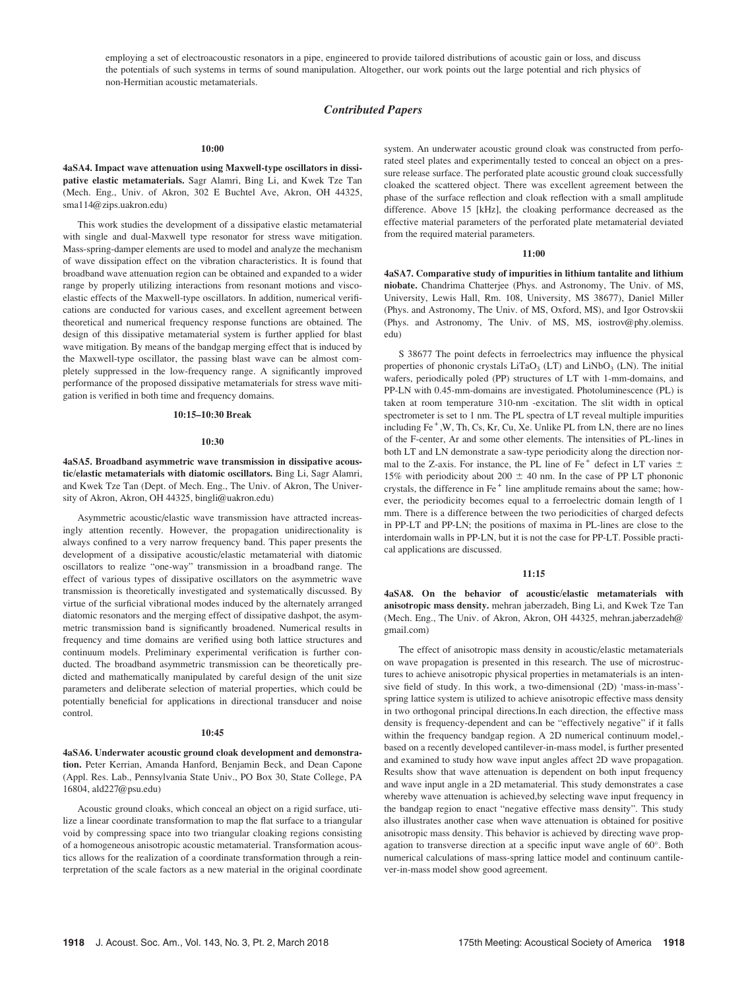employing a set of electroacoustic resonators in a pipe, engineered to provide tailored distributions of acoustic gain or loss, and discuss the potentials of such systems in terms of sound manipulation. Altogether, our work points out the large potential and rich physics of non-Hermitian acoustic metamaterials.

# Contributed Papers

#### 10:00

4aSA4. Impact wave attenuation using Maxwell-type oscillators in dissipative elastic metamaterials. Sagr Alamri, Bing Li, and Kwek Tze Tan (Mech. Eng., Univ. of Akron, 302 E Buchtel Ave, Akron, OH 44325, sma114@zips.uakron.edu)

This work studies the development of a dissipative elastic metamaterial with single and dual-Maxwell type resonator for stress wave mitigation. Mass-spring-damper elements are used to model and analyze the mechanism of wave dissipation effect on the vibration characteristics. It is found that broadband wave attenuation region can be obtained and expanded to a wider range by properly utilizing interactions from resonant motions and viscoelastic effects of the Maxwell-type oscillators. In addition, numerical verifications are conducted for various cases, and excellent agreement between theoretical and numerical frequency response functions are obtained. The design of this dissipative metamaterial system is further applied for blast wave mitigation. By means of the bandgap merging effect that is induced by the Maxwell-type oscillator, the passing blast wave can be almost completely suppressed in the low-frequency range. A significantly improved performance of the proposed dissipative metamaterials for stress wave mitigation is verified in both time and frequency domains.

# 10:15–10:30 Break

### 10:30

4aSA5. Broadband asymmetric wave transmission in dissipative acoustic/elastic metamaterials with diatomic oscillators. Bing Li, Sagr Alamri, and Kwek Tze Tan (Dept. of Mech. Eng., The Univ. of Akron, The University of Akron, Akron, OH 44325, bingli@uakron.edu)

Asymmetric acoustic/elastic wave transmission have attracted increasingly attention recently. However, the propagation unidirectionality is always confined to a very narrow frequency band. This paper presents the development of a dissipative acoustic/elastic metamaterial with diatomic oscillators to realize "one-way" transmission in a broadband range. The effect of various types of dissipative oscillators on the asymmetric wave transmission is theoretically investigated and systematically discussed. By virtue of the surficial vibrational modes induced by the alternately arranged diatomic resonators and the merging effect of dissipative dashpot, the asymmetric transmission band is significantly broadened. Numerical results in frequency and time domains are verified using both lattice structures and continuum models. Preliminary experimental verification is further conducted. The broadband asymmetric transmission can be theoretically predicted and mathematically manipulated by careful design of the unit size parameters and deliberate selection of material properties, which could be potentially beneficial for applications in directional transducer and noise control.

## 10:45

4aSA6. Underwater acoustic ground cloak development and demonstration. Peter Kerrian, Amanda Hanford, Benjamin Beck, and Dean Capone (Appl. Res. Lab., Pennsylvania State Univ., PO Box 30, State College, PA 16804, ald227@psu.edu)

Acoustic ground cloaks, which conceal an object on a rigid surface, utilize a linear coordinate transformation to map the flat surface to a triangular void by compressing space into two triangular cloaking regions consisting of a homogeneous anisotropic acoustic metamaterial. Transformation acoustics allows for the realization of a coordinate transformation through a reinterpretation of the scale factors as a new material in the original coordinate system. An underwater acoustic ground cloak was constructed from perforated steel plates and experimentally tested to conceal an object on a pressure release surface. The perforated plate acoustic ground cloak successfully cloaked the scattered object. There was excellent agreement between the phase of the surface reflection and cloak reflection with a small amplitude difference. Above 15 [kHz], the cloaking performance decreased as the effective material parameters of the perforated plate metamaterial deviated from the required material parameters.

#### 11:00

4aSA7. Comparative study of impurities in lithium tantalite and lithium niobate. Chandrima Chatterjee (Phys. and Astronomy, The Univ. of MS, University, Lewis Hall, Rm. 108, University, MS 38677), Daniel Miller (Phys. and Astronomy, The Univ. of MS, Oxford, MS), and Igor Ostrovskii (Phys. and Astronomy, The Univ. of MS, MS, iostrov@phy.olemiss. edu)

S 38677 The point defects in ferroelectrics may influence the physical properties of phononic crystals  $LiTaO<sub>3</sub> (LT)$  and  $LiNbO<sub>3</sub> (LN)$ . The initial wafers, periodically poled (PP) structures of LT with 1-mm-domains, and PP-LN with 0.45-mm-domains are investigated. Photoluminescence (PL) is taken at room temperature 310-nm -excitation. The slit width in optical spectrometer is set to 1 nm. The PL spectra of LT reveal multiple impurities including  $Fe<sup>+</sup>, W, Th, Cs, Kr, Cu, Xe. Unlike PL from LN, there are no lines$ of the F-center, Ar and some other elements. The intensities of PL-lines in both LT and LN demonstrate a saw-type periodicity along the direction normal to the Z-axis. For instance, the PL line of Fe<sup>+</sup> defect in LT varies  $\pm$ 15% with periodicity about 200  $\pm$  40 nm. In the case of PP LT phononic crystals, the difference in Fe<sup>+</sup> line amplitude remains about the same; however, the periodicity becomes equal to a ferroelectric domain length of 1 mm. There is a difference between the two periodicities of charged defects in PP-LT and PP-LN; the positions of maxima in PL-lines are close to the interdomain walls in PP-LN, but it is not the case for PP-LT. Possible practical applications are discussed.

# 11:15

4aSA8. On the behavior of acoustic/elastic metamaterials with anisotropic mass density. mehran jaberzadeh, Bing Li, and Kwek Tze Tan (Mech. Eng., The Univ. of Akron, Akron, OH 44325, mehran.jaberzadeh@ gmail.com)

The effect of anisotropic mass density in acoustic/elastic metamaterials on wave propagation is presented in this research. The use of microstructures to achieve anisotropic physical properties in metamaterials is an intensive field of study. In this work, a two-dimensional (2D) 'mass-in-mass' spring lattice system is utilized to achieve anisotropic effective mass density in two orthogonal principal directions.In each direction, the effective mass density is frequency-dependent and can be "effectively negative" if it falls within the frequency bandgap region. A 2D numerical continuum model, based on a recently developed cantilever-in-mass model, is further presented and examined to study how wave input angles affect 2D wave propagation. Results show that wave attenuation is dependent on both input frequency and wave input angle in a 2D metamaterial. This study demonstrates a case whereby wave attenuation is achieved,by selecting wave input frequency in the bandgap region to enact "negative effective mass density". This study also illustrates another case when wave attenuation is obtained for positive anisotropic mass density. This behavior is achieved by directing wave propagation to transverse direction at a specific input wave angle of 60°. Both numerical calculations of mass-spring lattice model and continuum cantilever-in-mass model show good agreement.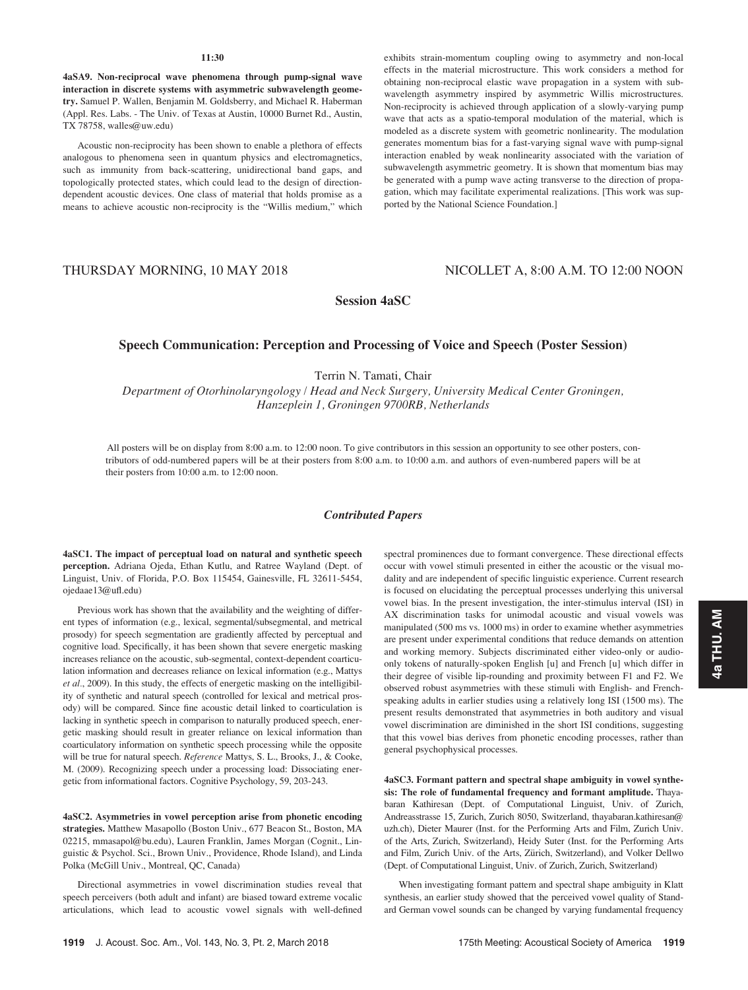### 11:30

4aSA9. Non-reciprocal wave phenomena through pump-signal wave interaction in discrete systems with asymmetric subwavelength geometry. Samuel P. Wallen, Benjamin M. Goldsberry, and Michael R. Haberman (Appl. Res. Labs. - The Univ. of Texas at Austin, 10000 Burnet Rd., Austin, TX 78758, walles@uw.edu)

Acoustic non-reciprocity has been shown to enable a plethora of effects analogous to phenomena seen in quantum physics and electromagnetics, such as immunity from back-scattering, unidirectional band gaps, and topologically protected states, which could lead to the design of directiondependent acoustic devices. One class of material that holds promise as a means to achieve acoustic non-reciprocity is the "Willis medium," which exhibits strain-momentum coupling owing to asymmetry and non-local effects in the material microstructure. This work considers a method for obtaining non-reciprocal elastic wave propagation in a system with subwavelength asymmetry inspired by asymmetric Willis microstructures. Non-reciprocity is achieved through application of a slowly-varying pump wave that acts as a spatio-temporal modulation of the material, which is modeled as a discrete system with geometric nonlinearity. The modulation generates momentum bias for a fast-varying signal wave with pump-signal interaction enabled by weak nonlinearity associated with the variation of subwavelength asymmetric geometry. It is shown that momentum bias may be generated with a pump wave acting transverse to the direction of propagation, which may facilitate experimental realizations. [This work was supported by the National Science Foundation.]

# THURSDAY MORNING, 10 MAY 2018 NICOLLET A, 8:00 A.M. TO 12:00 NOON

Session 4aSC

# Speech Communication: Perception and Processing of Voice and Speech (Poster Session)

Terrin N. Tamati, Chair

Department of Otorhinolaryngology / Head and Neck Surgery, University Medical Center Groningen, Hanzeplein 1, Groningen 9700RB, Netherlands

All posters will be on display from 8:00 a.m. to 12:00 noon. To give contributors in this session an opportunity to see other posters, contributors of odd-numbered papers will be at their posters from 8:00 a.m. to 10:00 a.m. and authors of even-numbered papers will be at their posters from 10:00 a.m. to 12:00 noon.

# Contributed Papers

4aSC1. The impact of perceptual load on natural and synthetic speech perception. Adriana Ojeda, Ethan Kutlu, and Ratree Wayland (Dept. of Linguist, Univ. of Florida, P.O. Box 115454, Gainesville, FL 32611-5454, ojedaae13@ufl.edu)

Previous work has shown that the availability and the weighting of different types of information (e.g., lexical, segmental/subsegmental, and metrical prosody) for speech segmentation are gradiently affected by perceptual and cognitive load. Specifically, it has been shown that severe energetic masking increases reliance on the acoustic, sub-segmental, context-dependent coarticulation information and decreases reliance on lexical information (e.g., Mattys et al., 2009). In this study, the effects of energetic masking on the intelligibility of synthetic and natural speech (controlled for lexical and metrical prosody) will be compared. Since fine acoustic detail linked to coarticulation is lacking in synthetic speech in comparison to naturally produced speech, energetic masking should result in greater reliance on lexical information than coarticulatory information on synthetic speech processing while the opposite will be true for natural speech. Reference Mattys, S. L., Brooks, J., & Cooke, M. (2009). Recognizing speech under a processing load: Dissociating energetic from informational factors. Cognitive Psychology, 59, 203-243.

4aSC2. Asymmetries in vowel perception arise from phonetic encoding strategies. Matthew Masapollo (Boston Univ., 677 Beacon St., Boston, MA 02215, mmasapol@bu.edu), Lauren Franklin, James Morgan (Cognit., Linguistic & Psychol. Sci., Brown Univ., Providence, Rhode Island), and Linda Polka (McGill Univ., Montreal, QC, Canada)

Directional asymmetries in vowel discrimination studies reveal that speech perceivers (both adult and infant) are biased toward extreme vocalic articulations, which lead to acoustic vowel signals with well-defined spectral prominences due to formant convergence. These directional effects occur with vowel stimuli presented in either the acoustic or the visual modality and are independent of specific linguistic experience. Current research is focused on elucidating the perceptual processes underlying this universal vowel bias. In the present investigation, the inter-stimulus interval (ISI) in AX discrimination tasks for unimodal acoustic and visual vowels was manipulated (500 ms vs. 1000 ms) in order to examine whether asymmetries are present under experimental conditions that reduce demands on attention and working memory. Subjects discriminated either video-only or audioonly tokens of naturally-spoken English [u] and French [u] which differ in their degree of visible lip-rounding and proximity between F1 and F2. We observed robust asymmetries with these stimuli with English- and Frenchspeaking adults in earlier studies using a relatively long ISI (1500 ms). The present results demonstrated that asymmetries in both auditory and visual vowel discrimination are diminished in the short ISI conditions, suggesting that this vowel bias derives from phonetic encoding processes, rather than general psychophysical processes.

4aSC3. Formant pattern and spectral shape ambiguity in vowel synthesis: The role of fundamental frequency and formant amplitude. Thayabaran Kathiresan (Dept. of Computational Linguist, Univ. of Zurich, Andreasstrasse 15, Zurich, Zurich 8050, Switzerland, thayabaran.kathiresan@ uzh.ch), Dieter Maurer (Inst. for the Performing Arts and Film, Zurich Univ. of the Arts, Zurich, Switzerland), Heidy Suter (Inst. for the Performing Arts and Film, Zurich Univ. of the Arts, Zürich, Switzerland), and Volker Dellwo (Dept. of Computational Linguist, Univ. of Zurich, Zurich, Switzerland)

When investigating formant pattern and spectral shape ambiguity in Klatt synthesis, an earlier study showed that the perceived vowel quality of Standard German vowel sounds can be changed by varying fundamental frequency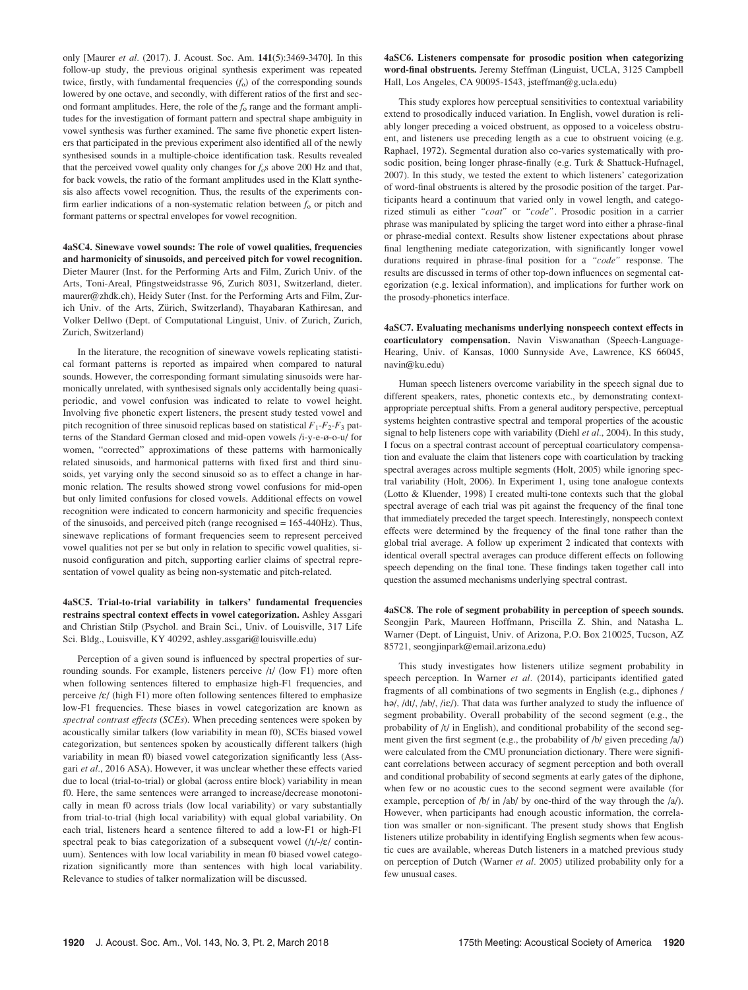only [Maurer et al. (2017). J. Acoust. Soc. Am. 141(5):3469-3470]. In this follow-up study, the previous original synthesis experiment was repeated twice, firstly, with fundamental frequencies  $(f_0)$  of the corresponding sounds lowered by one octave, and secondly, with different ratios of the first and second formant amplitudes. Here, the role of the  $f_0$  range and the formant amplitudes for the investigation of formant pattern and spectral shape ambiguity in vowel synthesis was further examined. The same five phonetic expert listeners that participated in the previous experiment also identified all of the newly synthesised sounds in a multiple-choice identification task. Results revealed that the perceived vowel quality only changes for  $f_{0}$ s above 200 Hz and that, for back vowels, the ratio of the formant amplitudes used in the Klatt synthesis also affects vowel recognition. Thus, the results of the experiments confirm earlier indications of a non-systematic relation between  $f_0$  or pitch and formant patterns or spectral envelopes for vowel recognition.

4aSC4. Sinewave vowel sounds: The role of vowel qualities, frequencies and harmonicity of sinusoids, and perceived pitch for vowel recognition. Dieter Maurer (Inst. for the Performing Arts and Film, Zurich Univ. of the Arts, Toni-Areal, Pfingstweidstrasse 96, Zurich 8031, Switzerland, dieter. maurer@zhdk.ch), Heidy Suter (Inst. for the Performing Arts and Film, Zurich Univ. of the Arts, Zürich, Switzerland), Thayabaran Kathiresan, and Volker Dellwo (Dept. of Computational Linguist, Univ. of Zurich, Zurich, Zurich, Switzerland)

In the literature, the recognition of sinewave vowels replicating statistical formant patterns is reported as impaired when compared to natural sounds. However, the corresponding formant simulating sinusoids were harmonically unrelated, with synthesised signals only accidentally being quasiperiodic, and vowel confusion was indicated to relate to vowel height. Involving five phonetic expert listeners, the present study tested vowel and pitch recognition of three sinusoid replicas based on statistical  $F_1-F_2-F_3$  patterns of the Standard German closed and mid-open vowels /i-y-e-ø-o-u/ for women, "corrected" approximations of these patterns with harmonically related sinusoids, and harmonical patterns with fixed first and third sinusoids, yet varying only the second sinusoid so as to effect a change in harmonic relation. The results showed strong vowel confusions for mid-open but only limited confusions for closed vowels. Additional effects on vowel recognition were indicated to concern harmonicity and specific frequencies of the sinusoids, and perceived pitch (range recognised = 165-440Hz). Thus, sinewave replications of formant frequencies seem to represent perceived vowel qualities not per se but only in relation to specific vowel qualities, sinusoid configuration and pitch, supporting earlier claims of spectral representation of vowel quality as being non-systematic and pitch-related.

4aSC5. Trial-to-trial variability in talkers' fundamental frequencies restrains spectral context effects in vowel categorization. Ashley Assgari and Christian Stilp (Psychol. and Brain Sci., Univ. of Louisville, 317 Life Sci. Bldg., Louisville, KY 40292, ashley.assgari@louisville.edu)

Perception of a given sound is influenced by spectral properties of surrounding sounds. For example, listeners perceive /I/ (low F1) more often when following sentences filtered to emphasize high-F1 frequencies, and perceive /E/ (high F1) more often following sentences filtered to emphasize low-F1 frequencies. These biases in vowel categorization are known as spectral contrast effects (SCEs). When preceding sentences were spoken by acoustically similar talkers (low variability in mean f0), SCEs biased vowel categorization, but sentences spoken by acoustically different talkers (high variability in mean f0) biased vowel categorization significantly less (Assgari et al., 2016 ASA). However, it was unclear whether these effects varied due to local (trial-to-trial) or global (across entire block) variability in mean f0. Here, the same sentences were arranged to increase/decrease monotonically in mean f0 across trials (low local variability) or vary substantially from trial-to-trial (high local variability) with equal global variability. On each trial, listeners heard a sentence filtered to add a low-F1 or high-F1 spectral peak to bias categorization of a subsequent vowel  $(|I| - |E|)$  continuum). Sentences with low local variability in mean f0 biased vowel categorization significantly more than sentences with high local variability. Relevance to studies of talker normalization will be discussed.

4aSC6. Listeners compensate for prosodic position when categorizing word-final obstruents. Jeremy Steffman (Linguist, UCLA, 3125 Campbell Hall, Los Angeles, CA 90095-1543, jsteffman@g.ucla.edu)

This study explores how perceptual sensitivities to contextual variability extend to prosodically induced variation. In English, vowel duration is reliably longer preceding a voiced obstruent, as opposed to a voiceless obstruent, and listeners use preceding length as a cue to obstruent voicing (e.g. Raphael, 1972). Segmental duration also co-varies systematically with prosodic position, being longer phrase-finally (e.g. Turk & Shattuck-Hufnagel, 2007). In this study, we tested the extent to which listeners' categorization of word-final obstruents is altered by the prosodic position of the target. Participants heard a continuum that varied only in vowel length, and categorized stimuli as either "coat" or "code". Prosodic position in a carrier phrase was manipulated by splicing the target word into either a phrase-final or phrase-medial context. Results show listener expectations about phrase final lengthening mediate categorization, with significantly longer vowel durations required in phrase-final position for a "code" response. The results are discussed in terms of other top-down influences on segmental categorization (e.g. lexical information), and implications for further work on the prosody-phonetics interface.

4aSC7. Evaluating mechanisms underlying nonspeech context effects in coarticulatory compensation. Navin Viswanathan (Speech-Language-Hearing, Univ. of Kansas, 1000 Sunnyside Ave, Lawrence, KS 66045, navin@ku.edu)

Human speech listeners overcome variability in the speech signal due to different speakers, rates, phonetic contexts etc., by demonstrating contextappropriate perceptual shifts. From a general auditory perspective, perceptual systems heighten contrastive spectral and temporal properties of the acoustic signal to help listeners cope with variability (Diehl et  $al$ , 2004). In this study, I focus on a spectral contrast account of perceptual coarticulatory compensation and evaluate the claim that listeners cope with coarticulation by tracking spectral averages across multiple segments (Holt, 2005) while ignoring spectral variability (Holt, 2006). In Experiment 1, using tone analogue contexts (Lotto & Kluender, 1998) I created multi-tone contexts such that the global spectral average of each trial was pit against the frequency of the final tone that immediately preceded the target speech. Interestingly, nonspeech context effects were determined by the frequency of the final tone rather than the global trial average. A follow up experiment 2 indicated that contexts with identical overall spectral averages can produce different effects on following speech depending on the final tone. These findings taken together call into question the assumed mechanisms underlying spectral contrast.

4aSC8. The role of segment probability in perception of speech sounds. Seongjin Park, Maureen Hoffmann, Priscilla Z. Shin, and Natasha L. Warner (Dept. of Linguist, Univ. of Arizona, P.O. Box 210025, Tucson, AZ 85721, seongjinpark@email.arizona.edu)

This study investigates how listeners utilize segment probability in speech perception. In Warner et al. (2014), participants identified gated fragments of all combinations of two segments in English (e.g., diphones / ha/, /dt/, /ab/, /iɛ/). That data was further analyzed to study the influence of segment probability. Overall probability of the second segment (e.g., the probability of /t/ in English), and conditional probability of the second segment given the first segment (e.g., the probability of  $/b/$  given preceding  $\langle a \rangle$ ) were calculated from the CMU pronunciation dictionary. There were significant correlations between accuracy of segment perception and both overall and conditional probability of second segments at early gates of the diphone, when few or no acoustic cues to the second segment were available (for example, perception of /b/ in /ab/ by one-third of the way through the /a/). However, when participants had enough acoustic information, the correlation was smaller or non-significant. The present study shows that English listeners utilize probability in identifying English segments when few acoustic cues are available, whereas Dutch listeners in a matched previous study on perception of Dutch (Warner et al. 2005) utilized probability only for a few unusual cases.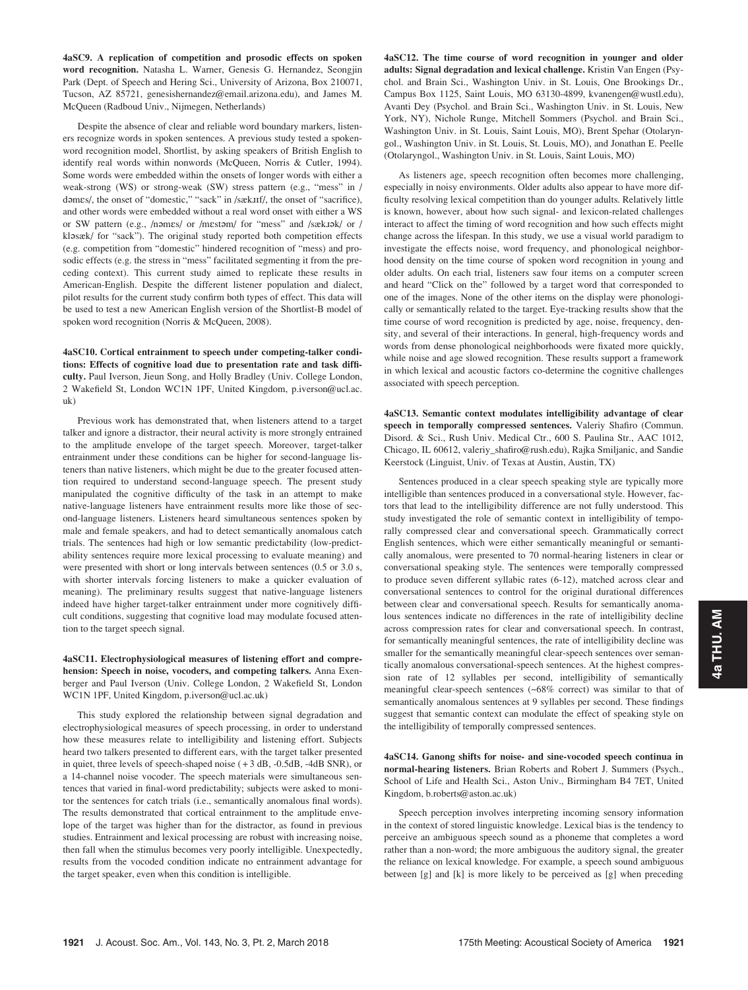4aSC9. A replication of competition and prosodic effects on spoken word recognition. Natasha L. Warner, Genesis G. Hernandez, Seongjin Park (Dept. of Speech and Hering Sci., University of Arizona, Box 210071, Tucson, AZ 85721, genesishernandez@email.arizona.edu), and James M. McQueen (Radboud Univ., Nijmegen, Netherlands)

Despite the absence of clear and reliable word boundary markers, listeners recognize words in spoken sentences. A previous study tested a spokenword recognition model, Shortlist, by asking speakers of British English to identify real words within nonwords (McQueen, Norris & Cutler, 1994). Some words were embedded within the onsets of longer words with either a weak-strong (WS) or strong-weak (SW) stress pattern (e.g., "mess" in / dəmes/, the onset of "domestic," "sack" in /sæk.IIf/, the onset of "sacrifice), and other words were embedded without a real word onset with either a WS or SW pattern (e.g., /nomes/ or /mestom/ for "mess" and /sæk.tok/ or / klasæk/ for "sack"). The original study reported both competition effects (e.g. competition from "domestic" hindered recognition of "mess) and prosodic effects (e.g. the stress in "mess" facilitated segmenting it from the preceding context). This current study aimed to replicate these results in American-English. Despite the different listener population and dialect, pilot results for the current study confirm both types of effect. This data will be used to test a new American English version of the Shortlist-B model of spoken word recognition (Norris & McQueen, 2008).

4aSC10. Cortical entrainment to speech under competing-talker conditions: Effects of cognitive load due to presentation rate and task difficulty. Paul Iverson, Jieun Song, and Holly Bradley (Univ. College London, 2 Wakefield St, London WC1N 1PF, United Kingdom, p.iverson@ucl.ac. uk)

Previous work has demonstrated that, when listeners attend to a target talker and ignore a distractor, their neural activity is more strongly entrained to the amplitude envelope of the target speech. Moreover, target-talker entrainment under these conditions can be higher for second-language listeners than native listeners, which might be due to the greater focused attention required to understand second-language speech. The present study manipulated the cognitive difficulty of the task in an attempt to make native-language listeners have entrainment results more like those of second-language listeners. Listeners heard simultaneous sentences spoken by male and female speakers, and had to detect semantically anomalous catch trials. The sentences had high or low semantic predictability (low-predictability sentences require more lexical processing to evaluate meaning) and were presented with short or long intervals between sentences (0.5 or 3.0 s, with shorter intervals forcing listeners to make a quicker evaluation of meaning). The preliminary results suggest that native-language listeners indeed have higher target-talker entrainment under more cognitively difficult conditions, suggesting that cognitive load may modulate focused attention to the target speech signal.

4aSC11. Electrophysiological measures of listening effort and comprehension: Speech in noise, vocoders, and competing talkers. Anna Exenberger and Paul Iverson (Univ. College London, 2 Wakefield St, London WC1N 1PF, United Kingdom, p.iverson@ucl.ac.uk)

This study explored the relationship between signal degradation and electrophysiological measures of speech processing, in order to understand how these measures relate to intelligibility and listening effort. Subjects heard two talkers presented to different ears, with the target talker presented in quiet, three levels of speech-shaped noise ( + 3 dB, -0.5dB, -4dB SNR), or a 14-channel noise vocoder. The speech materials were simultaneous sentences that varied in final-word predictability; subjects were asked to monitor the sentences for catch trials (i.e., semantically anomalous final words). The results demonstrated that cortical entrainment to the amplitude envelope of the target was higher than for the distractor, as found in previous studies. Entrainment and lexical processing are robust with increasing noise, then fall when the stimulus becomes very poorly intelligible. Unexpectedly, results from the vocoded condition indicate no entrainment advantage for the target speaker, even when this condition is intelligible.

4aSC12. The time course of word recognition in younger and older adults: Signal degradation and lexical challenge. Kristin Van Engen (Psychol. and Brain Sci., Washington Univ. in St. Louis, One Brookings Dr., Campus Box 1125, Saint Louis, MO 63130-4899, kvanengen@wustl.edu), Avanti Dey (Psychol. and Brain Sci., Washington Univ. in St. Louis, New York, NY), Nichole Runge, Mitchell Sommers (Psychol. and Brain Sci., Washington Univ. in St. Louis, Saint Louis, MO), Brent Spehar (Otolaryngol., Washington Univ. in St. Louis, St. Louis, MO), and Jonathan E. Peelle (Otolaryngol., Washington Univ. in St. Louis, Saint Louis, MO)

As listeners age, speech recognition often becomes more challenging, especially in noisy environments. Older adults also appear to have more difficulty resolving lexical competition than do younger adults. Relatively little is known, however, about how such signal- and lexicon-related challenges interact to affect the timing of word recognition and how such effects might change across the lifespan. In this study, we use a visual world paradigm to investigate the effects noise, word frequency, and phonological neighborhood density on the time course of spoken word recognition in young and older adults. On each trial, listeners saw four items on a computer screen and heard "Click on the" followed by a target word that corresponded to one of the images. None of the other items on the display were phonologically or semantically related to the target. Eye-tracking results show that the time course of word recognition is predicted by age, noise, frequency, density, and several of their interactions. In general, high-frequency words and words from dense phonological neighborhoods were fixated more quickly, while noise and age slowed recognition. These results support a framework in which lexical and acoustic factors co-determine the cognitive challenges associated with speech perception.

4aSC13. Semantic context modulates intelligibility advantage of clear speech in temporally compressed sentences. Valeriy Shafiro (Commun. Disord. & Sci., Rush Univ. Medical Ctr., 600 S. Paulina Str., AAC 1012, Chicago, IL 60612, valeriy\_shafiro@rush.edu), Rajka Smiljanic, and Sandie Keerstock (Linguist, Univ. of Texas at Austin, Austin, TX)

Sentences produced in a clear speech speaking style are typically more intelligible than sentences produced in a conversational style. However, factors that lead to the intelligibility difference are not fully understood. This study investigated the role of semantic context in intelligibility of temporally compressed clear and conversational speech. Grammatically correct English sentences, which were either semantically meaningful or semantically anomalous, were presented to 70 normal-hearing listeners in clear or conversational speaking style. The sentences were temporally compressed to produce seven different syllabic rates (6-12), matched across clear and conversational sentences to control for the original durational differences between clear and conversational speech. Results for semantically anomalous sentences indicate no differences in the rate of intelligibility decline across compression rates for clear and conversational speech. In contrast, for semantically meaningful sentences, the rate of intelligibility decline was smaller for the semantically meaningful clear-speech sentences over semantically anomalous conversational-speech sentences. At the highest compression rate of 12 syllables per second, intelligibility of semantically meaningful clear-speech sentences (~68% correct) was similar to that of semantically anomalous sentences at 9 syllables per second. These findings suggest that semantic context can modulate the effect of speaking style on the intelligibility of temporally compressed sentences.

4aSC14. Ganong shifts for noise- and sine-vocoded speech continua in normal-hearing listeners. Brian Roberts and Robert J. Summers (Psych., School of Life and Health Sci., Aston Univ., Birmingham B4 7ET, United Kingdom, b.roberts@aston.ac.uk)

Speech perception involves interpreting incoming sensory information in the context of stored linguistic knowledge. Lexical bias is the tendency to perceive an ambiguous speech sound as a phoneme that completes a word rather than a non-word; the more ambiguous the auditory signal, the greater the reliance on lexical knowledge. For example, a speech sound ambiguous between [g] and [k] is more likely to be perceived as [g] when preceding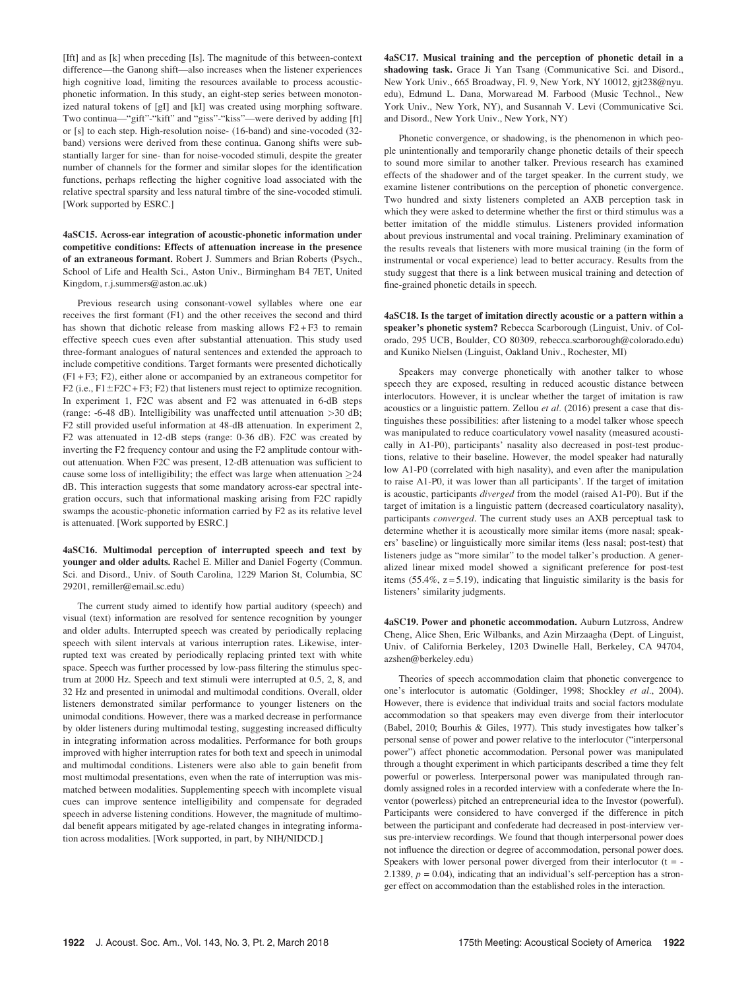[Ift] and as [k] when preceding [Is]. The magnitude of this between-context difference—the Ganong shift—also increases when the listener experiences high cognitive load, limiting the resources available to process acousticphonetic information. In this study, an eight-step series between monotonized natural tokens of [gI] and [kI] was created using morphing software. Two continua—"gift"-"kift" and "giss"-"kiss"—were derived by adding [ft] or [s] to each step. High-resolution noise- (16-band) and sine-vocoded (32 band) versions were derived from these continua. Ganong shifts were substantially larger for sine- than for noise-vocoded stimuli, despite the greater number of channels for the former and similar slopes for the identification functions, perhaps reflecting the higher cognitive load associated with the relative spectral sparsity and less natural timbre of the sine-vocoded stimuli. [Work supported by ESRC.]

4aSC15. Across-ear integration of acoustic-phonetic information under competitive conditions: Effects of attenuation increase in the presence of an extraneous formant. Robert J. Summers and Brian Roberts (Psych., School of Life and Health Sci., Aston Univ., Birmingham B4 7ET, United Kingdom, r.j.summers@aston.ac.uk)

Previous research using consonant-vowel syllables where one ear receives the first formant (F1) and the other receives the second and third has shown that dichotic release from masking allows  $F2 + F3$  to remain effective speech cues even after substantial attenuation. This study used three-formant analogues of natural sentences and extended the approach to include competitive conditions. Target formants were presented dichotically (F1 + F3; F2), either alone or accompanied by an extraneous competitor for F2 (i.e.,  $F1 \pm F2C + F3$ ; F2) that listeners must reject to optimize recognition. In experiment 1, F2C was absent and F2 was attenuated in 6-dB steps (range: -6-48 dB). Intelligibility was unaffected until attenuation >30 dB; F2 still provided useful information at 48-dB attenuation. In experiment 2, F2 was attenuated in 12-dB steps (range: 0-36 dB). F2C was created by inverting the F2 frequency contour and using the F2 amplitude contour without attenuation. When F2C was present, 12-dB attenuation was sufficient to cause some loss of intelligibility; the effect was large when attenuation  $\geq$ 24 dB. This interaction suggests that some mandatory across-ear spectral integration occurs, such that informational masking arising from F2C rapidly swamps the acoustic-phonetic information carried by F2 as its relative level is attenuated. [Work supported by ESRC.]

4aSC16. Multimodal perception of interrupted speech and text by younger and older adults. Rachel E. Miller and Daniel Fogerty (Commun. Sci. and Disord., Univ. of South Carolina, 1229 Marion St, Columbia, SC 29201, remiller@email.sc.edu)

The current study aimed to identify how partial auditory (speech) and visual (text) information are resolved for sentence recognition by younger and older adults. Interrupted speech was created by periodically replacing speech with silent intervals at various interruption rates. Likewise, interrupted text was created by periodically replacing printed text with white space. Speech was further processed by low-pass filtering the stimulus spectrum at 2000 Hz. Speech and text stimuli were interrupted at 0.5, 2, 8, and 32 Hz and presented in unimodal and multimodal conditions. Overall, older listeners demonstrated similar performance to younger listeners on the unimodal conditions. However, there was a marked decrease in performance by older listeners during multimodal testing, suggesting increased difficulty in integrating information across modalities. Performance for both groups improved with higher interruption rates for both text and speech in unimodal and multimodal conditions. Listeners were also able to gain benefit from most multimodal presentations, even when the rate of interruption was mismatched between modalities. Supplementing speech with incomplete visual cues can improve sentence intelligibility and compensate for degraded speech in adverse listening conditions. However, the magnitude of multimodal benefit appears mitigated by age-related changes in integrating information across modalities. [Work supported, in part, by NIH/NIDCD.]

4aSC17. Musical training and the perception of phonetic detail in a shadowing task. Grace Ji Yan Tsang (Communicative Sci. and Disord., New York Univ., 665 Broadway, Fl. 9, New York, NY 10012, gjt238@nyu. edu), Edmund L. Dana, Morwaread M. Farbood (Music Technol., New York Univ., New York, NY), and Susannah V. Levi (Communicative Sci. and Disord., New York Univ., New York, NY)

Phonetic convergence, or shadowing, is the phenomenon in which people unintentionally and temporarily change phonetic details of their speech to sound more similar to another talker. Previous research has examined effects of the shadower and of the target speaker. In the current study, we examine listener contributions on the perception of phonetic convergence. Two hundred and sixty listeners completed an AXB perception task in which they were asked to determine whether the first or third stimulus was a better imitation of the middle stimulus. Listeners provided information about previous instrumental and vocal training. Preliminary examination of the results reveals that listeners with more musical training (in the form of instrumental or vocal experience) lead to better accuracy. Results from the study suggest that there is a link between musical training and detection of fine-grained phonetic details in speech.

4aSC18. Is the target of imitation directly acoustic or a pattern within a speaker's phonetic system? Rebecca Scarborough (Linguist, Univ. of Colorado, 295 UCB, Boulder, CO 80309, rebecca.scarborough@colorado.edu) and Kuniko Nielsen (Linguist, Oakland Univ., Rochester, MI)

Speakers may converge phonetically with another talker to whose speech they are exposed, resulting in reduced acoustic distance between interlocutors. However, it is unclear whether the target of imitation is raw acoustics or a linguistic pattern. Zellou et al. (2016) present a case that distinguishes these possibilities: after listening to a model talker whose speech was manipulated to reduce coarticulatory vowel nasality (measured acoustically in A1-P0), participants' nasality also decreased in post-test productions, relative to their baseline. However, the model speaker had naturally low A1-P0 (correlated with high nasality), and even after the manipulation to raise A1-P0, it was lower than all participants'. If the target of imitation is acoustic, participants diverged from the model (raised A1-P0). But if the target of imitation is a linguistic pattern (decreased coarticulatory nasality), participants converged. The current study uses an AXB perceptual task to determine whether it is acoustically more similar items (more nasal; speakers' baseline) or linguistically more similar items (less nasal; post-test) that listeners judge as "more similar" to the model talker's production. A generalized linear mixed model showed a significant preference for post-test items  $(55.4\%, z = 5.19)$ , indicating that linguistic similarity is the basis for listeners' similarity judgments.

4aSC19. Power and phonetic accommodation. Auburn Lutzross, Andrew Cheng, Alice Shen, Eric Wilbanks, and Azin Mirzaagha (Dept. of Linguist, Univ. of California Berkeley, 1203 Dwinelle Hall, Berkeley, CA 94704, azshen@berkeley.edu)

Theories of speech accommodation claim that phonetic convergence to one's interlocutor is automatic (Goldinger, 1998; Shockley et al., 2004). However, there is evidence that individual traits and social factors modulate accommodation so that speakers may even diverge from their interlocutor (Babel, 2010; Bourhis & Giles, 1977). This study investigates how talker's personal sense of power and power relative to the interlocutor ("interpersonal power") affect phonetic accommodation. Personal power was manipulated through a thought experiment in which participants described a time they felt powerful or powerless. Interpersonal power was manipulated through randomly assigned roles in a recorded interview with a confederate where the Inventor (powerless) pitched an entrepreneurial idea to the Investor (powerful). Participants were considered to have converged if the difference in pitch between the participant and confederate had decreased in post-interview versus pre-interview recordings. We found that though interpersonal power does not influence the direction or degree of accommodation, personal power does. Speakers with lower personal power diverged from their interlocutor  $(t = -1)$ 2.1389,  $p = 0.04$ ), indicating that an individual's self-perception has a stronger effect on accommodation than the established roles in the interaction.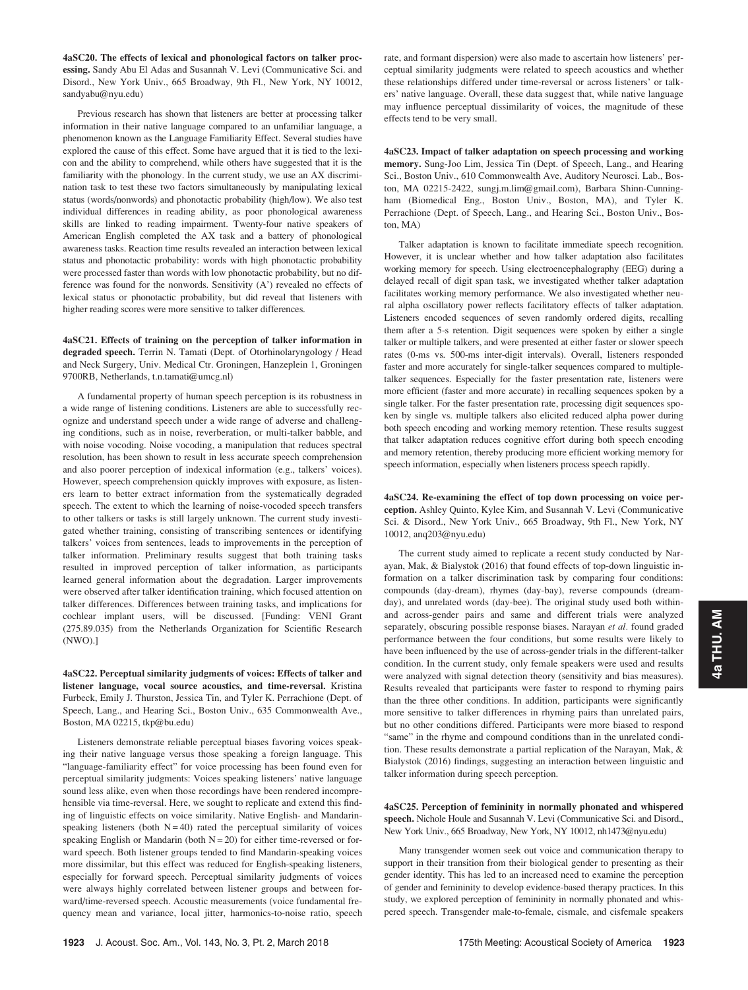4aSC20. The effects of lexical and phonological factors on talker processing. Sandy Abu El Adas and Susannah V. Levi (Communicative Sci. and Disord., New York Univ., 665 Broadway, 9th Fl., New York, NY 10012, sandyabu@nyu.edu)

Previous research has shown that listeners are better at processing talker information in their native language compared to an unfamiliar language, a phenomenon known as the Language Familiarity Effect. Several studies have explored the cause of this effect. Some have argued that it is tied to the lexicon and the ability to comprehend, while others have suggested that it is the familiarity with the phonology. In the current study, we use an AX discrimination task to test these two factors simultaneously by manipulating lexical status (words/nonwords) and phonotactic probability (high/low). We also test individual differences in reading ability, as poor phonological awareness skills are linked to reading impairment. Twenty-four native speakers of American English completed the AX task and a battery of phonological awareness tasks. Reaction time results revealed an interaction between lexical status and phonotactic probability: words with high phonotactic probability were processed faster than words with low phonotactic probability, but no difference was found for the nonwords. Sensitivity (A') revealed no effects of lexical status or phonotactic probability, but did reveal that listeners with higher reading scores were more sensitive to talker differences.

4aSC21. Effects of training on the perception of talker information in degraded speech. Terrin N. Tamati (Dept. of Otorhinolaryngology / Head and Neck Surgery, Univ. Medical Ctr. Groningen, Hanzeplein 1, Groningen 9700RB, Netherlands, t.n.tamati@umcg.nl)

A fundamental property of human speech perception is its robustness in a wide range of listening conditions. Listeners are able to successfully recognize and understand speech under a wide range of adverse and challenging conditions, such as in noise, reverberation, or multi-talker babble, and with noise vocoding. Noise vocoding, a manipulation that reduces spectral resolution, has been shown to result in less accurate speech comprehension and also poorer perception of indexical information (e.g., talkers' voices). However, speech comprehension quickly improves with exposure, as listeners learn to better extract information from the systematically degraded speech. The extent to which the learning of noise-vocoded speech transfers to other talkers or tasks is still largely unknown. The current study investigated whether training, consisting of transcribing sentences or identifying talkers' voices from sentences, leads to improvements in the perception of talker information. Preliminary results suggest that both training tasks resulted in improved perception of talker information, as participants learned general information about the degradation. Larger improvements were observed after talker identification training, which focused attention on talker differences. Differences between training tasks, and implications for cochlear implant users, will be discussed. [Funding: VENI Grant (275.89.035) from the Netherlands Organization for Scientific Research (NWO).]

4aSC22. Perceptual similarity judgments of voices: Effects of talker and listener language, vocal source acoustics, and time-reversal. Kristina Furbeck, Emily J. Thurston, Jessica Tin, and Tyler K. Perrachione (Dept. of Speech, Lang., and Hearing Sci., Boston Univ., 635 Commonwealth Ave., Boston, MA 02215, tkp@bu.edu)

Listeners demonstrate reliable perceptual biases favoring voices speaking their native language versus those speaking a foreign language. This "language-familiarity effect" for voice processing has been found even for perceptual similarity judgments: Voices speaking listeners' native language sound less alike, even when those recordings have been rendered incomprehensible via time-reversal. Here, we sought to replicate and extend this finding of linguistic effects on voice similarity. Native English- and Mandarinspeaking listeners (both  $N = 40$ ) rated the perceptual similarity of voices speaking English or Mandarin (both  $N = 20$ ) for either time-reversed or forward speech. Both listener groups tended to find Mandarin-speaking voices more dissimilar, but this effect was reduced for English-speaking listeners, especially for forward speech. Perceptual similarity judgments of voices were always highly correlated between listener groups and between forward/time-reversed speech. Acoustic measurements (voice fundamental frequency mean and variance, local jitter, harmonics-to-noise ratio, speech rate, and formant dispersion) were also made to ascertain how listeners' perceptual similarity judgments were related to speech acoustics and whether these relationships differed under time-reversal or across listeners' or talkers' native language. Overall, these data suggest that, while native language may influence perceptual dissimilarity of voices, the magnitude of these effects tend to be very small.

4aSC23. Impact of talker adaptation on speech processing and working memory. Sung-Joo Lim, Jessica Tin (Dept. of Speech, Lang., and Hearing Sci., Boston Univ., 610 Commonwealth Ave, Auditory Neurosci. Lab., Boston, MA 02215-2422, sungj.m.lim@gmail.com), Barbara Shinn-Cunningham (Biomedical Eng., Boston Univ., Boston, MA), and Tyler K. Perrachione (Dept. of Speech, Lang., and Hearing Sci., Boston Univ., Boston, MA)

Talker adaptation is known to facilitate immediate speech recognition. However, it is unclear whether and how talker adaptation also facilitates working memory for speech. Using electroencephalography (EEG) during a delayed recall of digit span task, we investigated whether talker adaptation facilitates working memory performance. We also investigated whether neural alpha oscillatory power reflects facilitatory effects of talker adaptation. Listeners encoded sequences of seven randomly ordered digits, recalling them after a 5-s retention. Digit sequences were spoken by either a single talker or multiple talkers, and were presented at either faster or slower speech rates (0-ms vs. 500-ms inter-digit intervals). Overall, listeners responded faster and more accurately for single-talker sequences compared to multipletalker sequences. Especially for the faster presentation rate, listeners were more efficient (faster and more accurate) in recalling sequences spoken by a single talker. For the faster presentation rate, processing digit sequences spoken by single vs. multiple talkers also elicited reduced alpha power during both speech encoding and working memory retention. These results suggest that talker adaptation reduces cognitive effort during both speech encoding and memory retention, thereby producing more efficient working memory for speech information, especially when listeners process speech rapidly.

4aSC24. Re-examining the effect of top down processing on voice perception. Ashley Quinto, Kylee Kim, and Susannah V. Levi (Communicative Sci. & Disord., New York Univ., 665 Broadway, 9th Fl., New York, NY 10012, anq203@nyu.edu)

The current study aimed to replicate a recent study conducted by Narayan, Mak, & Bialystok (2016) that found effects of top-down linguistic information on a talker discrimination task by comparing four conditions: compounds (day-dream), rhymes (day-bay), reverse compounds (dreamday), and unrelated words (day-bee). The original study used both withinand across-gender pairs and same and different trials were analyzed separately, obscuring possible response biases. Narayan et al. found graded performance between the four conditions, but some results were likely to have been influenced by the use of across-gender trials in the different-talker condition. In the current study, only female speakers were used and results were analyzed with signal detection theory (sensitivity and bias measures). Results revealed that participants were faster to respond to rhyming pairs than the three other conditions. In addition, participants were significantly more sensitive to talker differences in rhyming pairs than unrelated pairs, but no other conditions differed. Participants were more biased to respond "same" in the rhyme and compound conditions than in the unrelated condition. These results demonstrate a partial replication of the Narayan, Mak, & Bialystok (2016) findings, suggesting an interaction between linguistic and talker information during speech perception.

4aSC25. Perception of femininity in normally phonated and whispered speech. Nichole Houle and Susannah V. Levi (Communicative Sci. and Disord., New York Univ., 665 Broadway, New York, NY 10012, nh1473@nyu.edu)

Many transgender women seek out voice and communication therapy to support in their transition from their biological gender to presenting as their gender identity. This has led to an increased need to examine the perception of gender and femininity to develop evidence-based therapy practices. In this study, we explored perception of femininity in normally phonated and whispered speech. Transgender male-to-female, cismale, and cisfemale speakers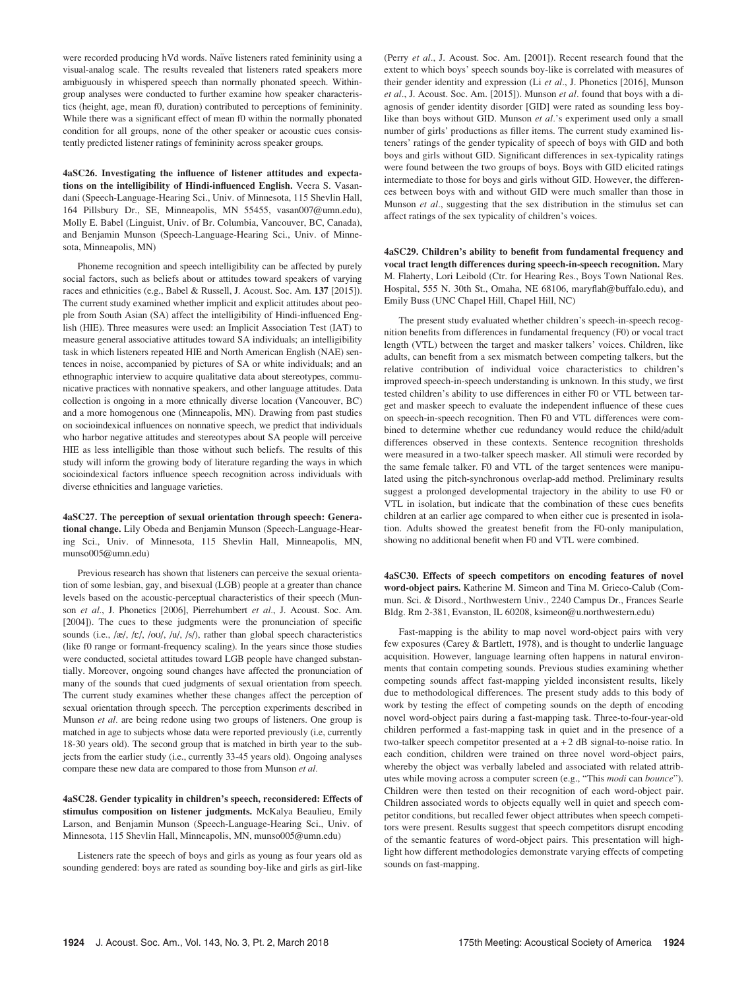were recorded producing hVd words. Naïve listeners rated femininity using a visual-analog scale. The results revealed that listeners rated speakers more ambiguously in whispered speech than normally phonated speech. Withingroup analyses were conducted to further examine how speaker characteristics (height, age, mean f0, duration) contributed to perceptions of femininity. While there was a significant effect of mean f0 within the normally phonated condition for all groups, none of the other speaker or acoustic cues consistently predicted listener ratings of femininity across speaker groups.

4aSC26. Investigating the influence of listener attitudes and expectations on the intelligibility of Hindi-influenced English. Veera S. Vasandani (Speech-Language-Hearing Sci., Univ. of Minnesota, 115 Shevlin Hall, 164 Pillsbury Dr., SE, Minneapolis, MN 55455, vasan007@umn.edu), Molly E. Babel (Linguist, Univ. of Br. Columbia, Vancouver, BC, Canada), and Benjamin Munson (Speech-Language-Hearing Sci., Univ. of Minnesota, Minneapolis, MN)

Phoneme recognition and speech intelligibility can be affected by purely social factors, such as beliefs about or attitudes toward speakers of varying races and ethnicities (e.g., Babel & Russell, J. Acoust. Soc. Am. 137 [2015]). The current study examined whether implicit and explicit attitudes about people from South Asian (SA) affect the intelligibility of Hindi-influenced English (HIE). Three measures were used: an Implicit Association Test (IAT) to measure general associative attitudes toward SA individuals; an intelligibility task in which listeners repeated HIE and North American English (NAE) sentences in noise, accompanied by pictures of SA or white individuals; and an ethnographic interview to acquire qualitative data about stereotypes, communicative practices with nonnative speakers, and other language attitudes. Data collection is ongoing in a more ethnically diverse location (Vancouver, BC) and a more homogenous one (Minneapolis, MN). Drawing from past studies on socioindexical influences on nonnative speech, we predict that individuals who harbor negative attitudes and stereotypes about SA people will perceive HIE as less intelligible than those without such beliefs. The results of this study will inform the growing body of literature regarding the ways in which socioindexical factors influence speech recognition across individuals with diverse ethnicities and language varieties.

4aSC27. The perception of sexual orientation through speech: Generational change. Lily Obeda and Benjamin Munson (Speech-Language-Hearing Sci., Univ. of Minnesota, 115 Shevlin Hall, Minneapolis, MN, munso005@umn.edu)

Previous research has shown that listeners can perceive the sexual orientation of some lesbian, gay, and bisexual (LGB) people at a greater than chance levels based on the acoustic-perceptual characteristics of their speech (Munson et al., J. Phonetics [2006], Pierrehumbert et al., J. Acoust. Soc. Am. [2004]). The cues to these judgments were the pronunciation of specific sounds (i.e., /æ/, / $\varepsilon$ /, /ou/, /u/, /s/), rather than global speech characteristics (like f0 range or formant-frequency scaling). In the years since those studies were conducted, societal attitudes toward LGB people have changed substantially. Moreover, ongoing sound changes have affected the pronunciation of many of the sounds that cued judgments of sexual orientation from speech. The current study examines whether these changes affect the perception of sexual orientation through speech. The perception experiments described in Munson et al. are being redone using two groups of listeners. One group is matched in age to subjects whose data were reported previously (i.e, currently 18-30 years old). The second group that is matched in birth year to the subjects from the earlier study (i.e., currently 33-45 years old). Ongoing analyses compare these new data are compared to those from Munson et al.

4aSC28. Gender typicality in children's speech, reconsidered: Effects of stimulus composition on listener judgments. McKalya Beaulieu, Emily Larson, and Benjamin Munson (Speech-Language-Hearing Sci., Univ. of Minnesota, 115 Shevlin Hall, Minneapolis, MN, munso005@umn.edu)

Listeners rate the speech of boys and girls as young as four years old as sounding gendered: boys are rated as sounding boy-like and girls as girl-like (Perry et al., J. Acoust. Soc. Am. [2001]). Recent research found that the extent to which boys' speech sounds boy-like is correlated with measures of their gender identity and expression (Li et al., J. Phonetics [2016], Munson et al., J. Acoust. Soc. Am. [2015]). Munson et al. found that boys with a diagnosis of gender identity disorder [GID] were rated as sounding less boylike than boys without GID. Munson et al.'s experiment used only a small number of girls' productions as filler items. The current study examined listeners' ratings of the gender typicality of speech of boys with GID and both boys and girls without GID. Significant differences in sex-typicality ratings were found between the two groups of boys. Boys with GID elicited ratings intermediate to those for boys and girls without GID. However, the differences between boys with and without GID were much smaller than those in Munson et al., suggesting that the sex distribution in the stimulus set can affect ratings of the sex typicality of children's voices.

4aSC29. Children's ability to benefit from fundamental frequency and vocal tract length differences during speech-in-speech recognition. Mary M. Flaherty, Lori Leibold (Ctr. for Hearing Res., Boys Town National Res. Hospital, 555 N. 30th St., Omaha, NE 68106, maryflah@buffalo.edu), and Emily Buss (UNC Chapel Hill, Chapel Hill, NC)

The present study evaluated whether children's speech-in-speech recognition benefits from differences in fundamental frequency (F0) or vocal tract length (VTL) between the target and masker talkers' voices. Children, like adults, can benefit from a sex mismatch between competing talkers, but the relative contribution of individual voice characteristics to children's improved speech-in-speech understanding is unknown. In this study, we first tested children's ability to use differences in either F0 or VTL between target and masker speech to evaluate the independent influence of these cues on speech-in-speech recognition. Then F0 and VTL differences were combined to determine whether cue redundancy would reduce the child/adult differences observed in these contexts. Sentence recognition thresholds were measured in a two-talker speech masker. All stimuli were recorded by the same female talker. F0 and VTL of the target sentences were manipulated using the pitch-synchronous overlap-add method. Preliminary results suggest a prolonged developmental trajectory in the ability to use F0 or VTL in isolation, but indicate that the combination of these cues benefits children at an earlier age compared to when either cue is presented in isolation. Adults showed the greatest benefit from the F0-only manipulation, showing no additional benefit when F0 and VTL were combined.

4aSC30. Effects of speech competitors on encoding features of novel word-object pairs. Katherine M. Simeon and Tina M. Grieco-Calub (Commun. Sci. & Disord., Northwestern Univ., 2240 Campus Dr., Frances Searle Bldg. Rm 2-381, Evanston, IL 60208, ksimeon@u.northwestern.edu)

Fast-mapping is the ability to map novel word-object pairs with very few exposures (Carey & Bartlett, 1978), and is thought to underlie language acquisition. However, language learning often happens in natural environments that contain competing sounds. Previous studies examining whether competing sounds affect fast-mapping yielded inconsistent results, likely due to methodological differences. The present study adds to this body of work by testing the effect of competing sounds on the depth of encoding novel word-object pairs during a fast-mapping task. Three-to-four-year-old children performed a fast-mapping task in quiet and in the presence of a two-talker speech competitor presented at  $a + 2$  dB signal-to-noise ratio. In each condition, children were trained on three novel word-object pairs, whereby the object was verbally labeled and associated with related attributes while moving across a computer screen (e.g., "This modi can bounce"). Children were then tested on their recognition of each word-object pair. Children associated words to objects equally well in quiet and speech competitor conditions, but recalled fewer object attributes when speech competitors were present. Results suggest that speech competitors disrupt encoding of the semantic features of word-object pairs. This presentation will highlight how different methodologies demonstrate varying effects of competing sounds on fast-mapping.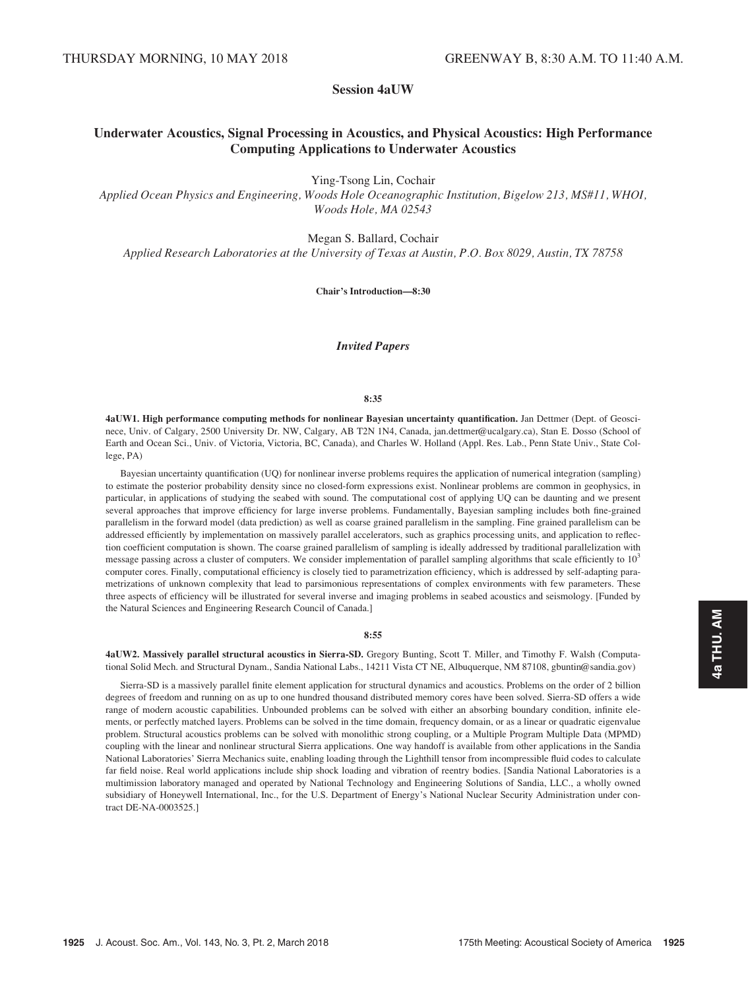Session 4aUW

# Underwater Acoustics, Signal Processing in Acoustics, and Physical Acoustics: High Performance Computing Applications to Underwater Acoustics

Ying-Tsong Lin, Cochair

Applied Ocean Physics and Engineering, Woods Hole Oceanographic Institution, Bigelow 213, MS#11, WHOI, Woods Hole, MA 02543

Megan S. Ballard, Cochair

Applied Research Laboratories at the University of Texas at Austin, P.O. Box 8029, Austin, TX 78758

Chair's Introduction—8:30

# Invited Papers

# 8:35

4aUW1. High performance computing methods for nonlinear Bayesian uncertainty quantification. Jan Dettmer (Dept. of Geoscinece, Univ. of Calgary, 2500 University Dr. NW, Calgary, AB T2N 1N4, Canada, jan.dettmer@ucalgary.ca), Stan E. Dosso (School of Earth and Ocean Sci., Univ. of Victoria, Victoria, BC, Canada), and Charles W. Holland (Appl. Res. Lab., Penn State Univ., State College, PA)

Bayesian uncertainty quantification (UQ) for nonlinear inverse problems requires the application of numerical integration (sampling) to estimate the posterior probability density since no closed-form expressions exist. Nonlinear problems are common in geophysics, in particular, in applications of studying the seabed with sound. The computational cost of applying UQ can be daunting and we present several approaches that improve efficiency for large inverse problems. Fundamentally, Bayesian sampling includes both fine-grained parallelism in the forward model (data prediction) as well as coarse grained parallelism in the sampling. Fine grained parallelism can be addressed efficiently by implementation on massively parallel accelerators, such as graphics processing units, and application to reflection coefficient computation is shown. The coarse grained parallelism of sampling is ideally addressed by traditional parallelization with message passing across a cluster of computers. We consider implementation of parallel sampling algorithms that scale efficiently to  $10<sup>3</sup>$ computer cores. Finally, computational efficiency is closely tied to parametrization efficiency, which is addressed by self-adapting parametrizations of unknown complexity that lead to parsimonious representations of complex environments with few parameters. These three aspects of efficiency will be illustrated for several inverse and imaging problems in seabed acoustics and seismology. [Funded by the Natural Sciences and Engineering Research Council of Canada.]

#### 8:55

4aUW2. Massively parallel structural acoustics in Sierra-SD. Gregory Bunting, Scott T. Miller, and Timothy F. Walsh (Computational Solid Mech. and Structural Dynam., Sandia National Labs., 14211 Vista CT NE, Albuquerque, NM 87108, gbuntin@sandia.gov)

Sierra-SD is a massively parallel finite element application for structural dynamics and acoustics. Problems on the order of 2 billion degrees of freedom and running on as up to one hundred thousand distributed memory cores have been solved. Sierra-SD offers a wide range of modern acoustic capabilities. Unbounded problems can be solved with either an absorbing boundary condition, infinite elements, or perfectly matched layers. Problems can be solved in the time domain, frequency domain, or as a linear or quadratic eigenvalue problem. Structural acoustics problems can be solved with monolithic strong coupling, or a Multiple Program Multiple Data (MPMD) coupling with the linear and nonlinear structural Sierra applications. One way handoff is available from other applications in the Sandia National Laboratories' Sierra Mechanics suite, enabling loading through the Lighthill tensor from incompressible fluid codes to calculate far field noise. Real world applications include ship shock loading and vibration of reentry bodies. [Sandia National Laboratories is a multimission laboratory managed and operated by National Technology and Engineering Solutions of Sandia, LLC., a wholly owned subsidiary of Honeywell International, Inc., for the U.S. Department of Energy's National Nuclear Security Administration under contract DE-NA-0003525.]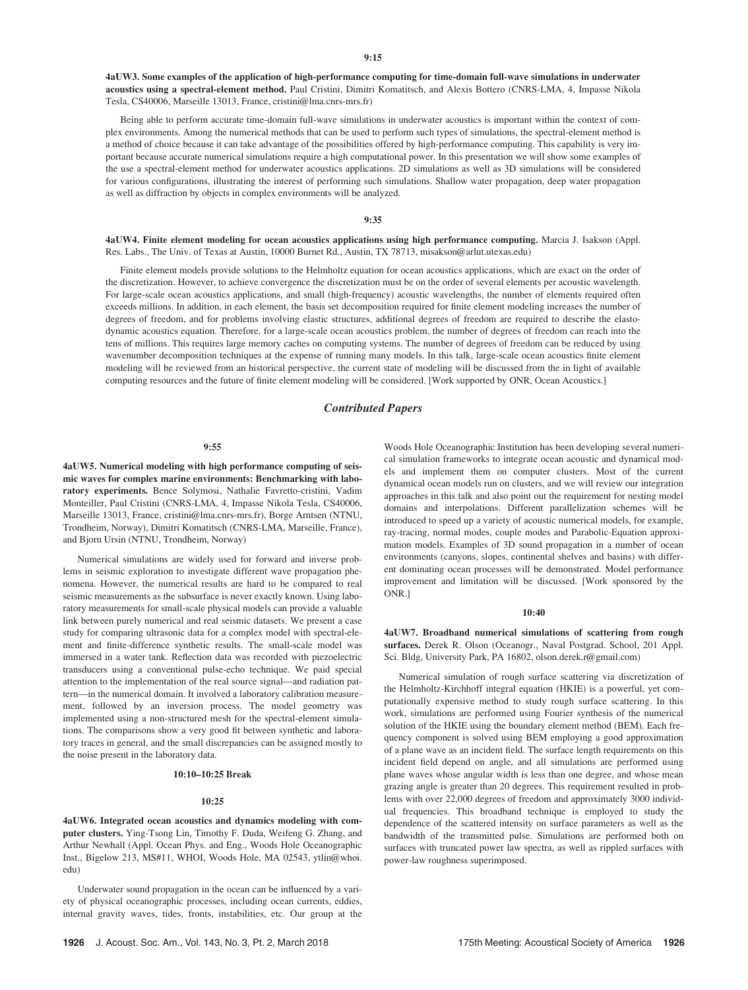4aUW3. Some examples of the application of high-performance computing for time-domain full-wave simulations in underwater acoustics using a spectral-element method. Paul Cristini, Dimitri Komatitsch, and Alexis Bottero (CNRS-LMA, 4, Impasse Nikola Tesla, CS40006, Marseille 13013, France, cristini@lma.cnrs-mrs.fr)

Being able to perform accurate time-domain full-wave simulations in underwater acoustics is important within the context of complex environments. Among the numerical methods that can be used to perform such types of simulations, the spectral-element method is a method of choice because it can take advantage of the possibilities offered by high-performance computing. This capability is very important because accurate numerical simulations require a high computational power. In this presentation we will show some examples of the use a spectral-element method for underwater acoustics applications. 2D simulations as well as 3D simulations will be considered for various configurations, illustrating the interest of performing such simulations. Shallow water propagation, deep water propagation as well as diffraction by objects in complex environments will be analyzed.

# 9:35

4aUW4. Finite element modeling for ocean acoustics applications using high performance computing. Marcia J. Isakson (Appl. Res. Labs., The Univ. of Texas at Austin, 10000 Burnet Rd., Austin, TX 78713, misakson@arlut.utexas.edu)

Finite element models provide solutions to the Helmholtz equation for ocean acoustics applications, which are exact on the order of the discretization. However, to achieve convergence the discretization must be on the order of several elements per acoustic wavelength. For large-scale ocean acoustics applications, and small (high-frequency) acoustic wavelengths, the number of elements required often exceeds millions. In addition, in each element, the basis set decomposition required for finite element modeling increases the number of degrees of freedom, and for problems involving elastic structures, additional degrees of freedom are required to describe the elastodynamic acoustics equation. Therefore, for a large-scale ocean acoustics problem, the number of degrees of freedom can reach into the tens of millions. This requires large memory caches on computing systems. The number of degrees of freedom can be reduced by using wavenumber decomposition techniques at the expense of running many models. In this talk, large-scale ocean acoustics finite element modeling will be reviewed from an historical perspective, the current state of modeling will be discussed from the in light of available computing resources and the future of finite element modeling will be considered. [Work supported by ONR, Ocean Acoustics.]

# Contributed Papers

#### 9:55

4aUW5. Numerical modeling with high performance computing of seismic waves for complex marine environments: Benchmarking with laboratory experiments. Bence Solymosi, Nathalie Favretto-cristini, Vadim Monteiller, Paul Cristini (CNRS-LMA, 4, Impasse Nikola Tesla, CS40006, Marseille 13013, France, cristini@lma.cnrs-mrs.fr), Borge Arntsen (NTNU, Trondheim, Norway), Dimitri Komatitsch (CNRS-LMA, Marseille, France), and Bjorn Ursin (NTNU, Trondheim, Norway)

Numerical simulations are widely used for forward and inverse problems in seismic exploration to investigate different wave propagation phenomena. However, the numerical results are hard to be compared to real seismic measurements as the subsurface is never exactly known. Using laboratory measurements for small-scale physical models can provide a valuable link between purely numerical and real seismic datasets. We present a case study for comparing ultrasonic data for a complex model with spectral-element and finite-difference synthetic results. The small-scale model was immersed in a water tank. Reflection data was recorded with piezoelectric transducers using a conventional pulse-echo technique. We paid special attention to the implementation of the real source signal—and radiation pattern—in the numerical domain. It involved a laboratory calibration measurement, followed by an inversion process. The model geometry was implemented using a non-structured mesh for the spectral-element simulations. The comparisons show a very good fit between synthetic and laboratory traces in general, and the small discrepancies can be assigned mostly to the noise present in the laboratory data.

## 10:10–10:25 Break

## 10:25

4aUW6. Integrated ocean acoustics and dynamics modeling with computer clusters. Ying-Tsong Lin, Timothy F. Duda, Weifeng G. Zhang, and Arthur Newhall (Appl. Ocean Phys. and Eng., Woods Hole Oceanographic Inst., Bigelow 213, MS#11, WHOI, Woods Hole, MA 02543, ytlin@whoi. edu)

Underwater sound propagation in the ocean can be influenced by a variety of physical oceanographic processes, including ocean currents, eddies, internal gravity waves, tides, fronts, instabilities, etc. Our group at the Woods Hole Oceanographic Institution has been developing several numerical simulation frameworks to integrate ocean acoustic and dynamical models and implement them on computer clusters. Most of the current dynamical ocean models run on clusters, and we will review our integration approaches in this talk and also point out the requirement for nesting model domains and interpolations. Different parallelization schemes will be introduced to speed up a variety of acoustic numerical models, for example, ray-tracing, normal modes, couple modes and Parabolic-Equation approximation models. Examples of 3D sound propagation in a number of ocean environments (canyons, slopes, continental shelves and basins) with different dominating ocean processes will be demonstrated. Model performance improvement and limitation will be discussed. [Work sponsored by the ONR.]

#### 10:40

4aUW7. Broadband numerical simulations of scattering from rough surfaces. Derek R. Olson (Oceanogr., Naval Postgrad. School, 201 Appl. Sci. Bldg, University Park, PA 16802, olson.derek.r@gmail.com)

Numerical simulation of rough surface scattering via discretization of the Helmholtz-Kirchhoff integral equation (HKIE) is a powerful, yet computationally expensive method to study rough surface scattering. In this work, simulations are performed using Fourier synthesis of the numerical solution of the HKIE using the boundary element method (BEM). Each frequency component is solved using BEM employing a good approximation of a plane wave as an incident field. The surface length requirements on this incident field depend on angle, and all simulations are performed using plane waves whose angular width is less than one degree, and whose mean grazing angle is greater than 20 degrees. This requirement resulted in problems with over 22,000 degrees of freedom and approximately 3000 individual frequencies. This broadband technique is employed to study the dependence of the scattered intensity on surface parameters as well as the bandwidth of the transmitted pulse. Simulations are performed both on surfaces with truncated power law spectra, as well as rippled surfaces with power-law roughness superimposed.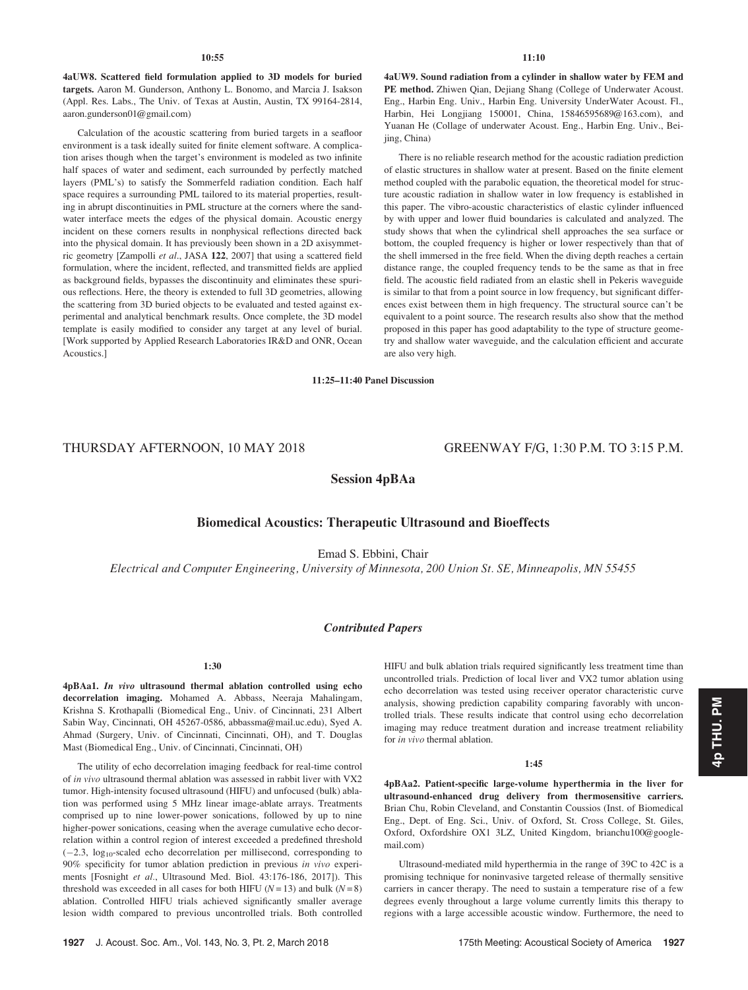4aUW8. Scattered field formulation applied to 3D models for buried targets. Aaron M. Gunderson, Anthony L. Bonomo, and Marcia J. Isakson (Appl. Res. Labs., The Univ. of Texas at Austin, Austin, TX 99164-2814, aaron.gunderson01@gmail.com)

Calculation of the acoustic scattering from buried targets in a seafloor environment is a task ideally suited for finite element software. A complication arises though when the target's environment is modeled as two infinite half spaces of water and sediment, each surrounded by perfectly matched layers (PML's) to satisfy the Sommerfeld radiation condition. Each half space requires a surrounding PML tailored to its material properties, resulting in abrupt discontinuities in PML structure at the corners where the sandwater interface meets the edges of the physical domain. Acoustic energy incident on these corners results in nonphysical reflections directed back into the physical domain. It has previously been shown in a 2D axisymmetric geometry [Zampolli et al., JASA 122, 2007] that using a scattered field formulation, where the incident, reflected, and transmitted fields are applied as background fields, bypasses the discontinuity and eliminates these spurious reflections. Here, the theory is extended to full 3D geometries, allowing the scattering from 3D buried objects to be evaluated and tested against experimental and analytical benchmark results. Once complete, the 3D model template is easily modified to consider any target at any level of burial. [Work supported by Applied Research Laboratories IR&D and ONR, Ocean Acoustics.]

4aUW9. Sound radiation from a cylinder in shallow water by FEM and PE method. Zhiwen Qian, Dejiang Shang (College of Underwater Acoust. Eng., Harbin Eng. Univ., Harbin Eng. University UnderWater Acoust. Fl., Harbin, Hei Longjiang 150001, China, 15846595689@163.com), and Yuanan He (Collage of underwater Acoust. Eng., Harbin Eng. Univ., Beijing, China)

There is no reliable research method for the acoustic radiation prediction of elastic structures in shallow water at present. Based on the finite element method coupled with the parabolic equation, the theoretical model for structure acoustic radiation in shallow water in low frequency is established in this paper. The vibro-acoustic characteristics of elastic cylinder influenced by with upper and lower fluid boundaries is calculated and analyzed. The study shows that when the cylindrical shell approaches the sea surface or bottom, the coupled frequency is higher or lower respectively than that of the shell immersed in the free field. When the diving depth reaches a certain distance range, the coupled frequency tends to be the same as that in free field. The acoustic field radiated from an elastic shell in Pekeris waveguide is similar to that from a point source in low frequency, but significant differences exist between them in high frequency. The structural source can't be equivalent to a point source. The research results also show that the method proposed in this paper has good adaptability to the type of structure geometry and shallow water waveguide, and the calculation efficient and accurate are also very high.

11:25–11:40 Panel Discussion

# THURSDAY AFTERNOON, 10 MAY 2018 GREENWAY F/G, 1:30 P.M. TO 3:15 P.M.

# Session 4pBAa

# Biomedical Acoustics: Therapeutic Ultrasound and Bioeffects

Emad S. Ebbini, Chair

Electrical and Computer Engineering, University of Minnesota, 200 Union St. SE, Minneapolis, MN 55455

# Contributed Papers

# 1:30

4pBAa1. In vivo ultrasound thermal ablation controlled using echo decorrelation imaging. Mohamed A. Abbass, Neeraja Mahalingam, Krishna S. Krothapalli (Biomedical Eng., Univ. of Cincinnati, 231 Albert Sabin Way, Cincinnati, OH 45267-0586, abbassma@mail.uc.edu), Syed A. Ahmad (Surgery, Univ. of Cincinnati, Cincinnati, OH), and T. Douglas Mast (Biomedical Eng., Univ. of Cincinnati, Cincinnati, OH)

The utility of echo decorrelation imaging feedback for real-time control of in vivo ultrasound thermal ablation was assessed in rabbit liver with VX2 tumor. High-intensity focused ultrasound (HIFU) and unfocused (bulk) ablation was performed using 5 MHz linear image-ablate arrays. Treatments comprised up to nine lower-power sonications, followed by up to nine higher-power sonications, ceasing when the average cumulative echo decorrelation within a control region of interest exceeded a predefined threshold  $(-2.3, \log_{10} - \text{scaled}$  echo decorrelation per millisecond, corresponding to 90% specificity for tumor ablation prediction in previous in vivo experiments [Fosnight et al., Ultrasound Med. Biol. 43:176-186, 2017]). This threshold was exceeded in all cases for both HIFU ( $N = 13$ ) and bulk ( $N = 8$ ) ablation. Controlled HIFU trials achieved significantly smaller average lesion width compared to previous uncontrolled trials. Both controlled HIFU and bulk ablation trials required significantly less treatment time than uncontrolled trials. Prediction of local liver and VX2 tumor ablation using echo decorrelation was tested using receiver operator characteristic curve analysis, showing prediction capability comparing favorably with uncontrolled trials. These results indicate that control using echo decorrelation imaging may reduce treatment duration and increase treatment reliability for in vivo thermal ablation.

# 1:45

4pBAa2. Patient-specific large-volume hyperthermia in the liver for ultrasound-enhanced drug delivery from thermosensitive carriers. Brian Chu, Robin Cleveland, and Constantin Coussios (Inst. of Biomedical Eng., Dept. of Eng. Sci., Univ. of Oxford, St. Cross College, St. Giles, Oxford, Oxfordshire OX1 3LZ, United Kingdom, brianchu100@googlemail.com)

Ultrasound-mediated mild hyperthermia in the range of 39C to 42C is a promising technique for noninvasive targeted release of thermally sensitive carriers in cancer therapy. The need to sustain a temperature rise of a few degrees evenly throughout a large volume currently limits this therapy to regions with a large accessible acoustic window. Furthermore, the need to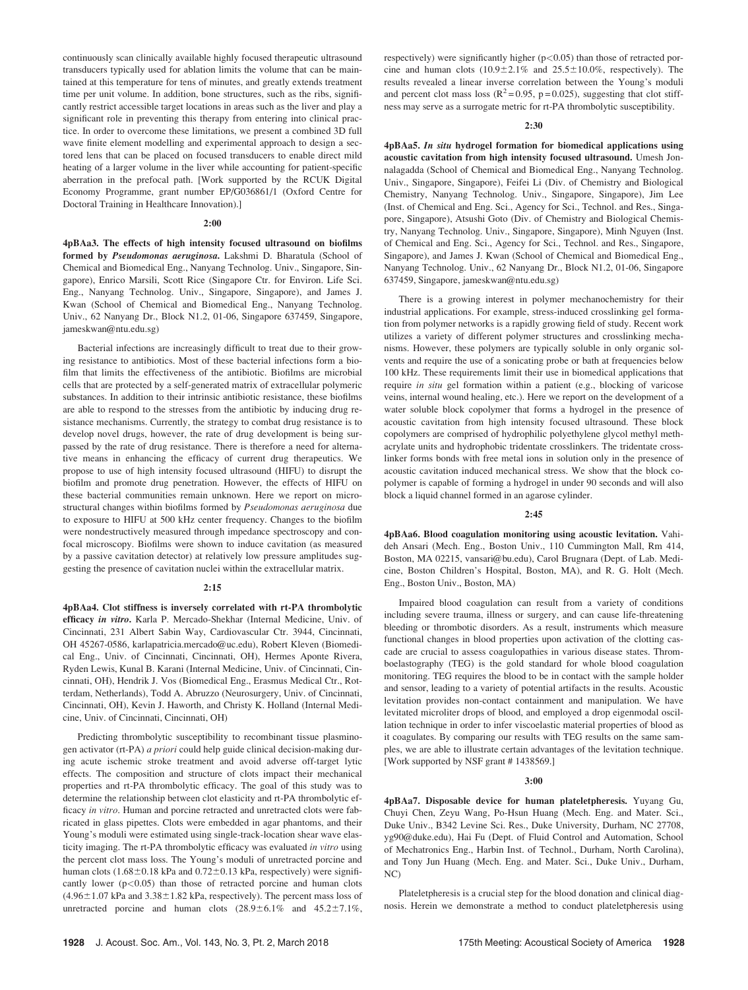continuously scan clinically available highly focused therapeutic ultrasound transducers typically used for ablation limits the volume that can be maintained at this temperature for tens of minutes, and greatly extends treatment time per unit volume. In addition, bone structures, such as the ribs, significantly restrict accessible target locations in areas such as the liver and play a significant role in preventing this therapy from entering into clinical practice. In order to overcome these limitations, we present a combined 3D full wave finite element modelling and experimental approach to design a sectored lens that can be placed on focused transducers to enable direct mild heating of a larger volume in the liver while accounting for patient-specific aberration in the prefocal path. [Work supported by the RCUK Digital Economy Programme, grant number EP/G036861/1 (Oxford Centre for Doctoral Training in Healthcare Innovation).]

#### 2:00

4pBAa3. The effects of high intensity focused ultrasound on biofilms formed by Pseudomonas aeruginosa. Lakshmi D. Bharatula (School of Chemical and Biomedical Eng., Nanyang Technolog. Univ., Singapore, Singapore), Enrico Marsili, Scott Rice (Singapore Ctr. for Environ. Life Sci. Eng., Nanyang Technolog. Univ., Singapore, Singapore), and James J. Kwan (School of Chemical and Biomedical Eng., Nanyang Technolog. Univ., 62 Nanyang Dr., Block N1.2, 01-06, Singapore 637459, Singapore, jameskwan@ntu.edu.sg)

Bacterial infections are increasingly difficult to treat due to their growing resistance to antibiotics. Most of these bacterial infections form a biofilm that limits the effectiveness of the antibiotic. Biofilms are microbial cells that are protected by a self-generated matrix of extracellular polymeric substances. In addition to their intrinsic antibiotic resistance, these biofilms are able to respond to the stresses from the antibiotic by inducing drug resistance mechanisms. Currently, the strategy to combat drug resistance is to develop novel drugs, however, the rate of drug development is being surpassed by the rate of drug resistance. There is therefore a need for alternative means in enhancing the efficacy of current drug therapeutics. We propose to use of high intensity focused ultrasound (HIFU) to disrupt the biofilm and promote drug penetration. However, the effects of HIFU on these bacterial communities remain unknown. Here we report on microstructural changes within biofilms formed by Pseudomonas aeruginosa due to exposure to HIFU at 500 kHz center frequency. Changes to the biofilm were nondestructively measured through impedance spectroscopy and confocal microscopy. Biofilms were shown to induce cavitation (as measured by a passive cavitation detector) at relatively low pressure amplitudes suggesting the presence of cavitation nuclei within the extracellular matrix.

## 2:15

4pBAa4. Clot stiffness is inversely correlated with rt-PA thrombolytic efficacy in vitro. Karla P. Mercado-Shekhar (Internal Medicine, Univ. of Cincinnati, 231 Albert Sabin Way, Cardiovascular Ctr. 3944, Cincinnati, OH 45267-0586, karlapatricia.mercado@uc.edu), Robert Kleven (Biomedical Eng., Univ. of Cincinnati, Cincinnati, OH), Hermes Aponte Rivera, Ryden Lewis, Kunal B. Karani (Internal Medicine, Univ. of Cincinnati, Cincinnati, OH), Hendrik J. Vos (Biomedical Eng., Erasmus Medical Ctr., Rotterdam, Netherlands), Todd A. Abruzzo (Neurosurgery, Univ. of Cincinnati, Cincinnati, OH), Kevin J. Haworth, and Christy K. Holland (Internal Medicine, Univ. of Cincinnati, Cincinnati, OH)

Predicting thrombolytic susceptibility to recombinant tissue plasminogen activator (rt-PA) a priori could help guide clinical decision-making during acute ischemic stroke treatment and avoid adverse off-target lytic effects. The composition and structure of clots impact their mechanical properties and rt-PA thrombolytic efficacy. The goal of this study was to determine the relationship between clot elasticity and rt-PA thrombolytic efficacy in vitro. Human and porcine retracted and unretracted clots were fabricated in glass pipettes. Clots were embedded in agar phantoms, and their Young's moduli were estimated using single-track-location shear wave elasticity imaging. The rt-PA thrombolytic efficacy was evaluated in vitro using the percent clot mass loss. The Young's moduli of unretracted porcine and human clots (1.68 $\pm$ 0.18 kPa and 0.72 $\pm$ 0.13 kPa, respectively) were significantly lower  $(p<0.05)$  than those of retracted porcine and human clots  $(4.96 \pm 1.07 \text{ kPa}$  and  $3.38 \pm 1.82 \text{ kPa}$ , respectively). The percent mass loss of unretracted porcine and human clots  $(28.9 \pm 6.1\%$  and  $45.2 \pm 7.1\%$ , respectively) were significantly higher  $(p<0.05)$  than those of retracted porcine and human clots  $(10.9 \pm 2.1\%$  and  $25.5 \pm 10.0\%$ , respectively). The results revealed a linear inverse correlation between the Young's moduli and percent clot mass loss ( $\mathbb{R}^2$  = 0.95, p = 0.025), suggesting that clot stiffness may serve as a surrogate metric for rt-PA thrombolytic susceptibility.

# 2:30

4pBAa5. In situ hydrogel formation for biomedical applications using acoustic cavitation from high intensity focused ultrasound. Umesh Jonnalagadda (School of Chemical and Biomedical Eng., Nanyang Technolog. Univ., Singapore, Singapore), Feifei Li (Div. of Chemistry and Biological Chemistry, Nanyang Technolog. Univ., Singapore, Singapore), Jim Lee (Inst. of Chemical and Eng. Sci., Agency for Sci., Technol. and Res., Singapore, Singapore), Atsushi Goto (Div. of Chemistry and Biological Chemistry, Nanyang Technolog. Univ., Singapore, Singapore), Minh Nguyen (Inst. of Chemical and Eng. Sci., Agency for Sci., Technol. and Res., Singapore, Singapore), and James J. Kwan (School of Chemical and Biomedical Eng., Nanyang Technolog. Univ., 62 Nanyang Dr., Block N1.2, 01-06, Singapore 637459, Singapore, jameskwan@ntu.edu.sg)

There is a growing interest in polymer mechanochemistry for their industrial applications. For example, stress-induced crosslinking gel formation from polymer networks is a rapidly growing field of study. Recent work utilizes a variety of different polymer structures and crosslinking mechanisms. However, these polymers are typically soluble in only organic solvents and require the use of a sonicating probe or bath at frequencies below 100 kHz. These requirements limit their use in biomedical applications that require in situ gel formation within a patient (e.g., blocking of varicose veins, internal wound healing, etc.). Here we report on the development of a water soluble block copolymer that forms a hydrogel in the presence of acoustic cavitation from high intensity focused ultrasound. These block copolymers are comprised of hydrophilic polyethylene glycol methyl methacrylate units and hydrophobic tridentate crosslinkers. The tridentate crosslinker forms bonds with free metal ions in solution only in the presence of acoustic cavitation induced mechanical stress. We show that the block copolymer is capable of forming a hydrogel in under 90 seconds and will also block a liquid channel formed in an agarose cylinder.

#### 2:45

4pBAa6. Blood coagulation monitoring using acoustic levitation. Vahideh Ansari (Mech. Eng., Boston Univ., 110 Cummington Mall, Rm 414, Boston, MA 02215, vansari@bu.edu), Carol Brugnara (Dept. of Lab. Medicine, Boston Children's Hospital, Boston, MA), and R. G. Holt (Mech. Eng., Boston Univ., Boston, MA)

Impaired blood coagulation can result from a variety of conditions including severe trauma, illness or surgery, and can cause life-threatening bleeding or thrombotic disorders. As a result, instruments which measure functional changes in blood properties upon activation of the clotting cascade are crucial to assess coagulopathies in various disease states. Thromboelastography (TEG) is the gold standard for whole blood coagulation monitoring. TEG requires the blood to be in contact with the sample holder and sensor, leading to a variety of potential artifacts in the results. Acoustic levitation provides non-contact containment and manipulation. We have levitated microliter drops of blood, and employed a drop eigenmodal oscillation technique in order to infer viscoelastic material properties of blood as it coagulates. By comparing our results with TEG results on the same samples, we are able to illustrate certain advantages of the levitation technique. [Work supported by NSF grant # 1438569.]

#### 3:00

4pBAa7. Disposable device for human plateletpheresis. Yuyang Gu, Chuyi Chen, Zeyu Wang, Po-Hsun Huang (Mech. Eng. and Mater. Sci., Duke Univ., B342 Levine Sci. Res., Duke University, Durham, NC 27708, yg90@duke.edu), Hai Fu (Dept. of Fluid Control and Automation, School of Mechatronics Eng., Harbin Inst. of Technol., Durham, North Carolina), and Tony Jun Huang (Mech. Eng. and Mater. Sci., Duke Univ., Durham, NC)

Plateletpheresis is a crucial step for the blood donation and clinical diagnosis. Herein we demonstrate a method to conduct plateletpheresis using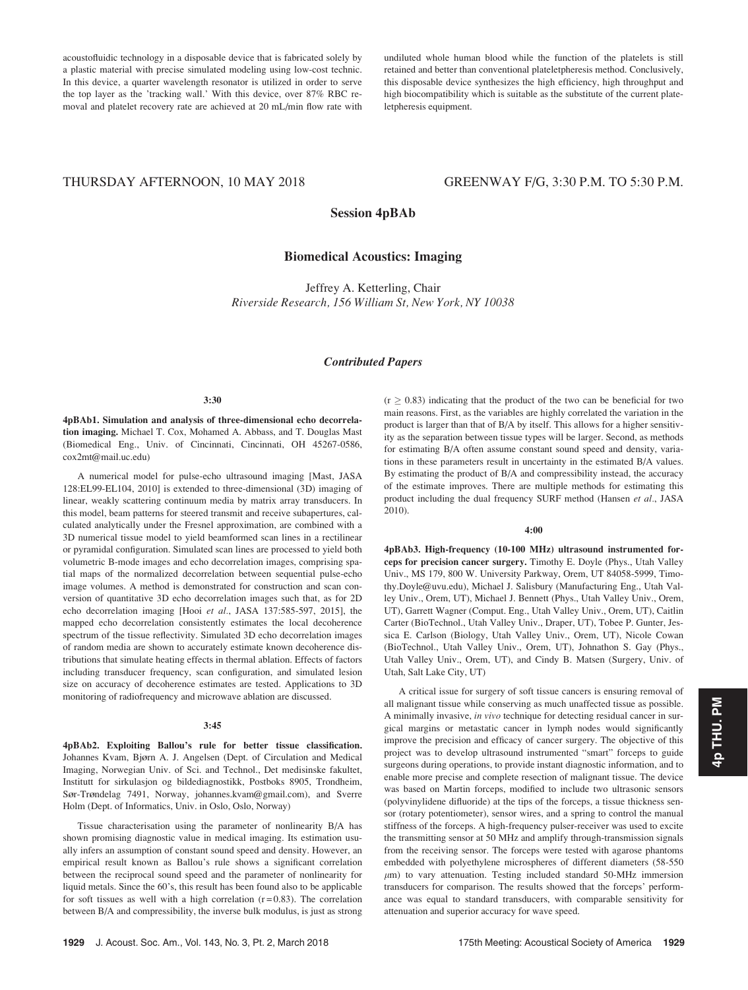acoustofluidic technology in a disposable device that is fabricated solely by a plastic material with precise simulated modeling using low-cost technic. In this device, a quarter wavelength resonator is utilized in order to serve the top layer as the 'tracking wall.' With this device, over 87% RBC removal and platelet recovery rate are achieved at 20 mL/min flow rate with undiluted whole human blood while the function of the platelets is still retained and better than conventional plateletpheresis method. Conclusively, this disposable device synthesizes the high efficiency, high throughput and high biocompatibility which is suitable as the substitute of the current plateletpheresis equipment.

# THURSDAY AFTERNOON, 10 MAY 2018 GREENWAY F/G, 3:30 P.M. TO 5:30 P.M.

Session 4pBAb

# Biomedical Acoustics: Imaging

Jeffrey A. Ketterling, Chair Riverside Research, 156 William St, New York, NY 10038

# Contributed Papers

# 3:30

4pBAb1. Simulation and analysis of three-dimensional echo decorrelation imaging. Michael T. Cox, Mohamed A. Abbass, and T. Douglas Mast (Biomedical Eng., Univ. of Cincinnati, Cincinnati, OH 45267-0586, cox2mt@mail.uc.edu)

A numerical model for pulse-echo ultrasound imaging [Mast, JASA 128:EL99-EL104, 2010] is extended to three-dimensional (3D) imaging of linear, weakly scattering continuum media by matrix array transducers. In this model, beam patterns for steered transmit and receive subapertures, calculated analytically under the Fresnel approximation, are combined with a 3D numerical tissue model to yield beamformed scan lines in a rectilinear or pyramidal configuration. Simulated scan lines are processed to yield both volumetric B-mode images and echo decorrelation images, comprising spatial maps of the normalized decorrelation between sequential pulse-echo image volumes. A method is demonstrated for construction and scan conversion of quantitative 3D echo decorrelation images such that, as for 2D echo decorrelation imaging [Hooi et al., JASA 137:585-597, 2015], the mapped echo decorrelation consistently estimates the local decoherence spectrum of the tissue reflectivity. Simulated 3D echo decorrelation images of random media are shown to accurately estimate known decoherence distributions that simulate heating effects in thermal ablation. Effects of factors including transducer frequency, scan configuration, and simulated lesion size on accuracy of decoherence estimates are tested. Applications to 3D monitoring of radiofrequency and microwave ablation are discussed.

## 3:45

4pBAb2. Exploiting Ballou's rule for better tissue classification. Johannes Kvam, Bjørn A. J. Angelsen (Dept. of Circulation and Medical Imaging, Norwegian Univ. of Sci. and Technol., Det medisinske fakultet, Institutt for sirkulasjon og bildediagnostikk, Postboks 8905, Trondheim, Sør-Trøndelag 7491, Norway, johannes.kvam@gmail.com), and Sverre Holm (Dept. of Informatics, Univ. in Oslo, Oslo, Norway)

Tissue characterisation using the parameter of nonlinearity B/A has shown promising diagnostic value in medical imaging. Its estimation usually infers an assumption of constant sound speed and density. However, an empirical result known as Ballou's rule shows a significant correlation between the reciprocal sound speed and the parameter of nonlinearity for liquid metals. Since the 60's, this result has been found also to be applicable for soft tissues as well with a high correlation  $(r=0.83)$ . The correlation between B/A and compressibility, the inverse bulk modulus, is just as strong  $(r \ge 0.83)$  indicating that the product of the two can be beneficial for two main reasons. First, as the variables are highly correlated the variation in the product is larger than that of B/A by itself. This allows for a higher sensitivity as the separation between tissue types will be larger. Second, as methods for estimating B/A often assume constant sound speed and density, variations in these parameters result in uncertainty in the estimated B/A values. By estimating the product of B/A and compressibility instead, the accuracy of the estimate improves. There are multiple methods for estimating this product including the dual frequency SURF method (Hansen et al., JASA 2010).

#### 4:00

4pBAb3. High-frequency (10-100 MHz) ultrasound instrumented forceps for precision cancer surgery. Timothy E. Doyle (Phys., Utah Valley Univ., MS 179, 800 W. University Parkway, Orem, UT 84058-5999, Timothy.Doyle@uvu.edu), Michael J. Salisbury (Manufacturing Eng., Utah Valley Univ., Orem, UT), Michael J. Bennett (Phys., Utah Valley Univ., Orem, UT), Garrett Wagner (Comput. Eng., Utah Valley Univ., Orem, UT), Caitlin Carter (BioTechnol., Utah Valley Univ., Draper, UT), Tobee P. Gunter, Jessica E. Carlson (Biology, Utah Valley Univ., Orem, UT), Nicole Cowan (BioTechnol., Utah Valley Univ., Orem, UT), Johnathon S. Gay (Phys., Utah Valley Univ., Orem, UT), and Cindy B. Matsen (Surgery, Univ. of Utah, Salt Lake City, UT)

A critical issue for surgery of soft tissue cancers is ensuring removal of all malignant tissue while conserving as much unaffected tissue as possible. A minimally invasive, in vivo technique for detecting residual cancer in surgical margins or metastatic cancer in lymph nodes would significantly improve the precision and efficacy of cancer surgery. The objective of this project was to develop ultrasound instrumented "smart" forceps to guide surgeons during operations, to provide instant diagnostic information, and to enable more precise and complete resection of malignant tissue. The device was based on Martin forceps, modified to include two ultrasonic sensors (polyvinylidene difluoride) at the tips of the forceps, a tissue thickness sensor (rotary potentiometer), sensor wires, and a spring to control the manual stiffness of the forceps. A high-frequency pulser-receiver was used to excite the transmitting sensor at 50 MHz and amplify through-transmission signals from the receiving sensor. The forceps were tested with agarose phantoms embedded with polyethylene microspheres of different diameters (58-550  $\mu$ m) to vary attenuation. Testing included standard 50-MHz immersion transducers for comparison. The results showed that the forceps' performance was equal to standard transducers, with comparable sensitivity for attenuation and superior accuracy for wave speed.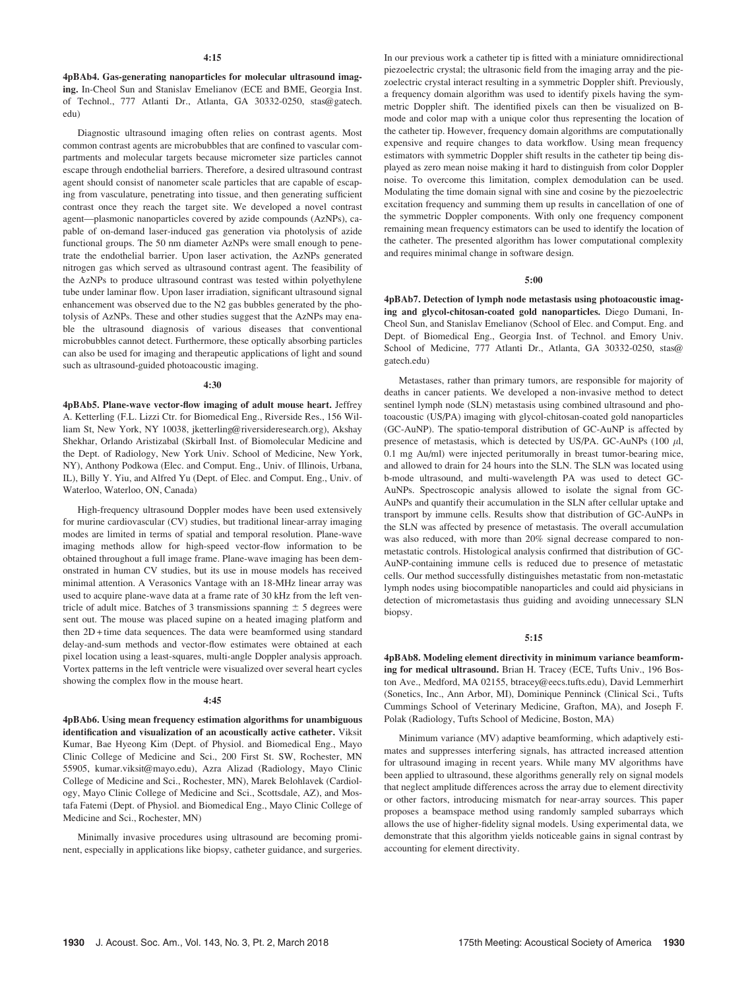4pBAb4. Gas-generating nanoparticles for molecular ultrasound imaging. In-Cheol Sun and Stanislav Emelianov (ECE and BME, Georgia Inst. of Technol., 777 Atlanti Dr., Atlanta, GA 30332-0250, stas@gatech. edu)

Diagnostic ultrasound imaging often relies on contrast agents. Most common contrast agents are microbubbles that are confined to vascular compartments and molecular targets because micrometer size particles cannot escape through endothelial barriers. Therefore, a desired ultrasound contrast agent should consist of nanometer scale particles that are capable of escaping from vasculature, penetrating into tissue, and then generating sufficient contrast once they reach the target site. We developed a novel contrast agent—plasmonic nanoparticles covered by azide compounds (AzNPs), capable of on-demand laser-induced gas generation via photolysis of azide functional groups. The 50 nm diameter AzNPs were small enough to penetrate the endothelial barrier. Upon laser activation, the AzNPs generated nitrogen gas which served as ultrasound contrast agent. The feasibility of the AzNPs to produce ultrasound contrast was tested within polyethylene tube under laminar flow. Upon laser irradiation, significant ultrasound signal enhancement was observed due to the N2 gas bubbles generated by the photolysis of AzNPs. These and other studies suggest that the AzNPs may enable the ultrasound diagnosis of various diseases that conventional microbubbles cannot detect. Furthermore, these optically absorbing particles can also be used for imaging and therapeutic applications of light and sound such as ultrasound-guided photoacoustic imaging.

#### 4:30

4pBAb5. Plane-wave vector-flow imaging of adult mouse heart. Jeffrey A. Ketterling (F.L. Lizzi Ctr. for Biomedical Eng., Riverside Res., 156 William St, New York, NY 10038, jketterling@riversideresearch.org), Akshay Shekhar, Orlando Aristizabal (Skirball Inst. of Biomolecular Medicine and the Dept. of Radiology, New York Univ. School of Medicine, New York, NY), Anthony Podkowa (Elec. and Comput. Eng., Univ. of Illinois, Urbana, IL), Billy Y. Yiu, and Alfred Yu (Dept. of Elec. and Comput. Eng., Univ. of Waterloo, Waterloo, ON, Canada)

High-frequency ultrasound Doppler modes have been used extensively for murine cardiovascular (CV) studies, but traditional linear-array imaging modes are limited in terms of spatial and temporal resolution. Plane-wave imaging methods allow for high-speed vector-flow information to be obtained throughout a full image frame. Plane-wave imaging has been demonstrated in human CV studies, but its use in mouse models has received minimal attention. A Verasonics Vantage with an 18-MHz linear array was used to acquire plane-wave data at a frame rate of 30 kHz from the left ventricle of adult mice. Batches of 3 transmissions spanning  $\pm$  5 degrees were sent out. The mouse was placed supine on a heated imaging platform and then 2D + time data sequences. The data were beamformed using standard delay-and-sum methods and vector-flow estimates were obtained at each pixel location using a least-squares, multi-angle Doppler analysis approach. Vortex patterns in the left ventricle were visualized over several heart cycles showing the complex flow in the mouse heart.

#### 4:45

4pBAb6. Using mean frequency estimation algorithms for unambiguous identification and visualization of an acoustically active catheter. Viksit Kumar, Bae Hyeong Kim (Dept. of Physiol. and Biomedical Eng., Mayo Clinic College of Medicine and Sci., 200 First St. SW, Rochester, MN 55905, kumar.viksit@mayo.edu), Azra Alizad (Radiology, Mayo Clinic College of Medicine and Sci., Rochester, MN), Marek Belohlavek (Cardiology, Mayo Clinic College of Medicine and Sci., Scottsdale, AZ), and Mostafa Fatemi (Dept. of Physiol. and Biomedical Eng., Mayo Clinic College of Medicine and Sci., Rochester, MN)

Minimally invasive procedures using ultrasound are becoming prominent, especially in applications like biopsy, catheter guidance, and surgeries. In our previous work a catheter tip is fitted with a miniature omnidirectional piezoelectric crystal; the ultrasonic field from the imaging array and the piezoelectric crystal interact resulting in a symmetric Doppler shift. Previously, a frequency domain algorithm was used to identify pixels having the symmetric Doppler shift. The identified pixels can then be visualized on Bmode and color map with a unique color thus representing the location of the catheter tip. However, frequency domain algorithms are computationally expensive and require changes to data workflow. Using mean frequency estimators with symmetric Doppler shift results in the catheter tip being displayed as zero mean noise making it hard to distinguish from color Doppler noise. To overcome this limitation, complex demodulation can be used. Modulating the time domain signal with sine and cosine by the piezoelectric excitation frequency and summing them up results in cancellation of one of the symmetric Doppler components. With only one frequency component remaining mean frequency estimators can be used to identify the location of the catheter. The presented algorithm has lower computational complexity and requires minimal change in software design.

## 5:00

4pBAb7. Detection of lymph node metastasis using photoacoustic imaging and glycol-chitosan-coated gold nanoparticles. Diego Dumani, In-Cheol Sun, and Stanislav Emelianov (School of Elec. and Comput. Eng. and Dept. of Biomedical Eng., Georgia Inst. of Technol. and Emory Univ. School of Medicine, 777 Atlanti Dr., Atlanta, GA 30332-0250, stas@ gatech.edu)

Metastases, rather than primary tumors, are responsible for majority of deaths in cancer patients. We developed a non-invasive method to detect sentinel lymph node (SLN) metastasis using combined ultrasound and photoacoustic (US/PA) imaging with glycol-chitosan-coated gold nanoparticles (GC-AuNP). The spatio-temporal distribution of GC-AuNP is affected by presence of metastasis, which is detected by US/PA. GC-AuNPs (100  $\mu$ l, 0.1 mg Au/ml) were injected peritumorally in breast tumor-bearing mice, and allowed to drain for 24 hours into the SLN. The SLN was located using b-mode ultrasound, and multi-wavelength PA was used to detect GC-AuNPs. Spectroscopic analysis allowed to isolate the signal from GC-AuNPs and quantify their accumulation in the SLN after cellular uptake and transport by immune cells. Results show that distribution of GC-AuNPs in the SLN was affected by presence of metastasis. The overall accumulation was also reduced, with more than 20% signal decrease compared to nonmetastatic controls. Histological analysis confirmed that distribution of GC-AuNP-containing immune cells is reduced due to presence of metastatic cells. Our method successfully distinguishes metastatic from non-metastatic lymph nodes using biocompatible nanoparticles and could aid physicians in detection of micrometastasis thus guiding and avoiding unnecessary SLN biopsy.

# 5:15

4pBAb8. Modeling element directivity in minimum variance beamforming for medical ultrasound. Brian H. Tracey (ECE, Tufts Univ., 196 Boston Ave., Medford, MA 02155, btracey@eecs.tufts.edu), David Lemmerhirt (Sonetics, Inc., Ann Arbor, MI), Dominique Penninck (Clinical Sci., Tufts Cummings School of Veterinary Medicine, Grafton, MA), and Joseph F. Polak (Radiology, Tufts School of Medicine, Boston, MA)

Minimum variance (MV) adaptive beamforming, which adaptively estimates and suppresses interfering signals, has attracted increased attention for ultrasound imaging in recent years. While many MV algorithms have been applied to ultrasound, these algorithms generally rely on signal models that neglect amplitude differences across the array due to element directivity or other factors, introducing mismatch for near-array sources. This paper proposes a beamspace method using randomly sampled subarrays which allows the use of higher-fidelity signal models. Using experimental data, we demonstrate that this algorithm yields noticeable gains in signal contrast by accounting for element directivity.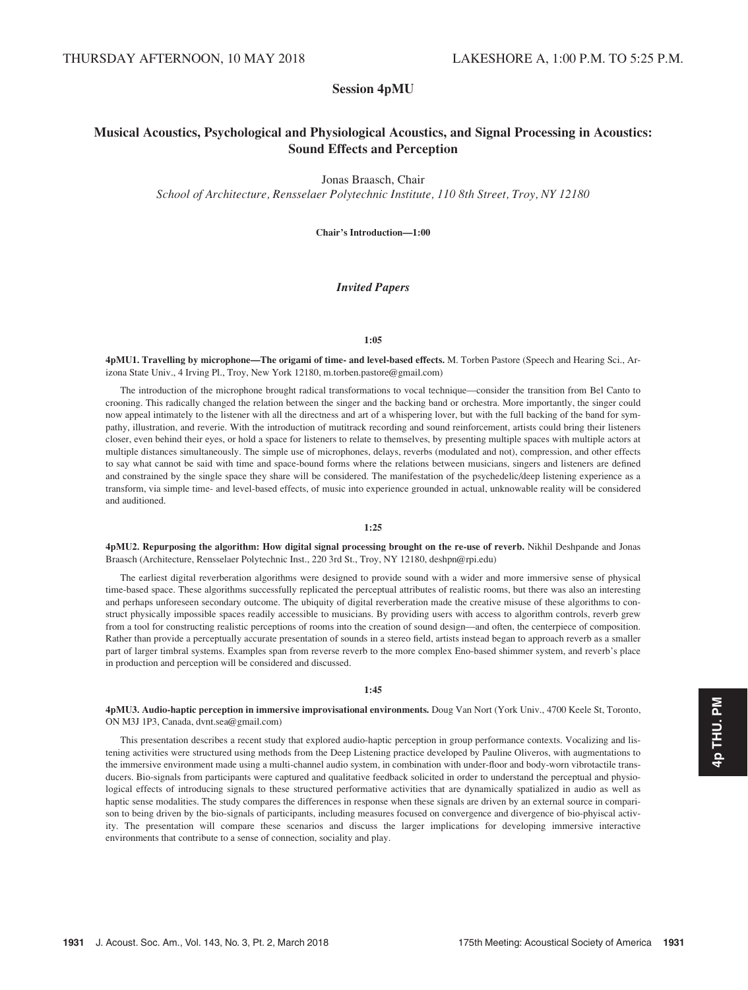# Session 4pMU

# Musical Acoustics, Psychological and Physiological Acoustics, and Signal Processing in Acoustics: Sound Effects and Perception

# Jonas Braasch, Chair

School of Architecture, Rensselaer Polytechnic Institute, 110 8th Street, Troy, NY 12180

Chair's Introduction—1:00

# Invited Papers

## 1:05

4pMU1. Travelling by microphone—The origami of time- and level-based effects. M. Torben Pastore (Speech and Hearing Sci., Arizona State Univ., 4 Irving Pl., Troy, New York 12180, m.torben.pastore@gmail.com)

The introduction of the microphone brought radical transformations to vocal technique—consider the transition from Bel Canto to crooning. This radically changed the relation between the singer and the backing band or orchestra. More importantly, the singer could now appeal intimately to the listener with all the directness and art of a whispering lover, but with the full backing of the band for sympathy, illustration, and reverie. With the introduction of mutitrack recording and sound reinforcement, artists could bring their listeners closer, even behind their eyes, or hold a space for listeners to relate to themselves, by presenting multiple spaces with multiple actors at multiple distances simultaneously. The simple use of microphones, delays, reverbs (modulated and not), compression, and other effects to say what cannot be said with time and space-bound forms where the relations between musicians, singers and listeners are defined and constrained by the single space they share will be considered. The manifestation of the psychedelic/deep listening experience as a transform, via simple time- and level-based effects, of music into experience grounded in actual, unknowable reality will be considered and auditioned.

# 1:25

4pMU2. Repurposing the algorithm: How digital signal processing brought on the re-use of reverb. Nikhil Deshpande and Jonas Braasch (Architecture, Rensselaer Polytechnic Inst., 220 3rd St., Troy, NY 12180, deshpn@rpi.edu)

The earliest digital reverberation algorithms were designed to provide sound with a wider and more immersive sense of physical time-based space. These algorithms successfully replicated the perceptual attributes of realistic rooms, but there was also an interesting and perhaps unforeseen secondary outcome. The ubiquity of digital reverberation made the creative misuse of these algorithms to construct physically impossible spaces readily accessible to musicians. By providing users with access to algorithm controls, reverb grew from a tool for constructing realistic perceptions of rooms into the creation of sound design—and often, the centerpiece of composition. Rather than provide a perceptually accurate presentation of sounds in a stereo field, artists instead began to approach reverb as a smaller part of larger timbral systems. Examples span from reverse reverb to the more complex Eno-based shimmer system, and reverb's place in production and perception will be considered and discussed.

# 1:45

4pMU3. Audio-haptic perception in immersive improvisational environments. Doug Van Nort (York Univ., 4700 Keele St, Toronto, ON M3J 1P3, Canada, dvnt.sea@gmail.com)

This presentation describes a recent study that explored audio-haptic perception in group performance contexts. Vocalizing and listening activities were structured using methods from the Deep Listening practice developed by Pauline Oliveros, with augmentations to the immersive environment made using a multi-channel audio system, in combination with under-floor and body-worn vibrotactile transducers. Bio-signals from participants were captured and qualitative feedback solicited in order to understand the perceptual and physiological effects of introducing signals to these structured performative activities that are dynamically spatialized in audio as well as haptic sense modalities. The study compares the differences in response when these signals are driven by an external source in comparison to being driven by the bio-signals of participants, including measures focused on convergence and divergence of bio-phyiscal activity. The presentation will compare these scenarios and discuss the larger implications for developing immersive interactive environments that contribute to a sense of connection, sociality and play.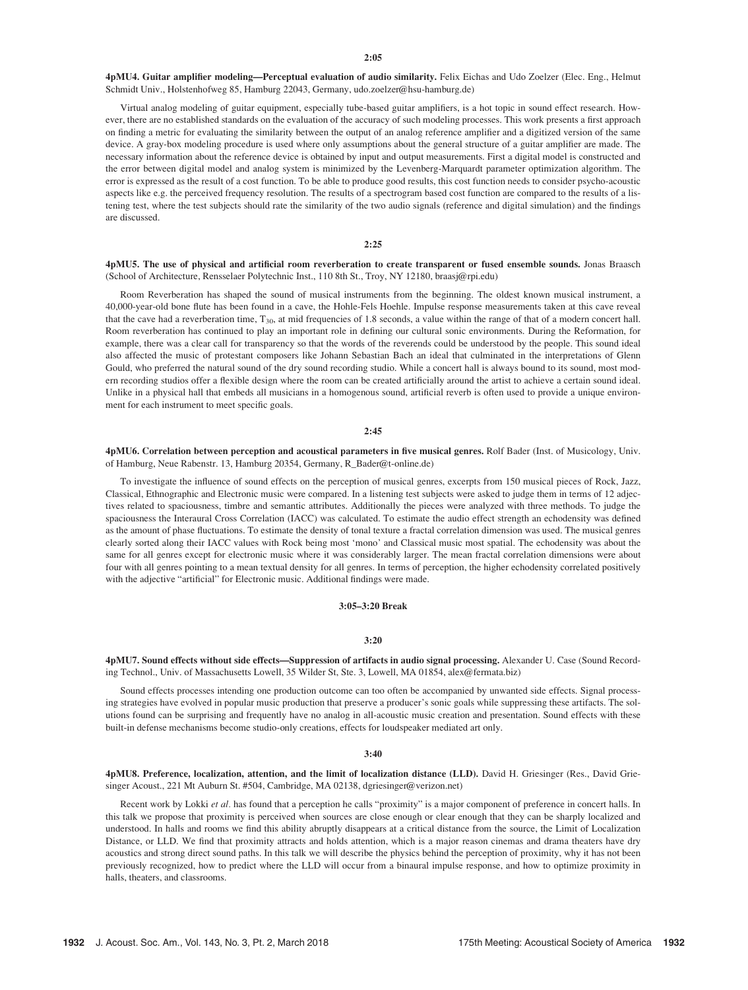4pMU4. Guitar amplifier modeling—Perceptual evaluation of audio similarity. Felix Eichas and Udo Zoelzer (Elec. Eng., Helmut Schmidt Univ., Holstenhofweg 85, Hamburg 22043, Germany, udo.zoelzer@hsu-hamburg.de)

Virtual analog modeling of guitar equipment, especially tube-based guitar amplifiers, is a hot topic in sound effect research. However, there are no established standards on the evaluation of the accuracy of such modeling processes. This work presents a first approach on finding a metric for evaluating the similarity between the output of an analog reference amplifier and a digitized version of the same device. A gray-box modeling procedure is used where only assumptions about the general structure of a guitar amplifier are made. The necessary information about the reference device is obtained by input and output measurements. First a digital model is constructed and the error between digital model and analog system is minimized by the Levenberg-Marquardt parameter optimization algorithm. The error is expressed as the result of a cost function. To be able to produce good results, this cost function needs to consider psycho-acoustic aspects like e.g. the perceived frequency resolution. The results of a spectrogram based cost function are compared to the results of a listening test, where the test subjects should rate the similarity of the two audio signals (reference and digital simulation) and the findings are discussed.

## 2:25

4pMU5. The use of physical and artificial room reverberation to create transparent or fused ensemble sounds. Jonas Braasch (School of Architecture, Rensselaer Polytechnic Inst., 110 8th St., Troy, NY 12180, braasj@rpi.edu)

Room Reverberation has shaped the sound of musical instruments from the beginning. The oldest known musical instrument, a 40,000-year-old bone flute has been found in a cave, the Hohle-Fels Hoehle. Impulse response measurements taken at this cave reveal that the cave had a reverberation time, T<sub>30</sub>, at mid frequencies of 1.8 seconds, a value within the range of that of a modern concert hall. Room reverberation has continued to play an important role in defining our cultural sonic environments. During the Reformation, for example, there was a clear call for transparency so that the words of the reverends could be understood by the people. This sound ideal also affected the music of protestant composers like Johann Sebastian Bach an ideal that culminated in the interpretations of Glenn Gould, who preferred the natural sound of the dry sound recording studio. While a concert hall is always bound to its sound, most modern recording studios offer a flexible design where the room can be created artificially around the artist to achieve a certain sound ideal. Unlike in a physical hall that embeds all musicians in a homogenous sound, artificial reverb is often used to provide a unique environment for each instrument to meet specific goals.

#### $2.45$

4pMU6. Correlation between perception and acoustical parameters in five musical genres. Rolf Bader (Inst. of Musicology, Univ. of Hamburg, Neue Rabenstr. 13, Hamburg 20354, Germany, R\_Bader@t-online.de)

To investigate the influence of sound effects on the perception of musical genres, excerpts from 150 musical pieces of Rock, Jazz, Classical, Ethnographic and Electronic music were compared. In a listening test subjects were asked to judge them in terms of 12 adjectives related to spaciousness, timbre and semantic attributes. Additionally the pieces were analyzed with three methods. To judge the spaciousness the Interaural Cross Correlation (IACC) was calculated. To estimate the audio effect strength an echodensity was defined as the amount of phase fluctuations. To estimate the density of tonal texture a fractal correlation dimension was used. The musical genres clearly sorted along their IACC values with Rock being most 'mono' and Classical music most spatial. The echodensity was about the same for all genres except for electronic music where it was considerably larger. The mean fractal correlation dimensions were about four with all genres pointing to a mean textual density for all genres. In terms of perception, the higher echodensity correlated positively with the adjective "artificial" for Electronic music. Additional findings were made.

## 3:05–3:20 Break

#### 3:20

4pMU7. Sound effects without side effects—Suppression of artifacts in audio signal processing. Alexander U. Case (Sound Recording Technol., Univ. of Massachusetts Lowell, 35 Wilder St, Ste. 3, Lowell, MA 01854, alex@fermata.biz)

Sound effects processes intending one production outcome can too often be accompanied by unwanted side effects. Signal processing strategies have evolved in popular music production that preserve a producer's sonic goals while suppressing these artifacts. The solutions found can be surprising and frequently have no analog in all-acoustic music creation and presentation. Sound effects with these built-in defense mechanisms become studio-only creations, effects for loudspeaker mediated art only.

#### 3:40

4pMU8. Preference, localization, attention, and the limit of localization distance (LLD). David H. Griesinger (Res., David Griesinger Acoust., 221 Mt Auburn St. #504, Cambridge, MA 02138, dgriesinger@verizon.net)

Recent work by Lokki et al. has found that a perception he calls "proximity" is a major component of preference in concert halls. In this talk we propose that proximity is perceived when sources are close enough or clear enough that they can be sharply localized and understood. In halls and rooms we find this ability abruptly disappears at a critical distance from the source, the Limit of Localization Distance, or LLD. We find that proximity attracts and holds attention, which is a major reason cinemas and drama theaters have dry acoustics and strong direct sound paths. In this talk we will describe the physics behind the perception of proximity, why it has not been previously recognized, how to predict where the LLD will occur from a binaural impulse response, and how to optimize proximity in halls, theaters, and classrooms.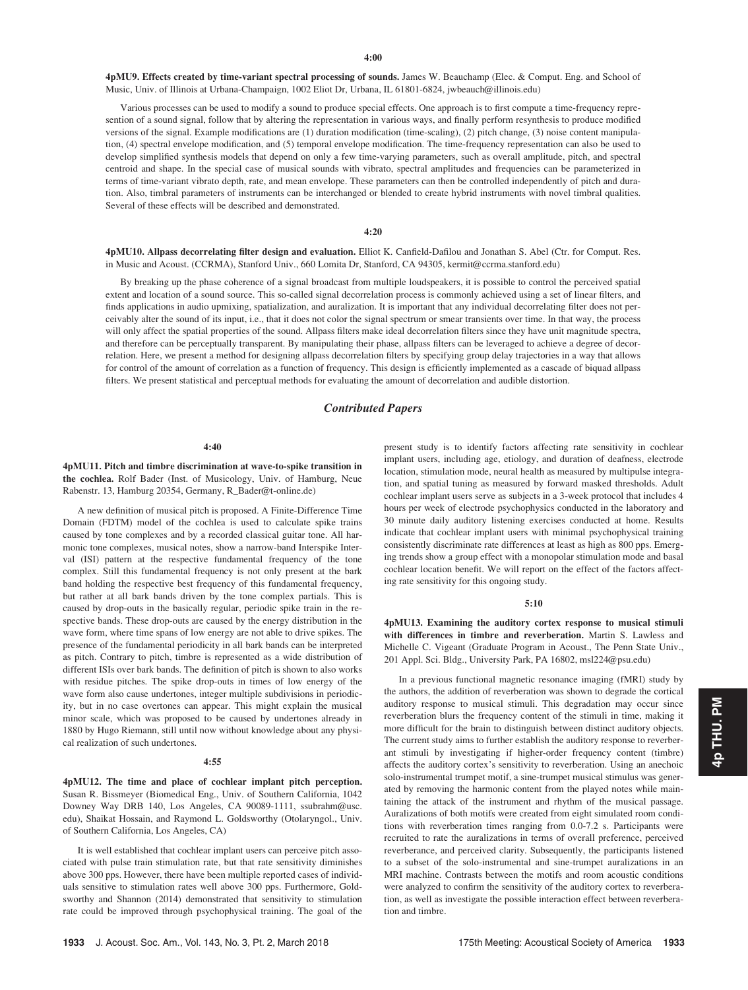4pMU9. Effects created by time-variant spectral processing of sounds. James W. Beauchamp (Elec. & Comput. Eng. and School of Music, Univ. of Illinois at Urbana-Champaign, 1002 Eliot Dr, Urbana, IL 61801-6824, jwbeauch@illinois.edu)

Various processes can be used to modify a sound to produce special effects. One approach is to first compute a time-frequency represention of a sound signal, follow that by altering the representation in various ways, and finally perform resynthesis to produce modified versions of the signal. Example modifications are (1) duration modification (time-scaling), (2) pitch change, (3) noise content manipulation, (4) spectral envelope modification, and (5) temporal envelope modification. The time-frequency representation can also be used to develop simplified synthesis models that depend on only a few time-varying parameters, such as overall amplitude, pitch, and spectral centroid and shape. In the special case of musical sounds with vibrato, spectral amplitudes and frequencies can be parameterized in terms of time-variant vibrato depth, rate, and mean envelope. These parameters can then be controlled independently of pitch and duration. Also, timbral parameters of instruments can be interchanged or blended to create hybrid instruments with novel timbral qualities. Several of these effects will be described and demonstrated.

## 4:20

4pMU10. Allpass decorrelating filter design and evaluation. Elliot K. Canfield-Dafilou and Jonathan S. Abel (Ctr. for Comput. Res. in Music and Acoust. (CCRMA), Stanford Univ., 660 Lomita Dr, Stanford, CA 94305, kermit@ccrma.stanford.edu)

By breaking up the phase coherence of a signal broadcast from multiple loudspeakers, it is possible to control the perceived spatial extent and location of a sound source. This so-called signal decorrelation process is commonly achieved using a set of linear filters, and finds applications in audio upmixing, spatialization, and auralization. It is important that any individual decorrelating filter does not perceivably alter the sound of its input, i.e., that it does not color the signal spectrum or smear transients over time. In that way, the process will only affect the spatial properties of the sound. Allpass filters make ideal decorrelation filters since they have unit magnitude spectra, and therefore can be perceptually transparent. By manipulating their phase, allpass filters can be leveraged to achieve a degree of decorrelation. Here, we present a method for designing allpass decorrelation filters by specifying group delay trajectories in a way that allows for control of the amount of correlation as a function of frequency. This design is efficiently implemented as a cascade of biquad allpass filters. We present statistical and perceptual methods for evaluating the amount of decorrelation and audible distortion.

# Contributed Papers

#### 4:40

4pMU11. Pitch and timbre discrimination at wave-to-spike transition in the cochlea. Rolf Bader (Inst. of Musicology, Univ. of Hamburg, Neue Rabenstr. 13, Hamburg 20354, Germany, R\_Bader@t-online.de)

A new definition of musical pitch is proposed. A Finite-Difference Time Domain (FDTM) model of the cochlea is used to calculate spike trains caused by tone complexes and by a recorded classical guitar tone. All harmonic tone complexes, musical notes, show a narrow-band Interspike Interval (ISI) pattern at the respective fundamental frequency of the tone complex. Still this fundamental frequency is not only present at the bark band holding the respective best frequency of this fundamental frequency, but rather at all bark bands driven by the tone complex partials. This is caused by drop-outs in the basically regular, periodic spike train in the respective bands. These drop-outs are caused by the energy distribution in the wave form, where time spans of low energy are not able to drive spikes. The presence of the fundamental periodicity in all bark bands can be interpreted as pitch. Contrary to pitch, timbre is represented as a wide distribution of different ISIs over bark bands. The definition of pitch is shown to also works with residue pitches. The spike drop-outs in times of low energy of the wave form also cause undertones, integer multiple subdivisions in periodicity, but in no case overtones can appear. This might explain the musical minor scale, which was proposed to be caused by undertones already in 1880 by Hugo Riemann, still until now without knowledge about any physical realization of such undertones.

#### 4:55

4pMU12. The time and place of cochlear implant pitch perception. Susan R. Bissmeyer (Biomedical Eng., Univ. of Southern California, 1042 Downey Way DRB 140, Los Angeles, CA 90089-1111, ssubrahm@usc. edu), Shaikat Hossain, and Raymond L. Goldsworthy (Otolaryngol., Univ. of Southern California, Los Angeles, CA)

It is well established that cochlear implant users can perceive pitch associated with pulse train stimulation rate, but that rate sensitivity diminishes above 300 pps. However, there have been multiple reported cases of individuals sensitive to stimulation rates well above 300 pps. Furthermore, Goldsworthy and Shannon (2014) demonstrated that sensitivity to stimulation rate could be improved through psychophysical training. The goal of the present study is to identify factors affecting rate sensitivity in cochlear implant users, including age, etiology, and duration of deafness, electrode location, stimulation mode, neural health as measured by multipulse integration, and spatial tuning as measured by forward masked thresholds. Adult cochlear implant users serve as subjects in a 3-week protocol that includes 4 hours per week of electrode psychophysics conducted in the laboratory and 30 minute daily auditory listening exercises conducted at home. Results indicate that cochlear implant users with minimal psychophysical training consistently discriminate rate differences at least as high as 800 pps. Emerging trends show a group effect with a monopolar stimulation mode and basal cochlear location benefit. We will report on the effect of the factors affecting rate sensitivity for this ongoing study.

#### 5:10

4pMU13. Examining the auditory cortex response to musical stimuli with differences in timbre and reverberation. Martin S. Lawless and Michelle C. Vigeant (Graduate Program in Acoust., The Penn State Univ., 201 Appl. Sci. Bldg., University Park, PA 16802, msl224@psu.edu)

In a previous functional magnetic resonance imaging (fMRI) study by the authors, the addition of reverberation was shown to degrade the cortical auditory response to musical stimuli. This degradation may occur since reverberation blurs the frequency content of the stimuli in time, making it more difficult for the brain to distinguish between distinct auditory objects. The current study aims to further establish the auditory response to reverberant stimuli by investigating if higher-order frequency content (timbre) affects the auditory cortex's sensitivity to reverberation. Using an anechoic solo-instrumental trumpet motif, a sine-trumpet musical stimulus was generated by removing the harmonic content from the played notes while maintaining the attack of the instrument and rhythm of the musical passage. Auralizations of both motifs were created from eight simulated room conditions with reverberation times ranging from 0.0-7.2 s. Participants were recruited to rate the auralizations in terms of overall preference, perceived reverberance, and perceived clarity. Subsequently, the participants listened to a subset of the solo-instrumental and sine-trumpet auralizations in an MRI machine. Contrasts between the motifs and room acoustic conditions were analyzed to confirm the sensitivity of the auditory cortex to reverberation, as well as investigate the possible interaction effect between reverberation and timbre.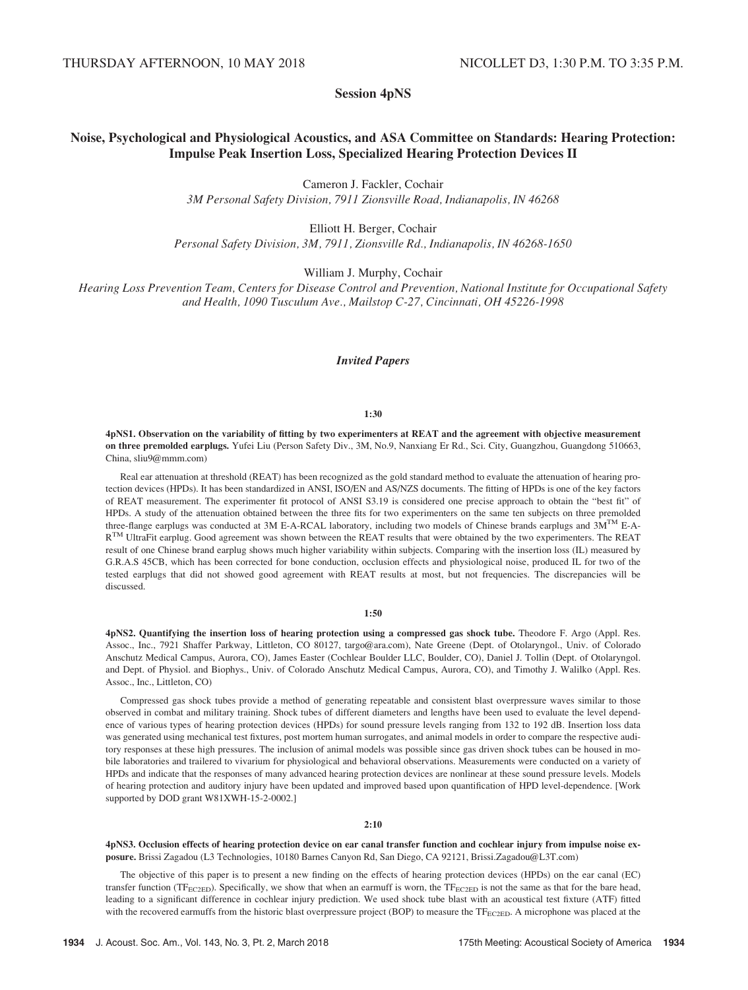# Session 4pNS

# Noise, Psychological and Physiological Acoustics, and ASA Committee on Standards: Hearing Protection: Impulse Peak Insertion Loss, Specialized Hearing Protection Devices II

Cameron J. Fackler, Cochair 3M Personal Safety Division, 7911 Zionsville Road, Indianapolis, IN 46268

Elliott H. Berger, Cochair Personal Safety Division, 3M, 7911, Zionsville Rd., Indianapolis, IN 46268-1650

William J. Murphy, Cochair

Hearing Loss Prevention Team, Centers for Disease Control and Prevention, National Institute for Occupational Safety and Health, 1090 Tusculum Ave., Mailstop C-27, Cincinnati, OH 45226-1998

# Invited Papers

#### 1:30

4pNS1. Observation on the variability of fitting by two experimenters at REAT and the agreement with objective measurement on three premolded earplugs. Yufei Liu (Person Safety Div., 3M, No.9, Nanxiang Er Rd., Sci. City, Guangzhou, Guangdong 510663, China, sliu9@mmm.com)

Real ear attenuation at threshold (REAT) has been recognized as the gold standard method to evaluate the attenuation of hearing protection devices (HPDs). It has been standardized in ANSI, ISO/EN and AS/NZS documents. The fitting of HPDs is one of the key factors of REAT measurement. The experimenter fit protocol of ANSI S3.19 is considered one precise approach to obtain the "best fit" of HPDs. A study of the attenuation obtained between the three fits for two experimenters on the same ten subjects on three premolded three-flange earplugs was conducted at 3M E-A-RCAL laboratory, including two models of Chinese brands earplugs and  $3M^{TM}$  E-A- $R^{TM}$  UltraFit earplug. Good agreement was shown between the REAT results that were obtained by the two experimenters. The REAT result of one Chinese brand earplug shows much higher variability within subjects. Comparing with the insertion loss (IL) measured by G.R.A.S 45CB, which has been corrected for bone conduction, occlusion effects and physiological noise, produced IL for two of the tested earplugs that did not showed good agreement with REAT results at most, but not frequencies. The discrepancies will be discussed.

#### 1:50

4pNS2. Quantifying the insertion loss of hearing protection using a compressed gas shock tube. Theodore F. Argo (Appl. Res. Assoc., Inc., 7921 Shaffer Parkway, Littleton, CO 80127, targo@ara.com), Nate Greene (Dept. of Otolaryngol., Univ. of Colorado Anschutz Medical Campus, Aurora, CO), James Easter (Cochlear Boulder LLC, Boulder, CO), Daniel J. Tollin (Dept. of Otolaryngol. and Dept. of Physiol. and Biophys., Univ. of Colorado Anschutz Medical Campus, Aurora, CO), and Timothy J. Walilko (Appl. Res. Assoc., Inc., Littleton, CO)

Compressed gas shock tubes provide a method of generating repeatable and consistent blast overpressure waves similar to those observed in combat and military training. Shock tubes of different diameters and lengths have been used to evaluate the level dependence of various types of hearing protection devices (HPDs) for sound pressure levels ranging from 132 to 192 dB. Insertion loss data was generated using mechanical test fixtures, post mortem human surrogates, and animal models in order to compare the respective auditory responses at these high pressures. The inclusion of animal models was possible since gas driven shock tubes can be housed in mobile laboratories and trailered to vivarium for physiological and behavioral observations. Measurements were conducted on a variety of HPDs and indicate that the responses of many advanced hearing protection devices are nonlinear at these sound pressure levels. Models of hearing protection and auditory injury have been updated and improved based upon quantification of HPD level-dependence. [Work supported by DOD grant W81XWH-15-2-0002.]

# 2:10

4pNS3. Occlusion effects of hearing protection device on ear canal transfer function and cochlear injury from impulse noise exposure. Brissi Zagadou (L3 Technologies, 10180 Barnes Canyon Rd, San Diego, CA 92121, Brissi.Zagadou@L3T.com)

The objective of this paper is to present a new finding on the effects of hearing protection devices (HPDs) on the ear canal (EC) transfer function (TF<sub>EC2ED</sub>). Specifically, we show that when an earmuff is worn, the TF<sub>EC2ED</sub> is not the same as that for the bare head, leading to a significant difference in cochlear injury prediction. We used shock tube blast with an acoustical test fixture (ATF) fitted with the recovered earmuffs from the historic blast overpressure project (BOP) to measure the TF<sub>EC2ED</sub>. A microphone was placed at the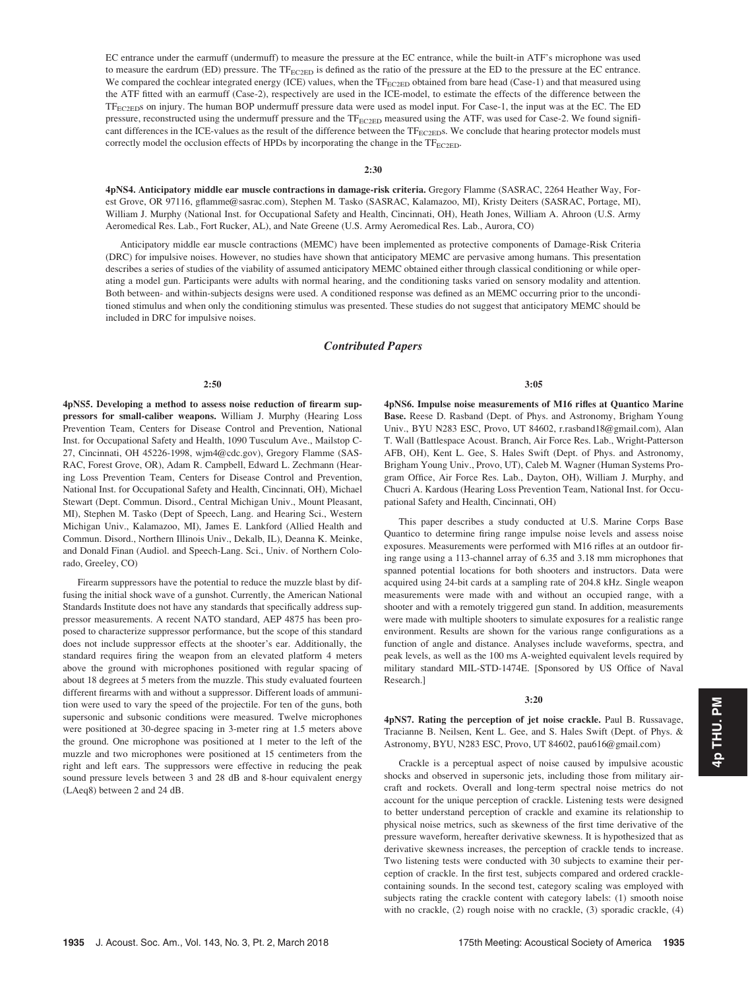EC entrance under the earmuff (undermuff) to measure the pressure at the EC entrance, while the built-in ATF's microphone was used to measure the eardrum (ED) pressure. The  $TF_{EC2ED}$  is defined as the ratio of the pressure at the ED to the pressure at the EC entrance. We compared the cochlear integrated energy (ICE) values, when the TF<sub>EC2ED</sub> obtained from bare head (Case-1) and that measured using the ATF fitted with an earmuff (Case-2), respectively are used in the ICE-model, to estimate the effects of the difference between the TFEC2EDs on injury. The human BOP undermuff pressure data were used as model input. For Case-1, the input was at the EC. The ED pressure, reconstructed using the undermuff pressure and the TF<sub>EC2ED</sub> measured using the ATF, was used for Case-2. We found significant differences in the ICE-values as the result of the difference between the TF<sub>EC2ED</sub>s. We conclude that hearing protector models must correctly model the occlusion effects of HPDs by incorporating the change in the  $TF_{EC2ED}$ .

2:30

4pNS4. Anticipatory middle ear muscle contractions in damage-risk criteria. Gregory Flamme (SASRAC, 2264 Heather Way, Forest Grove, OR 97116, gflamme@sasrac.com), Stephen M. Tasko (SASRAC, Kalamazoo, MI), Kristy Deiters (SASRAC, Portage, MI), William J. Murphy (National Inst. for Occupational Safety and Health, Cincinnati, OH), Heath Jones, William A. Ahroon (U.S. Army Aeromedical Res. Lab., Fort Rucker, AL), and Nate Greene (U.S. Army Aeromedical Res. Lab., Aurora, CO)

Anticipatory middle ear muscle contractions (MEMC) have been implemented as protective components of Damage-Risk Criteria (DRC) for impulsive noises. However, no studies have shown that anticipatory MEMC are pervasive among humans. This presentation describes a series of studies of the viability of assumed anticipatory MEMC obtained either through classical conditioning or while operating a model gun. Participants were adults with normal hearing, and the conditioning tasks varied on sensory modality and attention. Both between- and within-subjects designs were used. A conditioned response was defined as an MEMC occurring prior to the unconditioned stimulus and when only the conditioning stimulus was presented. These studies do not suggest that anticipatory MEMC should be included in DRC for impulsive noises.

# Contributed Papers

## 2:50

4pNS5. Developing a method to assess noise reduction of firearm suppressors for small-caliber weapons. William J. Murphy (Hearing Loss Prevention Team, Centers for Disease Control and Prevention, National Inst. for Occupational Safety and Health, 1090 Tusculum Ave., Mailstop C-27, Cincinnati, OH 45226-1998, wjm4@cdc.gov), Gregory Flamme (SAS-RAC, Forest Grove, OR), Adam R. Campbell, Edward L. Zechmann (Hearing Loss Prevention Team, Centers for Disease Control and Prevention, National Inst. for Occupational Safety and Health, Cincinnati, OH), Michael Stewart (Dept. Commun. Disord., Central Michigan Univ., Mount Pleasant, MI), Stephen M. Tasko (Dept of Speech, Lang. and Hearing Sci., Western Michigan Univ., Kalamazoo, MI), James E. Lankford (Allied Health and Commun. Disord., Northern Illinois Univ., Dekalb, IL), Deanna K. Meinke, and Donald Finan (Audiol. and Speech-Lang. Sci., Univ. of Northern Colorado, Greeley, CO)

Firearm suppressors have the potential to reduce the muzzle blast by diffusing the initial shock wave of a gunshot. Currently, the American National Standards Institute does not have any standards that specifically address suppressor measurements. A recent NATO standard, AEP 4875 has been proposed to characterize suppressor performance, but the scope of this standard does not include suppressor effects at the shooter's ear. Additionally, the standard requires firing the weapon from an elevated platform 4 meters above the ground with microphones positioned with regular spacing of about 18 degrees at 5 meters from the muzzle. This study evaluated fourteen different firearms with and without a suppressor. Different loads of ammunition were used to vary the speed of the projectile. For ten of the guns, both supersonic and subsonic conditions were measured. Twelve microphones were positioned at 30-degree spacing in 3-meter ring at 1.5 meters above the ground. One microphone was positioned at 1 meter to the left of the muzzle and two microphones were positioned at 15 centimeters from the right and left ears. The suppressors were effective in reducing the peak sound pressure levels between 3 and 28 dB and 8-hour equivalent energy (LAeq8) between 2 and 24 dB.

3:05

4pNS6. Impulse noise measurements of M16 rifles at Quantico Marine Base. Reese D. Rasband (Dept. of Phys. and Astronomy, Brigham Young Univ., BYU N283 ESC, Provo, UT 84602, r.rasband18@gmail.com), Alan T. Wall (Battlespace Acoust. Branch, Air Force Res. Lab., Wright-Patterson AFB, OH), Kent L. Gee, S. Hales Swift (Dept. of Phys. and Astronomy, Brigham Young Univ., Provo, UT), Caleb M. Wagner (Human Systems Program Office, Air Force Res. Lab., Dayton, OH), William J. Murphy, and Chucri A. Kardous (Hearing Loss Prevention Team, National Inst. for Occupational Safety and Health, Cincinnati, OH)

This paper describes a study conducted at U.S. Marine Corps Base Quantico to determine firing range impulse noise levels and assess noise exposures. Measurements were performed with M16 rifles at an outdoor firing range using a 113-channel array of 6.35 and 3.18 mm microphones that spanned potential locations for both shooters and instructors. Data were acquired using 24-bit cards at a sampling rate of 204.8 kHz. Single weapon measurements were made with and without an occupied range, with a shooter and with a remotely triggered gun stand. In addition, measurements were made with multiple shooters to simulate exposures for a realistic range environment. Results are shown for the various range configurations as a function of angle and distance. Analyses include waveforms, spectra, and peak levels, as well as the 100 ms A-weighted equivalent levels required by military standard MIL-STD-1474E. [Sponsored by US Office of Naval Research.]

# 3:20

4pNS7. Rating the perception of jet noise crackle. Paul B. Russavage, Tracianne B. Neilsen, Kent L. Gee, and S. Hales Swift (Dept. of Phys. & Astronomy, BYU, N283 ESC, Provo, UT 84602, pau616@gmail.com)

Crackle is a perceptual aspect of noise caused by impulsive acoustic shocks and observed in supersonic jets, including those from military aircraft and rockets. Overall and long-term spectral noise metrics do not account for the unique perception of crackle. Listening tests were designed to better understand perception of crackle and examine its relationship to physical noise metrics, such as skewness of the first time derivative of the pressure waveform, hereafter derivative skewness. It is hypothesized that as derivative skewness increases, the perception of crackle tends to increase. Two listening tests were conducted with 30 subjects to examine their perception of crackle. In the first test, subjects compared and ordered cracklecontaining sounds. In the second test, category scaling was employed with subjects rating the crackle content with category labels: (1) smooth noise with no crackle, (2) rough noise with no crackle, (3) sporadic crackle, (4)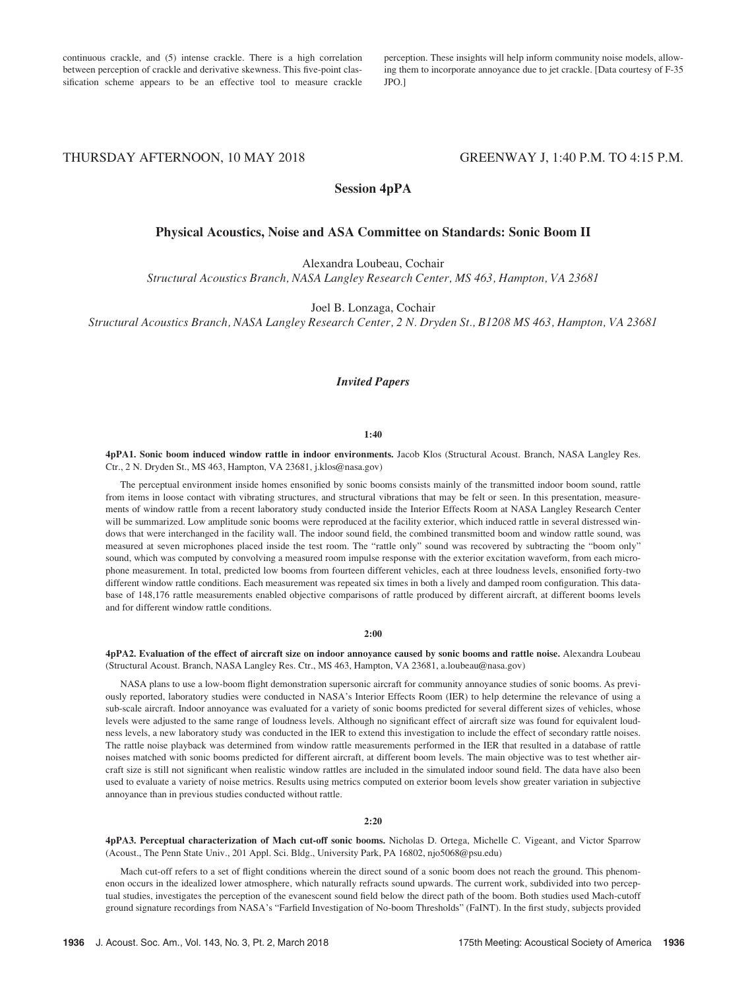continuous crackle, and (5) intense crackle. There is a high correlation between perception of crackle and derivative skewness. This five-point classification scheme appears to be an effective tool to measure crackle perception. These insights will help inform community noise models, allowing them to incorporate annoyance due to jet crackle. [Data courtesy of F-35 JPO.]

THURSDAY AFTERNOON, 10 MAY 2018 GREENWAY J, 1:40 P.M. TO 4:15 P.M.

# Session 4pPA

# Physical Acoustics, Noise and ASA Committee on Standards: Sonic Boom II

Alexandra Loubeau, Cochair

Structural Acoustics Branch, NASA Langley Research Center, MS 463, Hampton, VA 23681

Joel B. Lonzaga, Cochair

Structural Acoustics Branch, NASA Langley Research Center, 2 N. Dryden St., B1208 MS 463, Hampton, VA 23681

# Invited Papers

## 1:40

4pPA1. Sonic boom induced window rattle in indoor environments. Jacob Klos (Structural Acoust. Branch, NASA Langley Res. Ctr., 2 N. Dryden St., MS 463, Hampton, VA 23681, j.klos@nasa.gov)

The perceptual environment inside homes ensonified by sonic booms consists mainly of the transmitted indoor boom sound, rattle from items in loose contact with vibrating structures, and structural vibrations that may be felt or seen. In this presentation, measurements of window rattle from a recent laboratory study conducted inside the Interior Effects Room at NASA Langley Research Center will be summarized. Low amplitude sonic booms were reproduced at the facility exterior, which induced rattle in several distressed windows that were interchanged in the facility wall. The indoor sound field, the combined transmitted boom and window rattle sound, was measured at seven microphones placed inside the test room. The "rattle only" sound was recovered by subtracting the "boom only" sound, which was computed by convolving a measured room impulse response with the exterior excitation waveform, from each microphone measurement. In total, predicted low booms from fourteen different vehicles, each at three loudness levels, ensonified forty-two different window rattle conditions. Each measurement was repeated six times in both a lively and damped room configuration. This database of 148,176 rattle measurements enabled objective comparisons of rattle produced by different aircraft, at different booms levels and for different window rattle conditions.

## 2:00

4pPA2. Evaluation of the effect of aircraft size on indoor annoyance caused by sonic booms and rattle noise. Alexandra Loubeau (Structural Acoust. Branch, NASA Langley Res. Ctr., MS 463, Hampton, VA 23681, a.loubeau@nasa.gov)

NASA plans to use a low-boom flight demonstration supersonic aircraft for community annoyance studies of sonic booms. As previously reported, laboratory studies were conducted in NASA's Interior Effects Room (IER) to help determine the relevance of using a sub-scale aircraft. Indoor annoyance was evaluated for a variety of sonic booms predicted for several different sizes of vehicles, whose levels were adjusted to the same range of loudness levels. Although no significant effect of aircraft size was found for equivalent loudness levels, a new laboratory study was conducted in the IER to extend this investigation to include the effect of secondary rattle noises. The rattle noise playback was determined from window rattle measurements performed in the IER that resulted in a database of rattle noises matched with sonic booms predicted for different aircraft, at different boom levels. The main objective was to test whether aircraft size is still not significant when realistic window rattles are included in the simulated indoor sound field. The data have also been used to evaluate a variety of noise metrics. Results using metrics computed on exterior boom levels show greater variation in subjective annoyance than in previous studies conducted without rattle.

## 2:20

4pPA3. Perceptual characterization of Mach cut-off sonic booms. Nicholas D. Ortega, Michelle C. Vigeant, and Victor Sparrow (Acoust., The Penn State Univ., 201 Appl. Sci. Bldg., University Park, PA 16802, njo5068@psu.edu)

Mach cut-off refers to a set of flight conditions wherein the direct sound of a sonic boom does not reach the ground. This phenomenon occurs in the idealized lower atmosphere, which naturally refracts sound upwards. The current work, subdivided into two perceptual studies, investigates the perception of the evanescent sound field below the direct path of the boom. Both studies used Mach-cutoff ground signature recordings from NASA's "Farfield Investigation of No-boom Thresholds" (FaINT). In the first study, subjects provided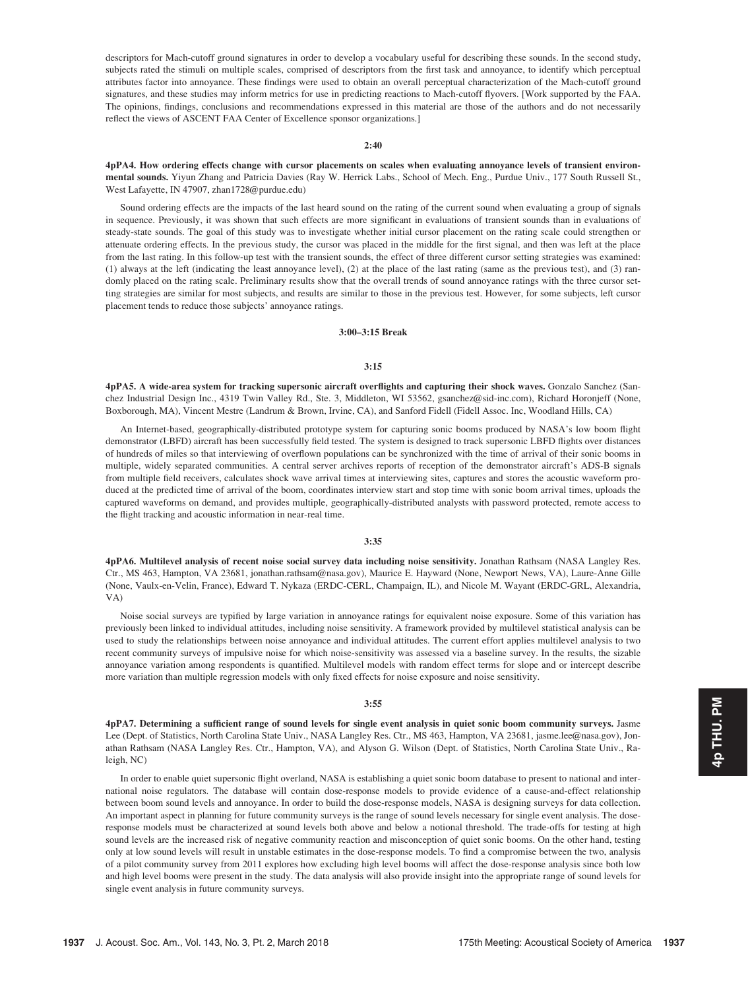descriptors for Mach-cutoff ground signatures in order to develop a vocabulary useful for describing these sounds. In the second study, subjects rated the stimuli on multiple scales, comprised of descriptors from the first task and annoyance, to identify which perceptual attributes factor into annoyance. These findings were used to obtain an overall perceptual characterization of the Mach-cutoff ground signatures, and these studies may inform metrics for use in predicting reactions to Mach-cutoff flyovers. [Work supported by the FAA. The opinions, findings, conclusions and recommendations expressed in this material are those of the authors and do not necessarily reflect the views of ASCENT FAA Center of Excellence sponsor organizations.]

# $2:40$

4pPA4. How ordering effects change with cursor placements on scales when evaluating annoyance levels of transient environmental sounds. Yiyun Zhang and Patricia Davies (Ray W. Herrick Labs., School of Mech. Eng., Purdue Univ., 177 South Russell St., West Lafayette, IN 47907, zhan1728@purdue.edu)

Sound ordering effects are the impacts of the last heard sound on the rating of the current sound when evaluating a group of signals in sequence. Previously, it was shown that such effects are more significant in evaluations of transient sounds than in evaluations of steady-state sounds. The goal of this study was to investigate whether initial cursor placement on the rating scale could strengthen or attenuate ordering effects. In the previous study, the cursor was placed in the middle for the first signal, and then was left at the place from the last rating. In this follow-up test with the transient sounds, the effect of three different cursor setting strategies was examined: (1) always at the left (indicating the least annoyance level), (2) at the place of the last rating (same as the previous test), and (3) randomly placed on the rating scale. Preliminary results show that the overall trends of sound annoyance ratings with the three cursor setting strategies are similar for most subjects, and results are similar to those in the previous test. However, for some subjects, left cursor placement tends to reduce those subjects' annoyance ratings.

#### 3:00–3:15 Break

#### 3:15

4pPA5. A wide-area system for tracking supersonic aircraft overflights and capturing their shock waves. Gonzalo Sanchez (Sanchez Industrial Design Inc., 4319 Twin Valley Rd., Ste. 3, Middleton, WI 53562, gsanchez@sid-inc.com), Richard Horonjeff (None, Boxborough, MA), Vincent Mestre (Landrum & Brown, Irvine, CA), and Sanford Fidell (Fidell Assoc. Inc, Woodland Hills, CA)

An Internet-based, geographically-distributed prototype system for capturing sonic booms produced by NASA's low boom flight demonstrator (LBFD) aircraft has been successfully field tested. The system is designed to track supersonic LBFD flights over distances of hundreds of miles so that interviewing of overflown populations can be synchronized with the time of arrival of their sonic booms in multiple, widely separated communities. A central server archives reports of reception of the demonstrator aircraft's ADS-B signals from multiple field receivers, calculates shock wave arrival times at interviewing sites, captures and stores the acoustic waveform produced at the predicted time of arrival of the boom, coordinates interview start and stop time with sonic boom arrival times, uploads the captured waveforms on demand, and provides multiple, geographically-distributed analysts with password protected, remote access to the flight tracking and acoustic information in near-real time.

## 3:35

4pPA6. Multilevel analysis of recent noise social survey data including noise sensitivity. Jonathan Rathsam (NASA Langley Res. Ctr., MS 463, Hampton, VA 23681, jonathan.rathsam@nasa.gov), Maurice E. Hayward (None, Newport News, VA), Laure-Anne Gille (None, Vaulx-en-Velin, France), Edward T. Nykaza (ERDC-CERL, Champaign, IL), and Nicole M. Wayant (ERDC-GRL, Alexandria, VA)

Noise social surveys are typified by large variation in annoyance ratings for equivalent noise exposure. Some of this variation has previously been linked to individual attitudes, including noise sensitivity. A framework provided by multilevel statistical analysis can be used to study the relationships between noise annoyance and individual attitudes. The current effort applies multilevel analysis to two recent community surveys of impulsive noise for which noise-sensitivity was assessed via a baseline survey. In the results, the sizable annoyance variation among respondents is quantified. Multilevel models with random effect terms for slope and or intercept describe more variation than multiple regression models with only fixed effects for noise exposure and noise sensitivity.

#### 3:55

4pPA7. Determining a sufficient range of sound levels for single event analysis in quiet sonic boom community surveys. Jasme Lee (Dept. of Statistics, North Carolina State Univ., NASA Langley Res. Ctr., MS 463, Hampton, VA 23681, jasme.lee@nasa.gov), Jonathan Rathsam (NASA Langley Res. Ctr., Hampton, VA), and Alyson G. Wilson (Dept. of Statistics, North Carolina State Univ., Raleigh, NC)

In order to enable quiet supersonic flight overland, NASA is establishing a quiet sonic boom database to present to national and international noise regulators. The database will contain dose-response models to provide evidence of a cause-and-effect relationship between boom sound levels and annoyance. In order to build the dose-response models, NASA is designing surveys for data collection. An important aspect in planning for future community surveys is the range of sound levels necessary for single event analysis. The doseresponse models must be characterized at sound levels both above and below a notional threshold. The trade-offs for testing at high sound levels are the increased risk of negative community reaction and misconception of quiet sonic booms. On the other hand, testing only at low sound levels will result in unstable estimates in the dose-response models. To find a compromise between the two, analysis of a pilot community survey from 2011 explores how excluding high level booms will affect the dose-response analysis since both low and high level booms were present in the study. The data analysis will also provide insight into the appropriate range of sound levels for single event analysis in future community surveys.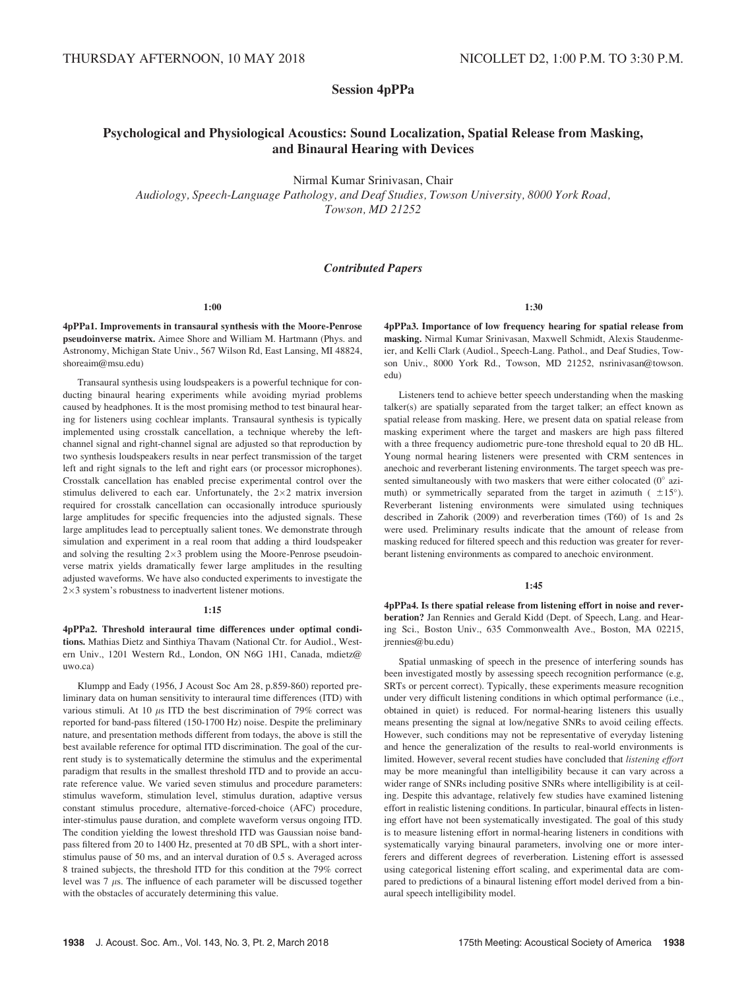**Session 4pPPa** 

# Psychological and Physiological Acoustics: Sound Localization, Spatial Release from Masking, and Binaural Hearing with Devices

Nirmal Kumar Srinivasan, Chair

Audiology, Speech-Language Pathology, and Deaf Studies, Towson University, 8000 York Road, Towson, MD 21252

# Contributed Papers

1:00

4pPPa1. Improvements in transaural synthesis with the Moore-Penrose pseudoinverse matrix. Aimee Shore and William M. Hartmann (Phys. and Astronomy, Michigan State Univ., 567 Wilson Rd, East Lansing, MI 48824, shoreaim@msu.edu)

Transaural synthesis using loudspeakers is a powerful technique for conducting binaural hearing experiments while avoiding myriad problems caused by headphones. It is the most promising method to test binaural hearing for listeners using cochlear implants. Transaural synthesis is typically implemented using crosstalk cancellation, a technique whereby the leftchannel signal and right-channel signal are adjusted so that reproduction by two synthesis loudspeakers results in near perfect transmission of the target left and right signals to the left and right ears (or processor microphones). Crosstalk cancellation has enabled precise experimental control over the stimulus delivered to each ear. Unfortunately, the  $2\times 2$  matrix inversion required for crosstalk cancellation can occasionally introduce spuriously large amplitudes for specific frequencies into the adjusted signals. These large amplitudes lead to perceptually salient tones. We demonstrate through simulation and experiment in a real room that adding a third loudspeaker and solving the resulting  $2\times3$  problem using the Moore-Penrose pseudoinverse matrix yields dramatically fewer large amplitudes in the resulting adjusted waveforms. We have also conducted experiments to investigate the  $2\times3$  system's robustness to inadvertent listener motions.

# 1:15

4pPPa2. Threshold interaural time differences under optimal conditions. Mathias Dietz and Sinthiya Thavam (National Ctr. for Audiol., Western Univ., 1201 Western Rd., London, ON N6G 1H1, Canada, mdietz@ uwo.ca)

Klumpp and Eady (1956, J Acoust Soc Am 28, p.859-860) reported preliminary data on human sensitivity to interaural time differences (ITD) with various stimuli. At 10  $\mu$ s ITD the best discrimination of 79% correct was reported for band-pass filtered (150-1700 Hz) noise. Despite the preliminary nature, and presentation methods different from todays, the above is still the best available reference for optimal ITD discrimination. The goal of the current study is to systematically determine the stimulus and the experimental paradigm that results in the smallest threshold ITD and to provide an accurate reference value. We varied seven stimulus and procedure parameters: stimulus waveform, stimulation level, stimulus duration, adaptive versus constant stimulus procedure, alternative-forced-choice (AFC) procedure, inter-stimulus pause duration, and complete waveform versus ongoing ITD. The condition yielding the lowest threshold ITD was Gaussian noise bandpass filtered from 20 to 1400 Hz, presented at 70 dB SPL, with a short interstimulus pause of 50 ms, and an interval duration of 0.5 s. Averaged across 8 trained subjects, the threshold ITD for this condition at the 79% correct level was  $7 \mu s$ . The influence of each parameter will be discussed together with the obstacles of accurately determining this value.

## 1:30

4pPPa3. Importance of low frequency hearing for spatial release from masking. Nirmal Kumar Srinivasan, Maxwell Schmidt, Alexis Staudenmeier, and Kelli Clark (Audiol., Speech-Lang. Pathol., and Deaf Studies, Towson Univ., 8000 York Rd., Towson, MD 21252, nsrinivasan@towson. edu)

Listeners tend to achieve better speech understanding when the masking talker(s) are spatially separated from the target talker; an effect known as spatial release from masking. Here, we present data on spatial release from masking experiment where the target and maskers are high pass filtered with a three frequency audiometric pure-tone threshold equal to 20 dB HL. Young normal hearing listeners were presented with CRM sentences in anechoic and reverberant listening environments. The target speech was presented simultaneously with two maskers that were either colocated  $(0^{\circ}$  azimuth) or symmetrically separated from the target in azimuth  $($   $\pm 15^{\circ}).$ Reverberant listening environments were simulated using techniques described in Zahorik (2009) and reverberation times (T60) of 1s and 2s were used. Preliminary results indicate that the amount of release from masking reduced for filtered speech and this reduction was greater for reverberant listening environments as compared to anechoic environment.

# 1:45

4pPPa4. Is there spatial release from listening effort in noise and reverberation? Jan Rennies and Gerald Kidd (Dept. of Speech, Lang. and Hearing Sci., Boston Univ., 635 Commonwealth Ave., Boston, MA 02215, jrennies@bu.edu)

Spatial unmasking of speech in the presence of interfering sounds has been investigated mostly by assessing speech recognition performance (e.g, SRTs or percent correct). Typically, these experiments measure recognition under very difficult listening conditions in which optimal performance (i.e., obtained in quiet) is reduced. For normal-hearing listeners this usually means presenting the signal at low/negative SNRs to avoid ceiling effects. However, such conditions may not be representative of everyday listening and hence the generalization of the results to real-world environments is limited. However, several recent studies have concluded that listening effort may be more meaningful than intelligibility because it can vary across a wider range of SNRs including positive SNRs where intelligibility is at ceiling. Despite this advantage, relatively few studies have examined listening effort in realistic listening conditions. In particular, binaural effects in listening effort have not been systematically investigated. The goal of this study is to measure listening effort in normal-hearing listeners in conditions with systematically varying binaural parameters, involving one or more interferers and different degrees of reverberation. Listening effort is assessed using categorical listening effort scaling, and experimental data are compared to predictions of a binaural listening effort model derived from a binaural speech intelligibility model.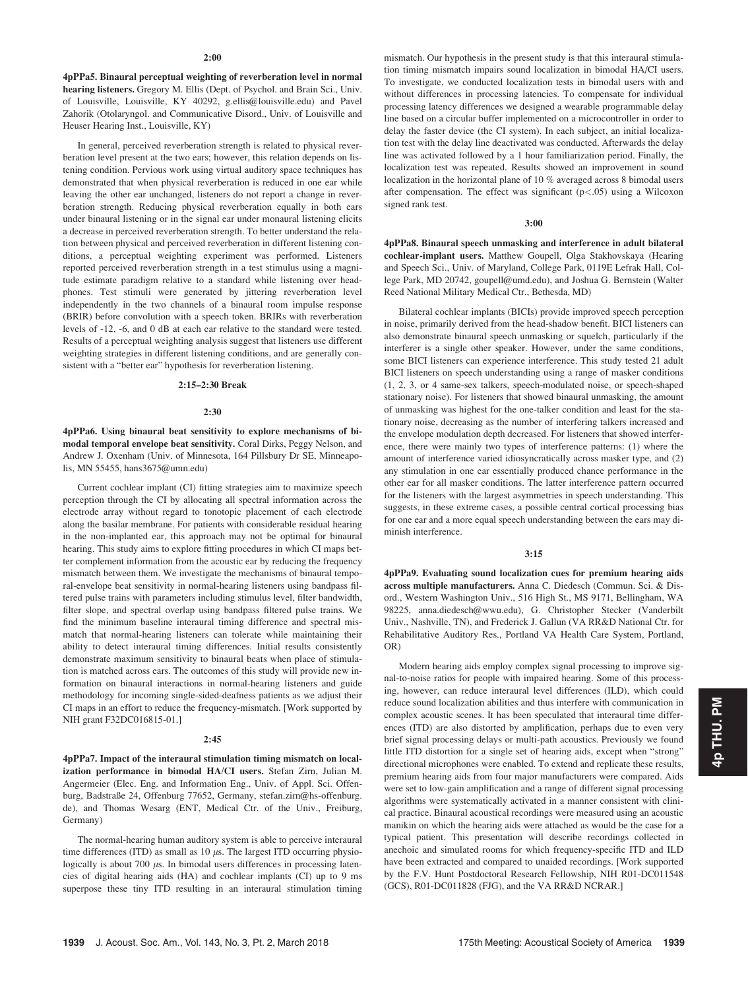4pPPa5. Binaural perceptual weighting of reverberation level in normal hearing listeners. Gregory M. Ellis (Dept. of Psychol. and Brain Sci., Univ. of Louisville, Louisville, KY 40292, g.ellis@louisville.edu) and Pavel Zahorik (Otolaryngol. and Communicative Disord., Univ. of Louisville and Heuser Hearing Inst., Louisville, KY)

In general, perceived reverberation strength is related to physical reverberation level present at the two ears; however, this relation depends on listening condition. Pervious work using virtual auditory space techniques has demonstrated that when physical reverberation is reduced in one ear while leaving the other ear unchanged, listeners do not report a change in reverberation strength. Reducing physical reverberation equally in both ears under binaural listening or in the signal ear under monaural listening elicits a decrease in perceived reverberation strength. To better understand the relation between physical and perceived reverberation in different listening conditions, a perceptual weighting experiment was performed. Listeners reported perceived reverberation strength in a test stimulus using a magnitude estimate paradigm relative to a standard while listening over headphones. Test stimuli were generated by jittering reverberation level independently in the two channels of a binaural room impulse response (BRIR) before convolution with a speech token. BRIRs with reverberation levels of -12, -6, and 0 dB at each ear relative to the standard were tested. Results of a perceptual weighting analysis suggest that listeners use different weighting strategies in different listening conditions, and are generally consistent with a "better ear" hypothesis for reverberation listening.

# 2:15–2:30 Break

## 2:30

4pPPa6. Using binaural beat sensitivity to explore mechanisms of bimodal temporal envelope beat sensitivity. Coral Dirks, Peggy Nelson, and Andrew J. Oxenham (Univ. of Minnesota, 164 Pillsbury Dr SE, Minneapolis, MN 55455, hans3675@umn.edu)

Current cochlear implant (CI) fitting strategies aim to maximize speech perception through the CI by allocating all spectral information across the electrode array without regard to tonotopic placement of each electrode along the basilar membrane. For patients with considerable residual hearing in the non-implanted ear, this approach may not be optimal for binaural hearing. This study aims to explore fitting procedures in which CI maps better complement information from the acoustic ear by reducing the frequency mismatch between them. We investigate the mechanisms of binaural temporal-envelope beat sensitivity in normal-hearing listeners using bandpass filtered pulse trains with parameters including stimulus level, filter bandwidth, filter slope, and spectral overlap using bandpass filtered pulse trains. We find the minimum baseline interaural timing difference and spectral mismatch that normal-hearing listeners can tolerate while maintaining their ability to detect interaural timing differences. Initial results consistently demonstrate maximum sensitivity to binaural beats when place of stimulation is matched across ears. The outcomes of this study will provide new information on binaural interactions in normal-hearing listeners and guide methodology for incoming single-sided-deafness patients as we adjust their CI maps in an effort to reduce the frequency-mismatch. [Work supported by NIH grant F32DC016815-01.]

## $2:45$

4pPPa7. Impact of the interaural stimulation timing mismatch on localization performance in bimodal HA/CI users. Stefan Zirn, Julian M. Angermeier (Elec. Eng. and Information Eng., Univ. of Appl. Sci. Offenburg, Badstraße 24, Offenburg 77652, Germany, stefan.zirn@hs-offenburg. de), and Thomas Wesarg (ENT, Medical Ctr. of the Univ., Freiburg, Germany)

The normal-hearing human auditory system is able to perceive interaural time differences (ITD) as small as  $10 \mu s$ . The largest ITD occurring physiologically is about 700  $\mu$ s. In bimodal users differences in processing latencies of digital hearing aids (HA) and cochlear implants (CI) up to 9 ms superpose these tiny ITD resulting in an interaural stimulation timing mismatch. Our hypothesis in the present study is that this interaural stimulation timing mismatch impairs sound localization in bimodal HA/CI users. To investigate, we conducted localization tests in bimodal users with and without differences in processing latencies. To compensate for individual processing latency differences we designed a wearable programmable delay line based on a circular buffer implemented on a microcontroller in order to delay the faster device (the CI system). In each subject, an initial localization test with the delay line deactivated was conducted. Afterwards the delay line was activated followed by a 1 hour familiarization period. Finally, the localization test was repeated. Results showed an improvement in sound localization in the horizontal plane of 10 % averaged across 8 bimodal users after compensation. The effect was significant  $(p<.05)$  using a Wilcoxon signed rank test.

# 3:00

4pPPa8. Binaural speech unmasking and interference in adult bilateral cochlear-implant users. Matthew Goupell, Olga Stakhovskaya (Hearing and Speech Sci., Univ. of Maryland, College Park, 0119E Lefrak Hall, College Park, MD 20742, goupell@umd.edu), and Joshua G. Bernstein (Walter Reed National Military Medical Ctr., Bethesda, MD)

Bilateral cochlear implants (BICIs) provide improved speech perception in noise, primarily derived from the head-shadow benefit. BICI listeners can also demonstrate binaural speech unmasking or squelch, particularly if the interferer is a single other speaker. However, under the same conditions, some BICI listeners can experience interference. This study tested 21 adult BICI listeners on speech understanding using a range of masker conditions (1, 2, 3, or 4 same-sex talkers, speech-modulated noise, or speech-shaped stationary noise). For listeners that showed binaural unmasking, the amount of unmasking was highest for the one-talker condition and least for the stationary noise, decreasing as the number of interfering talkers increased and the envelope modulation depth decreased. For listeners that showed interference, there were mainly two types of interference patterns: (1) where the amount of interference varied idiosyncratically across masker type, and (2) any stimulation in one ear essentially produced chance performance in the other ear for all masker conditions. The latter interference pattern occurred for the listeners with the largest asymmetries in speech understanding. This suggests, in these extreme cases, a possible central cortical processing bias for one ear and a more equal speech understanding between the ears may diminish interference.

## 3:15

4pPPa9. Evaluating sound localization cues for premium hearing aids across multiple manufacturers. Anna C. Diedesch (Commun. Sci. & Disord., Western Washington Univ., 516 High St., MS 9171, Bellingham, WA 98225, anna.diedesch@wwu.edu), G. Christopher Stecker (Vanderbilt Univ., Nashville, TN), and Frederick J. Gallun (VA RR&D National Ctr. for Rehabilitative Auditory Res., Portland VA Health Care System, Portland, OR)

Modern hearing aids employ complex signal processing to improve signal-to-noise ratios for people with impaired hearing. Some of this processing, however, can reduce interaural level differences (ILD), which could reduce sound localization abilities and thus interfere with communication in complex acoustic scenes. It has been speculated that interaural time differences (ITD) are also distorted by amplification, perhaps due to even very brief signal processing delays or multi-path acoustics. Previously we found little ITD distortion for a single set of hearing aids, except when "strong" directional microphones were enabled. To extend and replicate these results, premium hearing aids from four major manufacturers were compared. Aids were set to low-gain amplification and a range of different signal processing algorithms were systematically activated in a manner consistent with clinical practice. Binaural acoustical recordings were measured using an acoustic manikin on which the hearing aids were attached as would be the case for a typical patient. This presentation will describe recordings collected in anechoic and simulated rooms for which frequency-specific ITD and ILD have been extracted and compared to unaided recordings. [Work supported by the F.V. Hunt Postdoctoral Research Fellowship, NIH R01-DC011548 (GCS), R01-DC011828 (FJG), and the VA RR&D NCRAR.]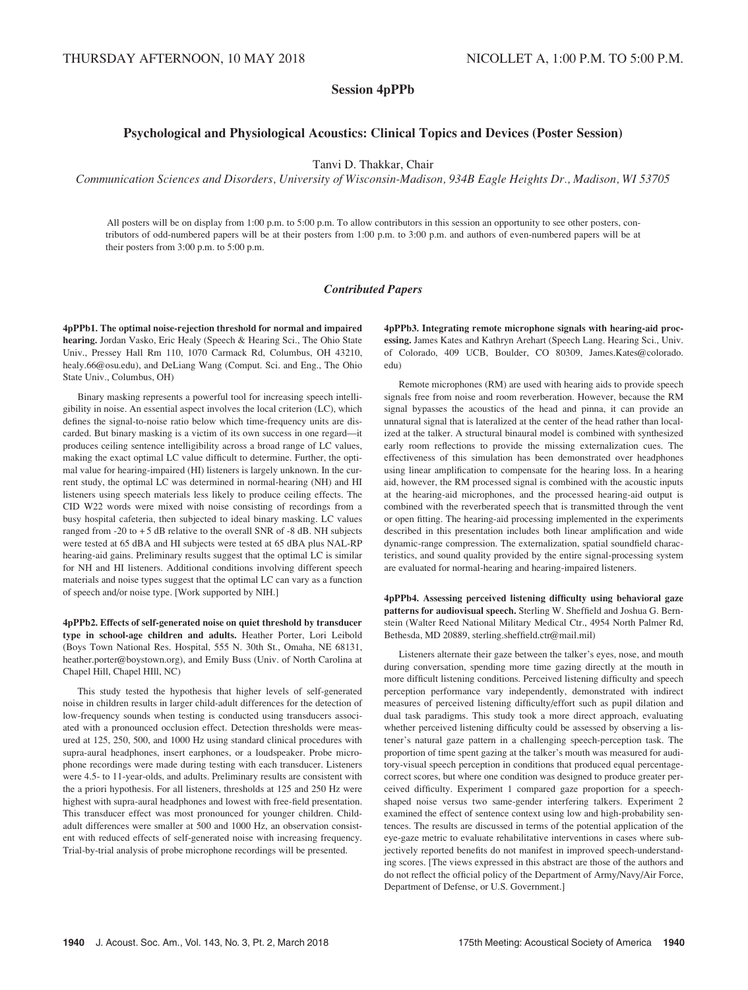# Session 4pPPb

# Psychological and Physiological Acoustics: Clinical Topics and Devices (Poster Session)

Tanvi D. Thakkar, Chair

Communication Sciences and Disorders, University of Wisconsin-Madison, 934B Eagle Heights Dr., Madison, WI 53705

All posters will be on display from 1:00 p.m. to 5:00 p.m. To allow contributors in this session an opportunity to see other posters, contributors of odd-numbered papers will be at their posters from 1:00 p.m. to 3:00 p.m. and authors of even-numbered papers will be at their posters from 3:00 p.m. to 5:00 p.m.

# Contributed Papers

4pPPb1. The optimal noise-rejection threshold for normal and impaired hearing. Jordan Vasko, Eric Healy (Speech & Hearing Sci., The Ohio State Univ., Pressey Hall Rm 110, 1070 Carmack Rd, Columbus, OH 43210, healy.66@osu.edu), and DeLiang Wang (Comput. Sci. and Eng., The Ohio State Univ., Columbus, OH)

Binary masking represents a powerful tool for increasing speech intelligibility in noise. An essential aspect involves the local criterion (LC), which defines the signal-to-noise ratio below which time-frequency units are discarded. But binary masking is a victim of its own success in one regard—it produces ceiling sentence intelligibility across a broad range of LC values, making the exact optimal LC value difficult to determine. Further, the optimal value for hearing-impaired (HI) listeners is largely unknown. In the current study, the optimal LC was determined in normal-hearing (NH) and HI listeners using speech materials less likely to produce ceiling effects. The CID W22 words were mixed with noise consisting of recordings from a busy hospital cafeteria, then subjected to ideal binary masking. LC values ranged from  $-20$  to  $+5$  dB relative to the overall SNR of  $-8$  dB. NH subjects were tested at 65 dBA and HI subjects were tested at 65 dBA plus NAL-RP hearing-aid gains. Preliminary results suggest that the optimal LC is similar for NH and HI listeners. Additional conditions involving different speech materials and noise types suggest that the optimal LC can vary as a function of speech and/or noise type. [Work supported by NIH.]

4pPPb2. Effects of self-generated noise on quiet threshold by transducer type in school-age children and adults. Heather Porter, Lori Leibold (Boys Town National Res. Hospital, 555 N. 30th St., Omaha, NE 68131, heather.porter@boystown.org), and Emily Buss (Univ. of North Carolina at Chapel Hill, Chapel HIll, NC)

This study tested the hypothesis that higher levels of self-generated noise in children results in larger child-adult differences for the detection of low-frequency sounds when testing is conducted using transducers associated with a pronounced occlusion effect. Detection thresholds were measured at 125, 250, 500, and 1000 Hz using standard clinical procedures with supra-aural headphones, insert earphones, or a loudspeaker. Probe microphone recordings were made during testing with each transducer. Listeners were 4.5- to 11-year-olds, and adults. Preliminary results are consistent with the a priori hypothesis. For all listeners, thresholds at 125 and 250 Hz were highest with supra-aural headphones and lowest with free-field presentation. This transducer effect was most pronounced for younger children. Childadult differences were smaller at 500 and 1000 Hz, an observation consistent with reduced effects of self-generated noise with increasing frequency. Trial-by-trial analysis of probe microphone recordings will be presented.

4pPPb3. Integrating remote microphone signals with hearing-aid processing. James Kates and Kathryn Arehart (Speech Lang. Hearing Sci., Univ. of Colorado, 409 UCB, Boulder, CO 80309, James.Kates@colorado. edu)

Remote microphones (RM) are used with hearing aids to provide speech signals free from noise and room reverberation. However, because the RM signal bypasses the acoustics of the head and pinna, it can provide an unnatural signal that is lateralized at the center of the head rather than localized at the talker. A structural binaural model is combined with synthesized early room reflections to provide the missing externalization cues. The effectiveness of this simulation has been demonstrated over headphones using linear amplification to compensate for the hearing loss. In a hearing aid, however, the RM processed signal is combined with the acoustic inputs at the hearing-aid microphones, and the processed hearing-aid output is combined with the reverberated speech that is transmitted through the vent or open fitting. The hearing-aid processing implemented in the experiments described in this presentation includes both linear amplification and wide dynamic-range compression. The externalization, spatial soundfield characteristics, and sound quality provided by the entire signal-processing system are evaluated for normal-hearing and hearing-impaired listeners.

4pPPb4. Assessing perceived listening difficulty using behavioral gaze patterns for audiovisual speech. Sterling W. Sheffield and Joshua G. Bernstein (Walter Reed National Military Medical Ctr., 4954 North Palmer Rd, Bethesda, MD 20889, sterling.sheffield.ctr@mail.mil)

Listeners alternate their gaze between the talker's eyes, nose, and mouth during conversation, spending more time gazing directly at the mouth in more difficult listening conditions. Perceived listening difficulty and speech perception performance vary independently, demonstrated with indirect measures of perceived listening difficulty/effort such as pupil dilation and dual task paradigms. This study took a more direct approach, evaluating whether perceived listening difficulty could be assessed by observing a listener's natural gaze pattern in a challenging speech-perception task. The proportion of time spent gazing at the talker's mouth was measured for auditory-visual speech perception in conditions that produced equal percentagecorrect scores, but where one condition was designed to produce greater perceived difficulty. Experiment 1 compared gaze proportion for a speechshaped noise versus two same-gender interfering talkers. Experiment 2 examined the effect of sentence context using low and high-probability sentences. The results are discussed in terms of the potential application of the eye-gaze metric to evaluate rehabilitative interventions in cases where subjectively reported benefits do not manifest in improved speech-understanding scores. [The views expressed in this abstract are those of the authors and do not reflect the official policy of the Department of Army/Navy/Air Force, Department of Defense, or U.S. Government.]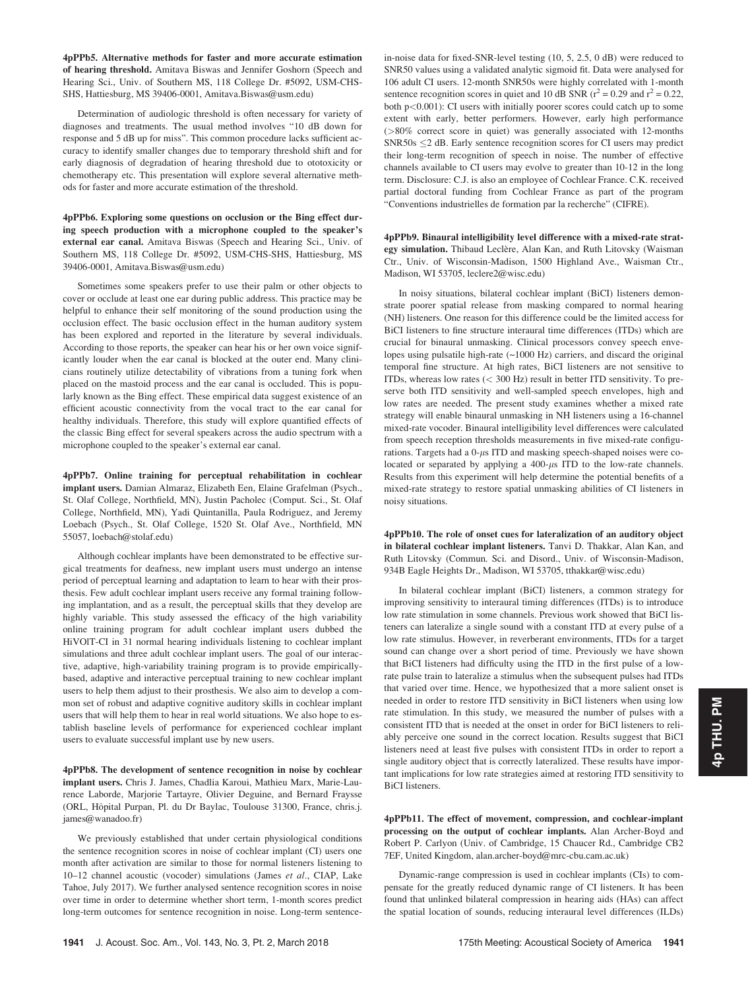4pPPb5. Alternative methods for faster and more accurate estimation of hearing threshold. Amitava Biswas and Jennifer Goshorn (Speech and Hearing Sci., Univ. of Southern MS, 118 College Dr. #5092, USM-CHS-SHS, Hattiesburg, MS 39406-0001, Amitava.Biswas@usm.edu)

Determination of audiologic threshold is often necessary for variety of diagnoses and treatments. The usual method involves "10 dB down for response and 5 dB up for miss". This common procedure lacks sufficient accuracy to identify smaller changes due to temporary threshold shift and for early diagnosis of degradation of hearing threshold due to ototoxicity or chemotherapy etc. This presentation will explore several alternative methods for faster and more accurate estimation of the threshold.

4pPPb6. Exploring some questions on occlusion or the Bing effect during speech production with a microphone coupled to the speaker's external ear canal. Amitava Biswas (Speech and Hearing Sci., Univ. of Southern MS, 118 College Dr. #5092, USM-CHS-SHS, Hattiesburg, MS 39406-0001, Amitava.Biswas@usm.edu)

Sometimes some speakers prefer to use their palm or other objects to cover or occlude at least one ear during public address. This practice may be helpful to enhance their self monitoring of the sound production using the occlusion effect. The basic occlusion effect in the human auditory system has been explored and reported in the literature by several individuals. According to those reports, the speaker can hear his or her own voice significantly louder when the ear canal is blocked at the outer end. Many clinicians routinely utilize detectability of vibrations from a tuning fork when placed on the mastoid process and the ear canal is occluded. This is popularly known as the Bing effect. These empirical data suggest existence of an efficient acoustic connectivity from the vocal tract to the ear canal for healthy individuals. Therefore, this study will explore quantified effects of the classic Bing effect for several speakers across the audio spectrum with a microphone coupled to the speaker's external ear canal.

4pPPb7. Online training for perceptual rehabilitation in cochlear implant users. Damian Almaraz, Elizabeth Een, Elaine Grafelman (Psych., St. Olaf College, Northfield, MN), Justin Pacholec (Comput. Sci., St. Olaf College, Northfield, MN), Yadi Quintanilla, Paula Rodriguez, and Jeremy Loebach (Psych., St. Olaf College, 1520 St. Olaf Ave., Northfield, MN 55057, loebach@stolaf.edu)

Although cochlear implants have been demonstrated to be effective surgical treatments for deafness, new implant users must undergo an intense period of perceptual learning and adaptation to learn to hear with their prosthesis. Few adult cochlear implant users receive any formal training following implantation, and as a result, the perceptual skills that they develop are highly variable. This study assessed the efficacy of the high variability online training program for adult cochlear implant users dubbed the HiVOlT-CI in 31 normal hearing individuals listening to cochlear implant simulations and three adult cochlear implant users. The goal of our interactive, adaptive, high-variability training program is to provide empiricallybased, adaptive and interactive perceptual training to new cochlear implant users to help them adjust to their prosthesis. We also aim to develop a common set of robust and adaptive cognitive auditory skills in cochlear implant users that will help them to hear in real world situations. We also hope to establish baseline levels of performance for experienced cochlear implant users to evaluate successful implant use by new users.

4pPPb8. The development of sentence recognition in noise by cochlear implant users. Chris J. James, Chadlia Karoui, Mathieu Marx, Marie-Laurence Laborde, Marjorie Tartayre, Olivier Deguine, and Bernard Fraysse (ORL, Hôpital Purpan, Pl. du Dr Baylac, Toulouse 31300, France, chris.j. james@wanadoo.fr)

We previously established that under certain physiological conditions the sentence recognition scores in noise of cochlear implant (CI) users one month after activation are similar to those for normal listeners listening to 10–12 channel acoustic (vocoder) simulations (James et al., CIAP, Lake Tahoe, July 2017). We further analysed sentence recognition scores in noise over time in order to determine whether short term, 1-month scores predict long-term outcomes for sentence recognition in noise. Long-term sentencein-noise data for fixed-SNR-level testing (10, 5, 2.5, 0 dB) were reduced to SNR50 values using a validated analytic sigmoid fit. Data were analysed for 106 adult CI users. 12-month SNR50s were highly correlated with 1-month sentence recognition scores in quiet and 10 dB SNR ( $r^2$  = 0.29 and  $r^2$  = 0.22, both p<0.001): CI users with initially poorer scores could catch up to some extent with early, better performers. However, early high performance (>80% correct score in quiet) was generally associated with 12-months  $SNR50s \leq 2$  dB. Early sentence recognition scores for CI users may predict their long-term recognition of speech in noise. The number of effective channels available to CI users may evolve to greater than 10-12 in the long term. Disclosure: C.J. is also an employee of Cochlear France. C.K. received partial doctoral funding from Cochlear France as part of the program "Conventions industrielles de formation par la recherche" (CIFRE).

4pPPb9. Binaural intelligibility level difference with a mixed-rate strategy simulation. Thibaud Leclère, Alan Kan, and Ruth Litovsky (Waisman Ctr., Univ. of Wisconsin-Madison, 1500 Highland Ave., Waisman Ctr., Madison, WI 53705, leclere2@wisc.edu)

In noisy situations, bilateral cochlear implant (BiCI) listeners demonstrate poorer spatial release from masking compared to normal hearing (NH) listeners. One reason for this difference could be the limited access for BiCI listeners to fine structure interaural time differences (ITDs) which are crucial for binaural unmasking. Clinical processors convey speech envelopes using pulsatile high-rate (~1000 Hz) carriers, and discard the original temporal fine structure. At high rates, BiCI listeners are not sensitive to ITDs, whereas low rates (< 300 Hz) result in better ITD sensitivity. To preserve both ITD sensitivity and well-sampled speech envelopes, high and low rates are needed. The present study examines whether a mixed rate strategy will enable binaural unmasking in NH listeners using a 16-channel mixed-rate vocoder. Binaural intelligibility level differences were calculated from speech reception thresholds measurements in five mixed-rate configurations. Targets had a  $0$ - $\mu$ s ITD and masking speech-shaped noises were colocated or separated by applying a  $400-\mu s$  ITD to the low-rate channels. Results from this experiment will help determine the potential benefits of a mixed-rate strategy to restore spatial unmasking abilities of CI listeners in noisy situations.

4pPPb10. The role of onset cues for lateralization of an auditory object in bilateral cochlear implant listeners. Tanvi D. Thakkar, Alan Kan, and Ruth Litovsky (Commun. Sci. and Disord., Univ. of Wisconsin-Madison, 934B Eagle Heights Dr., Madison, WI 53705, tthakkar@wisc.edu)

In bilateral cochlear implant (BiCI) listeners, a common strategy for improving sensitivity to interaural timing differences (ITDs) is to introduce low rate stimulation in some channels. Previous work showed that BiCI listeners can lateralize a single sound with a constant ITD at every pulse of a low rate stimulus. However, in reverberant environments, ITDs for a target sound can change over a short period of time. Previously we have shown that BiCI listeners had difficulty using the ITD in the first pulse of a lowrate pulse train to lateralize a stimulus when the subsequent pulses had ITDs that varied over time. Hence, we hypothesized that a more salient onset is needed in order to restore ITD sensitivity in BiCI listeners when using low rate stimulation. In this study, we measured the number of pulses with a consistent ITD that is needed at the onset in order for BiCI listeners to reliably perceive one sound in the correct location. Results suggest that BiCI listeners need at least five pulses with consistent ITDs in order to report a single auditory object that is correctly lateralized. These results have important implications for low rate strategies aimed at restoring ITD sensitivity to BiCI listeners.

4pPPb11. The effect of movement, compression, and cochlear-implant processing on the output of cochlear implants. Alan Archer-Boyd and Robert P. Carlyon (Univ. of Cambridge, 15 Chaucer Rd., Cambridge CB2 7EF, United Kingdom, alan.archer-boyd@mrc-cbu.cam.ac.uk)

Dynamic-range compression is used in cochlear implants (CIs) to compensate for the greatly reduced dynamic range of CI listeners. It has been found that unlinked bilateral compression in hearing aids (HAs) can affect the spatial location of sounds, reducing interaural level differences (ILDs)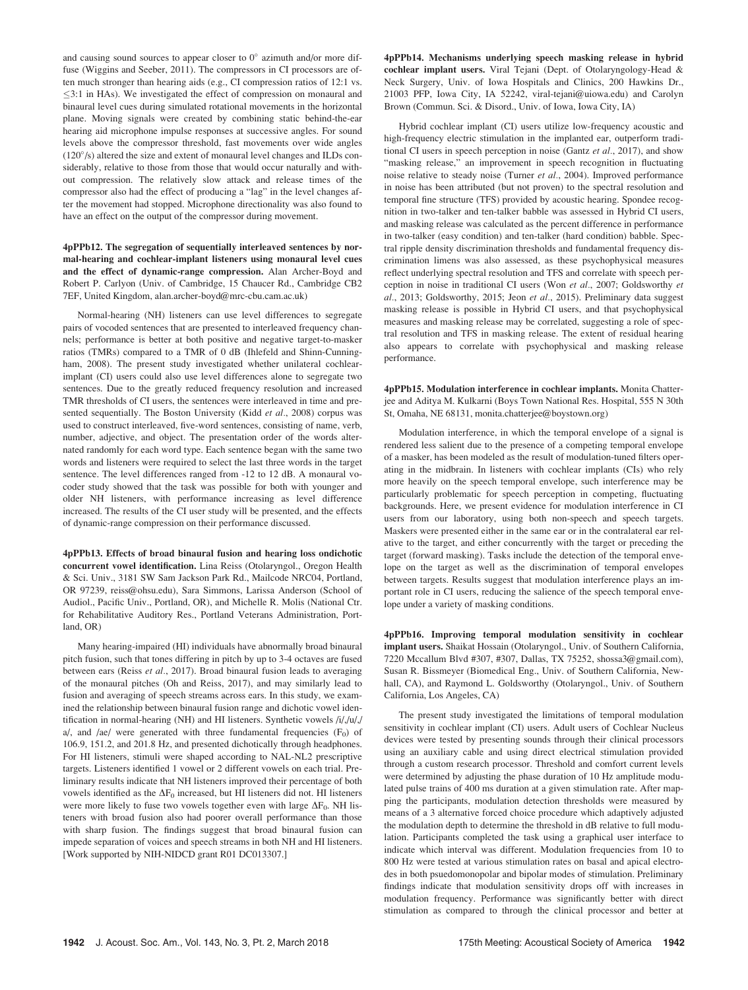and causing sound sources to appear closer to  $0^{\circ}$  azimuth and/or more diffuse (Wiggins and Seeber, 2011). The compressors in CI processors are often much stronger than hearing aids (e.g., CI compression ratios of 12:1 vs.  $\leq$ 3:1 in HAs). We investigated the effect of compression on monaural and binaural level cues during simulated rotational movements in the horizontal plane. Moving signals were created by combining static behind-the-ear hearing aid microphone impulse responses at successive angles. For sound levels above the compressor threshold, fast movements over wide angles (120°/s) altered the size and extent of monaural level changes and ILDs considerably, relative to those from those that would occur naturally and without compression. The relatively slow attack and release times of the compressor also had the effect of producing a "lag" in the level changes after the movement had stopped. Microphone directionality was also found to have an effect on the output of the compressor during movement.

4pPPb12. The segregation of sequentially interleaved sentences by normal-hearing and cochlear-implant listeners using monaural level cues and the effect of dynamic-range compression. Alan Archer-Boyd and Robert P. Carlyon (Univ. of Cambridge, 15 Chaucer Rd., Cambridge CB2 7EF, United Kingdom, alan.archer-boyd@mrc-cbu.cam.ac.uk)

Normal-hearing (NH) listeners can use level differences to segregate pairs of vocoded sentences that are presented to interleaved frequency channels; performance is better at both positive and negative target-to-masker ratios (TMRs) compared to a TMR of 0 dB (Ihlefeld and Shinn-Cunningham, 2008). The present study investigated whether unilateral cochlearimplant (CI) users could also use level differences alone to segregate two sentences. Due to the greatly reduced frequency resolution and increased TMR thresholds of CI users, the sentences were interleaved in time and presented sequentially. The Boston University (Kidd et al., 2008) corpus was used to construct interleaved, five-word sentences, consisting of name, verb, number, adjective, and object. The presentation order of the words alternated randomly for each word type. Each sentence began with the same two words and listeners were required to select the last three words in the target sentence. The level differences ranged from -12 to 12 dB. A monaural vocoder study showed that the task was possible for both with younger and older NH listeners, with performance increasing as level difference increased. The results of the CI user study will be presented, and the effects of dynamic-range compression on their performance discussed.

4pPPb13. Effects of broad binaural fusion and hearing loss ondichotic concurrent vowel identification. Lina Reiss (Otolaryngol., Oregon Health & Sci. Univ., 3181 SW Sam Jackson Park Rd., Mailcode NRC04, Portland, OR 97239, reiss@ohsu.edu), Sara Simmons, Larissa Anderson (School of Audiol., Pacific Univ., Portland, OR), and Michelle R. Molis (National Ctr. for Rehabilitative Auditory Res., Portland Veterans Administration, Portland, OR)

Many hearing-impaired (HI) individuals have abnormally broad binaural pitch fusion, such that tones differing in pitch by up to 3-4 octaves are fused between ears (Reiss et al., 2017). Broad binaural fusion leads to averaging of the monaural pitches (Oh and Reiss, 2017), and may similarly lead to fusion and averaging of speech streams across ears. In this study, we examined the relationship between binaural fusion range and dichotic vowel identification in normal-hearing (NH) and HI listeners. Synthetic vowels /i/,/u/,/ a/, and /ae/ were generated with three fundamental frequencies  $(F_0)$  of 106.9, 151.2, and 201.8 Hz, and presented dichotically through headphones. For HI listeners, stimuli were shaped according to NAL-NL2 prescriptive targets. Listeners identified 1 vowel or 2 different vowels on each trial. Preliminary results indicate that NH listeners improved their percentage of both vowels identified as the  $\Delta F_0$  increased, but HI listeners did not. HI listeners were more likely to fuse two vowels together even with large  $\Delta F_0$ . NH listeners with broad fusion also had poorer overall performance than those with sharp fusion. The findings suggest that broad binaural fusion can impede separation of voices and speech streams in both NH and HI listeners. [Work supported by NIH-NIDCD grant R01 DC013307.]

4pPPb14. Mechanisms underlying speech masking release in hybrid cochlear implant users. Viral Tejani (Dept. of Otolaryngology-Head & Neck Surgery, Univ. of Iowa Hospitals and Clinics, 200 Hawkins Dr., 21003 PFP, Iowa City, IA 52242, viral-tejani@uiowa.edu) and Carolyn Brown (Commun. Sci. & Disord., Univ. of Iowa, Iowa City, IA)

Hybrid cochlear implant (CI) users utilize low-frequency acoustic and high-frequency electric stimulation in the implanted ear, outperform traditional CI users in speech perception in noise (Gantz et al., 2017), and show "masking release," an improvement in speech recognition in fluctuating noise relative to steady noise (Turner et al., 2004). Improved performance in noise has been attributed (but not proven) to the spectral resolution and temporal fine structure (TFS) provided by acoustic hearing. Spondee recognition in two-talker and ten-talker babble was assessed in Hybrid CI users, and masking release was calculated as the percent difference in performance in two-talker (easy condition) and ten-talker (hard condition) babble. Spectral ripple density discrimination thresholds and fundamental frequency discrimination limens was also assessed, as these psychophysical measures reflect underlying spectral resolution and TFS and correlate with speech perception in noise in traditional CI users (Won et al., 2007; Goldsworthy et al., 2013; Goldsworthy, 2015; Jeon et al., 2015). Preliminary data suggest masking release is possible in Hybrid CI users, and that psychophysical measures and masking release may be correlated, suggesting a role of spectral resolution and TFS in masking release. The extent of residual hearing also appears to correlate with psychophysical and masking release performance.

4pPPb15. Modulation interference in cochlear implants. Monita Chatterjee and Aditya M. Kulkarni (Boys Town National Res. Hospital, 555 N 30th St, Omaha, NE 68131, monita.chatterjee@boystown.org)

Modulation interference, in which the temporal envelope of a signal is rendered less salient due to the presence of a competing temporal envelope of a masker, has been modeled as the result of modulation-tuned filters operating in the midbrain. In listeners with cochlear implants (CIs) who rely more heavily on the speech temporal envelope, such interference may be particularly problematic for speech perception in competing, fluctuating backgrounds. Here, we present evidence for modulation interference in CI users from our laboratory, using both non-speech and speech targets. Maskers were presented either in the same ear or in the contralateral ear relative to the target, and either concurrently with the target or preceding the target (forward masking). Tasks include the detection of the temporal envelope on the target as well as the discrimination of temporal envelopes between targets. Results suggest that modulation interference plays an important role in CI users, reducing the salience of the speech temporal envelope under a variety of masking conditions.

4pPPb16. Improving temporal modulation sensitivity in cochlear implant users. Shaikat Hossain (Otolaryngol., Univ. of Southern California, 7220 Mccallum Blvd #307, #307, Dallas, TX 75252, shossa3@gmail.com), Susan R. Bissmeyer (Biomedical Eng., Univ. of Southern California, Newhall, CA), and Raymond L. Goldsworthy (Otolaryngol., Univ. of Southern California, Los Angeles, CA)

The present study investigated the limitations of temporal modulation sensitivity in cochlear implant (CI) users. Adult users of Cochlear Nucleus devices were tested by presenting sounds through their clinical processors using an auxiliary cable and using direct electrical stimulation provided through a custom research processor. Threshold and comfort current levels were determined by adjusting the phase duration of 10 Hz amplitude modulated pulse trains of 400 ms duration at a given stimulation rate. After mapping the participants, modulation detection thresholds were measured by means of a 3 alternative forced choice procedure which adaptively adjusted the modulation depth to determine the threshold in dB relative to full modulation. Participants completed the task using a graphical user interface to indicate which interval was different. Modulation frequencies from 10 to 800 Hz were tested at various stimulation rates on basal and apical electrodes in both psuedomonopolar and bipolar modes of stimulation. Preliminary findings indicate that modulation sensitivity drops off with increases in modulation frequency. Performance was significantly better with direct stimulation as compared to through the clinical processor and better at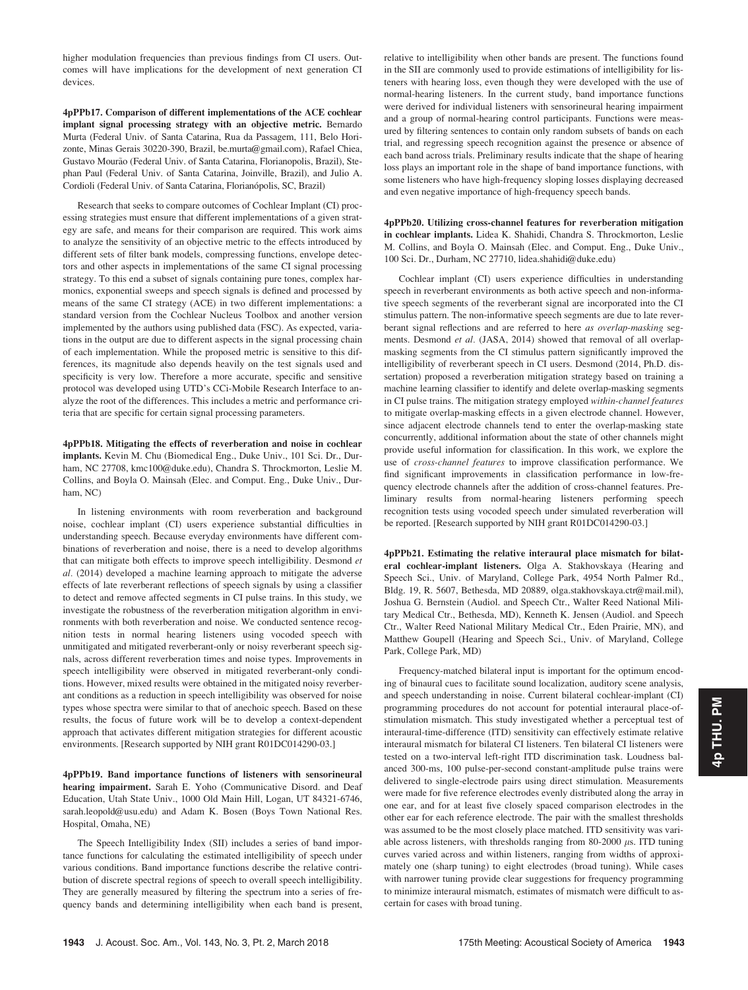higher modulation frequencies than previous findings from CI users. Outcomes will have implications for the development of next generation CI devices.

4pPPb17. Comparison of different implementations of the ACE cochlear implant signal processing strategy with an objective metric. Bernardo Murta (Federal Univ. of Santa Catarina, Rua da Passagem, 111, Belo Horizonte, Minas Gerais 30220-390, Brazil, be.murta@gmail.com), Rafael Chiea, Gustavo Mourão (Federal Univ. of Santa Catarina, Florianopolis, Brazil), Stephan Paul (Federal Univ. of Santa Catarina, Joinville, Brazil), and Julio A. Cordioli (Federal Univ. of Santa Catarina, Florianópolis, SC, Brazil)

Research that seeks to compare outcomes of Cochlear Implant (CI) processing strategies must ensure that different implementations of a given strategy are safe, and means for their comparison are required. This work aims to analyze the sensitivity of an objective metric to the effects introduced by different sets of filter bank models, compressing functions, envelope detectors and other aspects in implementations of the same CI signal processing strategy. To this end a subset of signals containing pure tones, complex harmonics, exponential sweeps and speech signals is defined and processed by means of the same CI strategy (ACE) in two different implementations: a standard version from the Cochlear Nucleus Toolbox and another version implemented by the authors using published data (FSC). As expected, variations in the output are due to different aspects in the signal processing chain of each implementation. While the proposed metric is sensitive to this differences, its magnitude also depends heavily on the test signals used and specificity is very low. Therefore a more accurate, specific and sensitive protocol was developed using UTD's CCi-Mobile Research Interface to analyze the root of the differences. This includes a metric and performance criteria that are specific for certain signal processing parameters.

4pPPb18. Mitigating the effects of reverberation and noise in cochlear implants. Kevin M. Chu (Biomedical Eng., Duke Univ., 101 Sci. Dr., Durham, NC 27708, kmc100@duke.edu), Chandra S. Throckmorton, Leslie M. Collins, and Boyla O. Mainsah (Elec. and Comput. Eng., Duke Univ., Durham, NC)

In listening environments with room reverberation and background noise, cochlear implant (CI) users experience substantial difficulties in understanding speech. Because everyday environments have different combinations of reverberation and noise, there is a need to develop algorithms that can mitigate both effects to improve speech intelligibility. Desmond et al. (2014) developed a machine learning approach to mitigate the adverse effects of late reverberant reflections of speech signals by using a classifier to detect and remove affected segments in CI pulse trains. In this study, we investigate the robustness of the reverberation mitigation algorithm in environments with both reverberation and noise. We conducted sentence recognition tests in normal hearing listeners using vocoded speech with unmitigated and mitigated reverberant-only or noisy reverberant speech signals, across different reverberation times and noise types. Improvements in speech intelligibility were observed in mitigated reverberant-only conditions. However, mixed results were obtained in the mitigated noisy reverberant conditions as a reduction in speech intelligibility was observed for noise types whose spectra were similar to that of anechoic speech. Based on these results, the focus of future work will be to develop a context-dependent approach that activates different mitigation strategies for different acoustic environments. [Research supported by NIH grant R01DC014290-03.]

4pPPb19. Band importance functions of listeners with sensorineural hearing impairment. Sarah E. Yoho (Communicative Disord. and Deaf Education, Utah State Univ., 1000 Old Main Hill, Logan, UT 84321-6746, sarah.leopold@usu.edu) and Adam K. Bosen (Boys Town National Res. Hospital, Omaha, NE)

The Speech Intelligibility Index (SII) includes a series of band importance functions for calculating the estimated intelligibility of speech under various conditions. Band importance functions describe the relative contribution of discrete spectral regions of speech to overall speech intelligibility. They are generally measured by filtering the spectrum into a series of frequency bands and determining intelligibility when each band is present, relative to intelligibility when other bands are present. The functions found in the SII are commonly used to provide estimations of intelligibility for listeners with hearing loss, even though they were developed with the use of normal-hearing listeners. In the current study, band importance functions were derived for individual listeners with sensorineural hearing impairment and a group of normal-hearing control participants. Functions were measured by filtering sentences to contain only random subsets of bands on each trial, and regressing speech recognition against the presence or absence of each band across trials. Preliminary results indicate that the shape of hearing loss plays an important role in the shape of band importance functions, with some listeners who have high-frequency sloping losses displaying decreased and even negative importance of high-frequency speech bands.

4pPPb20. Utilizing cross-channel features for reverberation mitigation in cochlear implants. Lidea K. Shahidi, Chandra S. Throckmorton, Leslie M. Collins, and Boyla O. Mainsah (Elec. and Comput. Eng., Duke Univ., 100 Sci. Dr., Durham, NC 27710, lidea.shahidi@duke.edu)

Cochlear implant (CI) users experience difficulties in understanding speech in reverberant environments as both active speech and non-informative speech segments of the reverberant signal are incorporated into the CI stimulus pattern. The non-informative speech segments are due to late reverberant signal reflections and are referred to here as overlap-masking segments. Desmond et al. (JASA, 2014) showed that removal of all overlapmasking segments from the CI stimulus pattern significantly improved the intelligibility of reverberant speech in CI users. Desmond (2014, Ph.D. dissertation) proposed a reverberation mitigation strategy based on training a machine learning classifier to identify and delete overlap-masking segments in CI pulse trains. The mitigation strategy employed within-channel features to mitigate overlap-masking effects in a given electrode channel. However, since adjacent electrode channels tend to enter the overlap-masking state concurrently, additional information about the state of other channels might provide useful information for classification. In this work, we explore the use of cross-channel features to improve classification performance. We find significant improvements in classification performance in low-frequency electrode channels after the addition of cross-channel features. Preliminary results from normal-hearing listeners performing speech recognition tests using vocoded speech under simulated reverberation will be reported. [Research supported by NIH grant R01DC014290-03.]

4pPPb21. Estimating the relative interaural place mismatch for bilateral cochlear-implant listeners. Olga A. Stakhovskaya (Hearing and Speech Sci., Univ. of Maryland, College Park, 4954 North Palmer Rd., Bldg. 19, R. 5607, Bethesda, MD 20889, olga.stakhovskaya.ctr@mail.mil), Joshua G. Bernstein (Audiol. and Speech Ctr., Walter Reed National Military Medical Ctr., Bethesda, MD), Kenneth K. Jensen (Audiol. and Speech Ctr., Walter Reed National Military Medical Ctr., Eden Prairie, MN), and Matthew Goupell (Hearing and Speech Sci., Univ. of Maryland, College Park, College Park, MD)

Frequency-matched bilateral input is important for the optimum encoding of binaural cues to facilitate sound localization, auditory scene analysis, and speech understanding in noise. Current bilateral cochlear-implant (CI) programming procedures do not account for potential interaural place-ofstimulation mismatch. This study investigated whether a perceptual test of interaural-time-difference (ITD) sensitivity can effectively estimate relative interaural mismatch for bilateral CI listeners. Ten bilateral CI listeners were tested on a two-interval left-right ITD discrimination task. Loudness balanced 300-ms, 100 pulse-per-second constant-amplitude pulse trains were delivered to single-electrode pairs using direct stimulation. Measurements were made for five reference electrodes evenly distributed along the array in one ear, and for at least five closely spaced comparison electrodes in the other ear for each reference electrode. The pair with the smallest thresholds was assumed to be the most closely place matched. ITD sensitivity was variable across listeners, with thresholds ranging from 80-2000  $\mu$ s. ITD tuning curves varied across and within listeners, ranging from widths of approximately one (sharp tuning) to eight electrodes (broad tuning). While cases with narrower tuning provide clear suggestions for frequency programming to minimize interaural mismatch, estimates of mismatch were difficult to ascertain for cases with broad tuning.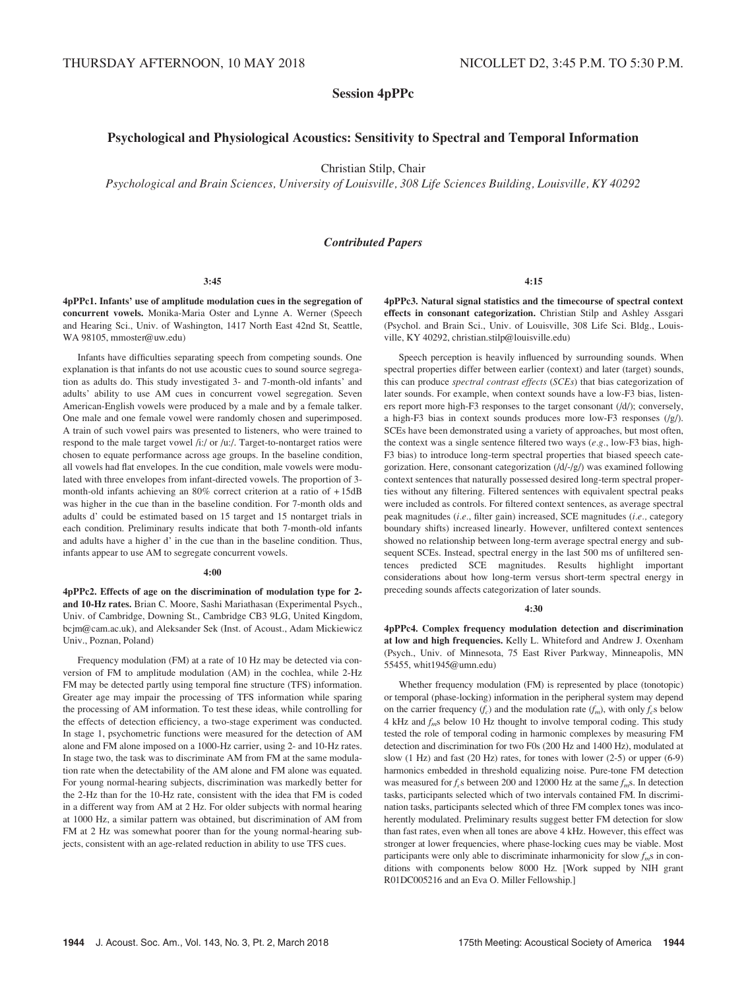Session 4pPPc

# Psychological and Physiological Acoustics: Sensitivity to Spectral and Temporal Information

Christian Stilp, Chair

Psychological and Brain Sciences, University of Louisville, 308 Life Sciences Building, Louisville, KY 40292

## Contributed Papers

#### 3:45

4pPPc1. Infants' use of amplitude modulation cues in the segregation of concurrent vowels. Monika-Maria Oster and Lynne A. Werner (Speech and Hearing Sci., Univ. of Washington, 1417 North East 42nd St, Seattle, WA 98105, mmoster@uw.edu)

Infants have difficulties separating speech from competing sounds. One explanation is that infants do not use acoustic cues to sound source segregation as adults do. This study investigated 3- and 7-month-old infants' and adults' ability to use AM cues in concurrent vowel segregation. Seven American-English vowels were produced by a male and by a female talker. One male and one female vowel were randomly chosen and superimposed. A train of such vowel pairs was presented to listeners, who were trained to respond to the male target vowel /i:/ or /u:/. Target-to-nontarget ratios were chosen to equate performance across age groups. In the baseline condition, all vowels had flat envelopes. In the cue condition, male vowels were modulated with three envelopes from infant-directed vowels. The proportion of 3 month-old infants achieving an 80% correct criterion at a ratio of + 15dB was higher in the cue than in the baseline condition. For 7-month olds and adults d' could be estimated based on 15 target and 15 nontarget trials in each condition. Preliminary results indicate that both 7-month-old infants and adults have a higher d' in the cue than in the baseline condition. Thus, infants appear to use AM to segregate concurrent vowels.

#### 4:00

4pPPc2. Effects of age on the discrimination of modulation type for 2 and 10-Hz rates. Brian C. Moore, Sashi Mariathasan (Experimental Psych., Univ. of Cambridge, Downing St., Cambridge CB3 9LG, United Kingdom, bcjm@cam.ac.uk), and Aleksander Sek (Inst. of Acoust., Adam Mickiewicz Univ., Poznan, Poland)

Frequency modulation (FM) at a rate of 10 Hz may be detected via conversion of FM to amplitude modulation (AM) in the cochlea, while 2-Hz FM may be detected partly using temporal fine structure (TFS) information. Greater age may impair the processing of TFS information while sparing the processing of AM information. To test these ideas, while controlling for the effects of detection efficiency, a two-stage experiment was conducted. In stage 1, psychometric functions were measured for the detection of AM alone and FM alone imposed on a 1000-Hz carrier, using 2- and 10-Hz rates. In stage two, the task was to discriminate AM from FM at the same modulation rate when the detectability of the AM alone and FM alone was equated. For young normal-hearing subjects, discrimination was markedly better for the 2-Hz than for the 10-Hz rate, consistent with the idea that FM is coded in a different way from AM at 2 Hz. For older subjects with normal hearing at 1000 Hz, a similar pattern was obtained, but discrimination of AM from FM at 2 Hz was somewhat poorer than for the young normal-hearing subjects, consistent with an age-related reduction in ability to use TFS cues.

4:15

4pPPc3. Natural signal statistics and the timecourse of spectral context effects in consonant categorization. Christian Stilp and Ashley Assgari (Psychol. and Brain Sci., Univ. of Louisville, 308 Life Sci. Bldg., Louisville, KY 40292, christian.stilp@louisville.edu)

Speech perception is heavily influenced by surrounding sounds. When spectral properties differ between earlier (context) and later (target) sounds, this can produce spectral contrast effects (SCEs) that bias categorization of later sounds. For example, when context sounds have a low-F3 bias, listeners report more high-F3 responses to the target consonant (/d/); conversely, a high-F3 bias in context sounds produces more low-F3 responses (/g/). SCEs have been demonstrated using a variety of approaches, but most often, the context was a single sentence filtered two ways (e.g., low-F3 bias, high-F3 bias) to introduce long-term spectral properties that biased speech categorization. Here, consonant categorization (/d/-/g/) was examined following context sentences that naturally possessed desired long-term spectral properties without any filtering. Filtered sentences with equivalent spectral peaks were included as controls. For filtered context sentences, as average spectral peak magnitudes (i.e., filter gain) increased, SCE magnitudes (i.e., category boundary shifts) increased linearly. However, unfiltered context sentences showed no relationship between long-term average spectral energy and subsequent SCEs. Instead, spectral energy in the last 500 ms of unfiltered sentences predicted SCE magnitudes. Results highlight important considerations about how long-term versus short-term spectral energy in preceding sounds affects categorization of later sounds.

# 4:30

4pPPc4. Complex frequency modulation detection and discrimination at low and high frequencies. Kelly L. Whiteford and Andrew J. Oxenham (Psych., Univ. of Minnesota, 75 East River Parkway, Minneapolis, MN 55455, whit1945@umn.edu)

Whether frequency modulation (FM) is represented by place (tonotopic) or temporal (phase-locking) information in the peripheral system may depend on the carrier frequency  $(f_c)$  and the modulation rate  $(f_m)$ , with only  $f_c$ s below 4 kHz and  $f_m$ s below 10 Hz thought to involve temporal coding. This study tested the role of temporal coding in harmonic complexes by measuring FM detection and discrimination for two F0s (200 Hz and 1400 Hz), modulated at slow (1 Hz) and fast (20 Hz) rates, for tones with lower (2-5) or upper (6-9) harmonics embedded in threshold equalizing noise. Pure-tone FM detection was measured for  $f_c$ s between 200 and 12000 Hz at the same  $f_m$ s. In detection tasks, participants selected which of two intervals contained FM. In discrimination tasks, participants selected which of three FM complex tones was incoherently modulated. Preliminary results suggest better FM detection for slow than fast rates, even when all tones are above 4 kHz. However, this effect was stronger at lower frequencies, where phase-locking cues may be viable. Most participants were only able to discriminate inharmonicity for slow  $f_m$ s in conditions with components below 8000 Hz. [Work supped by NIH grant R01DC005216 and an Eva O. Miller Fellowship.]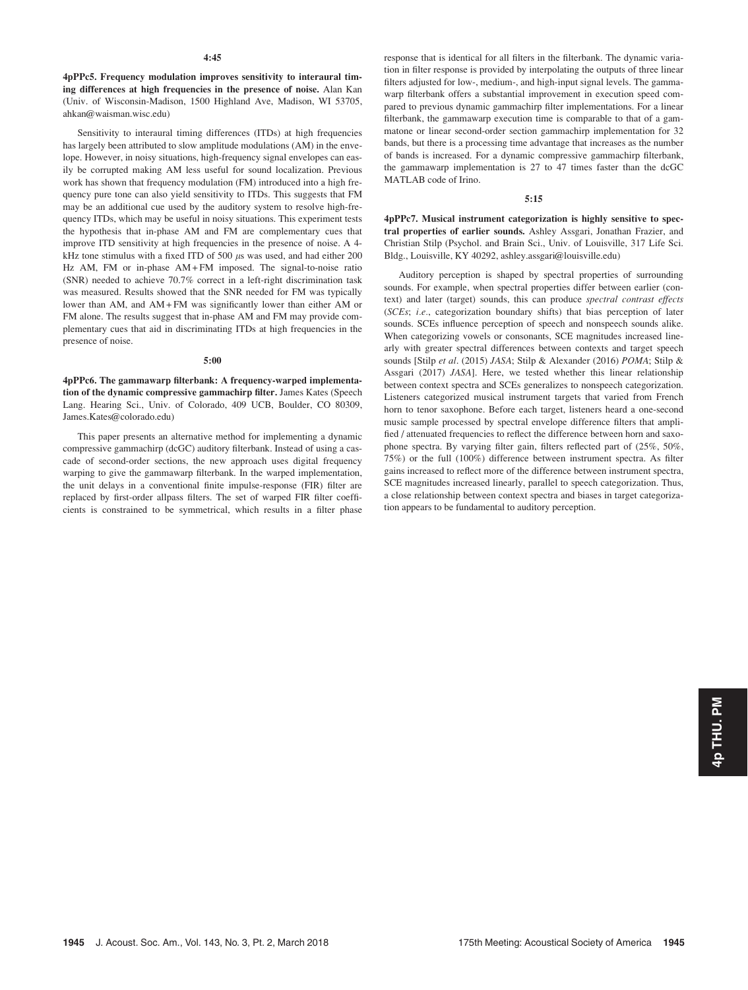4pPPc5. Frequency modulation improves sensitivity to interaural timing differences at high frequencies in the presence of noise. Alan Kan (Univ. of Wisconsin-Madison, 1500 Highland Ave, Madison, WI 53705, ahkan@waisman.wisc.edu)

Sensitivity to interaural timing differences (ITDs) at high frequencies has largely been attributed to slow amplitude modulations (AM) in the envelope. However, in noisy situations, high-frequency signal envelopes can easily be corrupted making AM less useful for sound localization. Previous work has shown that frequency modulation (FM) introduced into a high frequency pure tone can also yield sensitivity to ITDs. This suggests that FM may be an additional cue used by the auditory system to resolve high-frequency ITDs, which may be useful in noisy situations. This experiment tests the hypothesis that in-phase AM and FM are complementary cues that improve ITD sensitivity at high frequencies in the presence of noise. A 4 kHz tone stimulus with a fixed ITD of 500  $\mu$ s was used, and had either 200 Hz AM, FM or in-phase AM + FM imposed. The signal-to-noise ratio (SNR) needed to achieve 70.7% correct in a left-right discrimination task was measured. Results showed that the SNR needed for FM was typically lower than AM, and AM + FM was significantly lower than either AM or FM alone. The results suggest that in-phase AM and FM may provide complementary cues that aid in discriminating ITDs at high frequencies in the presence of noise.

#### 5:00

4pPPc6. The gammawarp filterbank: A frequency-warped implementation of the dynamic compressive gammachirp filter. James Kates (Speech Lang. Hearing Sci., Univ. of Colorado, 409 UCB, Boulder, CO 80309, James.Kates@colorado.edu)

This paper presents an alternative method for implementing a dynamic compressive gammachirp (dcGC) auditory filterbank. Instead of using a cascade of second-order sections, the new approach uses digital frequency warping to give the gammawarp filterbank. In the warped implementation, the unit delays in a conventional finite impulse-response (FIR) filter are replaced by first-order allpass filters. The set of warped FIR filter coefficients is constrained to be symmetrical, which results in a filter phase response that is identical for all filters in the filterbank. The dynamic variation in filter response is provided by interpolating the outputs of three linear filters adjusted for low-, medium-, and high-input signal levels. The gammawarp filterbank offers a substantial improvement in execution speed compared to previous dynamic gammachirp filter implementations. For a linear filterbank, the gammawarp execution time is comparable to that of a gammatone or linear second-order section gammachirp implementation for 32 bands, but there is a processing time advantage that increases as the number of bands is increased. For a dynamic compressive gammachirp filterbank, the gammawarp implementation is 27 to 47 times faster than the dcGC MATLAB code of Irino.

# 5:15

4pPPc7. Musical instrument categorization is highly sensitive to spectral properties of earlier sounds. Ashley Assgari, Jonathan Frazier, and Christian Stilp (Psychol. and Brain Sci., Univ. of Louisville, 317 Life Sci. Bldg., Louisville, KY 40292, ashley.assgari@louisville.edu)

Auditory perception is shaped by spectral properties of surrounding sounds. For example, when spectral properties differ between earlier (context) and later (target) sounds, this can produce spectral contrast effects (SCEs; i.e., categorization boundary shifts) that bias perception of later sounds. SCEs influence perception of speech and nonspeech sounds alike. When categorizing vowels or consonants, SCE magnitudes increased linearly with greater spectral differences between contexts and target speech sounds [Stilp et al. (2015) JASA; Stilp & Alexander (2016) POMA; Stilp & Assgari (2017) JASA]. Here, we tested whether this linear relationship between context spectra and SCEs generalizes to nonspeech categorization. Listeners categorized musical instrument targets that varied from French horn to tenor saxophone. Before each target, listeners heard a one-second music sample processed by spectral envelope difference filters that amplified / attenuated frequencies to reflect the difference between horn and saxophone spectra. By varying filter gain, filters reflected part of (25%, 50%, 75%) or the full (100%) difference between instrument spectra. As filter gains increased to reflect more of the difference between instrument spectra, SCE magnitudes increased linearly, parallel to speech categorization. Thus, a close relationship between context spectra and biases in target categorization appears to be fundamental to auditory perception.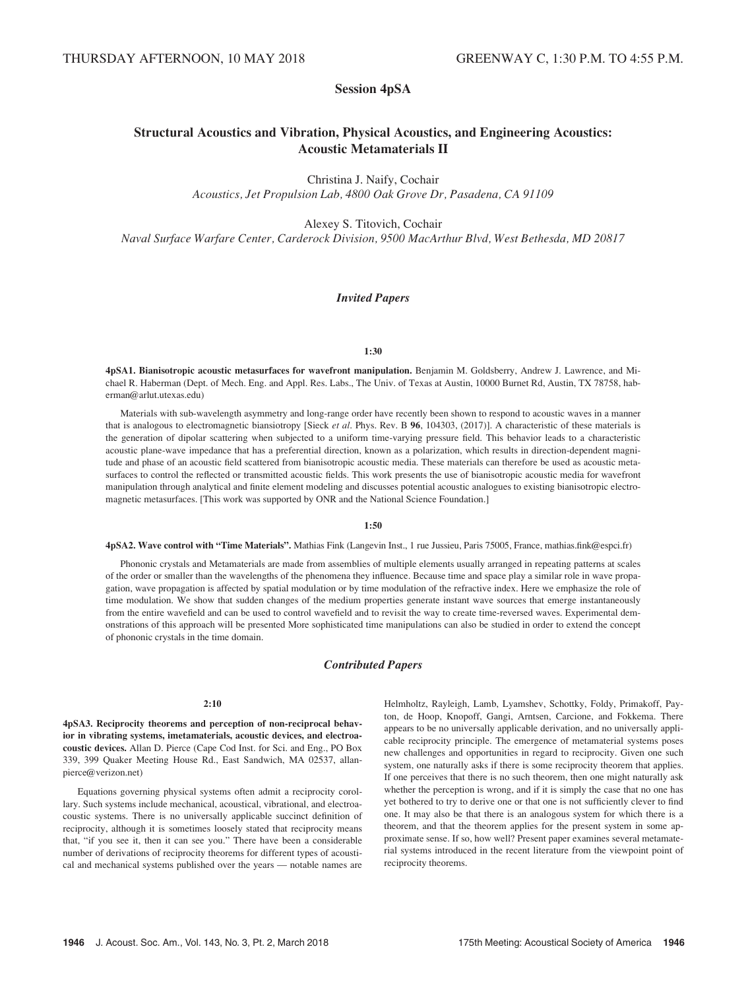# Session 4pSA

# Structural Acoustics and Vibration, Physical Acoustics, and Engineering Acoustics: Acoustic Metamaterials II

Christina J. Naify, Cochair Acoustics, Jet Propulsion Lab, 4800 Oak Grove Dr, Pasadena, CA 91109

Alexey S. Titovich, Cochair

Naval Surface Warfare Center, Carderock Division, 9500 MacArthur Blvd, West Bethesda, MD 20817

# Invited Papers

## 1:30

4pSA1. Bianisotropic acoustic metasurfaces for wavefront manipulation. Benjamin M. Goldsberry, Andrew J. Lawrence, and Michael R. Haberman (Dept. of Mech. Eng. and Appl. Res. Labs., The Univ. of Texas at Austin, 10000 Burnet Rd, Austin, TX 78758, haberman@arlut.utexas.edu)

Materials with sub-wavelength asymmetry and long-range order have recently been shown to respond to acoustic waves in a manner that is analogous to electromagnetic biansiotropy [Sieck *et al.* Phys. Rev. B  $96$ , 104303, (2017)]. A characteristic of these materials is the generation of dipolar scattering when subjected to a uniform time-varying pressure field. This behavior leads to a characteristic acoustic plane-wave impedance that has a preferential direction, known as a polarization, which results in direction-dependent magnitude and phase of an acoustic field scattered from bianisotropic acoustic media. These materials can therefore be used as acoustic metasurfaces to control the reflected or transmitted acoustic fields. This work presents the use of bianisotropic acoustic media for wavefront manipulation through analytical and finite element modeling and discusses potential acoustic analogues to existing bianisotropic electromagnetic metasurfaces. [This work was supported by ONR and the National Science Foundation.]

# 1:50

4pSA2. Wave control with "Time Materials". Mathias Fink (Langevin Inst., 1 rue Jussieu, Paris 75005, France, mathias.fink@espci.fr)

Phononic crystals and Metamaterials are made from assemblies of multiple elements usually arranged in repeating patterns at scales of the order or smaller than the wavelengths of the phenomena they influence. Because time and space play a similar role in wave propagation, wave propagation is affected by spatial modulation or by time modulation of the refractive index. Here we emphasize the role of time modulation. We show that sudden changes of the medium properties generate instant wave sources that emerge instantaneously from the entire wavefield and can be used to control wavefield and to revisit the way to create time-reversed waves. Experimental demonstrations of this approach will be presented More sophisticated time manipulations can also be studied in order to extend the concept of phononic crystals in the time domain.

# Contributed Papers

## 2:10

4pSA3. Reciprocity theorems and perception of non-reciprocal behavior in vibrating systems, imetamaterials, acoustic devices, and electroacoustic devices. Allan D. Pierce (Cape Cod Inst. for Sci. and Eng., PO Box 339, 399 Quaker Meeting House Rd., East Sandwich, MA 02537, allanpierce@verizon.net)

Equations governing physical systems often admit a reciprocity corollary. Such systems include mechanical, acoustical, vibrational, and electroacoustic systems. There is no universally applicable succinct definition of reciprocity, although it is sometimes loosely stated that reciprocity means that, "if you see it, then it can see you." There have been a considerable number of derivations of reciprocity theorems for different types of acoustical and mechanical systems published over the years — notable names are Helmholtz, Rayleigh, Lamb, Lyamshev, Schottky, Foldy, Primakoff, Payton, de Hoop, Knopoff, Gangi, Arntsen, Carcione, and Fokkema. There appears to be no universally applicable derivation, and no universally applicable reciprocity principle. The emergence of metamaterial systems poses new challenges and opportunities in regard to reciprocity. Given one such system, one naturally asks if there is some reciprocity theorem that applies. If one perceives that there is no such theorem, then one might naturally ask whether the perception is wrong, and if it is simply the case that no one has yet bothered to try to derive one or that one is not sufficiently clever to find one. It may also be that there is an analogous system for which there is a theorem, and that the theorem applies for the present system in some approximate sense. If so, how well? Present paper examines several metamaterial systems introduced in the recent literature from the viewpoint point of reciprocity theorems.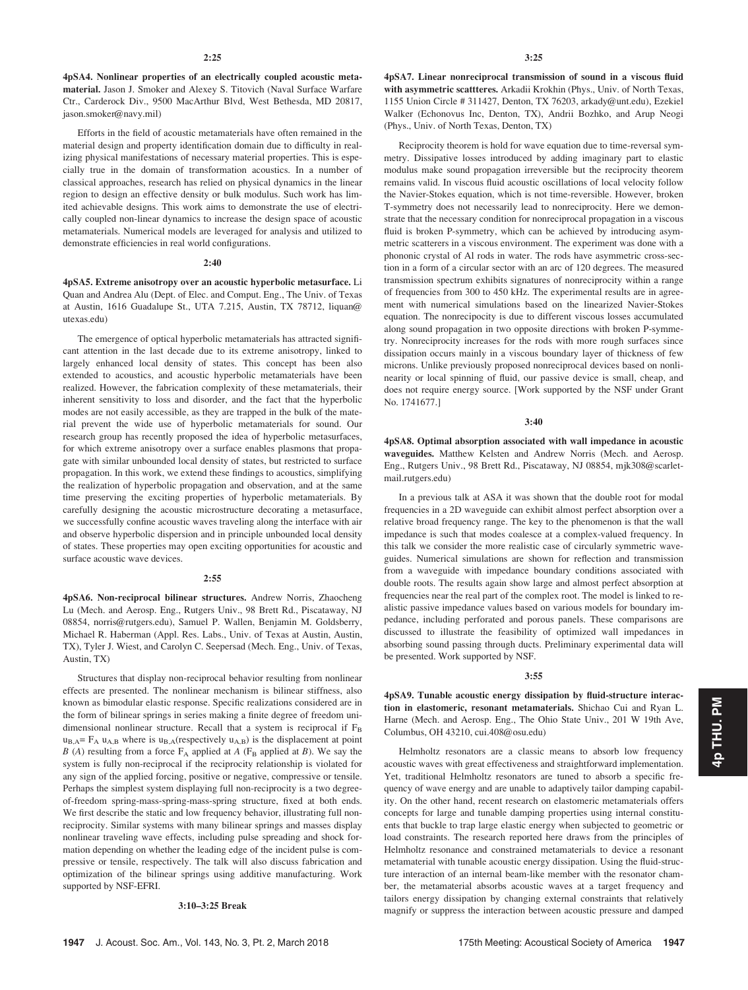4pSA4. Nonlinear properties of an electrically coupled acoustic metamaterial. Jason J. Smoker and Alexey S. Titovich (Naval Surface Warfare Ctr., Carderock Div., 9500 MacArthur Blvd, West Bethesda, MD 20817, jason.smoker@navy.mil)

Efforts in the field of acoustic metamaterials have often remained in the material design and property identification domain due to difficulty in realizing physical manifestations of necessary material properties. This is especially true in the domain of transformation acoustics. In a number of classical approaches, research has relied on physical dynamics in the linear region to design an effective density or bulk modulus. Such work has limited achievable designs. This work aims to demonstrate the use of electrically coupled non-linear dynamics to increase the design space of acoustic metamaterials. Numerical models are leveraged for analysis and utilized to demonstrate efficiencies in real world configurations.

#### $2:40$

4pSA5. Extreme anisotropy over an acoustic hyperbolic metasurface. Li Quan and Andrea Alu (Dept. of Elec. and Comput. Eng., The Univ. of Texas at Austin, 1616 Guadalupe St., UTA 7.215, Austin, TX 78712, liquan@ utexas.edu)

The emergence of optical hyperbolic metamaterials has attracted significant attention in the last decade due to its extreme anisotropy, linked to largely enhanced local density of states. This concept has been also extended to acoustics, and acoustic hyperbolic metamaterials have been realized. However, the fabrication complexity of these metamaterials, their inherent sensitivity to loss and disorder, and the fact that the hyperbolic modes are not easily accessible, as they are trapped in the bulk of the material prevent the wide use of hyperbolic metamaterials for sound. Our research group has recently proposed the idea of hyperbolic metasurfaces, for which extreme anisotropy over a surface enables plasmons that propagate with similar unbounded local density of states, but restricted to surface propagation. In this work, we extend these findings to acoustics, simplifying the realization of hyperbolic propagation and observation, and at the same time preserving the exciting properties of hyperbolic metamaterials. By carefully designing the acoustic microstructure decorating a metasurface, we successfully confine acoustic waves traveling along the interface with air and observe hyperbolic dispersion and in principle unbounded local density of states. These properties may open exciting opportunities for acoustic and surface acoustic wave devices.

# 2:55

4pSA6. Non-reciprocal bilinear structures. Andrew Norris, Zhaocheng Lu (Mech. and Aerosp. Eng., Rutgers Univ., 98 Brett Rd., Piscataway, NJ 08854, norris@rutgers.edu), Samuel P. Wallen, Benjamin M. Goldsberry, Michael R. Haberman (Appl. Res. Labs., Univ. of Texas at Austin, Austin, TX), Tyler J. Wiest, and Carolyn C. Seepersad (Mech. Eng., Univ. of Texas, Austin, TX)

Structures that display non-reciprocal behavior resulting from nonlinear effects are presented. The nonlinear mechanism is bilinear stiffness, also known as bimodular elastic response. Specific realizations considered are in the form of bilinear springs in series making a finite degree of freedom unidimensional nonlinear structure. Recall that a system is reciprocal if  $F_B$  $u_{B,A} = F_A u_{A,B}$  where is  $u_{B,A}$ (respectively  $u_{A,B}$ ) is the displacement at point B (A) resulting from a force  $F_A$  applied at A ( $F_B$  applied at B). We say the system is fully non-reciprocal if the reciprocity relationship is violated for any sign of the applied forcing, positive or negative, compressive or tensile. Perhaps the simplest system displaying full non-reciprocity is a two degreeof-freedom spring-mass-spring-mass-spring structure, fixed at both ends. We first describe the static and low frequency behavior, illustrating full nonreciprocity. Similar systems with many bilinear springs and masses display nonlinear traveling wave effects, including pulse spreading and shock formation depending on whether the leading edge of the incident pulse is compressive or tensile, respectively. The talk will also discuss fabrication and optimization of the bilinear springs using additive manufacturing. Work supported by NSF-EFRI.

## 3:10–3:25 Break

4pSA7. Linear nonreciprocal transmission of sound in a viscous fluid with asymmetric scattteres. Arkadii Krokhin (Phys., Univ. of North Texas, 1155 Union Circle # 311427, Denton, TX 76203, arkady@unt.edu), Ezekiel Walker (Echonovus Inc, Denton, TX), Andrii Bozhko, and Arup Neogi (Phys., Univ. of North Texas, Denton, TX)

Reciprocity theorem is hold for wave equation due to time-reversal symmetry. Dissipative losses introduced by adding imaginary part to elastic modulus make sound propagation irreversible but the reciprocity theorem remains valid. In viscous fluid acoustic oscillations of local velocity follow the Navier-Stokes equation, which is not time-reversible. However, broken T-symmetry does not necessarily lead to nonreciprocity. Here we demonstrate that the necessary condition for nonreciprocal propagation in a viscous fluid is broken P-symmetry, which can be achieved by introducing asymmetric scatterers in a viscous environment. The experiment was done with a phononic crystal of Al rods in water. The rods have asymmetric cross-section in a form of a circular sector with an arc of 120 degrees. The measured transmission spectrum exhibits signatures of nonreciprocity within a range of frequencies from 300 to 450 kHz. The experimental results are in agreement with numerical simulations based on the linearized Navier-Stokes equation. The nonrecipocity is due to different viscous losses accumulated along sound propagation in two opposite directions with broken P-symmetry. Nonreciprocity increases for the rods with more rough surfaces since dissipation occurs mainly in a viscous boundary layer of thickness of few microns. Unlike previously proposed nonreciprocal devices based on nonlinearity or local spinning of fluid, our passive device is small, cheap, and does not require energy source. [Work supported by the NSF under Grant No. 1741677.]

## 3:40

4pSA8. Optimal absorption associated with wall impedance in acoustic waveguides. Matthew Kelsten and Andrew Norris (Mech. and Aerosp. Eng., Rutgers Univ., 98 Brett Rd., Piscataway, NJ 08854, mjk308@scarletmail.rutgers.edu)

In a previous talk at ASA it was shown that the double root for modal frequencies in a 2D waveguide can exhibit almost perfect absorption over a relative broad frequency range. The key to the phenomenon is that the wall impedance is such that modes coalesce at a complex-valued frequency. In this talk we consider the more realistic case of circularly symmetric waveguides. Numerical simulations are shown for reflection and transmission from a waveguide with impedance boundary conditions associated with double roots. The results again show large and almost perfect absorption at frequencies near the real part of the complex root. The model is linked to realistic passive impedance values based on various models for boundary impedance, including perforated and porous panels. These comparisons are discussed to illustrate the feasibility of optimized wall impedances in absorbing sound passing through ducts. Preliminary experimental data will be presented. Work supported by NSF.

## 3:55

4pSA9. Tunable acoustic energy dissipation by fluid-structure interaction in elastomeric, resonant metamaterials. Shichao Cui and Ryan L. Harne (Mech. and Aerosp. Eng., The Ohio State Univ., 201 W 19th Ave, Columbus, OH 43210, cui.408@osu.edu)

Helmholtz resonators are a classic means to absorb low frequency acoustic waves with great effectiveness and straightforward implementation. Yet, traditional Helmholtz resonators are tuned to absorb a specific frequency of wave energy and are unable to adaptively tailor damping capability. On the other hand, recent research on elastomeric metamaterials offers concepts for large and tunable damping properties using internal constituents that buckle to trap large elastic energy when subjected to geometric or load constraints. The research reported here draws from the principles of Helmholtz resonance and constrained metamaterials to device a resonant metamaterial with tunable acoustic energy dissipation. Using the fluid-structure interaction of an internal beam-like member with the resonator chamber, the metamaterial absorbs acoustic waves at a target frequency and tailors energy dissipation by changing external constraints that relatively magnify or suppress the interaction between acoustic pressure and damped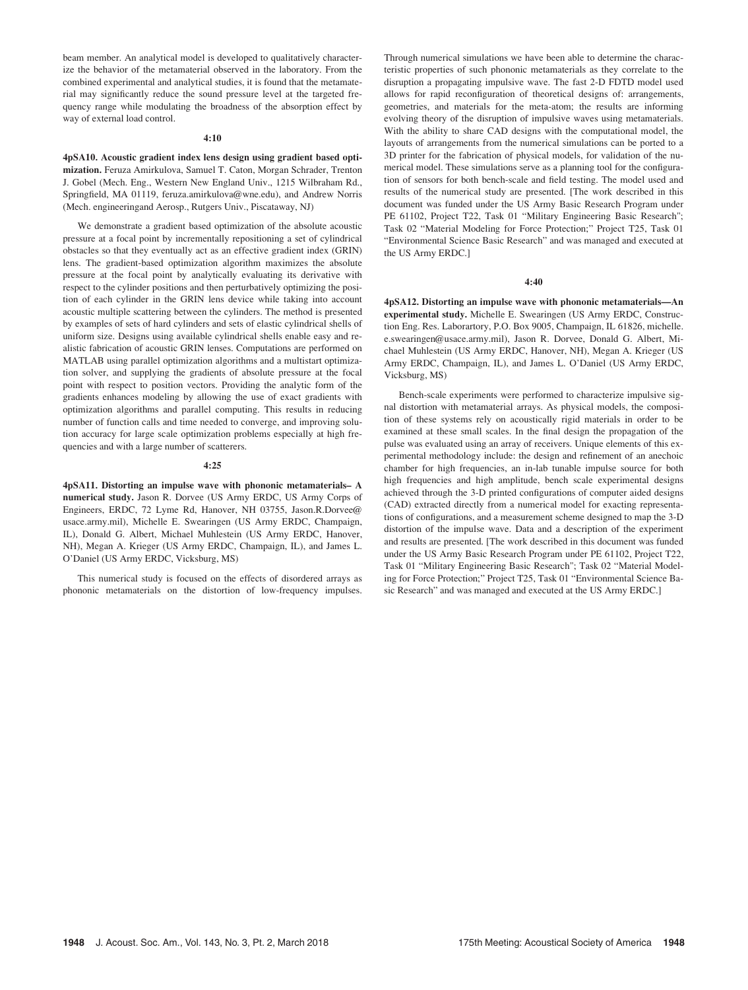beam member. An analytical model is developed to qualitatively characterize the behavior of the metamaterial observed in the laboratory. From the combined experimental and analytical studies, it is found that the metamaterial may significantly reduce the sound pressure level at the targeted frequency range while modulating the broadness of the absorption effect by way of external load control.

## 4:10

4pSA10. Acoustic gradient index lens design using gradient based optimization. Feruza Amirkulova, Samuel T. Caton, Morgan Schrader, Trenton J. Gobel (Mech. Eng., Western New England Univ., 1215 Wilbraham Rd., Springfield, MA 01119, feruza.amirkulova@wne.edu), and Andrew Norris (Mech. engineeringand Aerosp., Rutgers Univ., Piscataway, NJ)

We demonstrate a gradient based optimization of the absolute acoustic pressure at a focal point by incrementally repositioning a set of cylindrical obstacles so that they eventually act as an effective gradient index (GRIN) lens. The gradient-based optimization algorithm maximizes the absolute pressure at the focal point by analytically evaluating its derivative with respect to the cylinder positions and then perturbatively optimizing the position of each cylinder in the GRIN lens device while taking into account acoustic multiple scattering between the cylinders. The method is presented by examples of sets of hard cylinders and sets of elastic cylindrical shells of uniform size. Designs using available cylindrical shells enable easy and realistic fabrication of acoustic GRIN lenses. Computations are performed on MATLAB using parallel optimization algorithms and a multistart optimization solver, and supplying the gradients of absolute pressure at the focal point with respect to position vectors. Providing the analytic form of the gradients enhances modeling by allowing the use of exact gradients with optimization algorithms and parallel computing. This results in reducing number of function calls and time needed to converge, and improving solution accuracy for large scale optimization problems especially at high frequencies and with a large number of scatterers.

#### 4:25

4pSA11. Distorting an impulse wave with phononic metamaterials– A numerical study. Jason R. Dorvee (US Army ERDC, US Army Corps of Engineers, ERDC, 72 Lyme Rd, Hanover, NH 03755, Jason.R.Dorvee@ usace.army.mil), Michelle E. Swearingen (US Army ERDC, Champaign, IL), Donald G. Albert, Michael Muhlestein (US Army ERDC, Hanover, NH), Megan A. Krieger (US Army ERDC, Champaign, IL), and James L. O'Daniel (US Army ERDC, Vicksburg, MS)

This numerical study is focused on the effects of disordered arrays as phononic metamaterials on the distortion of low-frequency impulses. Through numerical simulations we have been able to determine the characteristic properties of such phononic metamaterials as they correlate to the disruption a propagating impulsive wave. The fast 2-D FDTD model used allows for rapid reconfiguration of theoretical designs of: arrangements, geometries, and materials for the meta-atom; the results are informing evolving theory of the disruption of impulsive waves using metamaterials. With the ability to share CAD designs with the computational model, the layouts of arrangements from the numerical simulations can be ported to a 3D printer for the fabrication of physical models, for validation of the numerical model. These simulations serve as a planning tool for the configuration of sensors for both bench-scale and field testing. The model used and results of the numerical study are presented. [The work described in this document was funded under the US Army Basic Research Program under PE 61102, Project T22, Task 01 "Military Engineering Basic Research"; Task 02 "Material Modeling for Force Protection;" Project T25, Task 01 "Environmental Science Basic Research" and was managed and executed at the US Army ERDC.]

#### 4:40

4pSA12. Distorting an impulse wave with phononic metamaterials—An experimental study. Michelle E. Swearingen (US Army ERDC, Construction Eng. Res. Laborartory, P.O. Box 9005, Champaign, IL 61826, michelle. e.swearingen@usace.army.mil), Jason R. Dorvee, Donald G. Albert, Michael Muhlestein (US Army ERDC, Hanover, NH), Megan A. Krieger (US Army ERDC, Champaign, IL), and James L. O'Daniel (US Army ERDC, Vicksburg, MS)

Bench-scale experiments were performed to characterize impulsive signal distortion with metamaterial arrays. As physical models, the composition of these systems rely on acoustically rigid materials in order to be examined at these small scales. In the final design the propagation of the pulse was evaluated using an array of receivers. Unique elements of this experimental methodology include: the design and refinement of an anechoic chamber for high frequencies, an in-lab tunable impulse source for both high frequencies and high amplitude, bench scale experimental designs achieved through the 3-D printed configurations of computer aided designs (CAD) extracted directly from a numerical model for exacting representations of configurations, and a measurement scheme designed to map the 3-D distortion of the impulse wave. Data and a description of the experiment and results are presented. [The work described in this document was funded under the US Army Basic Research Program under PE 61102, Project T22, Task 01 "Military Engineering Basic Research"; Task 02 "Material Modeling for Force Protection;" Project T25, Task 01 "Environmental Science Basic Research" and was managed and executed at the US Army ERDC.]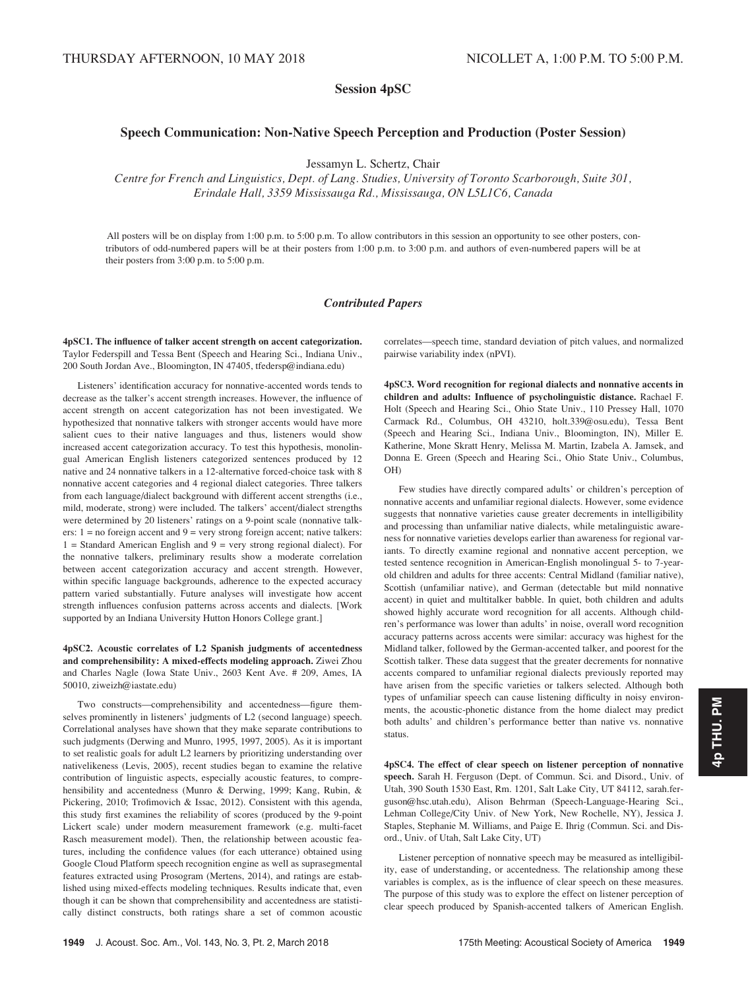Session 4pSC

# Speech Communication: Non-Native Speech Perception and Production (Poster Session)

Jessamyn L. Schertz, Chair

Centre for French and Linguistics, Dept. of Lang. Studies, University of Toronto Scarborough, Suite 301, Erindale Hall, 3359 Mississauga Rd., Mississauga, ON L5L1C6, Canada

All posters will be on display from 1:00 p.m. to 5:00 p.m. To allow contributors in this session an opportunity to see other posters, contributors of odd-numbered papers will be at their posters from 1:00 p.m. to 3:00 p.m. and authors of even-numbered papers will be at their posters from 3:00 p.m. to 5:00 p.m.

# Contributed Papers

4pSC1. The influence of talker accent strength on accent categorization. Taylor Federspill and Tessa Bent (Speech and Hearing Sci., Indiana Univ., 200 South Jordan Ave., Bloomington, IN 47405, tfedersp@indiana.edu)

Listeners' identification accuracy for nonnative-accented words tends to decrease as the talker's accent strength increases. However, the influence of accent strength on accent categorization has not been investigated. We hypothesized that nonnative talkers with stronger accents would have more salient cues to their native languages and thus, listeners would show increased accent categorization accuracy. To test this hypothesis, monolingual American English listeners categorized sentences produced by 12 native and 24 nonnative talkers in a 12-alternative forced-choice task with 8 nonnative accent categories and 4 regional dialect categories. Three talkers from each language/dialect background with different accent strengths (i.e., mild, moderate, strong) were included. The talkers' accent/dialect strengths were determined by 20 listeners' ratings on a 9-point scale (nonnative talkers:  $1 = no$  foreign accent and  $9 = very$  strong foreign accent; native talkers:  $1 =$  Standard American English and  $9 =$  very strong regional dialect). For the nonnative talkers, preliminary results show a moderate correlation between accent categorization accuracy and accent strength. However, within specific language backgrounds, adherence to the expected accuracy pattern varied substantially. Future analyses will investigate how accent strength influences confusion patterns across accents and dialects. [Work supported by an Indiana University Hutton Honors College grant.]

4pSC2. Acoustic correlates of L2 Spanish judgments of accentedness and comprehensibility: A mixed-effects modeling approach. Ziwei Zhou and Charles Nagle (Iowa State Univ., 2603 Kent Ave. # 209, Ames, IA 50010, ziweizh@iastate.edu)

Two constructs—comprehensibility and accentedness—figure themselves prominently in listeners' judgments of L2 (second language) speech. Correlational analyses have shown that they make separate contributions to such judgments (Derwing and Munro, 1995, 1997, 2005). As it is important to set realistic goals for adult L2 learners by prioritizing understanding over nativelikeness (Levis, 2005), recent studies began to examine the relative contribution of linguistic aspects, especially acoustic features, to comprehensibility and accentedness (Munro & Derwing, 1999; Kang, Rubin, & Pickering, 2010; Trofimovich & Issac, 2012). Consistent with this agenda, this study first examines the reliability of scores (produced by the 9-point Lickert scale) under modern measurement framework (e.g. multi-facet Rasch measurement model). Then, the relationship between acoustic features, including the confidence values (for each utterance) obtained using Google Cloud Platform speech recognition engine as well as suprasegmental features extracted using Prosogram (Mertens, 2014), and ratings are established using mixed-effects modeling techniques. Results indicate that, even though it can be shown that comprehensibility and accentedness are statistically distinct constructs, both ratings share a set of common acoustic correlates—speech time, standard deviation of pitch values, and normalized pairwise variability index (nPVI).

4pSC3. Word recognition for regional dialects and nonnative accents in children and adults: Influence of psycholinguistic distance. Rachael F. Holt (Speech and Hearing Sci., Ohio State Univ., 110 Pressey Hall, 1070 Carmack Rd., Columbus, OH 43210, holt.339@osu.edu), Tessa Bent (Speech and Hearing Sci., Indiana Univ., Bloomington, IN), Miller E. Katherine, Mone Skratt Henry, Melissa M. Martin, Izabela A. Jamsek, and Donna E. Green (Speech and Hearing Sci., Ohio State Univ., Columbus, OH)

Few studies have directly compared adults' or children's perception of nonnative accents and unfamiliar regional dialects. However, some evidence suggests that nonnative varieties cause greater decrements in intelligibility and processing than unfamiliar native dialects, while metalinguistic awareness for nonnative varieties develops earlier than awareness for regional variants. To directly examine regional and nonnative accent perception, we tested sentence recognition in American-English monolingual 5- to 7-yearold children and adults for three accents: Central Midland (familiar native), Scottish (unfamiliar native), and German (detectable but mild nonnative accent) in quiet and multitalker babble. In quiet, both children and adults showed highly accurate word recognition for all accents. Although children's performance was lower than adults' in noise, overall word recognition accuracy patterns across accents were similar: accuracy was highest for the Midland talker, followed by the German-accented talker, and poorest for the Scottish talker. These data suggest that the greater decrements for nonnative accents compared to unfamiliar regional dialects previously reported may have arisen from the specific varieties or talkers selected. Although both types of unfamiliar speech can cause listening difficulty in noisy environments, the acoustic-phonetic distance from the home dialect may predict both adults' and children's performance better than native vs. nonnative status.

4pSC4. The effect of clear speech on listener perception of nonnative speech. Sarah H. Ferguson (Dept. of Commun. Sci. and Disord., Univ. of Utah, 390 South 1530 East, Rm. 1201, Salt Lake City, UT 84112, sarah.ferguson@hsc.utah.edu), Alison Behrman (Speech-Language-Hearing Sci., Lehman College/City Univ. of New York, New Rochelle, NY), Jessica J. Staples, Stephanie M. Williams, and Paige E. Ihrig (Commun. Sci. and Disord., Univ. of Utah, Salt Lake City, UT)

Listener perception of nonnative speech may be measured as intelligibility, ease of understanding, or accentedness. The relationship among these variables is complex, as is the influence of clear speech on these measures. The purpose of this study was to explore the effect on listener perception of clear speech produced by Spanish-accented talkers of American English.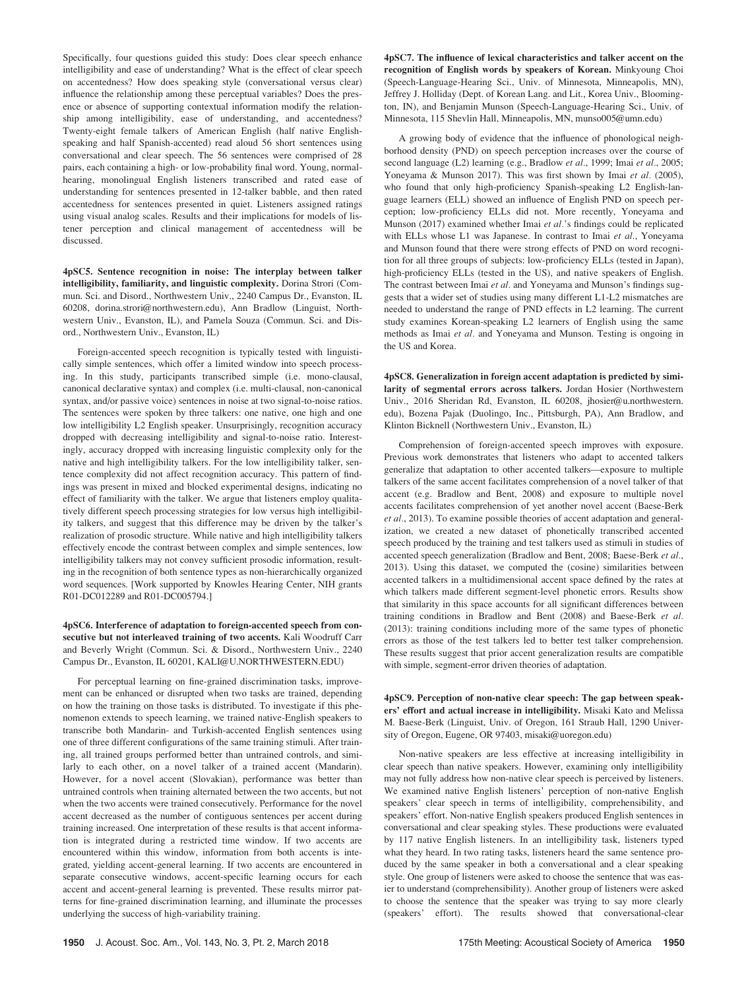Specifically, four questions guided this study: Does clear speech enhance intelligibility and ease of understanding? What is the effect of clear speech on accentedness? How does speaking style (conversational versus clear) influence the relationship among these perceptual variables? Does the presence or absence of supporting contextual information modify the relationship among intelligibility, ease of understanding, and accentedness? Twenty-eight female talkers of American English (half native Englishspeaking and half Spanish-accented) read aloud 56 short sentences using conversational and clear speech. The 56 sentences were comprised of 28 pairs, each containing a high- or low-probability final word. Young, normalhearing, monolingual English listeners transcribed and rated ease of understanding for sentences presented in 12-talker babble, and then rated accentedness for sentences presented in quiet. Listeners assigned ratings using visual analog scales. Results and their implications for models of listener perception and clinical management of accentedness will be discussed.

4pSC5. Sentence recognition in noise: The interplay between talker intelligibility, familiarity, and linguistic complexity. Dorina Strori (Commun. Sci. and Disord., Northwestern Univ., 2240 Campus Dr., Evanston, IL 60208, dorina.strori@northwestern.edu), Ann Bradlow (Linguist, Northwestern Univ., Evanston, IL), and Pamela Souza (Commun. Sci. and Disord., Northwestern Univ., Evanston, IL)

Foreign-accented speech recognition is typically tested with linguistically simple sentences, which offer a limited window into speech processing. In this study, participants transcribed simple (i.e. mono-clausal, canonical declarative syntax) and complex (i.e. multi-clausal, non-canonical syntax, and/or passive voice) sentences in noise at two signal-to-noise ratios. The sentences were spoken by three talkers: one native, one high and one low intelligibility L2 English speaker. Unsurprisingly, recognition accuracy dropped with decreasing intelligibility and signal-to-noise ratio. Interestingly, accuracy dropped with increasing linguistic complexity only for the native and high intelligibility talkers. For the low intelligibility talker, sentence complexity did not affect recognition accuracy. This pattern of findings was present in mixed and blocked experimental designs, indicating no effect of familiarity with the talker. We argue that listeners employ qualitatively different speech processing strategies for low versus high intelligibility talkers, and suggest that this difference may be driven by the talker's realization of prosodic structure. While native and high intelligibility talkers effectively encode the contrast between complex and simple sentences, low intelligibility talkers may not convey sufficient prosodic information, resulting in the recognition of both sentence types as non-hierarchically organized word sequences. [Work supported by Knowles Hearing Center, NIH grants R01-DC012289 and R01-DC005794.]

# 4pSC6. Interference of adaptation to foreign-accented speech from consecutive but not interleaved training of two accents. Kali Woodruff Carr and Beverly Wright (Commun. Sci. & Disord., Northwestern Univ., 2240 Campus Dr., Evanston, IL 60201, KALI@U.NORTHWESTERN.EDU)

For perceptual learning on fine-grained discrimination tasks, improvement can be enhanced or disrupted when two tasks are trained, depending on how the training on those tasks is distributed. To investigate if this phenomenon extends to speech learning, we trained native-English speakers to transcribe both Mandarin- and Turkish-accented English sentences using one of three different configurations of the same training stimuli. After training, all trained groups performed better than untrained controls, and similarly to each other, on a novel talker of a trained accent (Mandarin). However, for a novel accent (Slovakian), performance was better than untrained controls when training alternated between the two accents, but not when the two accents were trained consecutively. Performance for the novel accent decreased as the number of contiguous sentences per accent during training increased. One interpretation of these results is that accent information is integrated during a restricted time window. If two accents are encountered within this window, information from both accents is integrated, yielding accent-general learning. If two accents are encountered in separate consecutive windows, accent-specific learning occurs for each accent and accent-general learning is prevented. These results mirror patterns for fine-grained discrimination learning, and illuminate the processes underlying the success of high-variability training.

4pSC7. The influence of lexical characteristics and talker accent on the recognition of English words by speakers of Korean. Minkyoung Choi (Speech-Language-Hearing Sci., Univ. of Minnesota, Minneapolis, MN), Jeffrey J. Holliday (Dept. of Korean Lang. and Lit., Korea Univ., Bloomington, IN), and Benjamin Munson (Speech-Language-Hearing Sci., Univ. of Minnesota, 115 Shevlin Hall, Minneapolis, MN, munso005@umn.edu)

A growing body of evidence that the influence of phonological neighborhood density (PND) on speech perception increases over the course of second language (L2) learning (e.g., Bradlow et al., 1999; Imai et al., 2005; Yoneyama & Munson 2017). This was first shown by Imai et al. (2005), who found that only high-proficiency Spanish-speaking L2 English-language learners (ELL) showed an influence of English PND on speech perception; low-proficiency ELLs did not. More recently, Yoneyama and Munson (2017) examined whether Imai et al.'s findings could be replicated with ELLs whose L1 was Japanese. In contrast to Imai et al., Yoneyama and Munson found that there were strong effects of PND on word recognition for all three groups of subjects: low-proficiency ELLs (tested in Japan), high-proficiency ELLs (tested in the US), and native speakers of English. The contrast between Imai et al. and Yoneyama and Munson's findings suggests that a wider set of studies using many different L1-L2 mismatches are needed to understand the range of PND effects in L2 learning. The current study examines Korean-speaking L2 learners of English using the same methods as Imai et al. and Yoneyama and Munson. Testing is ongoing in the US and Korea.

4pSC8. Generalization in foreign accent adaptation is predicted by similarity of segmental errors across talkers. Jordan Hosier (Northwestern Univ., 2016 Sheridan Rd, Evanston, IL 60208, jhosier@u.northwestern. edu), Bozena Pajak (Duolingo, Inc., Pittsburgh, PA), Ann Bradlow, and Klinton Bicknell (Northwestern Univ., Evanston, IL)

Comprehension of foreign-accented speech improves with exposure. Previous work demonstrates that listeners who adapt to accented talkers generalize that adaptation to other accented talkers—exposure to multiple talkers of the same accent facilitates comprehension of a novel talker of that accent (e.g. Bradlow and Bent, 2008) and exposure to multiple novel accents facilitates comprehension of yet another novel accent (Baese-Berk et al., 2013). To examine possible theories of accent adaptation and generalization, we created a new dataset of phonetically transcribed accented speech produced by the training and test talkers used as stimuli in studies of accented speech generalization (Bradlow and Bent, 2008; Baese-Berk et al., 2013). Using this dataset, we computed the (cosine) similarities between accented talkers in a multidimensional accent space defined by the rates at which talkers made different segment-level phonetic errors. Results show that similarity in this space accounts for all significant differences between training conditions in Bradlow and Bent (2008) and Baese-Berk et al. (2013): training conditions including more of the same types of phonetic errors as those of the test talkers led to better test talker comprehension. These results suggest that prior accent generalization results are compatible with simple, segment-error driven theories of adaptation.

4pSC9. Perception of non-native clear speech: The gap between speakers' effort and actual increase in intelligibility. Misaki Kato and Melissa M. Baese-Berk (Linguist, Univ. of Oregon, 161 Straub Hall, 1290 University of Oregon, Eugene, OR 97403, misaki@uoregon.edu)

Non-native speakers are less effective at increasing intelligibility in clear speech than native speakers. However, examining only intelligibility may not fully address how non-native clear speech is perceived by listeners. We examined native English listeners' perception of non-native English speakers' clear speech in terms of intelligibility, comprehensibility, and speakers' effort. Non-native English speakers produced English sentences in conversational and clear speaking styles. These productions were evaluated by 117 native English listeners. In an intelligibility task, listeners typed what they heard. In two rating tasks, listeners heard the same sentence produced by the same speaker in both a conversational and a clear speaking style. One group of listeners were asked to choose the sentence that was easier to understand (comprehensibility). Another group of listeners were asked to choose the sentence that the speaker was trying to say more clearly (speakers' effort). The results showed that conversational-clear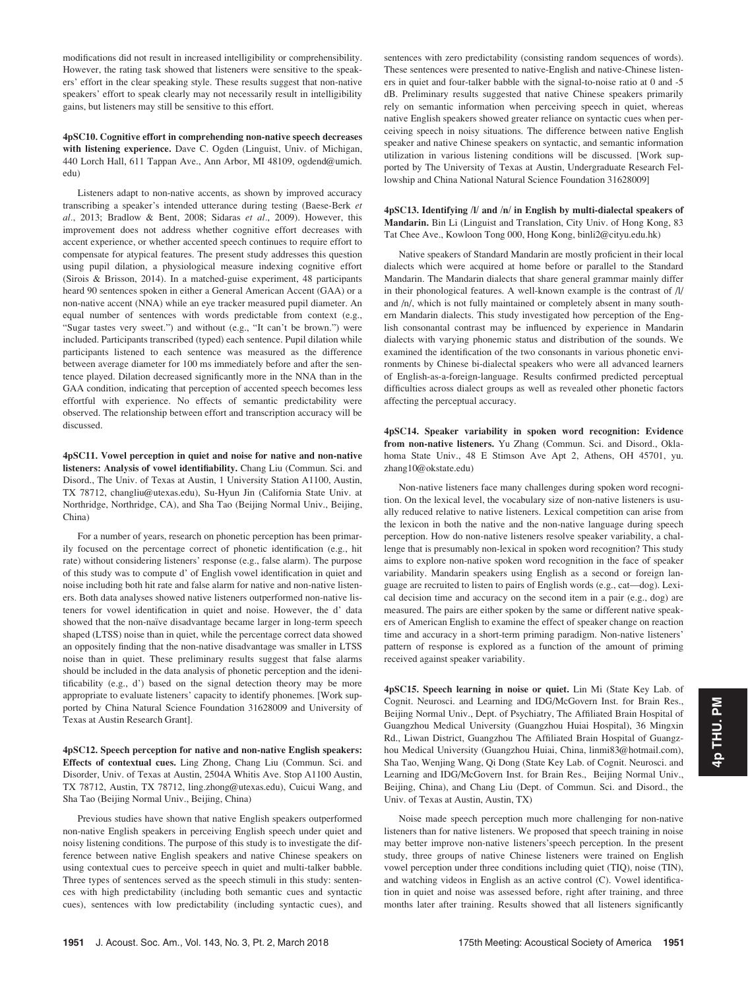modifications did not result in increased intelligibility or comprehensibility. However, the rating task showed that listeners were sensitive to the speakers' effort in the clear speaking style. These results suggest that non-native speakers' effort to speak clearly may not necessarily result in intelligibility gains, but listeners may still be sensitive to this effort.

# 4pSC10. Cognitive effort in comprehending non-native speech decreases with listening experience. Dave C. Ogden (Linguist, Univ. of Michigan, 440 Lorch Hall, 611 Tappan Ave., Ann Arbor, MI 48109, ogdend@umich. edu)

Listeners adapt to non-native accents, as shown by improved accuracy transcribing a speaker's intended utterance during testing (Baese-Berk et al., 2013; Bradlow & Bent, 2008; Sidaras et al., 2009). However, this improvement does not address whether cognitive effort decreases with accent experience, or whether accented speech continues to require effort to compensate for atypical features. The present study addresses this question using pupil dilation, a physiological measure indexing cognitive effort (Sirois & Brisson, 2014). In a matched-guise experiment, 48 participants heard 90 sentences spoken in either a General American Accent (GAA) or a non-native accent (NNA) while an eye tracker measured pupil diameter. An equal number of sentences with words predictable from context (e.g., "Sugar tastes very sweet.") and without (e.g., "It can't be brown.") were included. Participants transcribed (typed) each sentence. Pupil dilation while participants listened to each sentence was measured as the difference between average diameter for 100 ms immediately before and after the sentence played. Dilation decreased significantly more in the NNA than in the GAA condition, indicating that perception of accented speech becomes less effortful with experience. No effects of semantic predictability were observed. The relationship between effort and transcription accuracy will be discussed.

4pSC11. Vowel perception in quiet and noise for native and non-native listeners: Analysis of vowel identifiability. Chang Liu (Commun. Sci. and Disord., The Univ. of Texas at Austin, 1 University Station A1100, Austin, TX 78712, changliu@utexas.edu), Su-Hyun Jin (California State Univ. at Northridge, Northridge, CA), and Sha Tao (Beijing Normal Univ., Beijing, China)

For a number of years, research on phonetic perception has been primarily focused on the percentage correct of phonetic identification (e.g., hit rate) without considering listeners' response (e.g., false alarm). The purpose of this study was to compute d' of English vowel identification in quiet and noise including both hit rate and false alarm for native and non-native listeners. Both data analyses showed native listeners outperformed non-native listeners for vowel identification in quiet and noise. However, the d' data showed that the non-naïve disadvantage became larger in long-term speech shaped (LTSS) noise than in quiet, while the percentage correct data showed an oppositely finding that the non-native disadvantage was smaller in LTSS noise than in quiet. These preliminary results suggest that false alarms should be included in the data analysis of phonetic perception and the idenitificability (e.g., d') based on the signal detection theory may be more appropriate to evaluate listeners' capacity to identify phonemes. [Work supported by China Natural Science Foundation 31628009 and University of Texas at Austin Research Grant].

4pSC12. Speech perception for native and non-native English speakers: Effects of contextual cues. Ling Zhong, Chang Liu (Commun. Sci. and Disorder, Univ. of Texas at Austin, 2504A Whitis Ave. Stop A1100 Austin, TX 78712, Austin, TX 78712, ling.zhong@utexas.edu), Cuicui Wang, and Sha Tao (Beijing Normal Univ., Beijing, China)

Previous studies have shown that native English speakers outperformed non-native English speakers in perceiving English speech under quiet and noisy listening conditions. The purpose of this study is to investigate the difference between native English speakers and native Chinese speakers on using contextual cues to perceive speech in quiet and multi-talker babble. Three types of sentences served as the speech stimuli in this study: sentences with high predictability (including both semantic cues and syntactic cues), sentences with low predictability (including syntactic cues), and sentences with zero predictability (consisting random sequences of words). These sentences were presented to native-English and native-Chinese listeners in quiet and four-talker babble with the signal-to-noise ratio at 0 and -5 dB. Preliminary results suggested that native Chinese speakers primarily rely on semantic information when perceiving speech in quiet, whereas native English speakers showed greater reliance on syntactic cues when perceiving speech in noisy situations. The difference between native English speaker and native Chinese speakers on syntactic, and semantic information utilization in various listening conditions will be discussed. [Work supported by The University of Texas at Austin, Undergraduate Research Fellowship and China National Natural Science Foundation 31628009]

# 4pSC13. Identifying /l/ and /n/ in English by multi-dialectal speakers of Mandarin. Bin Li (Linguist and Translation, City Univ. of Hong Kong, 83 Tat Chee Ave., Kowloon Tong 000, Hong Kong, binli2@cityu.edu.hk)

Native speakers of Standard Mandarin are mostly proficient in their local dialects which were acquired at home before or parallel to the Standard Mandarin. The Mandarin dialects that share general grammar mainly differ in their phonological features. A well-known example is the contrast of /l/ and /n/, which is not fully maintained or completely absent in many southern Mandarin dialects. This study investigated how perception of the English consonantal contrast may be influenced by experience in Mandarin dialects with varying phonemic status and distribution of the sounds. We examined the identification of the two consonants in various phonetic environments by Chinese bi-dialectal speakers who were all advanced learners of English-as-a-foreign-language. Results confirmed predicted perceptual difficulties across dialect groups as well as revealed other phonetic factors affecting the perceptual accuracy.

4pSC14. Speaker variability in spoken word recognition: Evidence from non-native listeners. Yu Zhang (Commun. Sci. and Disord., Oklahoma State Univ., 48 E Stimson Ave Apt 2, Athens, OH 45701, yu. zhang10@okstate.edu)

Non-native listeners face many challenges during spoken word recognition. On the lexical level, the vocabulary size of non-native listeners is usually reduced relative to native listeners. Lexical competition can arise from the lexicon in both the native and the non-native language during speech perception. How do non-native listeners resolve speaker variability, a challenge that is presumably non-lexical in spoken word recognition? This study aims to explore non-native spoken word recognition in the face of speaker variability. Mandarin speakers using English as a second or foreign language are recruited to listen to pairs of English words (e.g., cat—dog). Lexical decision time and accuracy on the second item in a pair (e.g., dog) are measured. The pairs are either spoken by the same or different native speakers of American English to examine the effect of speaker change on reaction time and accuracy in a short-term priming paradigm. Non-native listeners' pattern of response is explored as a function of the amount of priming received against speaker variability.

4pSC15. Speech learning in noise or quiet. Lin Mi (State Key Lab. of Cognit. Neurosci. and Learning and IDG/McGovern Inst. for Brain Res., Beijing Normal Univ., Dept. of Psychiatry, The Affiliated Brain Hospital of Guangzhou Medical University (Guangzhou Huiai Hospital), 36 Mingxin Rd., Liwan District, Guangzhou The Affiliated Brain Hospital of Guangzhou Medical University (Guangzhou Huiai, China, linmi83@hotmail.com), Sha Tao, Wenjing Wang, Qi Dong (State Key Lab. of Cognit. Neurosci. and Learning and IDG/McGovern Inst. for Brain Res., Beijing Normal Univ., Beijing, China), and Chang Liu (Dept. of Commun. Sci. and Disord., the Univ. of Texas at Austin, Austin, TX)

Noise made speech perception much more challenging for non-native listeners than for native listeners. We proposed that speech training in noise may better improve non-native listeners'speech perception. In the present study, three groups of native Chinese listeners were trained on English vowel perception under three conditions including quiet (TIQ), noise (TIN), and watching videos in English as an active control (C). Vowel identification in quiet and noise was assessed before, right after training, and three months later after training. Results showed that all listeners significantly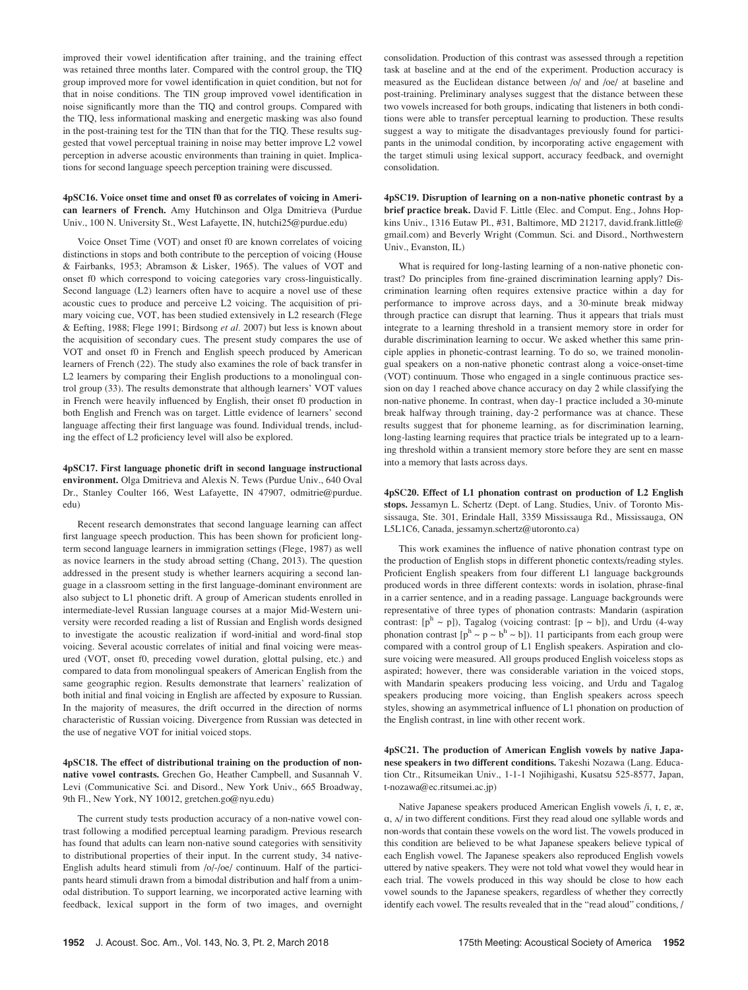improved their vowel identification after training, and the training effect was retained three months later. Compared with the control group, the TIQ group improved more for vowel identification in quiet condition, but not for that in noise conditions. The TIN group improved vowel identification in noise significantly more than the TIQ and control groups. Compared with the TIQ, less informational masking and energetic masking was also found in the post-training test for the TIN than that for the TIQ. These results suggested that vowel perceptual training in noise may better improve L2 vowel perception in adverse acoustic environments than training in quiet. Implications for second language speech perception training were discussed.

# 4pSC16. Voice onset time and onset f0 as correlates of voicing in American learners of French. Amy Hutchinson and Olga Dmitrieva (Purdue Univ., 100 N. University St., West Lafayette, IN, hutchi25@purdue.edu)

Voice Onset Time (VOT) and onset f0 are known correlates of voicing distinctions in stops and both contribute to the perception of voicing (House & Fairbanks, 1953; Abramson & Lisker, 1965). The values of VOT and onset f0 which correspond to voicing categories vary cross-linguistically. Second language (L2) learners often have to acquire a novel use of these acoustic cues to produce and perceive L2 voicing. The acquisition of primary voicing cue, VOT, has been studied extensively in L2 research (Flege & Eefting, 1988; Flege 1991; Birdsong et al. 2007) but less is known about the acquisition of secondary cues. The present study compares the use of VOT and onset f0 in French and English speech produced by American learners of French (22). The study also examines the role of back transfer in L2 learners by comparing their English productions to a monolingual control group (33). The results demonstrate that although learners' VOT values in French were heavily influenced by English, their onset f0 production in both English and French was on target. Little evidence of learners' second language affecting their first language was found. Individual trends, including the effect of L2 proficiency level will also be explored.

# 4pSC17. First language phonetic drift in second language instructional environment. Olga Dmitrieva and Alexis N. Tews (Purdue Univ., 640 Oval Dr., Stanley Coulter 166, West Lafayette, IN 47907, odmitrie@purdue. edu)

Recent research demonstrates that second language learning can affect first language speech production. This has been shown for proficient longterm second language learners in immigration settings (Flege, 1987) as well as novice learners in the study abroad setting (Chang, 2013). The question addressed in the present study is whether learners acquiring a second language in a classroom setting in the first language-dominant environment are also subject to L1 phonetic drift. A group of American students enrolled in intermediate-level Russian language courses at a major Mid-Western university were recorded reading a list of Russian and English words designed to investigate the acoustic realization if word-initial and word-final stop voicing. Several acoustic correlates of initial and final voicing were measured (VOT, onset f0, preceding vowel duration, glottal pulsing, etc.) and compared to data from monolingual speakers of American English from the same geographic region. Results demonstrate that learners' realization of both initial and final voicing in English are affected by exposure to Russian. In the majority of measures, the drift occurred in the direction of norms characteristic of Russian voicing. Divergence from Russian was detected in the use of negative VOT for initial voiced stops.

4pSC18. The effect of distributional training on the production of nonnative vowel contrasts. Grechen Go, Heather Campbell, and Susannah V. Levi (Communicative Sci. and Disord., New York Univ., 665 Broadway, 9th Fl., New York, NY 10012, gretchen.go@nyu.edu)

The current study tests production accuracy of a non-native vowel contrast following a modified perceptual learning paradigm. Previous research has found that adults can learn non-native sound categories with sensitivity to distributional properties of their input. In the current study, 34 native-English adults heard stimuli from /o/-/oe/ continuum. Half of the participants heard stimuli drawn from a bimodal distribution and half from a unimodal distribution. To support learning, we incorporated active learning with feedback, lexical support in the form of two images, and overnight consolidation. Production of this contrast was assessed through a repetition task at baseline and at the end of the experiment. Production accuracy is measured as the Euclidean distance between /o/ and /oe/ at baseline and post-training. Preliminary analyses suggest that the distance between these two vowels increased for both groups, indicating that listeners in both conditions were able to transfer perceptual learning to production. These results suggest a way to mitigate the disadvantages previously found for participants in the unimodal condition, by incorporating active engagement with the target stimuli using lexical support, accuracy feedback, and overnight consolidation.

4pSC19. Disruption of learning on a non-native phonetic contrast by a brief practice break. David F. Little (Elec. and Comput. Eng., Johns Hopkins Univ., 1316 Eutaw Pl., #31, Baltimore, MD 21217, david.frank.little@ gmail.com) and Beverly Wright (Commun. Sci. and Disord., Northwestern Univ., Evanston, IL)

What is required for long-lasting learning of a non-native phonetic contrast? Do principles from fine-grained discrimination learning apply? Discrimination learning often requires extensive practice within a day for performance to improve across days, and a 30-minute break midway through practice can disrupt that learning. Thus it appears that trials must integrate to a learning threshold in a transient memory store in order for durable discrimination learning to occur. We asked whether this same principle applies in phonetic-contrast learning. To do so, we trained monolingual speakers on a non-native phonetic contrast along a voice-onset-time (VOT) continuum. Those who engaged in a single continuous practice session on day 1 reached above chance accuracy on day 2 while classifying the non-native phoneme. In contrast, when day-1 practice included a 30-minute break halfway through training, day-2 performance was at chance. These results suggest that for phoneme learning, as for discrimination learning, long-lasting learning requires that practice trials be integrated up to a learning threshold within a transient memory store before they are sent en masse into a memory that lasts across days.

4pSC20. Effect of L1 phonation contrast on production of L2 English stops. Jessamyn L. Schertz (Dept. of Lang. Studies, Univ. of Toronto Mississauga, Ste. 301, Erindale Hall, 3359 Mississauga Rd., Mississauga, ON L5L1C6, Canada, jessamyn.schertz@utoronto.ca)

This work examines the influence of native phonation contrast type on the production of English stops in different phonetic contexts/reading styles. Proficient English speakers from four different L1 language backgrounds produced words in three different contexts: words in isolation, phrase-final in a carrier sentence, and in a reading passage. Language backgrounds were representative of three types of phonation contrasts: Mandarin (aspiration contrast:  $[p^h \sim p]$ ), Tagalog (voicing contrast:  $[p \sim b]$ ), and Urdu (4-way phonation contrast  $[p^h \sim p \sim b^h \sim b]$ ). 11 participants from each group were compared with a control group of L1 English speakers. Aspiration and closure voicing were measured. All groups produced English voiceless stops as aspirated; however, there was considerable variation in the voiced stops, with Mandarin speakers producing less voicing, and Urdu and Tagalog speakers producing more voicing, than English speakers across speech styles, showing an asymmetrical influence of L1 phonation on production of the English contrast, in line with other recent work.

4pSC21. The production of American English vowels by native Japanese speakers in two different conditions. Takeshi Nozawa (Lang. Education Ctr., Ritsumeikan Univ., 1-1-1 Nojihigashi, Kusatsu 525-8577, Japan, t-nozawa@ec.ritsumei.ac.jp)

Native Japanese speakers produced American English vowels /i, I, E, æ,  $\alpha$ ,  $\Delta$  in two different conditions. First they read aloud one syllable words and non-words that contain these vowels on the word list. The vowels produced in this condition are believed to be what Japanese speakers believe typical of each English vowel. The Japanese speakers also reproduced English vowels uttered by native speakers. They were not told what vowel they would hear in each trial. The vowels produced in this way should be close to how each vowel sounds to the Japanese speakers, regardless of whether they correctly identify each vowel. The results revealed that in the "read aloud" conditions, /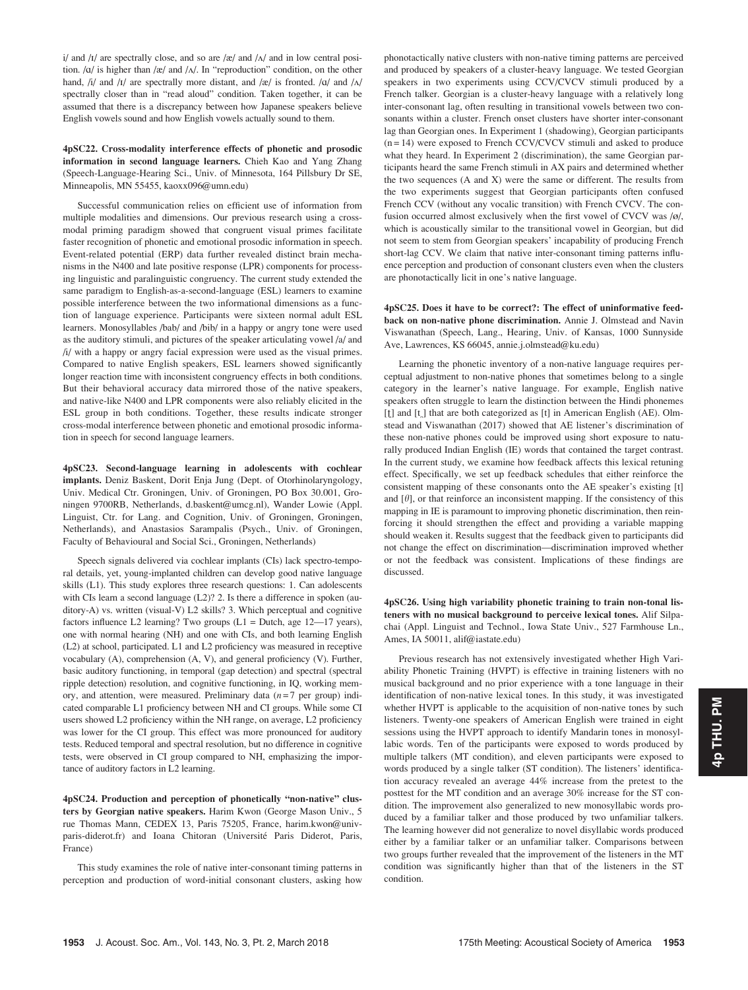i/ and  $\frac{1}{4}$  are spectrally close, and so are  $\frac{1}{2}$  and  $\frac{1}{4}$  and in low central position.  $\alpha$  is higher than /æ/ and  $\alpha$ . In "reproduction" condition, on the other hand,  $/i$  and  $/I$  are spectrally more distant, and  $\frac{z}{i}$  is fronted.  $\frac{a}{i}$  and  $\frac{A}{i}$ spectrally closer than in "read aloud" condition. Taken together, it can be assumed that there is a discrepancy between how Japanese speakers believe English vowels sound and how English vowels actually sound to them.

4pSC22. Cross-modality interference effects of phonetic and prosodic information in second language learners. Chieh Kao and Yang Zhang (Speech-Language-Hearing Sci., Univ. of Minnesota, 164 Pillsbury Dr SE, Minneapolis, MN 55455, kaoxx096@umn.edu)

Successful communication relies on efficient use of information from multiple modalities and dimensions. Our previous research using a crossmodal priming paradigm showed that congruent visual primes facilitate faster recognition of phonetic and emotional prosodic information in speech. Event-related potential (ERP) data further revealed distinct brain mechanisms in the N400 and late positive response (LPR) components for processing linguistic and paralinguistic congruency. The current study extended the same paradigm to English-as-a-second-language (ESL) learners to examine possible interference between the two informational dimensions as a function of language experience. Participants were sixteen normal adult ESL learners. Monosyllables /bab/ and /bib/ in a happy or angry tone were used as the auditory stimuli, and pictures of the speaker articulating vowel /a/ and /i/ with a happy or angry facial expression were used as the visual primes. Compared to native English speakers, ESL learners showed significantly longer reaction time with inconsistent congruency effects in both conditions. But their behavioral accuracy data mirrored those of the native speakers, and native-like N400 and LPR components were also reliably elicited in the ESL group in both conditions. Together, these results indicate stronger cross-modal interference between phonetic and emotional prosodic information in speech for second language learners.

4pSC23. Second-language learning in adolescents with cochlear implants. Deniz Baskent, Dorit Enja Jung (Dept. of Otorhinolaryngology, Univ. Medical Ctr. Groningen, Univ. of Groningen, PO Box 30.001, Groningen 9700RB, Netherlands, d.baskent@umcg.nl), Wander Lowie (Appl. Linguist, Ctr. for Lang. and Cognition, Univ. of Groningen, Groningen, Netherlands), and Anastasios Sarampalis (Psych., Univ. of Groningen, Faculty of Behavioural and Social Sci., Groningen, Netherlands)

Speech signals delivered via cochlear implants (CIs) lack spectro-temporal details, yet, young-implanted children can develop good native language skills (L1). This study explores three research questions: 1. Can adolescents with CIs learn a second language (L2)? 2. Is there a difference in spoken (auditory-A) vs. written (visual-V) L2 skills? 3. Which perceptual and cognitive factors influence L2 learning? Two groups  $(L1 = Dutch, age 12-17 years)$ , one with normal hearing (NH) and one with CIs, and both learning English (L2) at school, participated. L1 and L2 proficiency was measured in receptive vocabulary (A), comprehension (A, V), and general proficiency (V). Further, basic auditory functioning, in temporal (gap detection) and spectral (spectral ripple detection) resolution, and cognitive functioning, in IQ, working memory, and attention, were measured. Preliminary data  $(n=7$  per group) indicated comparable L1 proficiency between NH and CI groups. While some CI users showed L2 proficiency within the NH range, on average, L2 proficiency was lower for the CI group. This effect was more pronounced for auditory tests. Reduced temporal and spectral resolution, but no difference in cognitive tests, were observed in CI group compared to NH, emphasizing the importance of auditory factors in L2 learning.

4pSC24. Production and perception of phonetically "non-native" clusters by Georgian native speakers. Harim Kwon (George Mason Univ., 5 rue Thomas Mann, CEDEX 13, Paris 75205, France, harim.kwon@univparis-diderot.fr) and Ioana Chitoran (Université Paris Diderot, Paris, France)

This study examines the role of native inter-consonant timing patterns in perception and production of word-initial consonant clusters, asking how phonotactically native clusters with non-native timing patterns are perceived and produced by speakers of a cluster-heavy language. We tested Georgian speakers in two experiments using CCV/CVCV stimuli produced by a French talker. Georgian is a cluster-heavy language with a relatively long inter-consonant lag, often resulting in transitional vowels between two consonants within a cluster. French onset clusters have shorter inter-consonant lag than Georgian ones. In Experiment 1 (shadowing), Georgian participants  $(n = 14)$  were exposed to French CCV/CVCV stimuli and asked to produce what they heard. In Experiment 2 (discrimination), the same Georgian participants heard the same French stimuli in AX pairs and determined whether the two sequences (A and X) were the same or different. The results from the two experiments suggest that Georgian participants often confused French CCV (without any vocalic transition) with French CVCV. The confusion occurred almost exclusively when the first vowel of CVCV was /ø/, which is acoustically similar to the transitional vowel in Georgian, but did not seem to stem from Georgian speakers' incapability of producing French short-lag CCV. We claim that native inter-consonant timing patterns influence perception and production of consonant clusters even when the clusters are phonotactically licit in one's native language.

4pSC25. Does it have to be correct?: The effect of uninformative feedback on non-native phone discrimination. Annie J. Olmstead and Navin Viswanathan (Speech, Lang., Hearing, Univ. of Kansas, 1000 Sunnyside Ave, Lawrences, KS 66045, annie.j.olmstead@ku.edu)

Learning the phonetic inventory of a non-native language requires perceptual adjustment to non-native phones that sometimes belong to a single category in the learner's native language. For example, English native speakers often struggle to learn the distinction between the Hindi phonemes  $[t]$  and  $[t]$  that are both categorized as  $[t]$  in American English (AE). Olmstead and Viswanathan (2017) showed that AE listener's discrimination of these non-native phones could be improved using short exposure to naturally produced Indian English (IE) words that contained the target contrast. In the current study, we examine how feedback affects this lexical retuning effect. Specifically, we set up feedback schedules that either reinforce the consistent mapping of these consonants onto the AE speaker's existing [t] and  $[\theta]$ , or that reinforce an inconsistent mapping. If the consistency of this mapping in IE is paramount to improving phonetic discrimination, then reinforcing it should strengthen the effect and providing a variable mapping should weaken it. Results suggest that the feedback given to participants did not change the effect on discrimination—discrimination improved whether or not the feedback was consistent. Implications of these findings are discussed.

4pSC26. Using high variability phonetic training to train non-tonal listeners with no musical background to perceive lexical tones. Alif Silpachai (Appl. Linguist and Technol., Iowa State Univ., 527 Farmhouse Ln., Ames, IA 50011, alif@iastate.edu)

Previous research has not extensively investigated whether High Variability Phonetic Training (HVPT) is effective in training listeners with no musical background and no prior experience with a tone language in their identification of non-native lexical tones. In this study, it was investigated whether HVPT is applicable to the acquisition of non-native tones by such listeners. Twenty-one speakers of American English were trained in eight sessions using the HVPT approach to identify Mandarin tones in monosyllabic words. Ten of the participants were exposed to words produced by multiple talkers (MT condition), and eleven participants were exposed to words produced by a single talker (ST condition). The listeners' identification accuracy revealed an average 44% increase from the pretest to the posttest for the MT condition and an average 30% increase for the ST condition. The improvement also generalized to new monosyllabic words produced by a familiar talker and those produced by two unfamiliar talkers. The learning however did not generalize to novel disyllabic words produced either by a familiar talker or an unfamiliar talker. Comparisons between two groups further revealed that the improvement of the listeners in the MT condition was significantly higher than that of the listeners in the ST condition.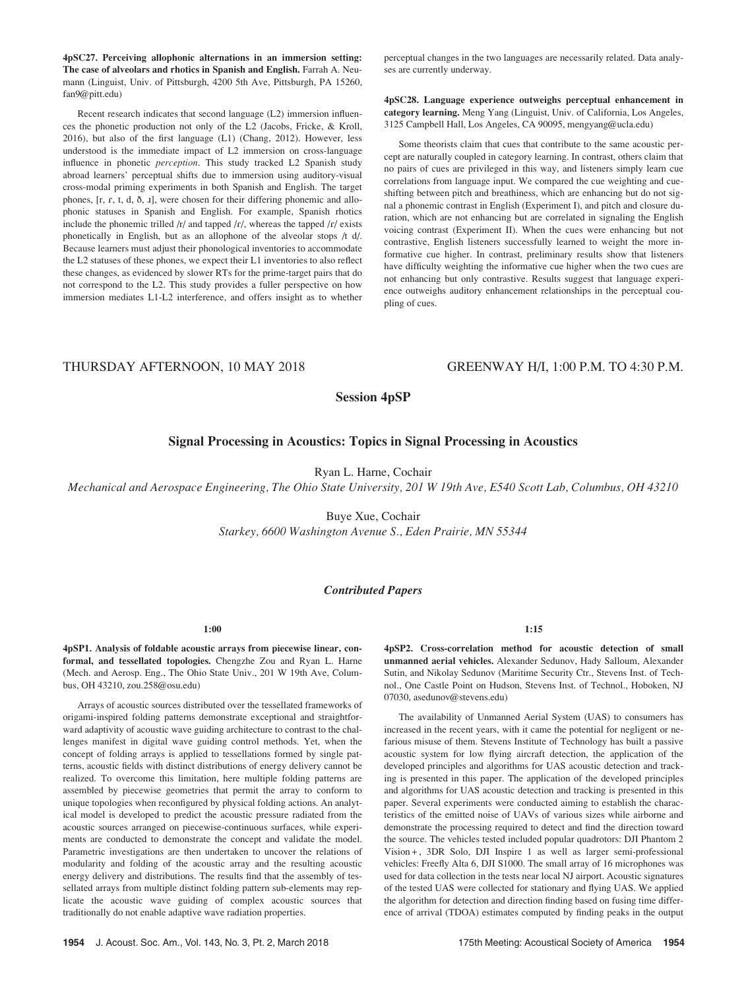4pSC27. Perceiving allophonic alternations in an immersion setting: The case of alveolars and rhotics in Spanish and English. Farrah A. Neumann (Linguist, Univ. of Pittsburgh, 4200 5th Ave, Pittsburgh, PA 15260, fan9@pitt.edu)

Recent research indicates that second language (L2) immersion influences the phonetic production not only of the L2 (Jacobs, Fricke, & Kroll, 2016), but also of the first language (L1) (Chang, 2012). However, less understood is the immediate impact of L2 immersion on cross-language influence in phonetic perception. This study tracked L2 Spanish study abroad learners' perceptual shifts due to immersion using auditory-visual cross-modal priming experiments in both Spanish and English. The target phones, [r, r, t, d,  $\delta$ , *i*], were chosen for their differing phonemic and allophonic statuses in Spanish and English. For example, Spanish rhotics include the phonemic trilled  $/r/$  and tapped  $/r/$ , whereas the tapped  $/r/$  exists phonetically in English, but as an allophone of the alveolar stops /t d/. Because learners must adjust their phonological inventories to accommodate the L2 statuses of these phones, we expect their L1 inventories to also reflect these changes, as evidenced by slower RTs for the prime-target pairs that do not correspond to the L2. This study provides a fuller perspective on how immersion mediates L1-L2 interference, and offers insight as to whether perceptual changes in the two languages are necessarily related. Data analyses are currently underway.

4pSC28. Language experience outweighs perceptual enhancement in category learning. Meng Yang (Linguist, Univ. of California, Los Angeles, 3125 Campbell Hall, Los Angeles, CA 90095, mengyang@ucla.edu)

Some theorists claim that cues that contribute to the same acoustic percept are naturally coupled in category learning. In contrast, others claim that no pairs of cues are privileged in this way, and listeners simply learn cue correlations from language input. We compared the cue weighting and cueshifting between pitch and breathiness, which are enhancing but do not signal a phonemic contrast in English (Experiment I), and pitch and closure duration, which are not enhancing but are correlated in signaling the English voicing contrast (Experiment II). When the cues were enhancing but not contrastive, English listeners successfully learned to weight the more informative cue higher. In contrast, preliminary results show that listeners have difficulty weighting the informative cue higher when the two cues are not enhancing but only contrastive. Results suggest that language experience outweighs auditory enhancement relationships in the perceptual coupling of cues.

# THURSDAY AFTERNOON, 10 MAY 2018 GREENWAY H/I, 1:00 P.M. TO 4:30 P.M.

# Session 4pSP

# Signal Processing in Acoustics: Topics in Signal Processing in Acoustics

Ryan L. Harne, Cochair

Mechanical and Aerospace Engineering, The Ohio State University, 201 W 19th Ave, E540 Scott Lab, Columbus, OH 43210

Buye Xue, Cochair Starkey, 6600 Washington Avenue S., Eden Prairie, MN 55344

# Contributed Papers

# 1:00

4pSP1. Analysis of foldable acoustic arrays from piecewise linear, conformal, and tessellated topologies. Chengzhe Zou and Ryan L. Harne (Mech. and Aerosp. Eng., The Ohio State Univ., 201 W 19th Ave, Columbus, OH 43210, zou.258@osu.edu)

Arrays of acoustic sources distributed over the tessellated frameworks of origami-inspired folding patterns demonstrate exceptional and straightforward adaptivity of acoustic wave guiding architecture to contrast to the challenges manifest in digital wave guiding control methods. Yet, when the concept of folding arrays is applied to tessellations formed by single patterns, acoustic fields with distinct distributions of energy delivery cannot be realized. To overcome this limitation, here multiple folding patterns are assembled by piecewise geometries that permit the array to conform to unique topologies when reconfigured by physical folding actions. An analytical model is developed to predict the acoustic pressure radiated from the acoustic sources arranged on piecewise-continuous surfaces, while experiments are conducted to demonstrate the concept and validate the model. Parametric investigations are then undertaken to uncover the relations of modularity and folding of the acoustic array and the resulting acoustic energy delivery and distributions. The results find that the assembly of tessellated arrays from multiple distinct folding pattern sub-elements may replicate the acoustic wave guiding of complex acoustic sources that traditionally do not enable adaptive wave radiation properties.

1:15

4pSP2. Cross-correlation method for acoustic detection of small unmanned aerial vehicles. Alexander Sedunov, Hady Salloum, Alexander Sutin, and Nikolay Sedunov (Maritime Security Ctr., Stevens Inst. of Technol., One Castle Point on Hudson, Stevens Inst. of Technol., Hoboken, NJ 07030, asedunov@stevens.edu)

The availability of Unmanned Aerial System (UAS) to consumers has increased in the recent years, with it came the potential for negligent or nefarious misuse of them. Stevens Institute of Technology has built a passive acoustic system for low flying aircraft detection, the application of the developed principles and algorithms for UAS acoustic detection and tracking is presented in this paper. The application of the developed principles and algorithms for UAS acoustic detection and tracking is presented in this paper. Several experiments were conducted aiming to establish the characteristics of the emitted noise of UAVs of various sizes while airborne and demonstrate the processing required to detect and find the direction toward the source. The vehicles tested included popular quadrotors: DJI Phantom 2 Vision +, 3DR Solo, DJI Inspire 1 as well as larger semi-professional vehicles: Freefly Alta 6, DJI S1000. The small array of 16 microphones was used for data collection in the tests near local NJ airport. Acoustic signatures of the tested UAS were collected for stationary and flying UAS. We applied the algorithm for detection and direction finding based on fusing time difference of arrival (TDOA) estimates computed by finding peaks in the output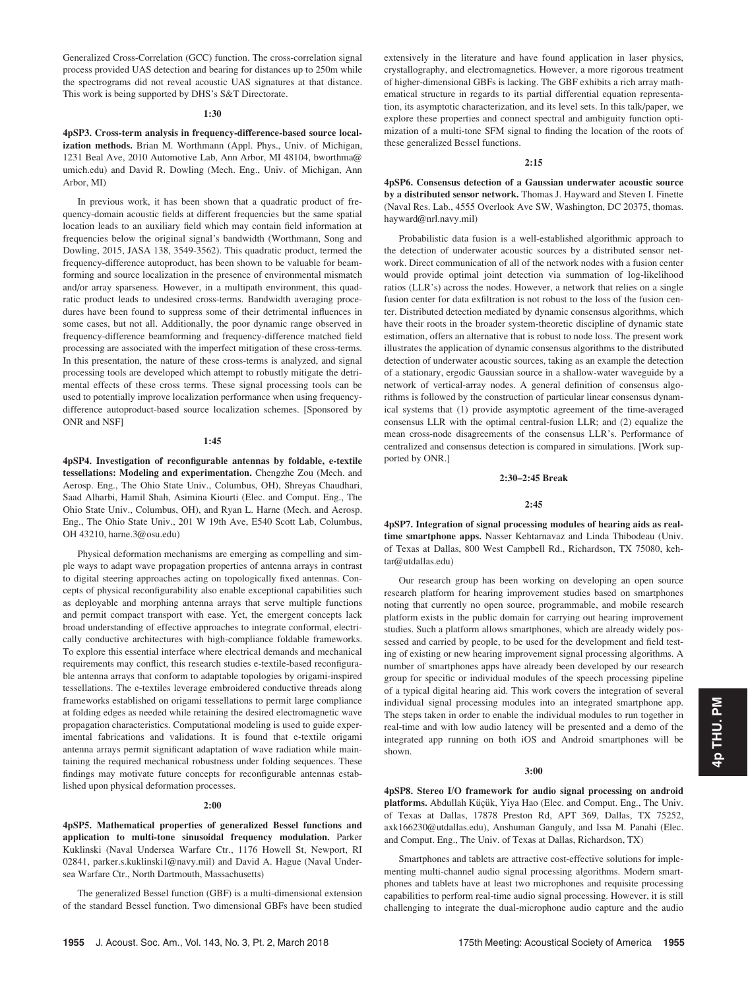Generalized Cross-Correlation (GCC) function. The cross-correlation signal process provided UAS detection and bearing for distances up to 250m while the spectrograms did not reveal acoustic UAS signatures at that distance. This work is being supported by DHS's S&T Directorate.

## 1:30

4pSP3. Cross-term analysis in frequency-difference-based source localization methods. Brian M. Worthmann (Appl. Phys., Univ. of Michigan, 1231 Beal Ave, 2010 Automotive Lab, Ann Arbor, MI 48104, bworthma@ umich.edu) and David R. Dowling (Mech. Eng., Univ. of Michigan, Ann Arbor, MI)

In previous work, it has been shown that a quadratic product of frequency-domain acoustic fields at different frequencies but the same spatial location leads to an auxiliary field which may contain field information at frequencies below the original signal's bandwidth (Worthmann, Song and Dowling, 2015, JASA 138, 3549-3562). This quadratic product, termed the frequency-difference autoproduct, has been shown to be valuable for beamforming and source localization in the presence of environmental mismatch and/or array sparseness. However, in a multipath environment, this quadratic product leads to undesired cross-terms. Bandwidth averaging procedures have been found to suppress some of their detrimental influences in some cases, but not all. Additionally, the poor dynamic range observed in frequency-difference beamforming and frequency-difference matched field processing are associated with the imperfect mitigation of these cross-terms. In this presentation, the nature of these cross-terms is analyzed, and signal processing tools are developed which attempt to robustly mitigate the detrimental effects of these cross terms. These signal processing tools can be used to potentially improve localization performance when using frequencydifference autoproduct-based source localization schemes. [Sponsored by ONR and NSF]

#### 1:45

4pSP4. Investigation of reconfigurable antennas by foldable, e-textile tessellations: Modeling and experimentation. Chengzhe Zou (Mech. and Aerosp. Eng., The Ohio State Univ., Columbus, OH), Shreyas Chaudhari, Saad Alharbi, Hamil Shah, Asimina Kiourti (Elec. and Comput. Eng., The Ohio State Univ., Columbus, OH), and Ryan L. Harne (Mech. and Aerosp. Eng., The Ohio State Univ., 201 W 19th Ave, E540 Scott Lab, Columbus, OH 43210, harne.3@osu.edu)

Physical deformation mechanisms are emerging as compelling and simple ways to adapt wave propagation properties of antenna arrays in contrast to digital steering approaches acting on topologically fixed antennas. Concepts of physical reconfigurability also enable exceptional capabilities such as deployable and morphing antenna arrays that serve multiple functions and permit compact transport with ease. Yet, the emergent concepts lack broad understanding of effective approaches to integrate conformal, electrically conductive architectures with high-compliance foldable frameworks. To explore this essential interface where electrical demands and mechanical requirements may conflict, this research studies e-textile-based reconfigurable antenna arrays that conform to adaptable topologies by origami-inspired tessellations. The e-textiles leverage embroidered conductive threads along frameworks established on origami tessellations to permit large compliance at folding edges as needed while retaining the desired electromagnetic wave propagation characteristics. Computational modeling is used to guide experimental fabrications and validations. It is found that e-textile origami antenna arrays permit significant adaptation of wave radiation while maintaining the required mechanical robustness under folding sequences. These findings may motivate future concepts for reconfigurable antennas established upon physical deformation processes.

# 2:00

4pSP5. Mathematical properties of generalized Bessel functions and application to multi-tone sinusoidal frequency modulation. Parker Kuklinski (Naval Undersea Warfare Ctr., 1176 Howell St, Newport, RI 02841, parker.s.kuklinski1@navy.mil) and David A. Hague (Naval Undersea Warfare Ctr., North Dartmouth, Massachusetts)

The generalized Bessel function (GBF) is a multi-dimensional extension of the standard Bessel function. Two dimensional GBFs have been studied

# 2:15

4pSP6. Consensus detection of a Gaussian underwater acoustic source by a distributed sensor network. Thomas J. Hayward and Steven I. Finette (Naval Res. Lab., 4555 Overlook Ave SW, Washington, DC 20375, thomas. hayward@nrl.navy.mil)

Probabilistic data fusion is a well-established algorithmic approach to the detection of underwater acoustic sources by a distributed sensor network. Direct communication of all of the network nodes with a fusion center would provide optimal joint detection via summation of log-likelihood ratios (LLR's) across the nodes. However, a network that relies on a single fusion center for data exfiltration is not robust to the loss of the fusion center. Distributed detection mediated by dynamic consensus algorithms, which have their roots in the broader system-theoretic discipline of dynamic state estimation, offers an alternative that is robust to node loss. The present work illustrates the application of dynamic consensus algorithms to the distributed detection of underwater acoustic sources, taking as an example the detection of a stationary, ergodic Gaussian source in a shallow-water waveguide by a network of vertical-array nodes. A general definition of consensus algorithms is followed by the construction of particular linear consensus dynamical systems that (1) provide asymptotic agreement of the time-averaged consensus LLR with the optimal central-fusion LLR; and (2) equalize the mean cross-node disagreements of the consensus LLR's. Performance of centralized and consensus detection is compared in simulations. [Work supported by ONR.]

## 2:30–2:45 Break

# 2:45

4pSP7. Integration of signal processing modules of hearing aids as realtime smartphone apps. Nasser Kehtarnavaz and Linda Thibodeau (Univ. of Texas at Dallas, 800 West Campbell Rd., Richardson, TX 75080, kehtar@utdallas.edu)

Our research group has been working on developing an open source research platform for hearing improvement studies based on smartphones noting that currently no open source, programmable, and mobile research platform exists in the public domain for carrying out hearing improvement studies. Such a platform allows smartphones, which are already widely possessed and carried by people, to be used for the development and field testing of existing or new hearing improvement signal processing algorithms. A number of smartphones apps have already been developed by our research group for specific or individual modules of the speech processing pipeline of a typical digital hearing aid. This work covers the integration of several individual signal processing modules into an integrated smartphone app. The steps taken in order to enable the individual modules to run together in real-time and with low audio latency will be presented and a demo of the integrated app running on both iOS and Android smartphones will be shown.

#### 3:00

4pSP8. Stereo I/O framework for audio signal processing on android platforms. Abdullah Küçük, Yiya Hao (Elec. and Comput. Eng., The Univ. of Texas at Dallas, 17878 Preston Rd, APT 369, Dallas, TX 75252, axk166230@utdallas.edu), Anshuman Ganguly, and Issa M. Panahi (Elec. and Comput. Eng., The Univ. of Texas at Dallas, Richardson, TX)

Smartphones and tablets are attractive cost-effective solutions for implementing multi-channel audio signal processing algorithms. Modern smartphones and tablets have at least two microphones and requisite processing capabilities to perform real-time audio signal processing. However, it is still challenging to integrate the dual-microphone audio capture and the audio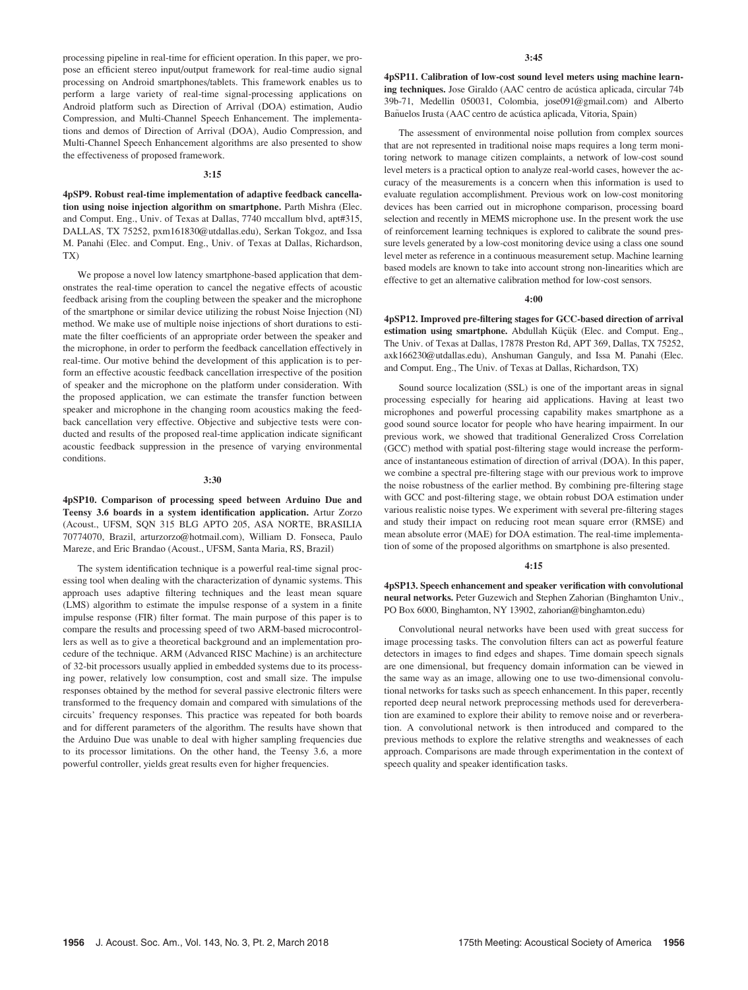processing pipeline in real-time for efficient operation. In this paper, we propose an efficient stereo input/output framework for real-time audio signal processing on Android smartphones/tablets. This framework enables us to perform a large variety of real-time signal-processing applications on Android platform such as Direction of Arrival (DOA) estimation, Audio Compression, and Multi-Channel Speech Enhancement. The implementations and demos of Direction of Arrival (DOA), Audio Compression, and Multi-Channel Speech Enhancement algorithms are also presented to show the effectiveness of proposed framework.

#### 3:15

4pSP9. Robust real-time implementation of adaptive feedback cancellation using noise injection algorithm on smartphone. Parth Mishra (Elec. and Comput. Eng., Univ. of Texas at Dallas, 7740 mccallum blvd, apt#315, DALLAS, TX 75252, pxm161830@utdallas.edu), Serkan Tokgoz, and Issa M. Panahi (Elec. and Comput. Eng., Univ. of Texas at Dallas, Richardson, TX)

We propose a novel low latency smartphone-based application that demonstrates the real-time operation to cancel the negative effects of acoustic feedback arising from the coupling between the speaker and the microphone of the smartphone or similar device utilizing the robust Noise Injection (NI) method. We make use of multiple noise injections of short durations to estimate the filter coefficients of an appropriate order between the speaker and the microphone, in order to perform the feedback cancellation effectively in real-time. Our motive behind the development of this application is to perform an effective acoustic feedback cancellation irrespective of the position of speaker and the microphone on the platform under consideration. With the proposed application, we can estimate the transfer function between speaker and microphone in the changing room acoustics making the feedback cancellation very effective. Objective and subjective tests were conducted and results of the proposed real-time application indicate significant acoustic feedback suppression in the presence of varying environmental conditions.

#### 3:30

4pSP10. Comparison of processing speed between Arduino Due and Teensy 3.6 boards in a system identification application. Artur Zorzo (Acoust., UFSM, SQN 315 BLG APTO 205, ASA NORTE, BRASILIA 70774070, Brazil, arturzorzo@hotmail.com), William D. Fonseca, Paulo Mareze, and Eric Brandao (Acoust., UFSM, Santa Maria, RS, Brazil)

The system identification technique is a powerful real-time signal processing tool when dealing with the characterization of dynamic systems. This approach uses adaptive filtering techniques and the least mean square (LMS) algorithm to estimate the impulse response of a system in a finite impulse response (FIR) filter format. The main purpose of this paper is to compare the results and processing speed of two ARM-based microcontrollers as well as to give a theoretical background and an implementation procedure of the technique. ARM (Advanced RISC Machine) is an architecture of 32-bit processors usually applied in embedded systems due to its processing power, relatively low consumption, cost and small size. The impulse responses obtained by the method for several passive electronic filters were transformed to the frequency domain and compared with simulations of the circuits' frequency responses. This practice was repeated for both boards and for different parameters of the algorithm. The results have shown that the Arduino Due was unable to deal with higher sampling frequencies due to its processor limitations. On the other hand, the Teensy 3.6, a more powerful controller, yields great results even for higher frequencies.

4pSP11. Calibration of low-cost sound level meters using machine learning techniques. Jose Giraldo (AAC centro de acústica aplicada, circular 74b 39b-71, Medellin 050031, Colombia, jose091@gmail.com) and Alberto Bañuelos Irusta (AAC centro de acústica aplicada, Vitoria, Spain)

The assessment of environmental noise pollution from complex sources that are not represented in traditional noise maps requires a long term monitoring network to manage citizen complaints, a network of low-cost sound level meters is a practical option to analyze real-world cases, however the accuracy of the measurements is a concern when this information is used to evaluate regulation accomplishment. Previous work on low-cost monitoring devices has been carried out in microphone comparison, processing board selection and recently in MEMS microphone use. In the present work the use of reinforcement learning techniques is explored to calibrate the sound pressure levels generated by a low-cost monitoring device using a class one sound level meter as reference in a continuous measurement setup. Machine learning based models are known to take into account strong non-linearities which are effective to get an alternative calibration method for low-cost sensors.

#### $4:00$

4pSP12. Improved pre-filtering stages for GCC-based direction of arrival estimation using smartphone. Abdullah Küçük (Elec. and Comput. Eng., The Univ. of Texas at Dallas, 17878 Preston Rd, APT 369, Dallas, TX 75252, axk166230@utdallas.edu), Anshuman Ganguly, and Issa M. Panahi (Elec. and Comput. Eng., The Univ. of Texas at Dallas, Richardson, TX)

Sound source localization (SSL) is one of the important areas in signal processing especially for hearing aid applications. Having at least two microphones and powerful processing capability makes smartphone as a good sound source locator for people who have hearing impairment. In our previous work, we showed that traditional Generalized Cross Correlation (GCC) method with spatial post-filtering stage would increase the performance of instantaneous estimation of direction of arrival (DOA). In this paper, we combine a spectral pre-filtering stage with our previous work to improve the noise robustness of the earlier method. By combining pre-filtering stage with GCC and post-filtering stage, we obtain robust DOA estimation under various realistic noise types. We experiment with several pre-filtering stages and study their impact on reducing root mean square error (RMSE) and mean absolute error (MAE) for DOA estimation. The real-time implementation of some of the proposed algorithms on smartphone is also presented.

## 4:15

4pSP13. Speech enhancement and speaker verification with convolutional neural networks. Peter Guzewich and Stephen Zahorian (Binghamton Univ., PO Box 6000, Binghamton, NY 13902, zahorian@binghamton.edu)

Convolutional neural networks have been used with great success for image processing tasks. The convolution filters can act as powerful feature detectors in images to find edges and shapes. Time domain speech signals are one dimensional, but frequency domain information can be viewed in the same way as an image, allowing one to use two-dimensional convolutional networks for tasks such as speech enhancement. In this paper, recently reported deep neural network preprocessing methods used for dereverberation are examined to explore their ability to remove noise and or reverberation. A convolutional network is then introduced and compared to the previous methods to explore the relative strengths and weaknesses of each approach. Comparisons are made through experimentation in the context of speech quality and speaker identification tasks.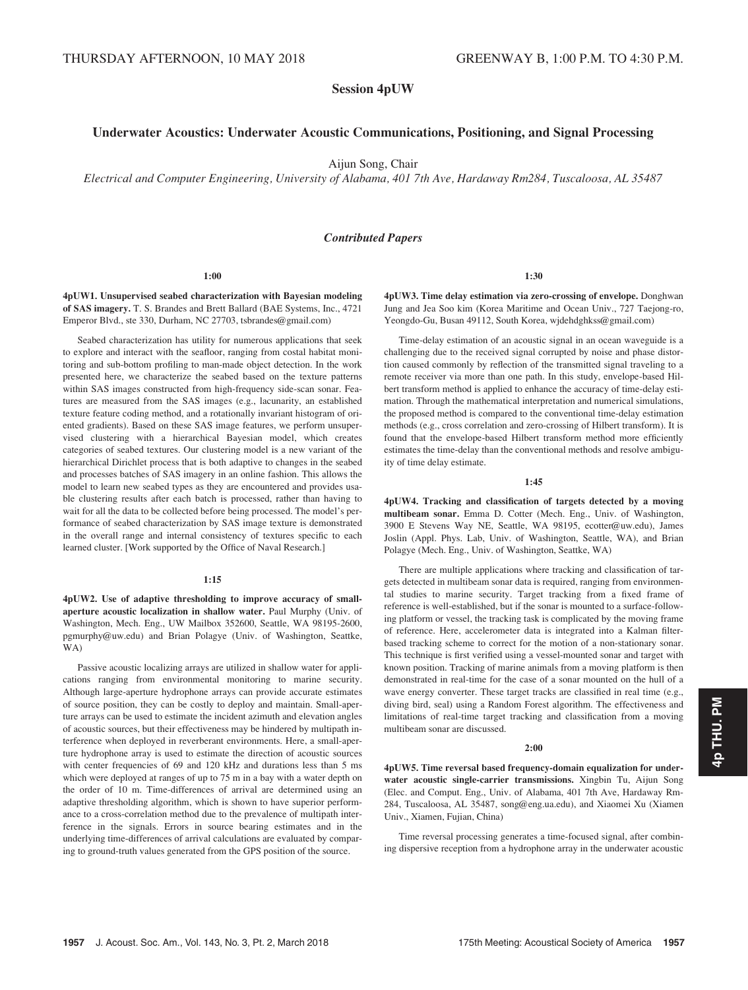Session 4pUW

# Underwater Acoustics: Underwater Acoustic Communications, Positioning, and Signal Processing

Aijun Song, Chair

Electrical and Computer Engineering, University of Alabama, 401 7th Ave, Hardaway Rm284, Tuscaloosa, AL 35487

# Contributed Papers

#### 1:00

4pUW1. Unsupervised seabed characterization with Bayesian modeling of SAS imagery. T. S. Brandes and Brett Ballard (BAE Systems, Inc., 4721 Emperor Blvd., ste 330, Durham, NC 27703, tsbrandes@gmail.com)

Seabed characterization has utility for numerous applications that seek to explore and interact with the seafloor, ranging from costal habitat monitoring and sub-bottom profiling to man-made object detection. In the work presented here, we characterize the seabed based on the texture patterns within SAS images constructed from high-frequency side-scan sonar. Features are measured from the SAS images (e.g., lacunarity, an established texture feature coding method, and a rotationally invariant histogram of oriented gradients). Based on these SAS image features, we perform unsupervised clustering with a hierarchical Bayesian model, which creates categories of seabed textures. Our clustering model is a new variant of the hierarchical Dirichlet process that is both adaptive to changes in the seabed and processes batches of SAS imagery in an online fashion. This allows the model to learn new seabed types as they are encountered and provides usable clustering results after each batch is processed, rather than having to wait for all the data to be collected before being processed. The model's performance of seabed characterization by SAS image texture is demonstrated in the overall range and internal consistency of textures specific to each learned cluster. [Work supported by the Office of Naval Research.]

#### 1:15

4pUW2. Use of adaptive thresholding to improve accuracy of smallaperture acoustic localization in shallow water. Paul Murphy (Univ. of Washington, Mech. Eng., UW Mailbox 352600, Seattle, WA 98195-2600, pgmurphy@uw.edu) and Brian Polagye (Univ. of Washington, Seattke, WA)

Passive acoustic localizing arrays are utilized in shallow water for applications ranging from environmental monitoring to marine security. Although large-aperture hydrophone arrays can provide accurate estimates of source position, they can be costly to deploy and maintain. Small-aperture arrays can be used to estimate the incident azimuth and elevation angles of acoustic sources, but their effectiveness may be hindered by multipath interference when deployed in reverberant environments. Here, a small-aperture hydrophone array is used to estimate the direction of acoustic sources with center frequencies of 69 and 120 kHz and durations less than 5 ms which were deployed at ranges of up to 75 m in a bay with a water depth on the order of 10 m. Time-differences of arrival are determined using an adaptive thresholding algorithm, which is shown to have superior performance to a cross-correlation method due to the prevalence of multipath interference in the signals. Errors in source bearing estimates and in the underlying time-differences of arrival calculations are evaluated by comparing to ground-truth values generated from the GPS position of the source.

1:30

4pUW3. Time delay estimation via zero-crossing of envelope. Donghwan Jung and Jea Soo kim (Korea Maritime and Ocean Univ., 727 Taejong-ro, Yeongdo-Gu, Busan 49112, South Korea, wjdehdghkss@gmail.com)

Time-delay estimation of an acoustic signal in an ocean waveguide is a challenging due to the received signal corrupted by noise and phase distortion caused commonly by reflection of the transmitted signal traveling to a remote receiver via more than one path. In this study, envelope-based Hilbert transform method is applied to enhance the accuracy of time-delay estimation. Through the mathematical interpretation and numerical simulations, the proposed method is compared to the conventional time-delay estimation methods (e.g., cross correlation and zero-crossing of Hilbert transform). It is found that the envelope-based Hilbert transform method more efficiently estimates the time-delay than the conventional methods and resolve ambiguity of time delay estimate.

#### 1:45

4pUW4. Tracking and classification of targets detected by a moving multibeam sonar. Emma D. Cotter (Mech. Eng., Univ. of Washington, 3900 E Stevens Way NE, Seattle, WA 98195, ecotter@uw.edu), James Joslin (Appl. Phys. Lab, Univ. of Washington, Seattle, WA), and Brian Polagye (Mech. Eng., Univ. of Washington, Seattke, WA)

There are multiple applications where tracking and classification of targets detected in multibeam sonar data is required, ranging from environmental studies to marine security. Target tracking from a fixed frame of reference is well-established, but if the sonar is mounted to a surface-following platform or vessel, the tracking task is complicated by the moving frame of reference. Here, accelerometer data is integrated into a Kalman filterbased tracking scheme to correct for the motion of a non-stationary sonar. This technique is first verified using a vessel-mounted sonar and target with known position. Tracking of marine animals from a moving platform is then demonstrated in real-time for the case of a sonar mounted on the hull of a wave energy converter. These target tracks are classified in real time (e.g., diving bird, seal) using a Random Forest algorithm. The effectiveness and limitations of real-time target tracking and classification from a moving multibeam sonar are discussed.

#### 2:00

4pUW5. Time reversal based frequency-domain equalization for underwater acoustic single-carrier transmissions. Xingbin Tu, Aijun Song (Elec. and Comput. Eng., Univ. of Alabama, 401 7th Ave, Hardaway Rm-284, Tuscaloosa, AL 35487, song@eng.ua.edu), and Xiaomei Xu (Xiamen Univ., Xiamen, Fujian, China)

Time reversal processing generates a time-focused signal, after combining dispersive reception from a hydrophone array in the underwater acoustic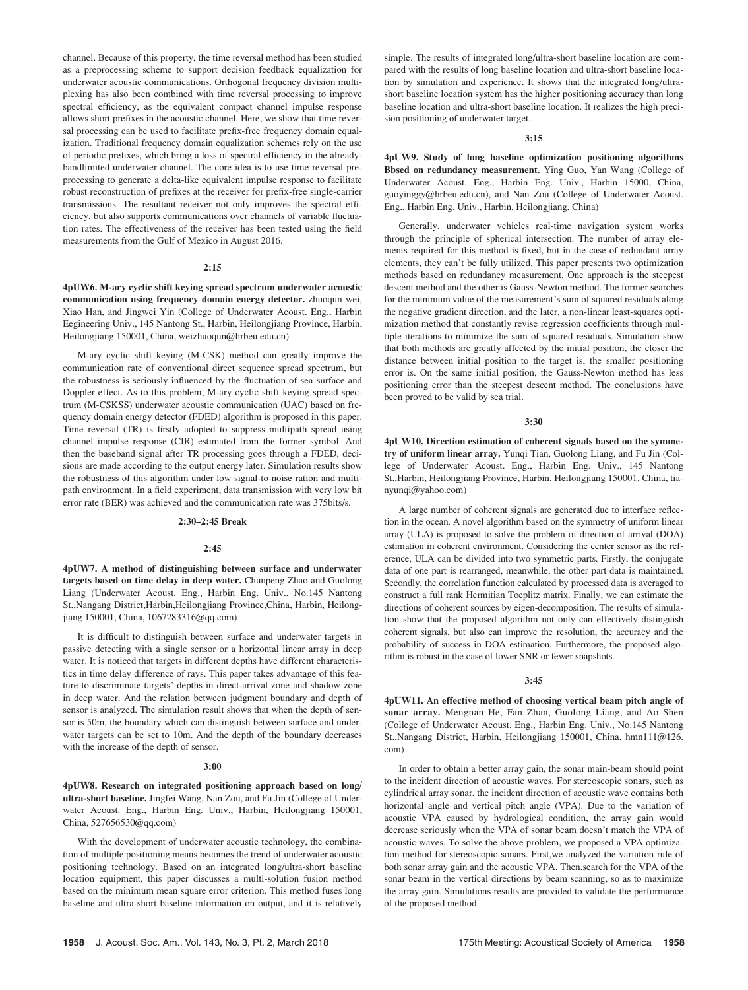channel. Because of this property, the time reversal method has been studied as a preprocessing scheme to support decision feedback equalization for underwater acoustic communications. Orthogonal frequency division multiplexing has also been combined with time reversal processing to improve spectral efficiency, as the equivalent compact channel impulse response allows short prefixes in the acoustic channel. Here, we show that time reversal processing can be used to facilitate prefix-free frequency domain equalization. Traditional frequency domain equalization schemes rely on the use of periodic prefixes, which bring a loss of spectral efficiency in the alreadybandlimited underwater channel. The core idea is to use time reversal preprocessing to generate a delta-like equivalent impulse response to facilitate robust reconstruction of prefixes at the receiver for prefix-free single-carrier transmissions. The resultant receiver not only improves the spectral efficiency, but also supports communications over channels of variable fluctuation rates. The effectiveness of the receiver has been tested using the field measurements from the Gulf of Mexico in August 2016.

#### 2:15

4pUW6. M-ary cyclic shift keying spread spectrum underwater acoustic communication using frequency domain energy detector. zhuoqun wei, Xiao Han, and Jingwei Yin (College of Underwater Acoust. Eng., Harbin Eegineering Univ., 145 Nantong St., Harbin, Heilongjiang Province, Harbin, Heilongjiang 150001, China, weizhuoqun@hrbeu.edu.cn)

M-ary cyclic shift keying (M-CSK) method can greatly improve the communication rate of conventional direct sequence spread spectrum, but the robustness is seriously influenced by the fluctuation of sea surface and Doppler effect. As to this problem, M-ary cyclic shift keying spread spectrum (M-CSKSS) underwater acoustic communication (UAC) based on frequency domain energy detector (FDED) algorithm is proposed in this paper. Time reversal (TR) is firstly adopted to suppress multipath spread using channel impulse response (CIR) estimated from the former symbol. And then the baseband signal after TR processing goes through a FDED, decisions are made according to the output energy later. Simulation results show the robustness of this algorithm under low signal-to-noise ration and multipath environment. In a field experiment, data transmission with very low bit error rate (BER) was achieved and the communication rate was 375bits/s.

#### 2:30–2:45 Break

#### 2:45

4pUW7. A method of distinguishing between surface and underwater targets based on time delay in deep water. Chunpeng Zhao and Guolong Liang (Underwater Acoust. Eng., Harbin Eng. Univ., No.145 Nantong St.,Nangang District,Harbin,Heilongjiang Province,China, Harbin, Heilongjiang 150001, China, 1067283316@qq.com)

It is difficult to distinguish between surface and underwater targets in passive detecting with a single sensor or a horizontal linear array in deep water. It is noticed that targets in different depths have different characteristics in time delay difference of rays. This paper takes advantage of this feature to discriminate targets' depths in direct-arrival zone and shadow zone in deep water. And the relation between judgment boundary and depth of sensor is analyzed. The simulation result shows that when the depth of sensor is 50m, the boundary which can distinguish between surface and underwater targets can be set to 10m. And the depth of the boundary decreases with the increase of the depth of sensor.

#### 3:00

4pUW8. Research on integrated positioning approach based on long/ ultra-short baseline. Jingfei Wang, Nan Zou, and Fu Jin (College of Underwater Acoust. Eng., Harbin Eng. Univ., Harbin, Heilongjiang 150001, China, 527656530@qq.com)

With the development of underwater acoustic technology, the combination of multiple positioning means becomes the trend of underwater acoustic positioning technology. Based on an integrated long/ultra-short baseline location equipment, this paper discusses a multi-solution fusion method based on the minimum mean square error criterion. This method fuses long baseline and ultra-short baseline information on output, and it is relatively simple. The results of integrated long/ultra-short baseline location are compared with the results of long baseline location and ultra-short baseline location by simulation and experience. It shows that the integrated long/ultrashort baseline location system has the higher positioning accuracy than long baseline location and ultra-short baseline location. It realizes the high precision positioning of underwater target.

# 3:15

4pUW9. Study of long baseline optimization positioning algorithms Bbsed on redundancy measurement. Ying Guo, Yan Wang (College of Underwater Acoust. Eng., Harbin Eng. Univ., Harbin 15000, China, guoyinggy@hrbeu.edu.cn), and Nan Zou (College of Underwater Acoust. Eng., Harbin Eng. Univ., Harbin, Heilongjiang, China)

Generally, underwater vehicles real-time navigation system works through the principle of spherical intersection. The number of array elements required for this method is fixed, but in the case of redundant array elements, they can't be fully utilized. This paper presents two optimization methods based on redundancy measurement. One approach is the steepest descent method and the other is Gauss-Newton method. The former searches for the minimum value of the measurement's sum of squared residuals along the negative gradient direction, and the later, a non-linear least-squares optimization method that constantly revise regression coefficients through multiple iterations to minimize the sum of squared residuals. Simulation show that both methods are greatly affected by the initial position, the closer the distance between initial position to the target is, the smaller positioning error is. On the same initial position, the Gauss-Newton method has less positioning error than the steepest descent method. The conclusions have been proved to be valid by sea trial.

#### 3:30

4pUW10. Direction estimation of coherent signals based on the symmetry of uniform linear array. Yunqi Tian, Guolong Liang, and Fu Jin (College of Underwater Acoust. Eng., Harbin Eng. Univ., 145 Nantong St.,Harbin, Heilongjiang Province, Harbin, Heilongjiang 150001, China, tianyunqi@yahoo.com)

A large number of coherent signals are generated due to interface reflection in the ocean. A novel algorithm based on the symmetry of uniform linear array (ULA) is proposed to solve the problem of direction of arrival (DOA) estimation in coherent environment. Considering the center sensor as the reference, ULA can be divided into two symmetric parts. Firstly, the conjugate data of one part is rearranged, meanwhile, the other part data is maintained. Secondly, the correlation function calculated by processed data is averaged to construct a full rank Hermitian Toeplitz matrix. Finally, we can estimate the directions of coherent sources by eigen-decomposition. The results of simulation show that the proposed algorithm not only can effectively distinguish coherent signals, but also can improve the resolution, the accuracy and the probability of success in DOA estimation. Furthermore, the proposed algorithm is robust in the case of lower SNR or fewer snapshots.

## 3:45

4pUW11. An effective method of choosing vertical beam pitch angle of sonar array. Mengnan He, Fan Zhan, Guolong Liang, and Ao Shen (College of Underwater Acoust. Eng., Harbin Eng. Univ., No.145 Nantong St.,Nangang District, Harbin, Heilongjiang 150001, China, hmn111@126. com)

In order to obtain a better array gain, the sonar main-beam should point to the incident direction of acoustic waves. For stereoscopic sonars, such as cylindrical array sonar, the incident direction of acoustic wave contains both horizontal angle and vertical pitch angle (VPA). Due to the variation of acoustic VPA caused by hydrological condition, the array gain would decrease seriously when the VPA of sonar beam doesn't match the VPA of acoustic waves. To solve the above problem, we proposed a VPA optimization method for stereoscopic sonars. First,we analyzed the variation rule of both sonar array gain and the acoustic VPA. Then,search for the VPA of the sonar beam in the vertical directions by beam scanning, so as to maximize the array gain. Simulations results are provided to validate the performance of the proposed method.